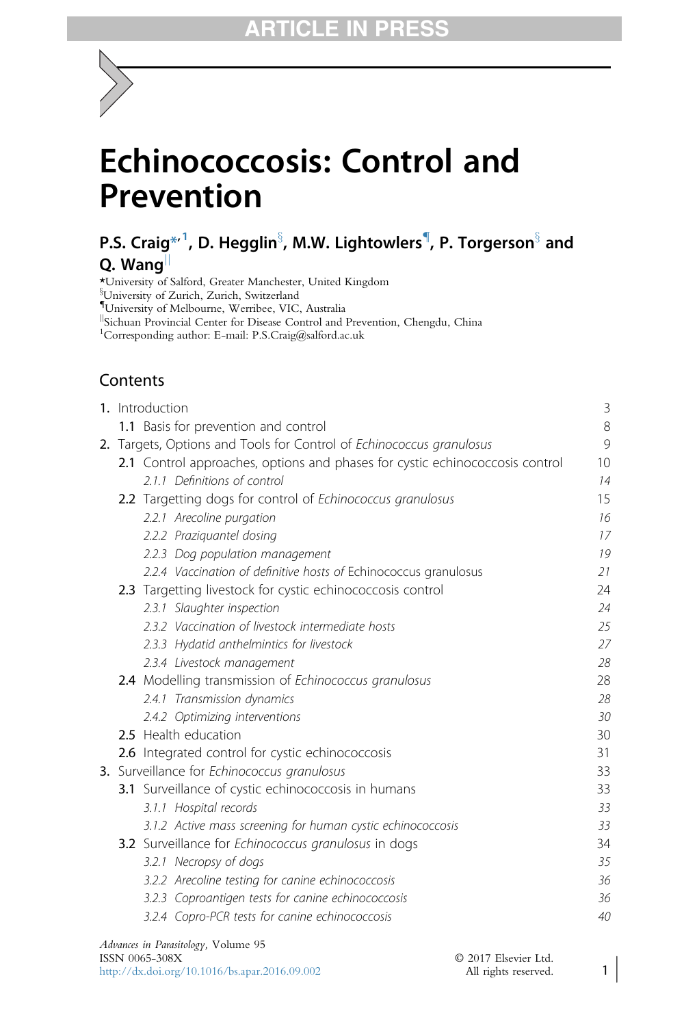# Echinococcosis: Control and Prevention

# P.S. Craig $^{\ast\!\ast1}$ , D. Hegglin $^\S$ , M.W. Lightowlers , P. Torgerson $^\S$  and Q. Wang

\*University of Salford, Greater Manchester, United Kingdom <sup>§</sup>University of Zurich, Zurich, Switzerland { University of Melbourne, Werribee, VIC, Australia <sup>1</sup>Sichuan Provincial Center for Disease Control and Prevention, Chengdu, China 1 Corresponding author: E-mail: P.S.Craig@salford.ac.uk

# **Contents**

|                                                                      | 1. Introduction                                                              | 3  |  |  |  |  |  |
|----------------------------------------------------------------------|------------------------------------------------------------------------------|----|--|--|--|--|--|
|                                                                      | 1.1 Basis for prevention and control                                         | 8  |  |  |  |  |  |
| 2. Targets, Options and Tools for Control of Echinococcus granulosus |                                                                              |    |  |  |  |  |  |
|                                                                      | 2.1 Control approaches, options and phases for cystic echinococcosis control | 10 |  |  |  |  |  |
|                                                                      | 2.1.1 Definitions of control                                                 | 14 |  |  |  |  |  |
|                                                                      | 2.2 Targetting dogs for control of <i>Echinococcus granulosus</i>            | 15 |  |  |  |  |  |
|                                                                      | 2.2.1 Arecoline purgation                                                    | 16 |  |  |  |  |  |
|                                                                      | 2.2.2 Praziguantel dosing                                                    | 17 |  |  |  |  |  |
|                                                                      | 2.2.3 Dog population management                                              | 19 |  |  |  |  |  |
|                                                                      | 2.2.4 Vaccination of definitive hosts of Echinococcus granulosus             | 21 |  |  |  |  |  |
|                                                                      | 2.3 Targetting livestock for cystic echinococcosis control                   | 24 |  |  |  |  |  |
|                                                                      | 2.3.1 Slaughter inspection                                                   | 24 |  |  |  |  |  |
|                                                                      | 2.3.2 Vaccination of livestock intermediate hosts                            | 25 |  |  |  |  |  |
|                                                                      | 2.3.3 Hydatid anthelmintics for livestock                                    | 27 |  |  |  |  |  |
|                                                                      | 2.3.4 Livestock management                                                   | 28 |  |  |  |  |  |
|                                                                      | 2.4 Modelling transmission of Echinococcus granulosus                        | 28 |  |  |  |  |  |
|                                                                      | 2.4.1 Transmission dynamics                                                  | 28 |  |  |  |  |  |
|                                                                      | 2.4.2 Optimizing interventions                                               |    |  |  |  |  |  |
|                                                                      | 2.5 Health education                                                         | 30 |  |  |  |  |  |
|                                                                      | 2.6 Integrated control for cystic echinococcosis                             | 31 |  |  |  |  |  |
|                                                                      | 3. Surveillance for Echinococcus granulosus                                  | 33 |  |  |  |  |  |
|                                                                      | 3.1 Surveillance of cystic echinococcosis in humans                          | 33 |  |  |  |  |  |
|                                                                      | 3.1.1 Hospital records                                                       | 33 |  |  |  |  |  |
|                                                                      | 3.1.2 Active mass screening for human cystic echinococcosis                  | 33 |  |  |  |  |  |
|                                                                      | 3.2 Surveillance for Echinococcus granulosus in dogs                         | 34 |  |  |  |  |  |
|                                                                      | 3.2.1 Necropsy of dogs                                                       | 35 |  |  |  |  |  |
|                                                                      | 3.2.2 Arecoline testing for canine echinococcosis                            | 36 |  |  |  |  |  |
|                                                                      | 3.2.3 Coproantigen tests for canine echinococcosis                           | 36 |  |  |  |  |  |
|                                                                      | 3.2.4 Copro-PCR tests for canine echinococcosis                              | 40 |  |  |  |  |  |
|                                                                      |                                                                              |    |  |  |  |  |  |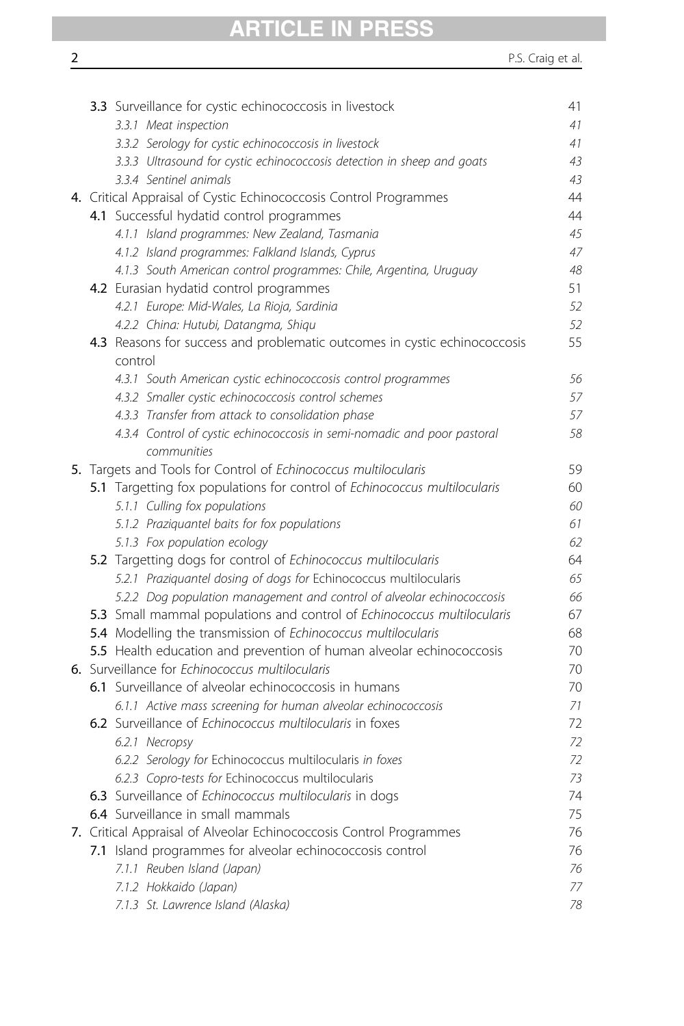# ARTICLE IN PRESS

|  | 3.3 Surveillance for cystic echinococcosis in livestock                                 | 41 |
|--|-----------------------------------------------------------------------------------------|----|
|  | 3.3.1 Meat inspection                                                                   | 41 |
|  | 3.3.2 Serology for cystic echinococcosis in livestock                                   | 41 |
|  | 3.3.3 Ultrasound for cystic echinococcosis detection in sheep and goats                 | 43 |
|  | 3.3.4 Sentinel animals                                                                  | 43 |
|  | 4. Critical Appraisal of Cystic Echinococcosis Control Programmes                       | 44 |
|  | 4.1 Successful hydatid control programmes                                               | 44 |
|  | 4.1.1 Island programmes: New Zealand, Tasmania                                          | 45 |
|  | 4.1.2 Island programmes: Falkland Islands, Cyprus                                       | 47 |
|  | 4.1.3 South American control programmes: Chile, Argentina, Uruguay                      | 48 |
|  | 4.2 Eurasian hydatid control programmes                                                 | 51 |
|  | 4.2.1 Europe: Mid-Wales, La Rioja, Sardinia                                             | 52 |
|  | 4.2.2 China: Hutubi, Datangma, Shiqu                                                    | 52 |
|  | 4.3 Reasons for success and problematic outcomes in cystic echinococcosis<br>control    | 55 |
|  | 4.3.1 South American cystic echinococcosis control programmes                           | 56 |
|  | 4.3.2 Smaller cystic echinococcosis control schemes                                     | 57 |
|  | 4.3.3 Transfer from attack to consolidation phase                                       | 57 |
|  | 4.3.4 Control of cystic echinococcosis in semi-nomadic and poor pastoral<br>communities | 58 |
|  | 5. Targets and Tools for Control of Echinococcus multilocularis                         | 59 |
|  | 5.1 Targetting fox populations for control of Echinococcus multilocularis               | 60 |
|  | 5.1.1 Culling fox populations                                                           | 60 |
|  | 5.1.2 Praziguantel baits for fox populations                                            | 61 |
|  | 5.1.3 Fox population ecology                                                            | 62 |
|  | 5.2 Targetting dogs for control of Echinococcus multilocularis                          | 64 |
|  | 5.2.1 Praziquantel dosing of dogs for Echinococcus multilocularis                       | 65 |
|  | 5.2.2 Dog population management and control of alveolar echinococcosis                  | 66 |
|  | 5.3 Small mammal populations and control of Echinococcus multilocularis                 | 67 |
|  | 5.4 Modelling the transmission of Echinococcus multilocularis                           | 68 |
|  | 5.5 Health education and prevention of human alveolar echinococcosis                    | 70 |
|  | 6. Surveillance for Echinococcus multilocularis                                         | 70 |
|  | 6.1 Surveillance of alveolar echinococcosis in humans                                   | 70 |
|  | 6.1.1 Active mass screening for human alveolar echinococcosis                           | 71 |
|  | 6.2 Surveillance of Echinococcus multilocularis in foxes                                | 72 |
|  | 6.2.1 Necropsy                                                                          | 72 |
|  | 6.2.2 Serology for Echinococcus multilocularis in foxes                                 | 72 |
|  | 6.2.3 Copro-tests for Echinococcus multilocularis                                       | 73 |
|  | 6.3 Surveillance of Echinococcus multilocularis in dogs                                 | 74 |
|  | 6.4 Surveillance in small mammals                                                       | 75 |
|  | 7. Critical Appraisal of Alveolar Echinococcosis Control Programmes                     | 76 |
|  | 7.1 Island programmes for alveolar echinococcosis control                               | 76 |
|  | 7.1.1 Reuben Island (Japan)                                                             | 76 |
|  | 7.1.2 Hokkaido (Japan)                                                                  | 77 |
|  | 7.1.3 St. Lawrence Island (Alaska)                                                      | 78 |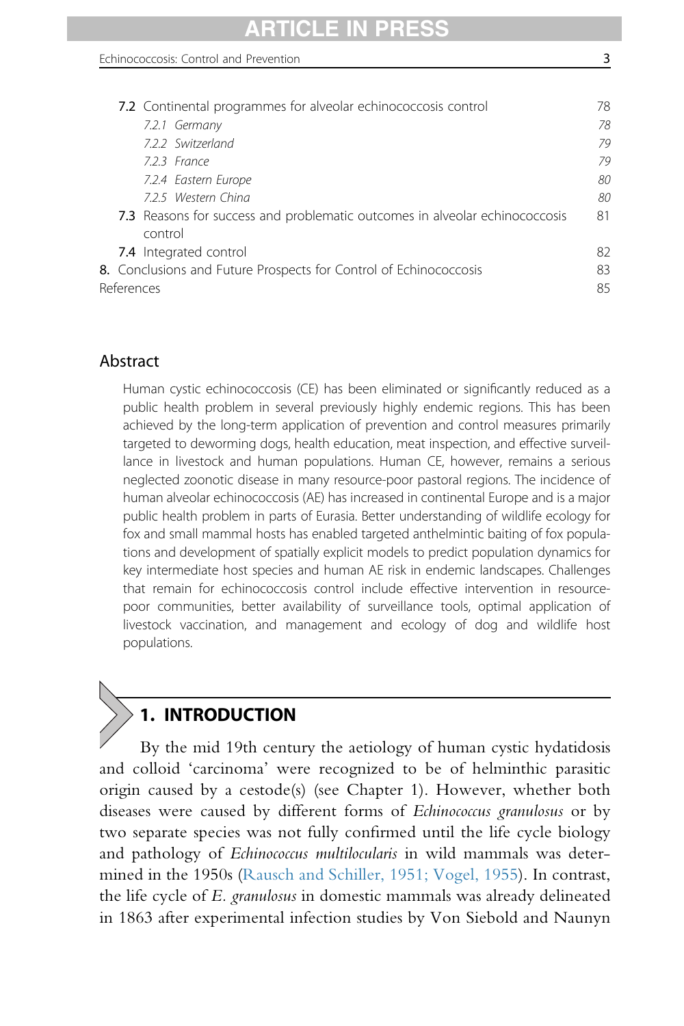# RTICLE IN P

|            | 7.2 Continental programmes for alveolar echinococcosis control              | 78 |
|------------|-----------------------------------------------------------------------------|----|
|            | 7.2.1 Germany                                                               | 78 |
|            | 7.2.2 Switzerland                                                           | 79 |
|            | 7.2.3 France                                                                | 79 |
|            | 7.2.4 Eastern Europe                                                        | 80 |
|            | 7.2.5 Western China                                                         | 80 |
|            | 7.3 Reasons for success and problematic outcomes in alveolar echinococcosis | 81 |
|            | control                                                                     |    |
|            | 7.4 Integrated control                                                      | 82 |
|            | 8. Conclusions and Future Prospects for Control of Echinococcosis           | 83 |
| References |                                                                             | 85 |

# Abstract

Human cystic echinococcosis (CE) has been eliminated or significantly reduced as a public health problem in several previously highly endemic regions. This has been achieved by the long-term application of prevention and control measures primarily targeted to deworming dogs, health education, meat inspection, and effective surveillance in livestock and human populations. Human CE, however, remains a serious neglected zoonotic disease in many resource-poor pastoral regions. The incidence of human alveolar echinococcosis (AE) has increased in continental Europe and is a major public health problem in parts of Eurasia. Better understanding of wildlife ecology for fox and small mammal hosts has enabled targeted anthelmintic baiting of fox populations and development of spatially explicit models to predict population dynamics for key intermediate host species and human AE risk in endemic landscapes. Challenges that remain for echinococcosis control include effective intervention in resourcepoor communities, better availability of surveillance tools, optimal application of livestock vaccination, and management and ecology of dog and wildlife host populations.

# 1. INTRODUCTION

By the mid 19th century the aetiology of human cystic hydatidosis and colloid 'carcinoma' were recognized to be of helminthic parasitic origin caused by a cestode(s) (see Chapter 1). However, whether both diseases were caused by different forms of Echinococcus granulosus or by two separate species was not fully confirmed until the life cycle biology and pathology of Echinococcus multilocularis in wild mammals was determined in the 1950s [\(Rausch and Schiller, 1951; Vogel, 1955](#page-98-0)). In contrast, the life cycle of E. granulosus in domestic mammals was already delineated in 1863 after experimental infection studies by Von Siebold and Naunyn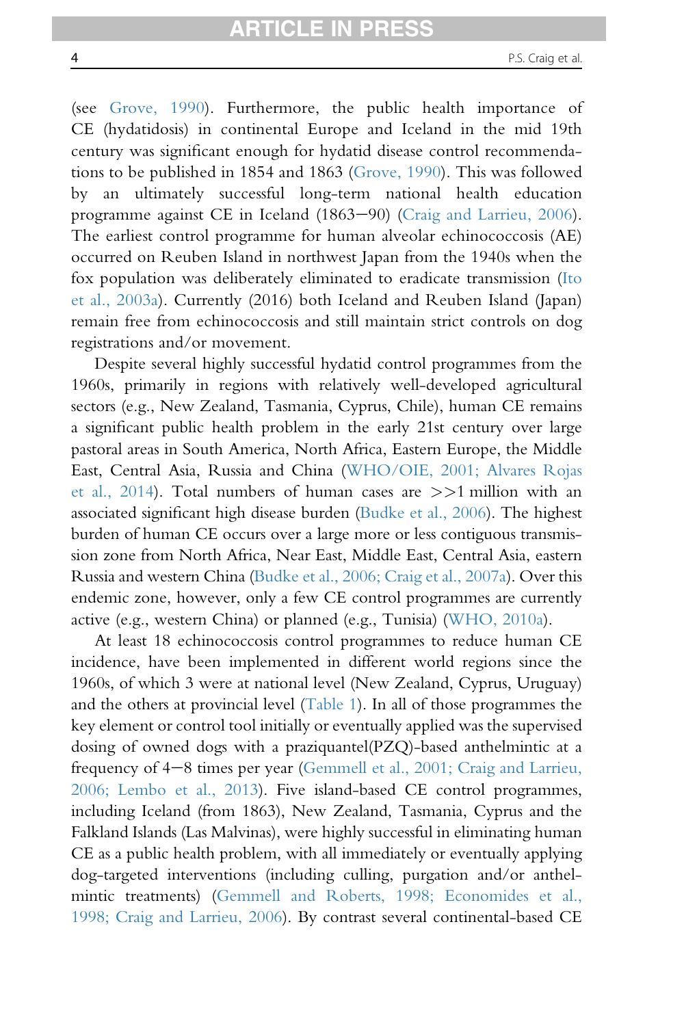(see [Grove, 1990](#page-91-0)). Furthermore, the public health importance of CE (hydatidosis) in continental Europe and Iceland in the mid 19th century was significant enough for hydatid disease control recommendations to be published in 1854 and 1863 [\(Grove, 1990\)](#page-91-0). This was followed by an ultimately successful long-term national health education programme against CE in Iceland (1863–90) ([Craig and Larrieu, 2006\)](#page-87-0). The earliest control programme for human alveolar echinococcosis (AE) occurred on Reuben Island in northwest Japan from the 1940s when the fox population was deliberately eliminated to eradicate transmission ([Ito](#page-93-0) [et al., 2003a\)](#page-93-0). Currently (2016) both Iceland and Reuben Island (Japan) remain free from echinococcosis and still maintain strict controls on dog registrations and/or movement.

Despite several highly successful hydatid control programmes from the 1960s, primarily in regions with relatively well-developed agricultural sectors (e.g., New Zealand, Tasmania, Cyprus, Chile), human CE remains a significant public health problem in the early 21st century over large pastoral areas in South America, North Africa, Eastern Europe, the Middle East, Central Asia, Russia and China [\(WHO/OIE, 2001; Alvares Rojas](#page-102-0) [et al., 2014](#page-102-0)). Total numbers of human cases are >>1 million with an associated significant high disease burden [\(Budke et al., 2006](#page-85-0)). The highest burden of human CE occurs over a large more or less contiguous transmission zone from North Africa, Near East, Middle East, Central Asia, eastern Russia and western China [\(Budke et al., 2006; Craig et al., 2007a\)](#page-85-0). Over this endemic zone, however, only a few CE control programmes are currently active (e.g., western China) or planned (e.g., Tunisia) ([WHO, 2010a](#page-102-0)).

At least 18 echinococcosis control programmes to reduce human CE incidence, have been implemented in different world regions since the 1960s, of which 3 were at national level (New Zealand, Cyprus, Uruguay) and the others at provincial level ([Table 1\)](#page-4-0). In all of those programmes the key element or control tool initially or eventually applied was the supervised dosing of owned dogs with a praziquantel(PZQ)-based anthelmintic at a frequency of  $4-8$  times per year [\(Gemmell et al., 2001; Craig and Larrieu,](#page-90-0) [2006; Lembo et al., 2013](#page-90-0)). Five island-based CE control programmes, including Iceland (from 1863), New Zealand, Tasmania, Cyprus and the Falkland Islands (Las Malvinas), were highly successful in eliminating human CE as a public health problem, with all immediately or eventually applying dog-targeted interventions (including culling, purgation and/or anthelmintic treatments) ([Gemmell and Roberts, 1998; Economides et al.,](#page-90-0) [1998; Craig and Larrieu, 2006](#page-90-0)). By contrast several continental-based CE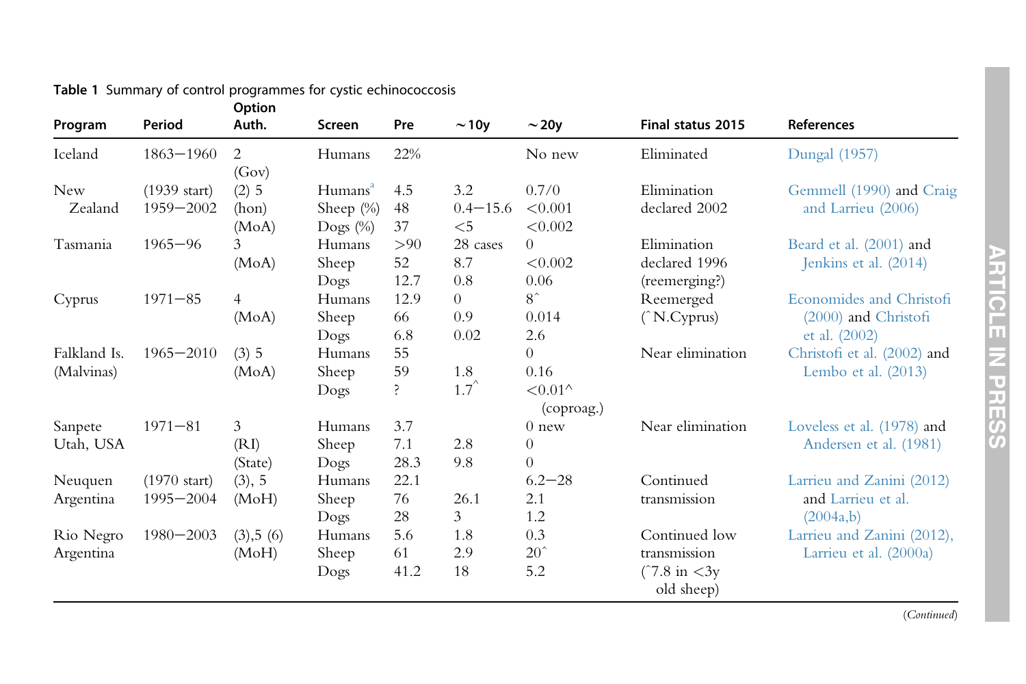| Program      | Period                 | Option<br>Auth. | Screen              | Pre  | $\sim$ 10y     | $\sim$ 20y               | Final status 2015      | References                  |
|--------------|------------------------|-----------------|---------------------|------|----------------|--------------------------|------------------------|-----------------------------|
| Iceland      | $1863 - 1960$          | 2<br>(Gov)      | Humans              | 22%  |                | No new                   | Eliminated             | <b>Dungal</b> (1957)        |
| <b>New</b>   | $(1939 \text{ start})$ | $(2)$ 5         | Humans <sup>a</sup> | 4.5  | 3.2            | 0.7/0                    | Elimination            | Gemmell (1990) and Craig    |
| Zealand      | 1959-2002              | (hon)           | Sheep $(\%)$        | 48   | $0.4 - 15.6$   | < 0.001                  | declared 2002          | and Larrieu (2006)          |
|              |                        | (MoA)           | Dogs $(\%)$         | 37   | $<$ 5          | < 0.002                  |                        |                             |
| Tasmania     | $1965 - 96$            | 3               | Humans              | >90  | 28 cases       | $\theta$                 | Elimination            | Beard et al. (2001) and     |
|              |                        | (MoA)           | Sheep               | 52   | 8.7            | < 0.002                  | declared 1996          | Jenkins et al. (2014)       |
|              |                        |                 | Dogs                | 12.7 | 0.8            | 0.06                     | (reemerging?)          |                             |
| Cyprus       | $1971 - 85$            | $\overline{4}$  | Humans              | 12.9 | $\overline{0}$ | $8^{\degree}$            | Reemerged              | Economides and Christofi    |
|              |                        | (MoA)           | Sheep               | 66   | 0.9            | 0.014                    | (^N.Cyprus)            | $(2000)$ and Christofi      |
|              |                        |                 | Dogs                | 6.8  | 0.02           | 2.6                      |                        | et al. (2002)               |
| Falkland Is. | $1965 - 2010$          | (3) 5           | Humans              | 55   |                | $\Omega$                 | Near elimination       | Christofi et al. (2002) and |
| (Malvinas)   |                        | (MoA)           | Sheep               | 59   | 1.8            | 0.16                     |                        | Lembo et al. (2013)         |
|              |                        |                 | Dogs                | Ś.   | $1.7^{\circ}$  | $< 0.01$ ^<br>(coproag.) |                        |                             |
| Sanpete      | $1971 - 81$            | 3               | Humans              | 3.7  |                | $0$ new                  | Near elimination       | Loveless et al. (1978) and  |
| Utah, USA    |                        | (RI)            | Sheep               | 7.1  | 2.8            | $\theta$                 |                        | Andersen et al. (1981)      |
|              |                        | (State)         | Dogs                | 28.3 | 9.8            | $\overline{0}$           |                        |                             |
| Neuquen      | $(1970 \text{ start})$ | (3), 5          | Humans              | 22.1 |                | $6.2 - 28$               | Continued              | Larrieu and Zanini (2012)   |
| Argentina    | $1995 - 2004$          | (MoH)           | Sheep               | 76   | 26.1           | 2.1                      | transmission           | and Larrieu et al.          |
|              |                        |                 | Dogs                | 28   | 3              | 1.2                      |                        | (2004a,b)                   |
| Rio Negro    | $1980 - 2003$          | (3), 5(6)       | Humans              | 5.6  | 1.8            | 0.3                      | Continued low          | Larrieu and Zanini (2012),  |
| Argentina    |                        | (MoH)           | Sheep               | 61   | 2.9            | $20^{\degree}$           | transmission           | Larrieu et al. $(2000a)$    |
|              |                        |                 | Dogs                | 41.2 | 18             | 5.2                      | $(7.8 \text{ in } 3y)$ |                             |
|              |                        |                 |                     |      |                |                          | old sheep)             |                             |

#### <span id="page-4-0"></span>Table 1 Summary of control programmes for cystic echinococcosis

(Continued)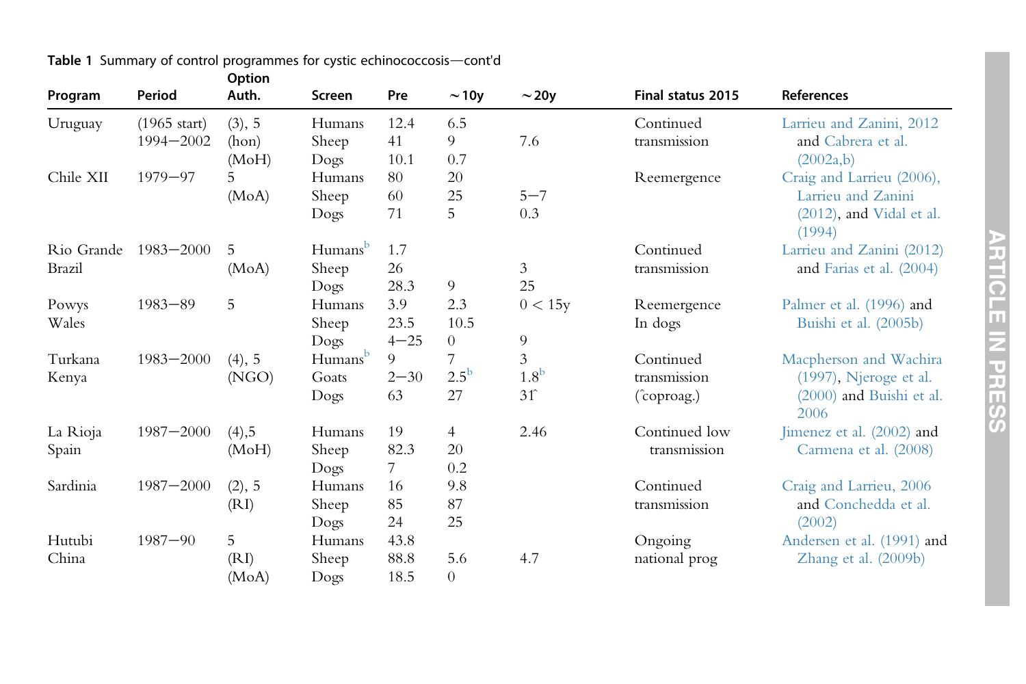| Program       | Period                 | Auth.    | <b>Screen</b>       | Pre      | $\sim$ 10y     | $\sim$ 20y       | <b>Final status 2015</b> | References                         |
|---------------|------------------------|----------|---------------------|----------|----------------|------------------|--------------------------|------------------------------------|
| Uruguay       | $(1965 \text{ start})$ | (3), 5   | Humans              | 12.4     | 6.5            |                  | Continued                | Larrieu and Zanini, 2012           |
|               | $1994 - 2002$          | (hon)    | Sheep               | 41       | 9              | 7.6              | transmission             | and Cabrera et al.                 |
|               |                        | (MoH)    | Dogs                | 10.1     | 0.7            |                  |                          | (2002a,b)                          |
| Chile XII     | $1979 - 97$            | 5        | Humans              | 80       | 20             |                  | Reemergence              | Craig and Larrieu (2006),          |
|               |                        | (MoA)    | Sheep               | 60       | 25             | $5 - 7$          |                          | Larrieu and Zanini                 |
|               |                        |          | Dogs                | 71       | 5              | 0.3              |                          | (2012), and Vidal et al.<br>(1994) |
| Rio Grande    | $1983 - 2000$          | 5        | Humans <sup>b</sup> | 1.7      |                |                  | Continued                | Larrieu and Zanini (2012)          |
| <b>Brazil</b> |                        | (MoA)    | Sheep               | $26\,$   |                | 3                | transmission             | and Farias et al. (2004)           |
|               |                        |          | Dogs                | 28.3     | 9              | 25               |                          |                                    |
| Powys         | $1983 - 89$            | 5        | Humans              | 3.9      | 2.3            | 0 < 15y          | Reemergence              | Palmer et al. (1996) and           |
| Wales         |                        |          | Sheep               | 23.5     | 10.5           |                  | In dogs                  | Buishi et al. (2005b)              |
|               |                        |          | Dogs                | $4 - 25$ | $\overline{0}$ | 9                |                          |                                    |
| Turkana       | $1983 - 2000$          | (4), 5   | Humansb             | 9        |                | 3                | Continued                | Macpherson and Wachira             |
| Kenya         |                        | (NGO)    | Goats               | $2 - 30$ | $2.5^{\rm b}$  | 1.8 <sup>b</sup> | transmission             | (1997), Njeroge et al.             |
|               |                        |          | Dogs                | 63       | 27             | $31^{\circ}$     | (coproag.)               | (2000) and Buishi et al.<br>2006   |
| La Rioja      | $1987 - 2000$          | $(4)$ ,5 | Humans              | 19       | $\overline{4}$ | 2.46             | Continued low            | Jimenez et al. (2002) and          |
| Spain         |                        | (MoH)    | Sheep               | 82.3     | 20             |                  | transmission             | Carmena et al. (2008)              |
|               |                        |          | Dogs                | 7        | 0.2            |                  |                          |                                    |
| Sardinia      | $1987 - 2000$          | (2), 5   | Humans              | 16       | 9.8            |                  | Continued                | Craig and Larrieu, 2006            |
|               |                        | (RI)     | Sheep               | 85       | 87             |                  | transmission             | and Conchedda et al.               |
|               |                        |          | Dogs                | 24       | 25             |                  |                          | (2002)                             |
| Hutubi        | $1987 - 90$            | 5        | Humans              | 43.8     |                |                  | Ongoing                  | Andersen et al. (1991) and         |
| China         |                        | (RI)     | Sheep               | 88.8     | 5.6            | 4.7              | national prog            | Zhang et al. (2009b)               |
|               |                        | (MoA)    | Dogs                | 18.5     | $\overline{0}$ |                  |                          |                                    |

#### **Table 1** Summary of control programmes for cystic echinococcosis—cont'd Option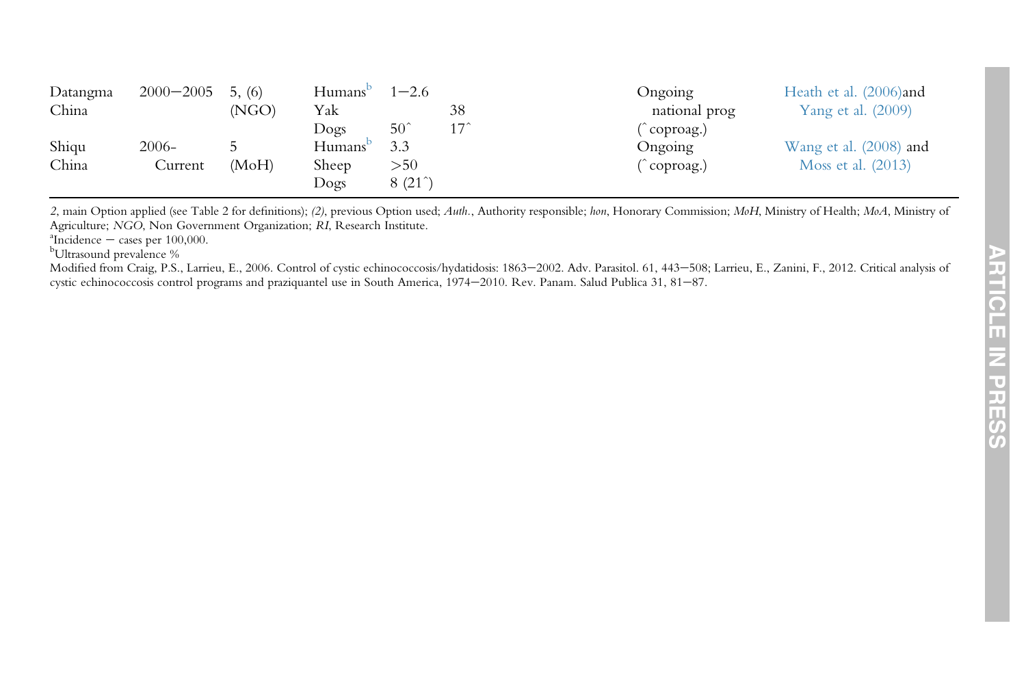| Datangma | $2000 - 2005$ | 5. (6) | Humans              | $1 - 2.6$       |            | Ongoing       | Heath et al. (2006)and    |
|----------|---------------|--------|---------------------|-----------------|------------|---------------|---------------------------|
| China    |               | (NGO)  | Yak                 |                 | 38         | national prog | <b>Yang et al.</b> (2009) |
|          |               |        | Dogs                | $50^{\degree}$  | $17^\circ$ | coproag.)     |                           |
| Shigu    | $2006-$       |        | Humans <sup>t</sup> | 3.3             |            | Ongoing       | Wang et al. (2008) and    |
| China    | Current       | (MoH)  | Sheep               | >50             |            | coproag.)     | Moss et al. (2013)        |
|          |               |        | Dogs                | $8(21^{\circ})$ |            |               |                           |

2, main Option applied (see Table 2 for definitions); (2), previous Option used; Auth., Authority responsible; hon, Honorary Commission; MoH, Ministry of Health; MoA, Ministry of Agriculture; NGO, Non Government Organization; RI, Research Institute.

 $\rm{^aIncidence}$   $-$ 

<sup>b</sup>Ultrasound prevalence %

Modified from Craig, P.S., Larrieu, E., 2006. Control of cystic echinococcosis/hydatidosis: 1863-2002. Adv. Parasitol. 61, 443-508; Larrieu, E., Zanini, F., 2012. Critical analysis of cystic echinococcosis control programs and praziquantel use in South America, 1974-2010. Rev. Panam. Salud Publica 31, 81-87.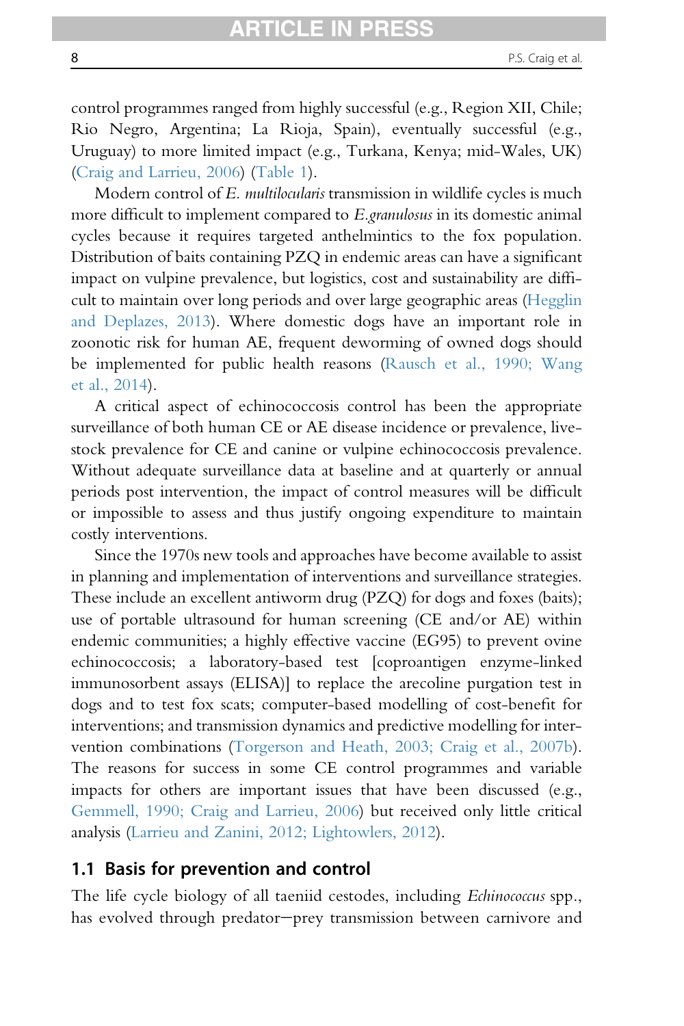control programmes ranged from highly successful (e.g., Region XII, Chile; Rio Negro, Argentina; La Rioja, Spain), eventually successful (e.g., Uruguay) to more limited impact (e.g., Turkana, Kenya; mid-Wales, UK) [\(Craig and Larrieu, 2006\)](#page-87-0) [\(Table 1\)](#page-4-0).

Modern control of E. multilocularis transmission in wildlife cycles is much more difficult to implement compared to E.granulosus in its domestic animal cycles because it requires targeted anthelmintics to the fox population. Distribution of baits containing PZQ in endemic areas can have a significant impact on vulpine prevalence, but logistics, cost and sustainability are difficult to maintain over long periods and over large geographic areas ([Hegglin](#page-92-0) [and Deplazes, 2013](#page-92-0)). Where domestic dogs have an important role in zoonotic risk for human AE, frequent deworming of owned dogs should be implemented for public health reasons [\(Rausch et al., 1990; Wang](#page-98-0) [et al., 2014](#page-98-0)).

A critical aspect of echinococcosis control has been the appropriate surveillance of both human CE or AE disease incidence or prevalence, livestock prevalence for CE and canine or vulpine echinococcosis prevalence. Without adequate surveillance data at baseline and at quarterly or annual periods post intervention, the impact of control measures will be difficult or impossible to assess and thus justify ongoing expenditure to maintain costly interventions.

Since the 1970s new tools and approaches have become available to assist in planning and implementation of interventions and surveillance strategies. These include an excellent antiworm drug (PZQ) for dogs and foxes (baits); use of portable ultrasound for human screening (CE and/or AE) within endemic communities; a highly effective vaccine (EG95) to prevent ovine echinococcosis; a laboratory-based test [coproantigen enzyme-linked immunosorbent assays (ELISA)] to replace the arecoline purgation test in dogs and to test fox scats; computer-based modelling of cost-benefit for interventions; and transmission dynamics and predictive modelling for intervention combinations [\(Torgerson and Heath, 2003;](#page-101-0) [Craig et al., 2007b\)](#page-88-0). The reasons for success in some CE control programmes and variable impacts for others are important issues that have been discussed (e.g., [Gemmell, 1990; Craig and Larrieu, 2006\)](#page-90-0) but received only little critical analysis ([Larrieu and Zanini, 2012; Lightowlers, 2012](#page-94-0)).

#### 1.1 Basis for prevention and control

The life cycle biology of all taeniid cestodes, including *Echinococcus* spp., has evolved through predator-prey transmission between carnivore and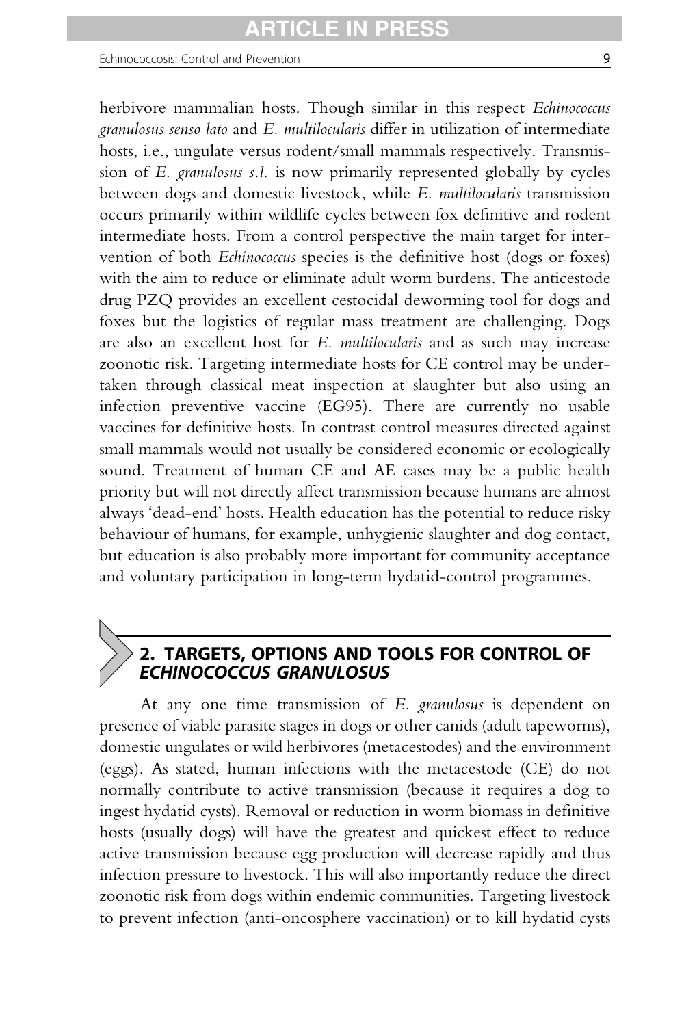herbivore mammalian hosts. Though similar in this respect Echinococcus granulosus senso lato and E. multilocularis differ in utilization of intermediate hosts, i.e., ungulate versus rodent/small mammals respectively. Transmission of E. granulosus s.l. is now primarily represented globally by cycles between dogs and domestic livestock, while E. multilocularis transmission occurs primarily within wildlife cycles between fox definitive and rodent intermediate hosts. From a control perspective the main target for intervention of both Echinococcus species is the definitive host (dogs or foxes) with the aim to reduce or eliminate adult worm burdens. The anticestode drug PZQ provides an excellent cestocidal deworming tool for dogs and foxes but the logistics of regular mass treatment are challenging. Dogs are also an excellent host for E. multilocularis and as such may increase zoonotic risk. Targeting intermediate hosts for CE control may be undertaken through classical meat inspection at slaughter but also using an infection preventive vaccine (EG95). There are currently no usable vaccines for definitive hosts. In contrast control measures directed against small mammals would not usually be considered economic or ecologically sound. Treatment of human CE and AE cases may be a public health priority but will not directly affect transmission because humans are almost always 'dead-end' hosts. Health education has the potential to reduce risky behaviour of humans, for example, unhygienic slaughter and dog contact, but education is also probably more important for community acceptance and voluntary participation in long-term hydatid-control programmes.

# 2. TARGETS, OPTIONS AND TOOLS FOR CONTROL OF ECHINOCOCCUS GRANULOSUS

At any one time transmission of E. granulosus is dependent on presence of viable parasite stages in dogs or other canids (adult tapeworms), domestic ungulates or wild herbivores (metacestodes) and the environment (eggs). As stated, human infections with the metacestode (CE) do not normally contribute to active transmission (because it requires a dog to ingest hydatid cysts). Removal or reduction in worm biomass in definitive hosts (usually dogs) will have the greatest and quickest effect to reduce active transmission because egg production will decrease rapidly and thus infection pressure to livestock. This will also importantly reduce the direct zoonotic risk from dogs within endemic communities. Targeting livestock to prevent infection (anti-oncosphere vaccination) or to kill hydatid cysts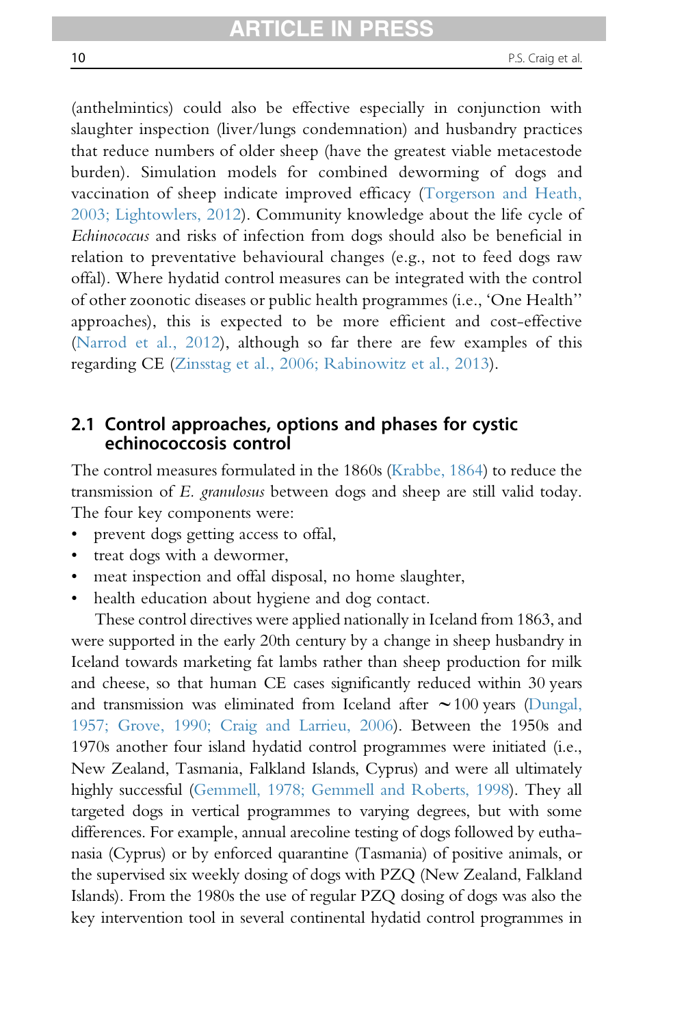(anthelmintics) could also be effective especially in conjunction with slaughter inspection (liver/lungs condemnation) and husbandry practices that reduce numbers of older sheep (have the greatest viable metacestode burden). Simulation models for combined deworming of dogs and vaccination of sheep indicate improved efficacy ([Torgerson and Heath,](#page-101-0) [2003;](#page-101-0) [Lightowlers, 2012](#page-95-0)). Community knowledge about the life cycle of Echinococcus and risks of infection from dogs should also be beneficial in relation to preventative behavioural changes (e.g., not to feed dogs raw offal). Where hydatid control measures can be integrated with the control of other zoonotic diseases or public health programmes (i.e., 'One Health'' approaches), this is expected to be more efficient and cost-effective [\(Narrod et al., 2012\)](#page-97-0), although so far there are few examples of this regarding CE [\(Zinsstag et al., 2006; Rabinowitz et al., 2013](#page-103-0)).

# 2.1 Control approaches, options and phases for cystic echinococcosis control

The control measures formulated in the 1860s [\(Krabbe, 1864](#page-93-0)) to reduce the transmission of E. granulosus between dogs and sheep are still valid today. The four key components were:

- prevent dogs getting access to offal,
- treat dogs with a dewormer,
- meat inspection and offal disposal, no home slaughter,
- health education about hygiene and dog contact.

These control directives were applied nationally in Iceland from 1863, and were supported in the early 20th century by a change in sheep husbandry in Iceland towards marketing fat lambs rather than sheep production for milk and cheese, so that human CE cases significantly reduced within 30 years and transmission was eliminated from Iceland after  $\sim$  100 years ([Dungal,](#page-88-0) [1957; Grove, 1990; Craig and Larrieu, 2006](#page-88-0)). Between the 1950s and 1970s another four island hydatid control programmes were initiated (i.e., New Zealand, Tasmania, Falkland Islands, Cyprus) and were all ultimately highly successful [\(Gemmell, 1978; Gemmell and Roberts, 1998\)](#page-89-0). They all targeted dogs in vertical programmes to varying degrees, but with some differences. For example, annual arecoline testing of dogs followed by euthanasia (Cyprus) or by enforced quarantine (Tasmania) of positive animals, or the supervised six weekly dosing of dogs with PZQ (New Zealand, Falkland Islands). From the 1980s the use of regular PZQ dosing of dogs was also the key intervention tool in several continental hydatid control programmes in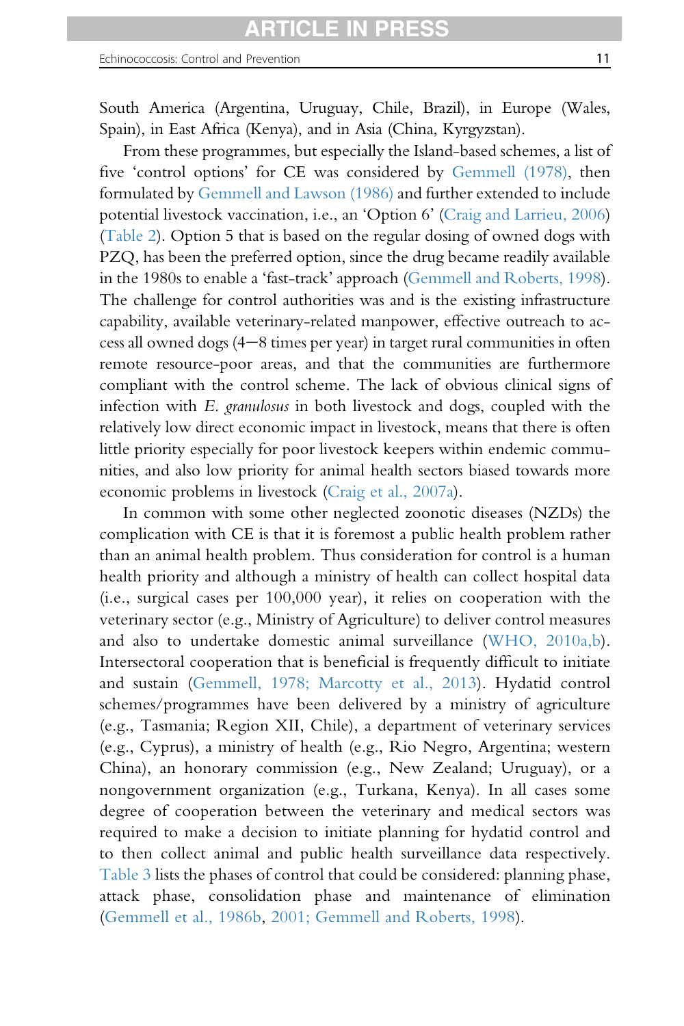South America (Argentina, Uruguay, Chile, Brazil), in Europe (Wales, Spain), in East Africa (Kenya), and in Asia (China, Kyrgyzstan).

From these programmes, but especially the Island-based schemes, a list of five 'control options' for CE was considered by [Gemmell \(1978\)](#page-89-0), then formulated by [Gemmell and Lawson \(1986\)](#page-90-0) and further extended to include potential livestock vaccination, i.e., an 'Option 6' [\(Craig and Larrieu, 2006](#page-87-0)) ([Table 2\)](#page-11-0). Option 5 that is based on the regular dosing of owned dogs with PZQ, has been the preferred option, since the drug became readily available in the 1980s to enable a 'fast-track' approach ([Gemmell and Roberts, 1998\)](#page-90-0). The challenge for control authorities was and is the existing infrastructure capability, available veterinary-related manpower, effective outreach to ac- $\cos$  all owned dogs (4-8 times per year) in target rural communities in often remote resource-poor areas, and that the communities are furthermore compliant with the control scheme. The lack of obvious clinical signs of infection with E. granulosus in both livestock and dogs, coupled with the relatively low direct economic impact in livestock, means that there is often little priority especially for poor livestock keepers within endemic communities, and also low priority for animal health sectors biased towards more economic problems in livestock ([Craig et al., 2007a](#page-87-0)).

In common with some other neglected zoonotic diseases (NZDs) the complication with CE is that it is foremost a public health problem rather than an animal health problem. Thus consideration for control is a human health priority and although a ministry of health can collect hospital data (i.e., surgical cases per 100,000 year), it relies on cooperation with the veterinary sector (e.g., Ministry of Agriculture) to deliver control measures and also to undertake domestic animal surveillance ([WHO, 2010a,b\)](#page-102-0). Intersectoral cooperation that is beneficial is frequently difficult to initiate and sustain ([Gemmell, 1978; Marcotty et al., 2013](#page-89-0)). Hydatid control schemes/programmes have been delivered by a ministry of agriculture (e.g., Tasmania; Region XII, Chile), a department of veterinary services (e.g., Cyprus), a ministry of health (e.g., Rio Negro, Argentina; western China), an honorary commission (e.g., New Zealand; Uruguay), or a nongovernment organization (e.g., Turkana, Kenya). In all cases some degree of cooperation between the veterinary and medical sectors was required to make a decision to initiate planning for hydatid control and to then collect animal and public health surveillance data respectively. [Table 3](#page-12-0) lists the phases of control that could be considered: planning phase, attack phase, consolidation phase and maintenance of elimination ([Gemmell et al., 1986b](#page-90-0), [2001; Gemmell and Roberts, 1998](#page-90-0)).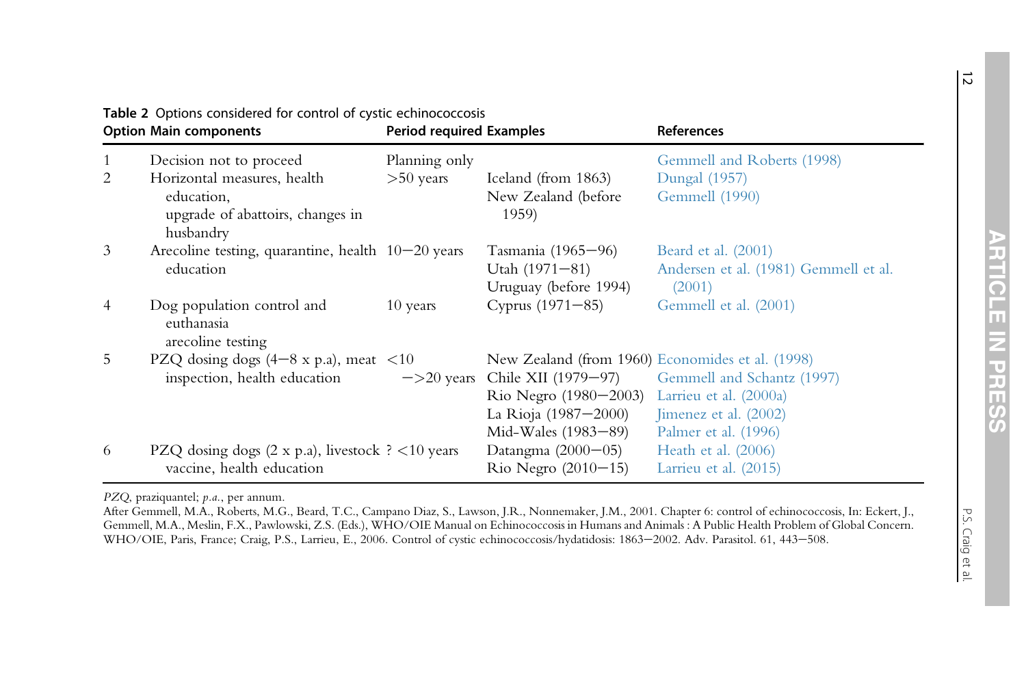|   | <b>Option Main components</b>                                 | <b>Period required Examples</b> |                              | References                                       |  |
|---|---------------------------------------------------------------|---------------------------------|------------------------------|--------------------------------------------------|--|
|   | Decision not to proceed                                       | Planning only                   |                              | Gemmell and Roberts (1998)                       |  |
| 2 | Horizontal measures, health                                   | $>50$ years                     | Iceland (from 1863)          | Dungal (1957)                                    |  |
|   | education,<br>upgrade of abattoirs, changes in<br>husbandry   |                                 | New Zealand (before<br>1959) | Gemmell (1990)                                   |  |
| 3 | Arecoline testing, quarantine, health $10-20$ years           |                                 | Tasmania (1965–96)           | Beard et al. (2001)                              |  |
|   | education                                                     |                                 | Utah $(1971-81)$             | Andersen et al. (1981) Gemmell et al.            |  |
|   |                                                               |                                 | Uruguay (before 1994)        | (2001)                                           |  |
| 4 | Dog population control and<br>euthanasia<br>arecoline testing | 10 years                        | Cyprus $(1971 - 85)$         | Gemmell et al. (2001)                            |  |
| 5 | PZQ dosing dogs $(4-8 \times p.a)$ , meat <10                 |                                 |                              | New Zealand (from 1960) Economides et al. (1998) |  |
|   | inspection, health education                                  | $\rightarrow$ 20 years          | Chile XII (1979–97)          | Gemmell and Schantz (1997)                       |  |
|   |                                                               |                                 | Rio Negro (1980–2003)        | Larrieu et al. (2000a)                           |  |
|   |                                                               |                                 | La Rioja (1987-2000)         | Jimenez et al. (2002)                            |  |
|   |                                                               |                                 | Mid-Wales (1983–89)          | Palmer et al. (1996)                             |  |
| 6 | PZQ dosing dogs (2 x p.a), livestock ? <10 years              |                                 | Datangma $(2000-05)$         | Heath et al. (2006)                              |  |
|   | vaccine, health education                                     |                                 | Rio Negro $(2010-15)$        | Larrieu et al. (2015)                            |  |

<span id="page-11-0"></span>Table 2 Options considered for control of cystic echinococcosis

PZQ, praziquantel; p.a., per annum.

After Gemmell, M.A., Roberts, M.G., Beard, T.C., Campano Diaz, S., Lawson, J.R., Nonnemaker, J.M., 2001. Chapter 6: control of echinococcosis, In: Eckert, J., Gemmell, M.A., Meslin, F.X., Pawlowski, Z.S. (Eds.), WHO/OIE Manual on Echinococcosis in Humans and Animals : A Public Health Problem of Global Concern. WHO/OIE, Paris, France; Craig, P.S., Larrieu, E., 2006. Control of cystic echinococcosis/hydatidosis: 1863-2002. Adv. Parasitol. 61, 443-508.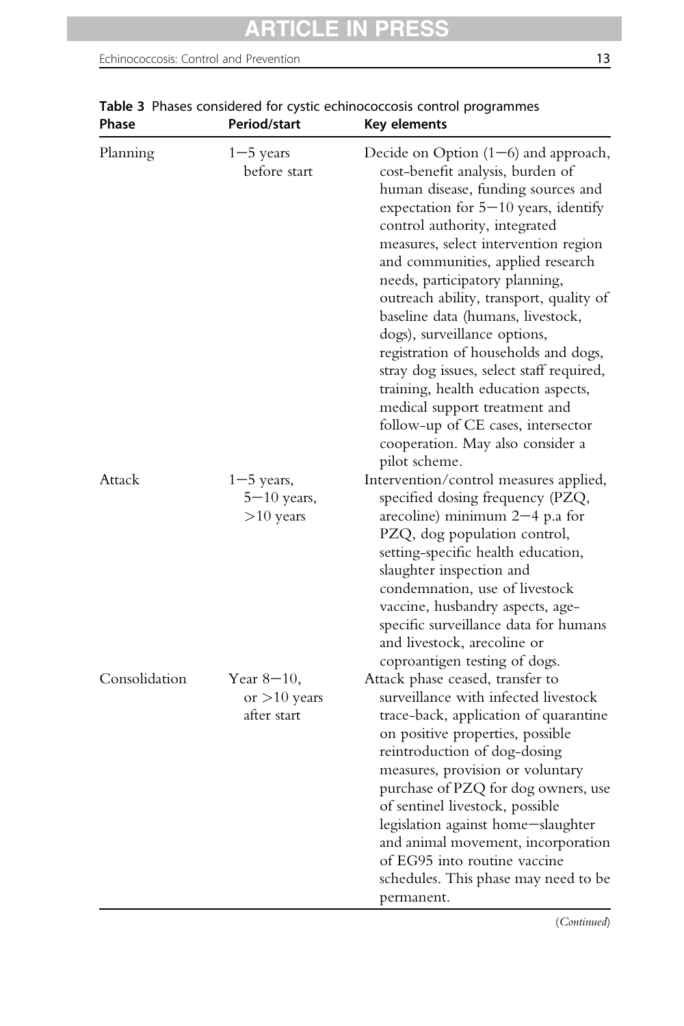| Planning      | $1 - 5$ years<br>before start                    | Decide on Option $(1-6)$ and approach,<br>cost-benefit analysis, burden of<br>human disease, funding sources and<br>expectation for $5-10$ years, identify<br>control authority, integrated<br>measures, select intervention region<br>and communities, applied research<br>needs, participatory planning,<br>outreach ability, transport, quality of<br>baseline data (humans, livestock,<br>dogs), surveillance options,<br>registration of households and dogs,<br>stray dog issues, select staff required,<br>training, health education aspects,<br>medical support treatment and<br>follow-up of CE cases, intersector<br>cooperation. May also consider a<br>pilot scheme. |
|---------------|--------------------------------------------------|-----------------------------------------------------------------------------------------------------------------------------------------------------------------------------------------------------------------------------------------------------------------------------------------------------------------------------------------------------------------------------------------------------------------------------------------------------------------------------------------------------------------------------------------------------------------------------------------------------------------------------------------------------------------------------------|
| Attack        | $1 - 5$ years,<br>$5 - 10$ years,<br>$>10$ years | Intervention/control measures applied,<br>specified dosing frequency (PZQ,<br>arecoline) minimum $2-4$ p.a for<br>PZQ, dog population control,<br>setting-specific health education,<br>slaughter inspection and<br>condemnation, use of livestock<br>vaccine, husbandry aspects, age-<br>specific surveillance data for humans<br>and livestock, arecoline or<br>coproantigen testing of dogs.                                                                                                                                                                                                                                                                                   |
| Consolidation | Year $8-10$ ,<br>or $>10$ years<br>after start   | Attack phase ceased, transfer to<br>surveillance with infected livestock<br>trace-back, application of quarantine<br>on positive properties, possible<br>reintroduction of dog-dosing<br>measures, provision or voluntary<br>purchase of PZQ for dog owners, use<br>of sentinel livestock, possible<br>legislation against home-slaughter<br>and animal movement, incorporation<br>of EG95 into routine vaccine<br>schedules. This phase may need to be<br>permanent.                                                                                                                                                                                                             |

# <span id="page-12-0"></span>Table 3 Phases considered for cystic echinococcosis control programmes<br>Phase Period/start Kevelements Key elements

(Continued)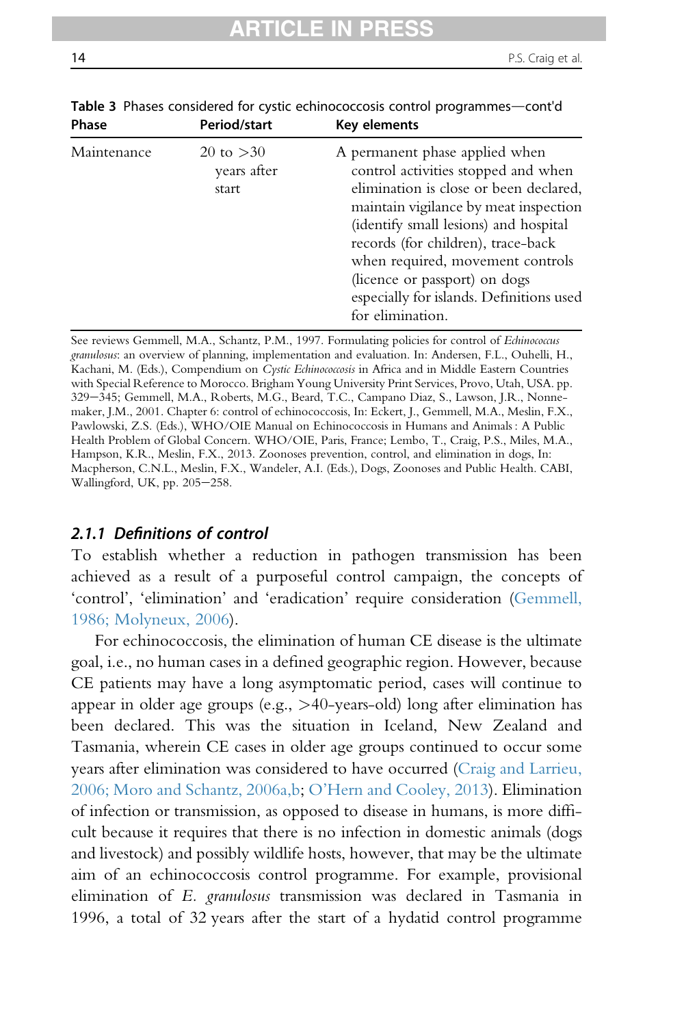| rnase       | Period/Start                        | <b>Revellents</b>                                                                                                                                                                                                                                                                                                                                                            |  |  |  |
|-------------|-------------------------------------|------------------------------------------------------------------------------------------------------------------------------------------------------------------------------------------------------------------------------------------------------------------------------------------------------------------------------------------------------------------------------|--|--|--|
| Maintenance | 20 to $>30$<br>years after<br>start | A permanent phase applied when<br>control activities stopped and when<br>elimination is close or been declared,<br>maintain vigilance by meat inspection<br>(identify small lesions) and hospital<br>records (for children), trace-back<br>when required, movement controls<br>(licence or passport) on dogs<br>especially for islands. Definitions used<br>for elimination. |  |  |  |
|             |                                     |                                                                                                                                                                                                                                                                                                                                                                              |  |  |  |

Table 3 Phases considered for cystic echinococcosis control programmes—cont'd Phase Period/start Key elements

See reviews Gemmell, M.A., Schantz, P.M., 1997. Formulating policies for control of Echinococcus granulosus: an overview of planning, implementation and evaluation. In: Andersen, F.L., Ouhelli, H., Kachani, M. (Eds.), Compendium on Cystic Echinococcosis in Africa and in Middle Eastern Countries with Special Reference to Morocco. Brigham Young University Print Services, Provo, Utah, USA. pp. 329-345; Gemmell, M.A., Roberts, M.G., Beard, T.C., Campano Diaz, S., Lawson, J.R., Nonnemaker, J.M., 2001. Chapter 6: control of echinococcosis, In: Eckert, J., Gemmell, M.A., Meslin, F.X., Pawlowski, Z.S. (Eds.), WHO/OIE Manual on Echinococcosis in Humans and Animals : A Public Health Problem of Global Concern. WHO/OIE, Paris, France; Lembo, T., Craig, P.S., Miles, M.A., Hampson, K.R., Meslin, F.X., 2013. Zoonoses prevention, control, and elimination in dogs, In: Macpherson, C.N.L., Meslin, F.X., Wandeler, A.I. (Eds.), Dogs, Zoonoses and Public Health. CABI, Wallingford, UK, pp. 205-258.

#### 2.1.1 Definitions of control

To establish whether a reduction in pathogen transmission has been achieved as a result of a purposeful control campaign, the concepts of 'control', 'elimination' and 'eradication' require consideration ([Gemmell,](#page-90-0) [1986; Molyneux, 2006\)](#page-90-0).

For echinococcosis, the elimination of human CE disease is the ultimate goal, i.e., no human cases in a defined geographic region. However, because CE patients may have a long asymptomatic period, cases will continue to appear in older age groups (e.g., >40-years-old) long after elimination has been declared. This was the situation in Iceland, New Zealand and Tasmania, wherein CE cases in older age groups continued to occur some years after elimination was considered to have occurred [\(Craig and Larrieu,](#page-87-0) [2006; Moro and Schantz, 2006a,b;](#page-87-0) O'[Hern and Cooley, 2013\)](#page-97-0). Elimination of infection or transmission, as opposed to disease in humans, is more difficult because it requires that there is no infection in domestic animals (dogs and livestock) and possibly wildlife hosts, however, that may be the ultimate aim of an echinococcosis control programme. For example, provisional elimination of E. granulosus transmission was declared in Tasmania in 1996, a total of 32 years after the start of a hydatid control programme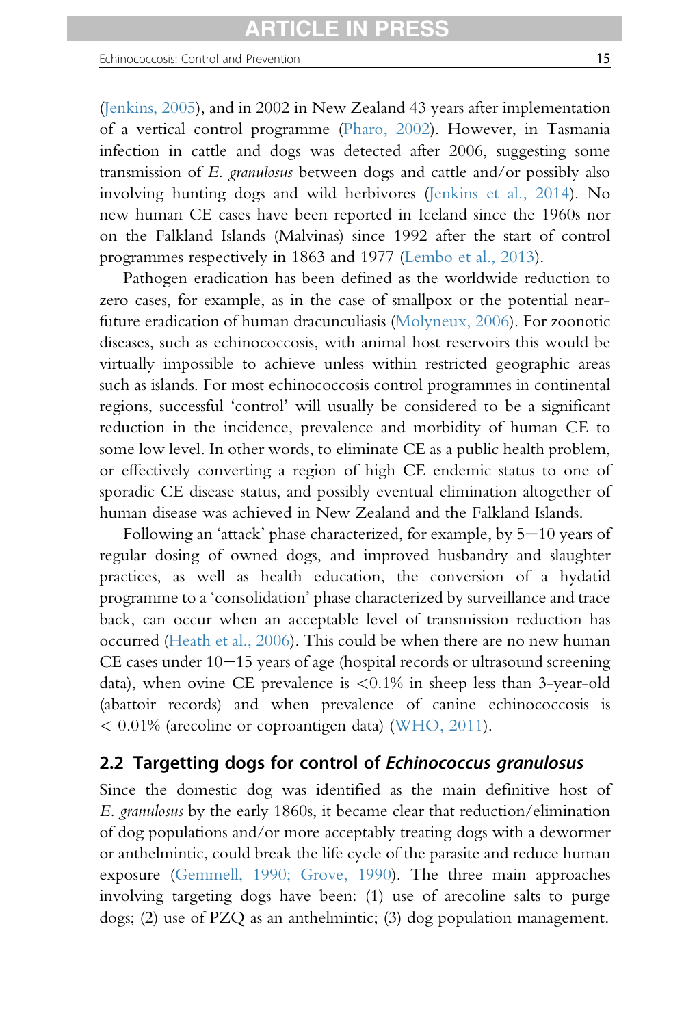([Jenkins, 2005\)](#page-93-0), and in 2002 in New Zealand 43 years after implementation of a vertical control programme ([Pharo, 2002\)](#page-98-0). However, in Tasmania infection in cattle and dogs was detected after 2006, suggesting some transmission of E. granulosus between dogs and cattle and/or possibly also involving hunting dogs and wild herbivores [\(Jenkins et al., 2014\)](#page-93-0). No new human CE cases have been reported in Iceland since the 1960s nor on the Falkland Islands (Malvinas) since 1992 after the start of control programmes respectively in 1863 and 1977 [\(Lembo et al., 2013\)](#page-94-0).

Pathogen eradication has been defined as the worldwide reduction to zero cases, for example, as in the case of smallpox or the potential nearfuture eradication of human dracunculiasis ([Molyneux, 2006\)](#page-96-0). For zoonotic diseases, such as echinococcosis, with animal host reservoirs this would be virtually impossible to achieve unless within restricted geographic areas such as islands. For most echinococcosis control programmes in continental regions, successful 'control' will usually be considered to be a significant reduction in the incidence, prevalence and morbidity of human CE to some low level. In other words, to eliminate CE as a public health problem, or effectively converting a region of high CE endemic status to one of sporadic CE disease status, and possibly eventual elimination altogether of human disease was achieved in New Zealand and the Falkland Islands.

Following an 'attack' phase characterized, for example, by  $5-10$  years of regular dosing of owned dogs, and improved husbandry and slaughter practices, as well as health education, the conversion of a hydatid programme to a 'consolidation' phase characterized by surveillance and trace back, can occur when an acceptable level of transmission reduction has occurred ([Heath et al., 2006](#page-91-0)). This could be when there are no new human  $CE$  cases under  $10-15$  years of age (hospital records or ultrasound screening data), when ovine CE prevalence is  $\langle 0.1\%$  in sheep less than 3-year-old (abattoir records) and when prevalence of canine echinococcosis is < 0.01% (arecoline or coproantigen data) [\(WHO, 2011](#page-102-0)).

# 2.2 Targetting dogs for control of Echinococcus granulosus

Since the domestic dog was identified as the main definitive host of E. granulosus by the early 1860s, it became clear that reduction/elimination of dog populations and/or more acceptably treating dogs with a dewormer or anthelmintic, could break the life cycle of the parasite and reduce human exposure [\(Gemmell, 1990;](#page-90-0) [Grove, 1990](#page-91-0)). The three main approaches involving targeting dogs have been: (1) use of arecoline salts to purge dogs; (2) use of PZQ as an anthelmintic; (3) dog population management.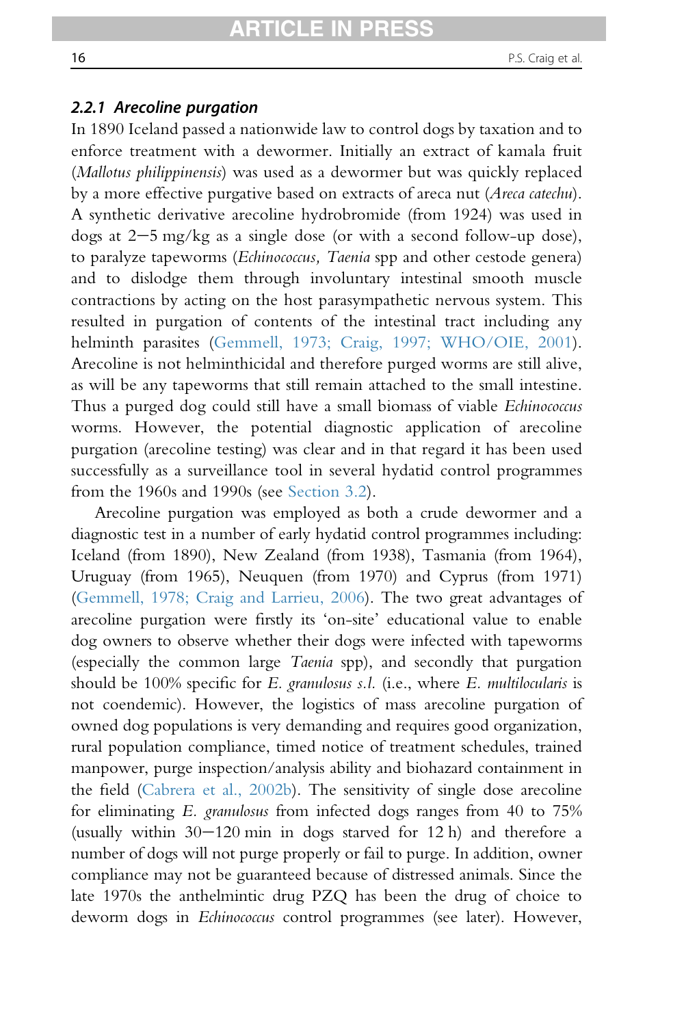#### 2.2.1 Arecoline purgation

In 1890 Iceland passed a nationwide law to control dogs by taxation and to enforce treatment with a dewormer. Initially an extract of kamala fruit (Mallotus philippinensis) was used as a dewormer but was quickly replaced by a more effective purgative based on extracts of areca nut (Areca catechu). A synthetic derivative arecoline hydrobromide (from 1924) was used in dogs at  $2-5$  mg/kg as a single dose (or with a second follow-up dose), to paralyze tapeworms (*Echinococcus*, *Taenia* spp and other cestode genera) and to dislodge them through involuntary intestinal smooth muscle contractions by acting on the host parasympathetic nervous system. This resulted in purgation of contents of the intestinal tract including any helminth parasites [\(Gemmell, 1973; Craig, 1997; WHO/OIE, 2001\)](#page-89-0). Arecoline is not helminthicidal and therefore purged worms are still alive, as will be any tapeworms that still remain attached to the small intestine. Thus a purged dog could still have a small biomass of viable Echinococcus worms. However, the potential diagnostic application of arecoline purgation (arecoline testing) was clear and in that regard it has been used successfully as a surveillance tool in several hydatid control programmes from the 1960s and 1990s (see [Section 3.2\)](#page-33-0).

Arecoline purgation was employed as both a crude dewormer and a diagnostic test in a number of early hydatid control programmes including: Iceland (from 1890), New Zealand (from 1938), Tasmania (from 1964), Uruguay (from 1965), Neuquen (from 1970) and Cyprus (from 1971) [\(Gemmell, 1978; Craig and Larrieu, 2006](#page-89-0)). The two great advantages of arecoline purgation were firstly its 'on-site' educational value to enable dog owners to observe whether their dogs were infected with tapeworms (especially the common large Taenia spp), and secondly that purgation should be 100% specific for E. granulosus s.l. (i.e., where E. multilocularis is not coendemic). However, the logistics of mass arecoline purgation of owned dog populations is very demanding and requires good organization, rural population compliance, timed notice of treatment schedules, trained manpower, purge inspection/analysis ability and biohazard containment in the field ([Cabrera et al., 2002b](#page-86-0)). The sensitivity of single dose arecoline for eliminating E. granulosus from infected dogs ranges from 40 to 75% (usually within  $30-120$  min in dogs starved for 12 h) and therefore a number of dogs will not purge properly or fail to purge. In addition, owner compliance may not be guaranteed because of distressed animals. Since the late 1970s the anthelmintic drug PZQ has been the drug of choice to deworm dogs in Echinococcus control programmes (see later). However,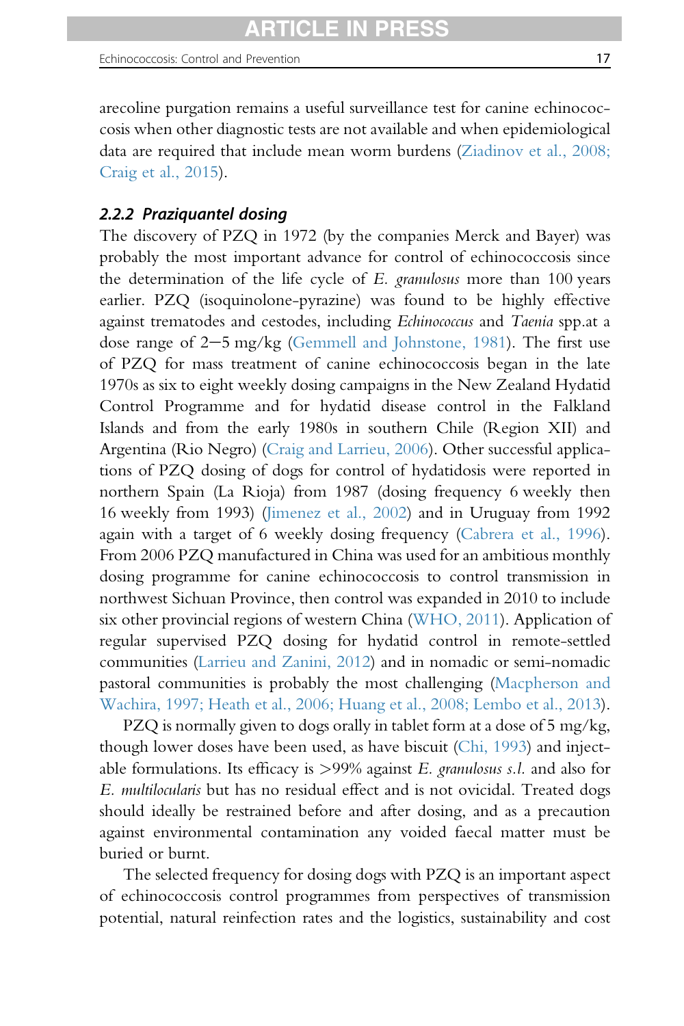Echinococcosis: Control and Prevention 17 and 17 and 17 and 17 and 17 and 17 and 17 and 17 and 17 and 17 and 17

arecoline purgation remains a useful surveillance test for canine echinococcosis when other diagnostic tests are not available and when epidemiological data are required that include mean worm burdens [\(Ziadinov et al., 2008;](#page-103-0) [Craig et al., 2015](#page-103-0)).

# 2.2.2 Praziquantel dosing

The discovery of PZQ in 1972 (by the companies Merck and Bayer) was probably the most important advance for control of echinococcosis since the determination of the life cycle of  $E$ . granulosus more than 100 years earlier. PZQ (isoquinolone-pyrazine) was found to be highly effective against trematodes and cestodes, including Echinococcus and Taenia spp.at a dose range of  $2-5$  mg/kg ([Gemmell and Johnstone, 1981\)](#page-90-0). The first use of PZQ for mass treatment of canine echinococcosis began in the late 1970s as six to eight weekly dosing campaigns in the New Zealand Hydatid Control Programme and for hydatid disease control in the Falkland Islands and from the early 1980s in southern Chile (Region XII) and Argentina (Rio Negro) [\(Craig and Larrieu, 2006\)](#page-87-0). Other successful applications of PZQ dosing of dogs for control of hydatidosis were reported in northern Spain (La Rioja) from 1987 (dosing frequency 6 weekly then 16 weekly from 1993) [\(Jimenez et al., 2002\)](#page-93-0) and in Uruguay from 1992 again with a target of 6 weekly dosing frequency ([Cabrera et al., 1996\)](#page-86-0). From 2006 PZQ manufactured in China was used for an ambitious monthly dosing programme for canine echinococcosis to control transmission in northwest Sichuan Province, then control was expanded in 2010 to include six other provincial regions of western China [\(WHO, 2011\)](#page-102-0). Application of regular supervised PZQ dosing for hydatid control in remote-settled communities [\(Larrieu and Zanini, 2012](#page-94-0)) and in nomadic or semi-nomadic pastoral communities is probably the most challenging ([Macpherson and](#page-95-0) [Wachira, 1997; Heath et al., 2006; Huang et al., 2008; Lembo et al., 2013\)](#page-95-0).

PZQ is normally given to dogs orally in tablet form at a dose of 5 mg/kg, though lower doses have been used, as have biscuit [\(Chi, 1993\)](#page-86-0) and injectable formulations. Its efficacy is  $>99\%$  against E. granulosus s.l. and also for E. multilocularis but has no residual effect and is not ovicidal. Treated dogs should ideally be restrained before and after dosing, and as a precaution against environmental contamination any voided faecal matter must be buried or burnt.

The selected frequency for dosing dogs with PZQ is an important aspect of echinococcosis control programmes from perspectives of transmission potential, natural reinfection rates and the logistics, sustainability and cost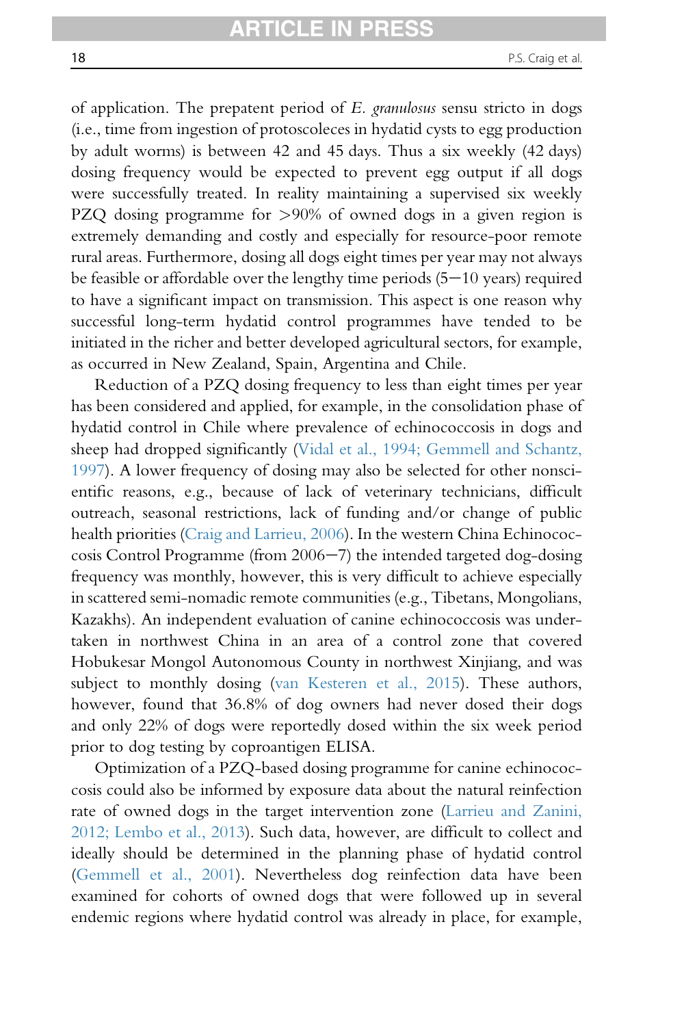of application. The prepatent period of E. granulosus sensu stricto in dogs (i.e., time from ingestion of protoscoleces in hydatid cysts to egg production by adult worms) is between 42 and 45 days. Thus a six weekly (42 days) dosing frequency would be expected to prevent egg output if all dogs were successfully treated. In reality maintaining a supervised six weekly PZQ dosing programme for >90% of owned dogs in a given region is extremely demanding and costly and especially for resource-poor remote rural areas. Furthermore, dosing all dogs eight times per year may not always be feasible or affordable over the lengthy time periods  $(5-10 \text{ years})$  required to have a significant impact on transmission. This aspect is one reason why successful long-term hydatid control programmes have tended to be initiated in the richer and better developed agricultural sectors, for example, as occurred in New Zealand, Spain, Argentina and Chile.

Reduction of a PZQ dosing frequency to less than eight times per year has been considered and applied, for example, in the consolidation phase of hydatid control in Chile where prevalence of echinococcosis in dogs and sheep had dropped significantly [\(Vidal et al., 1994; Gemmell and Schantz,](#page-102-0) [1997](#page-102-0)). A lower frequency of dosing may also be selected for other nonscientific reasons, e.g., because of lack of veterinary technicians, difficult outreach, seasonal restrictions, lack of funding and/or change of public health priorities ([Craig and Larrieu, 2006](#page-87-0)). In the western China Echinococ- $\cos$ is Control Programme (from 2006 $-7$ ) the intended targeted dog-dosing frequency was monthly, however, this is very difficult to achieve especially in scattered semi-nomadic remote communities (e.g., Tibetans, Mongolians, Kazakhs). An independent evaluation of canine echinococcosis was undertaken in northwest China in an area of a control zone that covered Hobukesar Mongol Autonomous County in northwest Xinjiang, and was subject to monthly dosing ([van Kesteren et al., 2015\)](#page-101-0). These authors, however, found that 36.8% of dog owners had never dosed their dogs and only 22% of dogs were reportedly dosed within the six week period prior to dog testing by coproantigen ELISA.

Optimization of a PZQ-based dosing programme for canine echinococcosis could also be informed by exposure data about the natural reinfection rate of owned dogs in the target intervention zone [\(Larrieu and Zanini,](#page-94-0) [2012; Lembo et al., 2013\)](#page-94-0). Such data, however, are difficult to collect and ideally should be determined in the planning phase of hydatid control [\(Gemmell et al., 2001\)](#page-90-0). Nevertheless dog reinfection data have been examined for cohorts of owned dogs that were followed up in several endemic regions where hydatid control was already in place, for example,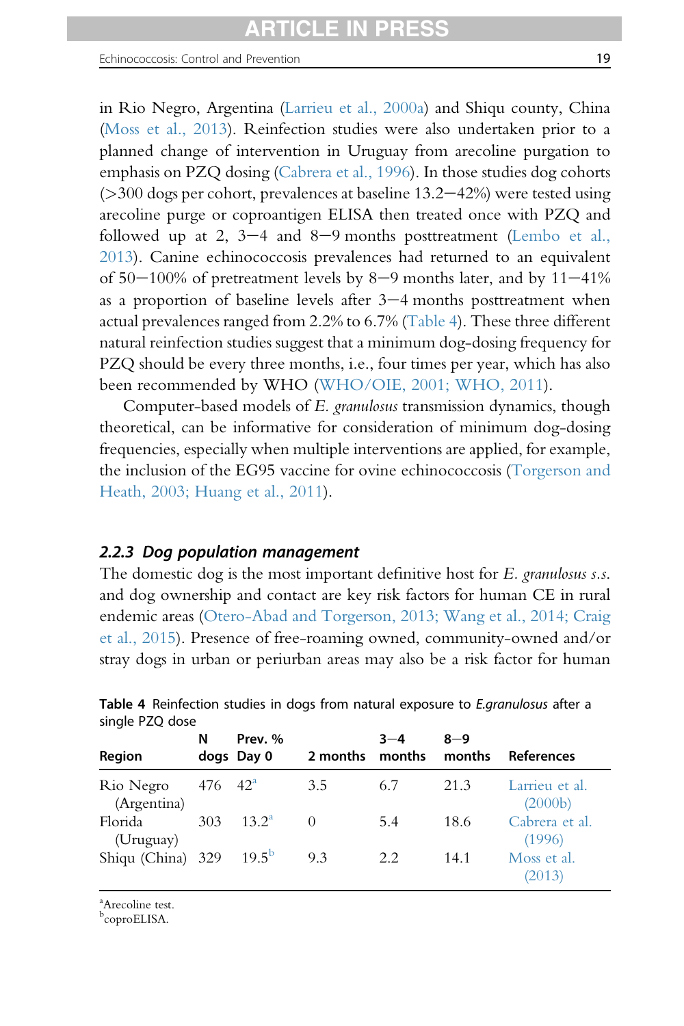in Rio Negro, Argentina ([Larrieu et al., 2000a\)](#page-94-0) and Shiqu county, China ([Moss et al., 2013\)](#page-97-0). Reinfection studies were also undertaken prior to a planned change of intervention in Uruguay from arecoline purgation to emphasis on PZQ dosing ([Cabrera et al., 1996](#page-86-0)). In those studies dog cohorts  $(>300$  dogs per cohort, prevalences at baseline 13.2–42%) were tested using arecoline purge or coproantigen ELISA then treated once with PZQ and followed up at 2,  $3-4$  and  $8-9$  months posttreatment [\(Lembo et al.,](#page-94-0) [2013](#page-94-0)). Canine echinococcosis prevalences had returned to an equivalent of  $50-100\%$  of pretreatment levels by  $8-9$  months later, and by  $11-41\%$ as a proportion of baseline levels after  $3-4$  months posttreatment when actual prevalences ranged from 2.2% to 6.7% (Table 4). These three different natural reinfection studies suggest that a minimum dog-dosing frequency for PZQ should be every three months, i.e., four times per year, which has also been recommended by WHO [\(WHO/OIE, 2001; WHO, 2011](#page-102-0)).

Computer-based models of E. granulosus transmission dynamics, though theoretical, can be informative for consideration of minimum dog-dosing frequencies, especially when multiple interventions are applied, for example, the inclusion of the EG95 vaccine for ovine echinococcosis ([Torgerson and](#page-101-0) [Heath, 2003; Huang et al., 2011](#page-101-0)).

#### 2.2.3 Dog population management

The domestic dog is the most important definitive host for E. granulosus s.s. and dog ownership and contact are key risk factors for human CE in rural endemic areas ([Otero-Abad and Torgerson, 2013; Wang et al., 2014; Craig](#page-97-0) [et al., 2015](#page-97-0)). Presence of free-roaming owned, community-owned and/or stray dogs in urban or periurban areas may also be a risk factor for human

| Region                                | N                      | Prev. %<br>dogs Day 0 | 2 months months | $3 - 4$ | $8 - 9$<br>months | References                             |
|---------------------------------------|------------------------|-----------------------|-----------------|---------|-------------------|----------------------------------------|
| Rio Negro<br>(Argentina)              | $476 \quad 42^{\circ}$ |                       | 3.5             | 6.7     | 21.3              | Larrieu et al.<br>(2000 <sub>b</sub> ) |
| Florida<br>(Uruguay)                  | 303                    | $13.2^{\rm a}$        | $\Omega$        | 5.4     | 18.6              | Cabrera et al.<br>(1996)               |
| Shiqu (China) $329$ 19.5 <sup>b</sup> |                        |                       | 9.3             | 2.2.    | 14.1              | Moss et al.<br>(2013)                  |

Table 4 Reinfection studies in dogs from natural exposure to E.granulosus after a single PZQ dose

a Arecoline test.

<sup>b</sup>coproELISA.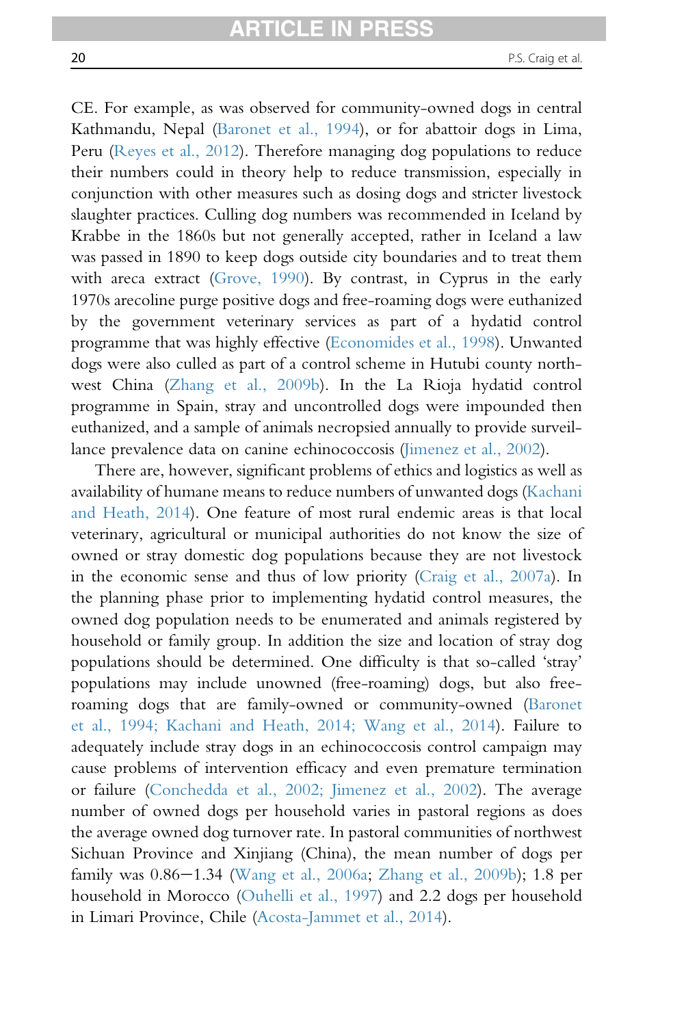CE. For example, as was observed for community-owned dogs in central Kathmandu, Nepal [\(Baronet et al., 1994](#page-85-0)), or for abattoir dogs in Lima, Peru ([Reyes et al., 2012](#page-98-0)). Therefore managing dog populations to reduce their numbers could in theory help to reduce transmission, especially in conjunction with other measures such as dosing dogs and stricter livestock slaughter practices. Culling dog numbers was recommended in Iceland by Krabbe in the 1860s but not generally accepted, rather in Iceland a law was passed in 1890 to keep dogs outside city boundaries and to treat them with areca extract [\(Grove, 1990](#page-91-0)). By contrast, in Cyprus in the early 1970s arecoline purge positive dogs and free-roaming dogs were euthanized by the government veterinary services as part of a hydatid control programme that was highly effective [\(Economides et al., 1998\)](#page-89-0). Unwanted dogs were also culled as part of a control scheme in Hutubi county northwest China ([Zhang et al., 2009b\)](#page-103-0). In the La Rioja hydatid control programme in Spain, stray and uncontrolled dogs were impounded then euthanized, and a sample of animals necropsied annually to provide surveillance prevalence data on canine echinococcosis [\(Jimenez et al., 2002](#page-93-0)).

There are, however, significant problems of ethics and logistics as well as availability of humane means to reduce numbers of unwanted dogs ([Kachani](#page-93-0) [and Heath, 2014](#page-93-0)). One feature of most rural endemic areas is that local veterinary, agricultural or municipal authorities do not know the size of owned or stray domestic dog populations because they are not livestock in the economic sense and thus of low priority ([Craig et al., 2007a\)](#page-87-0). In the planning phase prior to implementing hydatid control measures, the owned dog population needs to be enumerated and animals registered by household or family group. In addition the size and location of stray dog populations should be determined. One difficulty is that so-called 'stray' populations may include unowned (free-roaming) dogs, but also freeroaming dogs that are family-owned or community-owned ([Baronet](#page-85-0) [et al., 1994; Kachani and Heath, 2014; Wang et al., 2014](#page-85-0)). Failure to adequately include stray dogs in an echinococcosis control campaign may cause problems of intervention efficacy and even premature termination or failure [\(Conchedda et al., 2002; Jimenez et al., 2002](#page-87-0)). The average number of owned dogs per household varies in pastoral regions as does the average owned dog turnover rate. In pastoral communities of northwest Sichuan Province and Xinjiang (China), the mean number of dogs per family was 0.86-1.34 ([Wang et al., 2006a](#page-102-0); [Zhang et al., 2009b](#page-103-0)); 1.8 per household in Morocco [\(Ouhelli et al., 1997\)](#page-97-0) and 2.2 dogs per household in Limari Province, Chile [\(Acosta-Jammet et al., 2014](#page-84-0)).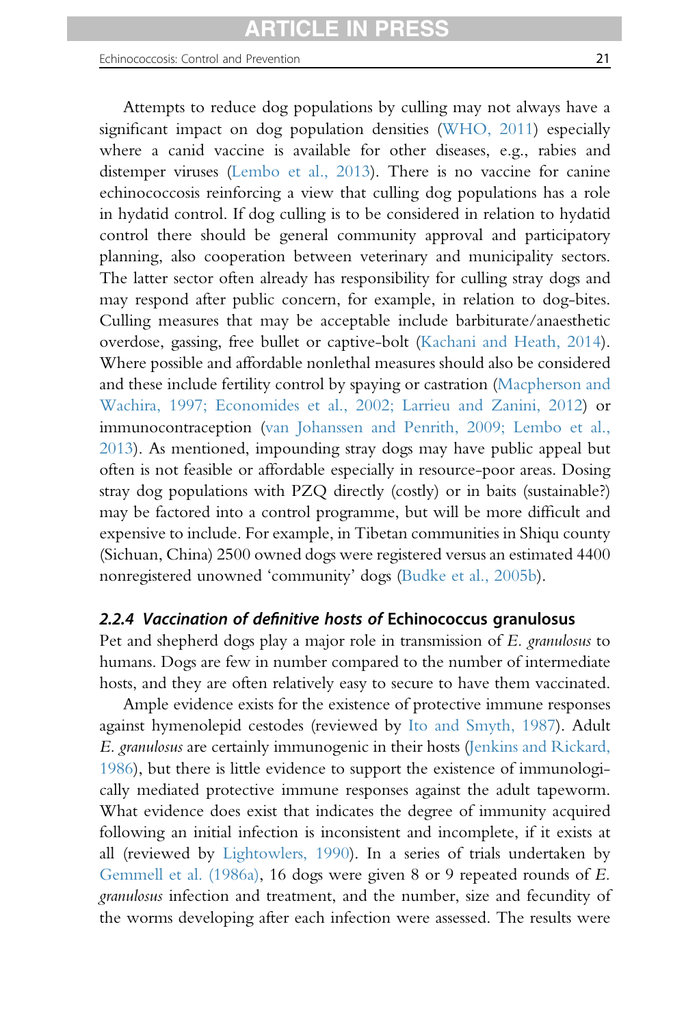Attempts to reduce dog populations by culling may not always have a significant impact on dog population densities [\(WHO, 2011\)](#page-102-0) especially where a canid vaccine is available for other diseases, e.g., rabies and distemper viruses [\(Lembo et al., 2013\)](#page-94-0). There is no vaccine for canine echinococcosis reinforcing a view that culling dog populations has a role in hydatid control. If dog culling is to be considered in relation to hydatid control there should be general community approval and participatory planning, also cooperation between veterinary and municipality sectors. The latter sector often already has responsibility for culling stray dogs and may respond after public concern, for example, in relation to dog-bites. Culling measures that may be acceptable include barbiturate/anaesthetic overdose, gassing, free bullet or captive-bolt ([Kachani and Heath, 2014\)](#page-93-0). Where possible and affordable nonlethal measures should also be considered and these include fertility control by spaying or castration [\(Macpherson and](#page-95-0) [Wachira, 1997; Economides et al., 2002; Larrieu and Zanini, 2012](#page-95-0)) or immunocontraception [\(van Johanssen and Penrith, 2009; Lembo et al.,](#page-101-0) [2013](#page-101-0)). As mentioned, impounding stray dogs may have public appeal but often is not feasible or affordable especially in resource-poor areas. Dosing stray dog populations with PZQ directly (costly) or in baits (sustainable?) may be factored into a control programme, but will be more difficult and expensive to include. For example, in Tibetan communities in Shiqu county (Sichuan, China) 2500 owned dogs were registered versus an estimated 4400 nonregistered unowned 'community' dogs ([Budke et al., 2005b\)](#page-86-0).

# 2.2.4 Vaccination of definitive hosts of Echinococcus granulosus

Pet and shepherd dogs play a major role in transmission of E. granulosus to humans. Dogs are few in number compared to the number of intermediate hosts, and they are often relatively easy to secure to have them vaccinated.

Ample evidence exists for the existence of protective immune responses against hymenolepid cestodes (reviewed by [Ito and Smyth, 1987\)](#page-93-0). Adult E. granulosus are certainly immunogenic in their hosts [\(Jenkins and Rickard,](#page-93-0) [1986](#page-93-0)), but there is little evidence to support the existence of immunologically mediated protective immune responses against the adult tapeworm. What evidence does exist that indicates the degree of immunity acquired following an initial infection is inconsistent and incomplete, if it exists at all (reviewed by [Lightowlers, 1990\)](#page-95-0). In a series of trials undertaken by [Gemmell et al. \(1986a\),](#page-90-0) 16 dogs were given 8 or 9 repeated rounds of E. granulosus infection and treatment, and the number, size and fecundity of the worms developing after each infection were assessed. The results were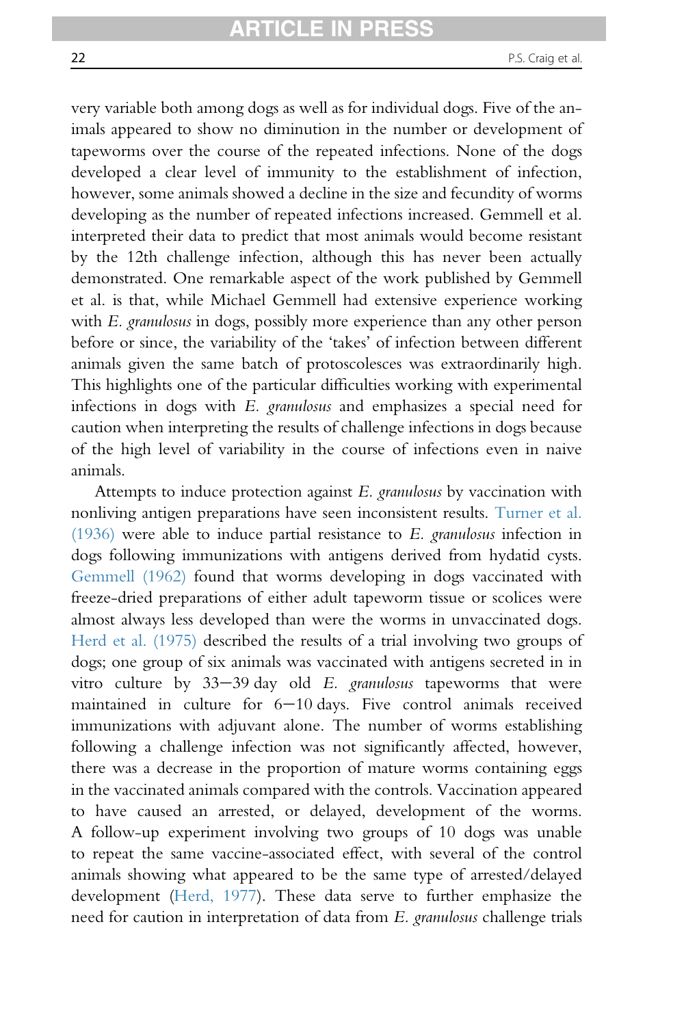very variable both among dogs as well as for individual dogs. Five of the animals appeared to show no diminution in the number or development of tapeworms over the course of the repeated infections. None of the dogs developed a clear level of immunity to the establishment of infection, however, some animals showed a decline in the size and fecundity of worms developing as the number of repeated infections increased. Gemmell et al. interpreted their data to predict that most animals would become resistant by the 12th challenge infection, although this has never been actually demonstrated. One remarkable aspect of the work published by Gemmell et al. is that, while Michael Gemmell had extensive experience working with E. granulosus in dogs, possibly more experience than any other person before or since, the variability of the 'takes' of infection between different animals given the same batch of protoscolesces was extraordinarily high. This highlights one of the particular difficulties working with experimental infections in dogs with E. granulosus and emphasizes a special need for caution when interpreting the results of challenge infections in dogs because of the high level of variability in the course of infections even in naive animals.

Attempts to induce protection against E. granulosus by vaccination with nonliving antigen preparations have seen inconsistent results. [Turner et al.](#page-101-0)  $(1936)$  were able to induce partial resistance to E. granulosus infection in dogs following immunizations with antigens derived from hydatid cysts. [Gemmell \(1962\)](#page-89-0) found that worms developing in dogs vaccinated with freeze-dried preparations of either adult tapeworm tissue or scolices were almost always less developed than were the worms in unvaccinated dogs. [Herd et al. \(1975\)](#page-92-0) described the results of a trial involving two groups of dogs; one group of six animals was vaccinated with antigens secreted in in vitro culture by  $33-39$  day old E. granulosus tapeworms that were maintained in culture for  $6-10$  days. Five control animals received immunizations with adjuvant alone. The number of worms establishing following a challenge infection was not significantly affected, however, there was a decrease in the proportion of mature worms containing eggs in the vaccinated animals compared with the controls. Vaccination appeared to have caused an arrested, or delayed, development of the worms. A follow-up experiment involving two groups of 10 dogs was unable to repeat the same vaccine-associated effect, with several of the control animals showing what appeared to be the same type of arrested/delayed development ([Herd, 1977](#page-92-0)). These data serve to further emphasize the need for caution in interpretation of data from E. granulosus challenge trials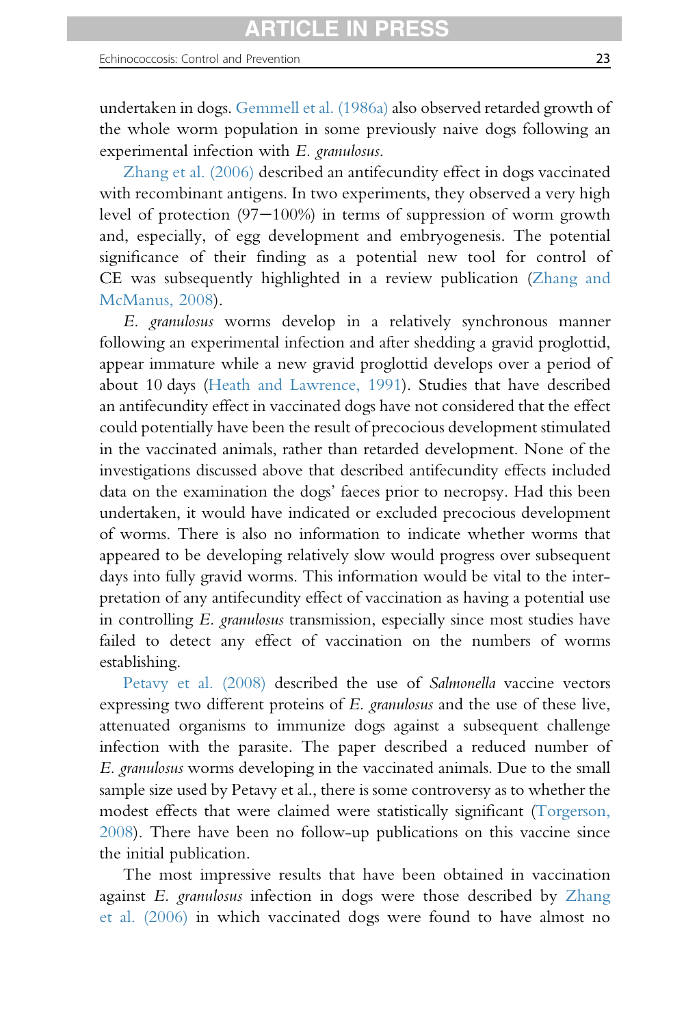undertaken in dogs. [Gemmell et al. \(1986a\)](#page-90-0) also observed retarded growth of the whole worm population in some previously naive dogs following an experimental infection with E. granulosus.

[Zhang et al. \(2006\)](#page-103-0) described an antifecundity effect in dogs vaccinated with recombinant antigens. In two experiments, they observed a very high level of protection  $(97-100%)$  in terms of suppression of worm growth and, especially, of egg development and embryogenesis. The potential significance of their finding as a potential new tool for control of CE was subsequently highlighted in a review publication ([Zhang and](#page-103-0) [McManus, 2008\)](#page-103-0).

E. granulosus worms develop in a relatively synchronous manner following an experimental infection and after shedding a gravid proglottid, appear immature while a new gravid proglottid develops over a period of about 10 days [\(Heath and Lawrence, 1991\)](#page-91-0). Studies that have described an antifecundity effect in vaccinated dogs have not considered that the effect could potentially have been the result of precocious development stimulated in the vaccinated animals, rather than retarded development. None of the investigations discussed above that described antifecundity effects included data on the examination the dogs' faeces prior to necropsy. Had this been undertaken, it would have indicated or excluded precocious development of worms. There is also no information to indicate whether worms that appeared to be developing relatively slow would progress over subsequent days into fully gravid worms. This information would be vital to the interpretation of any antifecundity effect of vaccination as having a potential use in controlling E. granulosus transmission, especially since most studies have failed to detect any effect of vaccination on the numbers of worms establishing.

[Petavy et al. \(2008\)](#page-98-0) described the use of Salmonella vaccine vectors expressing two different proteins of E. granulosus and the use of these live, attenuated organisms to immunize dogs against a subsequent challenge infection with the parasite. The paper described a reduced number of E. granulosus worms developing in the vaccinated animals. Due to the small sample size used by Petavy et al., there is some controversy as to whether the modest effects that were claimed were statistically significant [\(Torgerson,](#page-100-0) [2008](#page-100-0)). There have been no follow-up publications on this vaccine since the initial publication.

The most impressive results that have been obtained in vaccination against E. granulosus infection in dogs were those described by [Zhang](#page-103-0) [et al. \(2006\)](#page-103-0) in which vaccinated dogs were found to have almost no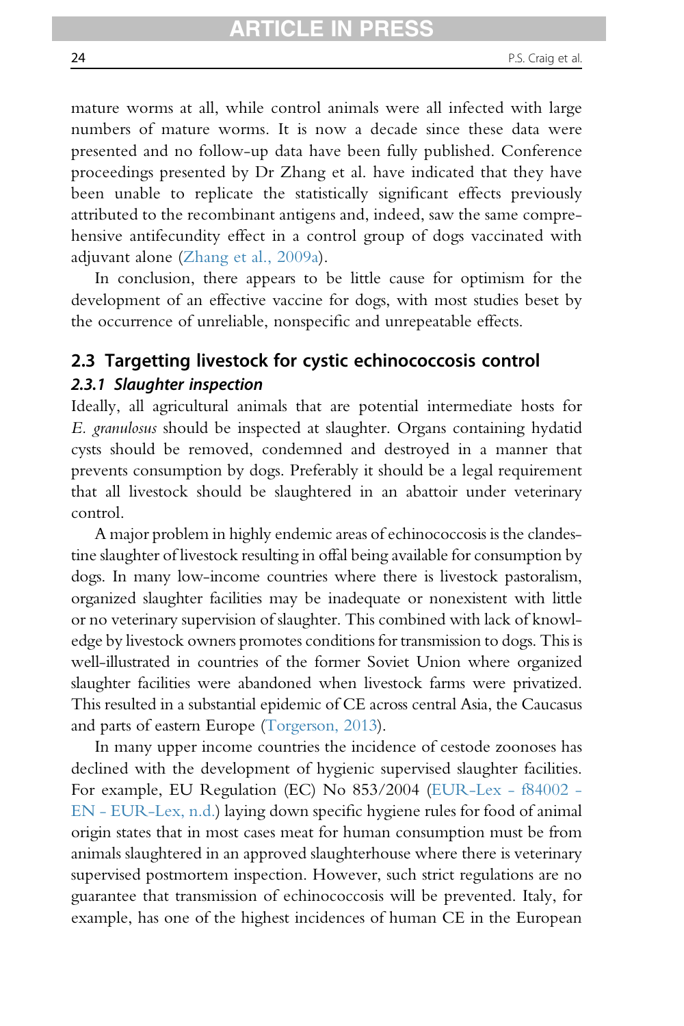mature worms at all, while control animals were all infected with large numbers of mature worms. It is now a decade since these data were presented and no follow-up data have been fully published. Conference proceedings presented by Dr Zhang et al. have indicated that they have been unable to replicate the statistically significant effects previously attributed to the recombinant antigens and, indeed, saw the same comprehensive antifecundity effect in a control group of dogs vaccinated with adjuvant alone ([Zhang et al., 2009a](#page-103-0)).

In conclusion, there appears to be little cause for optimism for the development of an effective vaccine for dogs, with most studies beset by the occurrence of unreliable, nonspecific and unrepeatable effects.

# 2.3 Targetting livestock for cystic echinococcosis control 2.3.1 Slaughter inspection

Ideally, all agricultural animals that are potential intermediate hosts for E. granulosus should be inspected at slaughter. Organs containing hydatid cysts should be removed, condemned and destroyed in a manner that prevents consumption by dogs. Preferably it should be a legal requirement that all livestock should be slaughtered in an abattoir under veterinary control.

A major problem in highly endemic areas of echinococcosis is the clandestine slaughter of livestock resulting in offal being available for consumption by dogs. In many low-income countries where there is livestock pastoralism, organized slaughter facilities may be inadequate or nonexistent with little or no veterinary supervision of slaughter. This combined with lack of knowledge by livestock owners promotes conditions for transmission to dogs. This is well-illustrated in countries of the former Soviet Union where organized slaughter facilities were abandoned when livestock farms were privatized. This resulted in a substantial epidemic of CE across central Asia, the Caucasus and parts of eastern Europe [\(Torgerson, 2013](#page-100-0)).

In many upper income countries the incidence of cestode zoonoses has declined with the development of hygienic supervised slaughter facilities. For example, EU Regulation (EC) No 853/2004 [\(EUR-Lex - f84002 -](#page-89-0) [EN - EUR-Lex, n.d.](#page-89-0)) laying down specific hygiene rules for food of animal origin states that in most cases meat for human consumption must be from animals slaughtered in an approved slaughterhouse where there is veterinary supervised postmortem inspection. However, such strict regulations are no guarantee that transmission of echinococcosis will be prevented. Italy, for example, has one of the highest incidences of human CE in the European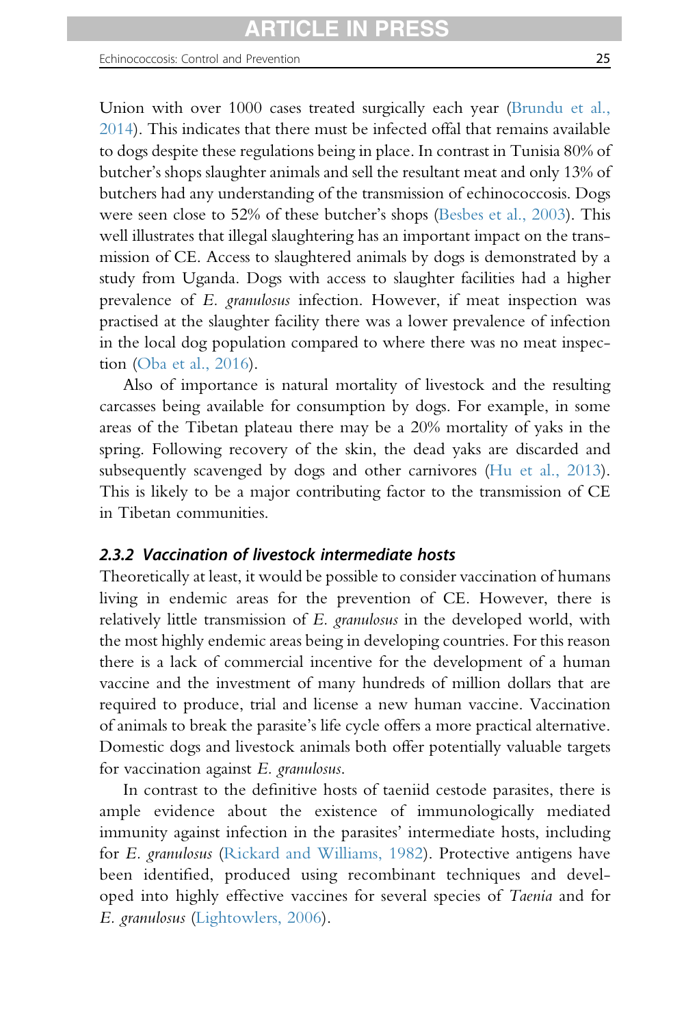Union with over 1000 cases treated surgically each year ([Brundu et al.,](#page-85-0) [2014](#page-85-0)). This indicates that there must be infected offal that remains available to dogs despite these regulations being in place. In contrast in Tunisia 80% of butcher's shops slaughter animals and sell the resultant meat and only 13% of butchers had any understanding of the transmission of echinococcosis. Dogs were seen close to 52% of these butcher's shops ([Besbes et al., 2003](#page-85-0)). This well illustrates that illegal slaughtering has an important impact on the transmission of CE. Access to slaughtered animals by dogs is demonstrated by a study from Uganda. Dogs with access to slaughter facilities had a higher prevalence of E. granulosus infection. However, if meat inspection was practised at the slaughter facility there was a lower prevalence of infection in the local dog population compared to where there was no meat inspection ([Oba et al., 2016](#page-97-0)).

Also of importance is natural mortality of livestock and the resulting carcasses being available for consumption by dogs. For example, in some areas of the Tibetan plateau there may be a 20% mortality of yaks in the spring. Following recovery of the skin, the dead yaks are discarded and subsequently scavenged by dogs and other carnivores [\(Hu et al., 2013\)](#page-92-0). This is likely to be a major contributing factor to the transmission of CE in Tibetan communities.

#### 2.3.2 Vaccination of livestock intermediate hosts

Theoretically at least, it would be possible to consider vaccination of humans living in endemic areas for the prevention of CE. However, there is relatively little transmission of E. granulosus in the developed world, with the most highly endemic areas being in developing countries. For this reason there is a lack of commercial incentive for the development of a human vaccine and the investment of many hundreds of million dollars that are required to produce, trial and license a new human vaccine. Vaccination of animals to break the parasite's life cycle offers a more practical alternative. Domestic dogs and livestock animals both offer potentially valuable targets for vaccination against E. granulosus.

In contrast to the definitive hosts of taeniid cestode parasites, there is ample evidence about the existence of immunologically mediated immunity against infection in the parasites' intermediate hosts, including for E. granulosus [\(Rickard and Williams, 1982](#page-98-0)). Protective antigens have been identified, produced using recombinant techniques and developed into highly effective vaccines for several species of Taenia and for E. granulosus ([Lightowlers, 2006](#page-95-0)).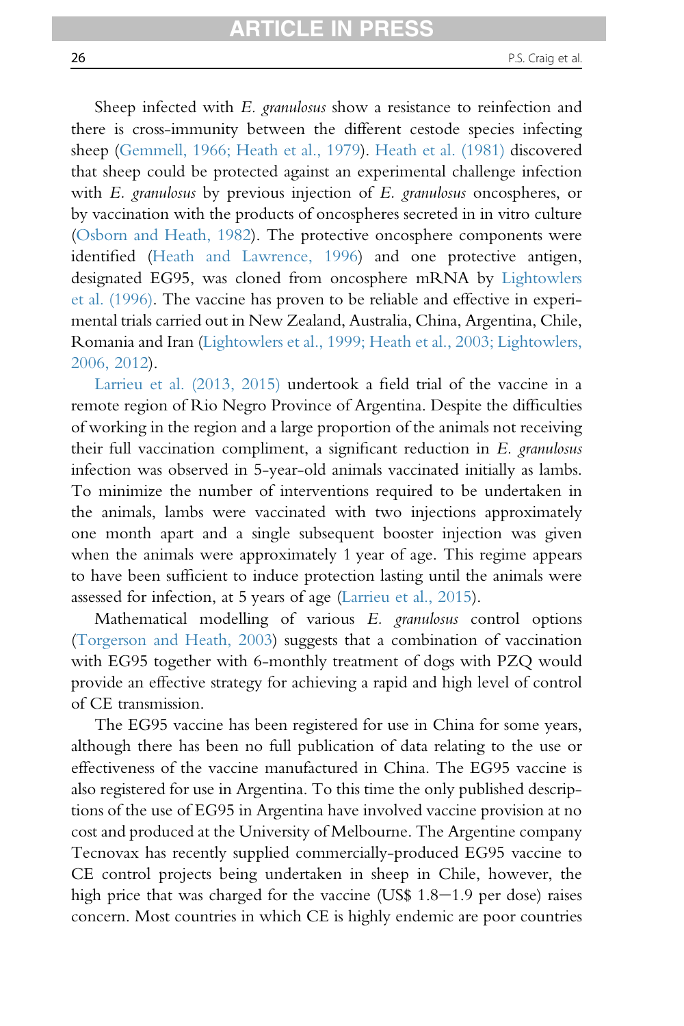Sheep infected with E. granulosus show a resistance to reinfection and there is cross-immunity between the different cestode species infecting sheep [\(Gemmell, 1966; Heath et al., 1979\)](#page-89-0). [Heath et al. \(1981\)](#page-91-0) discovered that sheep could be protected against an experimental challenge infection with E. granulosus by previous injection of E. granulosus oncospheres, or by vaccination with the products of oncospheres secreted in in vitro culture [\(Osborn and Heath, 1982\)](#page-97-0). The protective oncosphere components were identified [\(Heath and Lawrence, 1996](#page-91-0)) and one protective antigen, designated EG95, was cloned from oncosphere mRNA by [Lightowlers](#page-95-0) [et al. \(1996\).](#page-95-0) The vaccine has proven to be reliable and effective in experimental trials carried out in New Zealand, Australia, China, Argentina, Chile, Romania and Iran [\(Lightowlers et al., 1999; Heath et al., 2003; Lightowlers,](#page-95-0) [2006, 2012\)](#page-95-0).

[Larrieu et al. \(2013, 2015\)](#page-94-0) undertook a field trial of the vaccine in a remote region of Rio Negro Province of Argentina. Despite the difficulties of working in the region and a large proportion of the animals not receiving their full vaccination compliment, a significant reduction in E. granulosus infection was observed in 5-year-old animals vaccinated initially as lambs. To minimize the number of interventions required to be undertaken in the animals, lambs were vaccinated with two injections approximately one month apart and a single subsequent booster injection was given when the animals were approximately 1 year of age. This regime appears to have been sufficient to induce protection lasting until the animals were assessed for infection, at 5 years of age ([Larrieu et al., 2015\)](#page-94-0).

Mathematical modelling of various E. granulosus control options [\(Torgerson and Heath, 2003](#page-101-0)) suggests that a combination of vaccination with EG95 together with 6-monthly treatment of dogs with PZQ would provide an effective strategy for achieving a rapid and high level of control of CE transmission.

The EG95 vaccine has been registered for use in China for some years, although there has been no full publication of data relating to the use or effectiveness of the vaccine manufactured in China. The EG95 vaccine is also registered for use in Argentina. To this time the only published descriptions of the use of EG95 in Argentina have involved vaccine provision at no cost and produced at the University of Melbourne. The Argentine company Tecnovax has recently supplied commercially-produced EG95 vaccine to CE control projects being undertaken in sheep in Chile, however, the high price that was charged for the vaccine (US\$  $1.8-1.9$  per dose) raises concern. Most countries in which CE is highly endemic are poor countries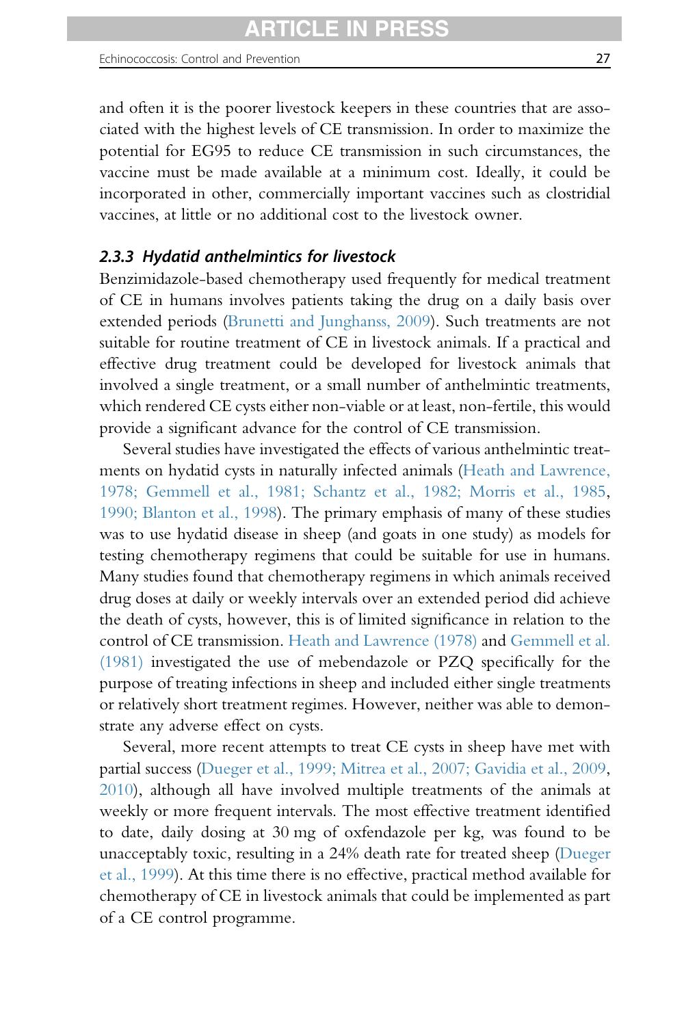and often it is the poorer livestock keepers in these countries that are associated with the highest levels of CE transmission. In order to maximize the potential for EG95 to reduce CE transmission in such circumstances, the vaccine must be made available at a minimum cost. Ideally, it could be incorporated in other, commercially important vaccines such as clostridial vaccines, at little or no additional cost to the livestock owner.

## 2.3.3 Hydatid anthelmintics for livestock

Benzimidazole-based chemotherapy used frequently for medical treatment of CE in humans involves patients taking the drug on a daily basis over extended periods ([Brunetti and Junghanss, 2009\)](#page-85-0). Such treatments are not suitable for routine treatment of CE in livestock animals. If a practical and effective drug treatment could be developed for livestock animals that involved a single treatment, or a small number of anthelmintic treatments, which rendered CE cysts either non-viable or at least, non-fertile, this would provide a significant advance for the control of CE transmission.

Several studies have investigated the effects of various anthelmintic treatments on hydatid cysts in naturally infected animals [\(Heath and Lawrence,](#page-91-0) [1978; Gemmell et al., 1981; Schantz et al., 1982; Morris et al., 1985,](#page-91-0) [1990; Blanton et al., 1998](#page-97-0)). The primary emphasis of many of these studies was to use hydatid disease in sheep (and goats in one study) as models for testing chemotherapy regimens that could be suitable for use in humans. Many studies found that chemotherapy regimens in which animals received drug doses at daily or weekly intervals over an extended period did achieve the death of cysts, however, this is of limited significance in relation to the control of CE transmission. [Heath and Lawrence \(1978\)](#page-91-0) and [Gemmell et al.](#page-90-0) [\(1981\)](#page-90-0) investigated the use of mebendazole or PZQ specifically for the purpose of treating infections in sheep and included either single treatments or relatively short treatment regimes. However, neither was able to demonstrate any adverse effect on cysts.

Several, more recent attempts to treat CE cysts in sheep have met with partial success [\(Dueger et al., 1999; Mitrea et al., 2007; Gavidia et al., 2009,](#page-88-0) [2010](#page-89-0)), although all have involved multiple treatments of the animals at weekly or more frequent intervals. The most effective treatment identified to date, daily dosing at 30 mg of oxfendazole per kg, was found to be unacceptably toxic, resulting in a 24% death rate for treated sheep [\(Dueger](#page-88-0) [et al., 1999\)](#page-88-0). At this time there is no effective, practical method available for chemotherapy of CE in livestock animals that could be implemented as part of a CE control programme.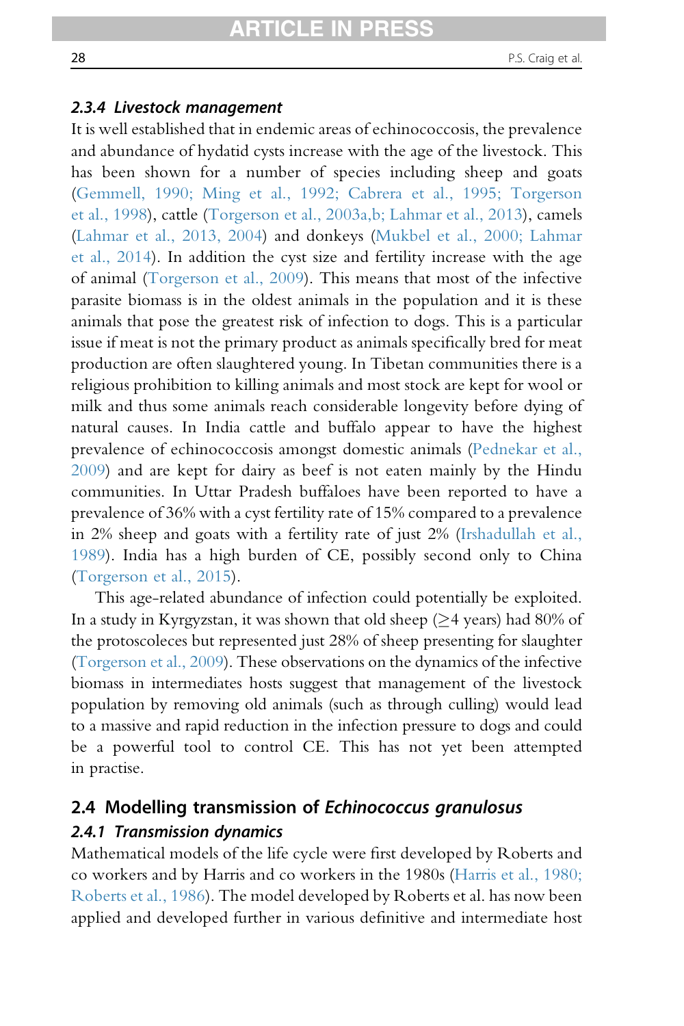#### 2.3.4 Livestock management

It is well established that in endemic areas of echinococcosis, the prevalence and abundance of hydatid cysts increase with the age of the livestock. This has been shown for a number of species including sheep and goats [\(Gemmell, 1990; Ming et al., 1992; Cabrera et al., 1995; Torgerson](#page-90-0) [et al., 1998](#page-90-0)), cattle [\(Torgerson et al., 2003a,b; Lahmar et al., 2013](#page-100-0)), camels [\(Lahmar et al., 2013, 2004\)](#page-94-0) and donkeys [\(Mukbel et al., 2000; Lahmar](#page-97-0) [et al., 2014\)](#page-97-0). In addition the cyst size and fertility increase with the age of animal ([Torgerson et al., 2009\)](#page-101-0). This means that most of the infective parasite biomass is in the oldest animals in the population and it is these animals that pose the greatest risk of infection to dogs. This is a particular issue if meat is not the primary product as animals specifically bred for meat production are often slaughtered young. In Tibetan communities there is a religious prohibition to killing animals and most stock are kept for wool or milk and thus some animals reach considerable longevity before dying of natural causes. In India cattle and buffalo appear to have the highest prevalence of echinococcosis amongst domestic animals [\(Pednekar et al.,](#page-98-0) [2009\)](#page-98-0) and are kept for dairy as beef is not eaten mainly by the Hindu communities. In Uttar Pradesh buffaloes have been reported to have a prevalence of 36% with a cyst fertility rate of 15% compared to a prevalence in 2% sheep and goats with a fertility rate of just 2% ([Irshadullah et al.,](#page-92-0) [1989\)](#page-92-0). India has a high burden of CE, possibly second only to China [\(Torgerson et al., 2015](#page-101-0)).

This age-related abundance of infection could potentially be exploited. In a study in Kyrgyzstan, it was shown that old sheep ( $\geq$ 4 years) had 80% of the protoscoleces but represented just 28% of sheep presenting for slaughter [\(Torgerson et al., 2009](#page-101-0)). These observations on the dynamics of the infective biomass in intermediates hosts suggest that management of the livestock population by removing old animals (such as through culling) would lead to a massive and rapid reduction in the infection pressure to dogs and could be a powerful tool to control CE. This has not yet been attempted in practise.

# 2.4 Modelling transmission of Echinococcus granulosus 2.4.1 Transmission dynamics

Mathematical models of the life cycle were first developed by Roberts and co workers and by Harris and co workers in the 1980s ([Harris et al., 1980;](#page-91-0) [Roberts et al., 1986\)](#page-91-0). The model developed by Roberts et al. has now been applied and developed further in various definitive and intermediate host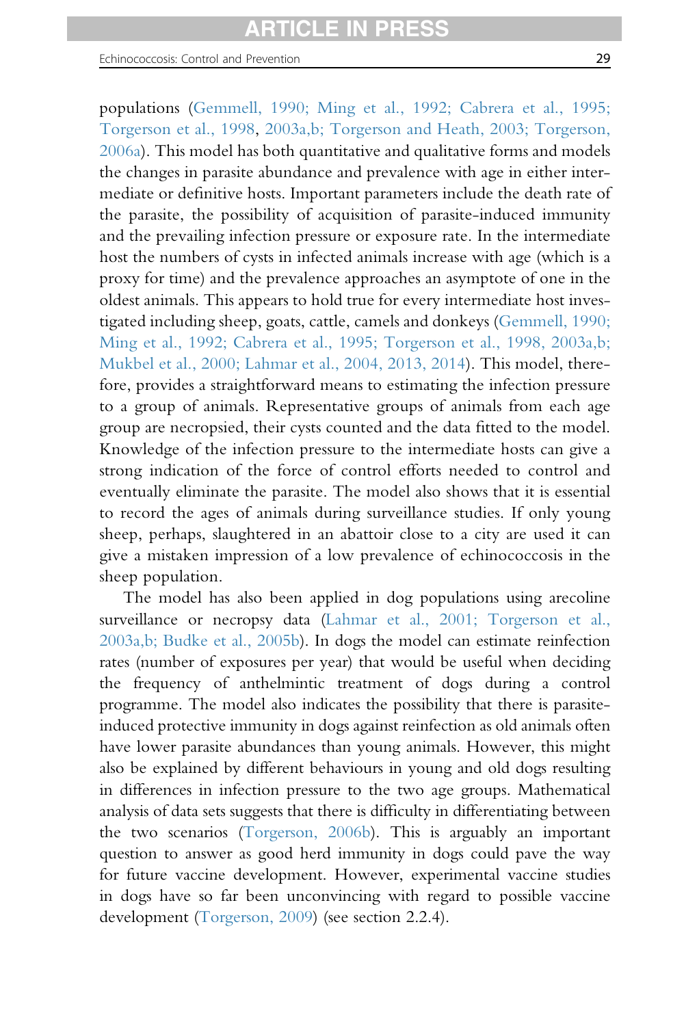Echinococcosis: Control and Prevention 29

populations ([Gemmell, 1990; Ming et al., 1992; Cabrera et al., 1995;](#page-90-0) [Torgerson et al., 1998](#page-90-0), [2003a,b; Torgerson and Heath, 2003; Torgerson,](#page-100-0) [2006a\)](#page-100-0). This model has both quantitative and qualitative forms and models the changes in parasite abundance and prevalence with age in either intermediate or definitive hosts. Important parameters include the death rate of the parasite, the possibility of acquisition of parasite-induced immunity and the prevailing infection pressure or exposure rate. In the intermediate host the numbers of cysts in infected animals increase with age (which is a proxy for time) and the prevalence approaches an asymptote of one in the oldest animals. This appears to hold true for every intermediate host investigated including sheep, goats, cattle, camels and donkeys ([Gemmell, 1990;](#page-90-0) [Ming et al., 1992; Cabrera et al., 1995; Torgerson et al., 1998, 2003a,b;](#page-90-0) [Mukbel et al., 2000; Lahmar et al., 2004, 2013, 2014](#page-90-0)). This model, therefore, provides a straightforward means to estimating the infection pressure to a group of animals. Representative groups of animals from each age group are necropsied, their cysts counted and the data fitted to the model. Knowledge of the infection pressure to the intermediate hosts can give a strong indication of the force of control efforts needed to control and eventually eliminate the parasite. The model also shows that it is essential to record the ages of animals during surveillance studies. If only young sheep, perhaps, slaughtered in an abattoir close to a city are used it can give a mistaken impression of a low prevalence of echinococcosis in the sheep population.

The model has also been applied in dog populations using arecoline surveillance or necropsy data ([Lahmar et al., 2001; Torgerson et al.,](#page-94-0) [2003a,b; Budke et al., 2005b](#page-94-0)). In dogs the model can estimate reinfection rates (number of exposures per year) that would be useful when deciding the frequency of anthelmintic treatment of dogs during a control programme. The model also indicates the possibility that there is parasiteinduced protective immunity in dogs against reinfection as old animals often have lower parasite abundances than young animals. However, this might also be explained by different behaviours in young and old dogs resulting in differences in infection pressure to the two age groups. Mathematical analysis of data sets suggests that there is difficulty in differentiating between the two scenarios [\(Torgerson, 2006b](#page-100-0)). This is arguably an important question to answer as good herd immunity in dogs could pave the way for future vaccine development. However, experimental vaccine studies in dogs have so far been unconvincing with regard to possible vaccine development ([Torgerson, 2009\)](#page-101-0) (see section 2.2.4).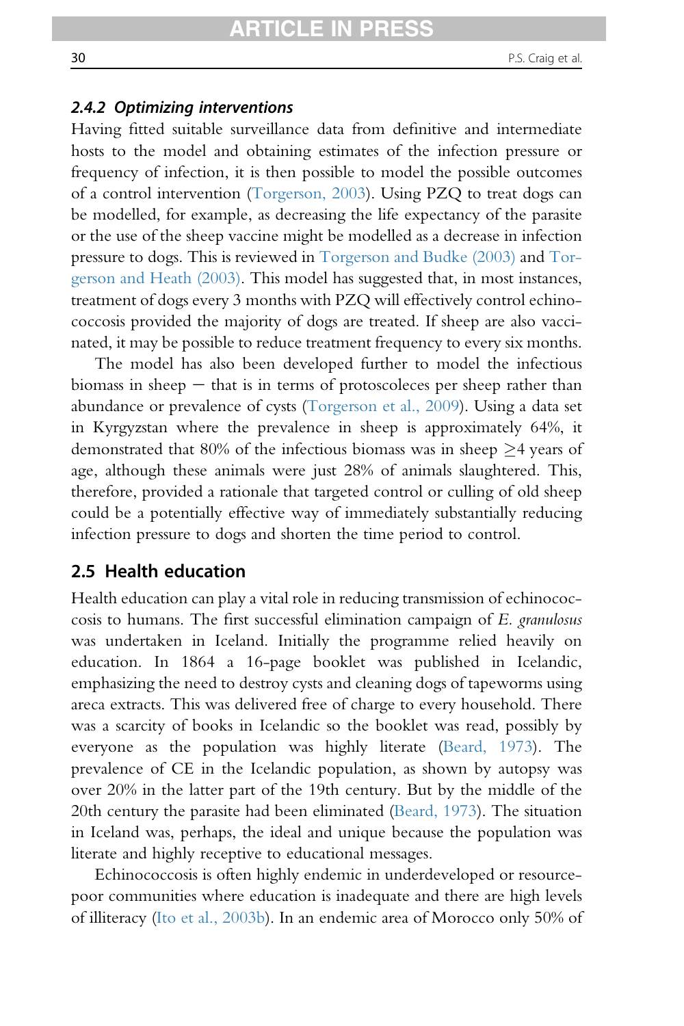#### 2.4.2 Optimizing interventions

Having fitted suitable surveillance data from definitive and intermediate hosts to the model and obtaining estimates of the infection pressure or frequency of infection, it is then possible to model the possible outcomes of a control intervention ([Torgerson, 2003](#page-100-0)). Using PZQ to treat dogs can be modelled, for example, as decreasing the life expectancy of the parasite or the use of the sheep vaccine might be modelled as a decrease in infection pressure to dogs. This is reviewed in [Torgerson and Budke \(2003\)](#page-100-0) and [Tor](#page-101-0)[gerson and Heath \(2003\)](#page-101-0). This model has suggested that, in most instances, treatment of dogs every 3 months with PZQ will effectively control echinococcosis provided the majority of dogs are treated. If sheep are also vaccinated, it may be possible to reduce treatment frequency to every six months.

The model has also been developed further to model the infectious biomass in sheep  $-$  that is in terms of protoscoleces per sheep rather than abundance or prevalence of cysts ([Torgerson et al., 2009](#page-101-0)). Using a data set in Kyrgyzstan where the prevalence in sheep is approximately 64%, it demonstrated that 80% of the infectious biomass was in sheep  $\geq$ 4 years of age, although these animals were just 28% of animals slaughtered. This, therefore, provided a rationale that targeted control or culling of old sheep could be a potentially effective way of immediately substantially reducing infection pressure to dogs and shorten the time period to control.

## 2.5 Health education

Health education can play a vital role in reducing transmission of echinococcosis to humans. The first successful elimination campaign of E. granulosus was undertaken in Iceland. Initially the programme relied heavily on education. In 1864 a 16-page booklet was published in Icelandic, emphasizing the need to destroy cysts and cleaning dogs of tapeworms using areca extracts. This was delivered free of charge to every household. There was a scarcity of books in Icelandic so the booklet was read, possibly by everyone as the population was highly literate ([Beard, 1973](#page-85-0)). The prevalence of CE in the Icelandic population, as shown by autopsy was over 20% in the latter part of the 19th century. But by the middle of the 20th century the parasite had been eliminated ([Beard, 1973](#page-85-0)). The situation in Iceland was, perhaps, the ideal and unique because the population was literate and highly receptive to educational messages.

Echinococcosis is often highly endemic in underdeveloped or resourcepoor communities where education is inadequate and there are high levels of illiteracy ([Ito et al., 2003b](#page-93-0)). In an endemic area of Morocco only 50% of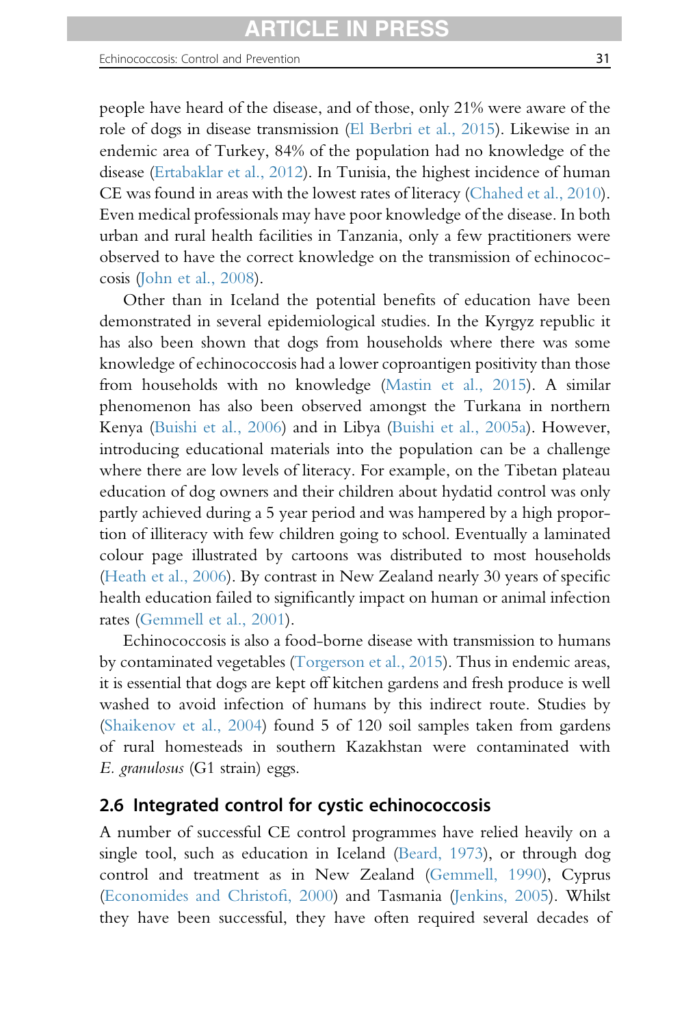people have heard of the disease, and of those, only 21% were aware of the role of dogs in disease transmission ([El Berbri et al., 2015\)](#page-89-0). Likewise in an endemic area of Turkey, 84% of the population had no knowledge of the disease [\(Ertabaklar et al., 2012](#page-89-0)). In Tunisia, the highest incidence of human CE was found in areas with the lowest rates of literacy ([Chahed et al., 2010\)](#page-86-0). Even medical professionals may have poor knowledge of the disease. In both urban and rural health facilities in Tanzania, only a few practitioners were observed to have the correct knowledge on the transmission of echinococcosis ([John et al., 2008\)](#page-93-0).

Other than in Iceland the potential benefits of education have been demonstrated in several epidemiological studies. In the Kyrgyz republic it has also been shown that dogs from households where there was some knowledge of echinococcosis had a lower coproantigen positivity than those from households with no knowledge [\(Mastin et al., 2015\)](#page-96-0). A similar phenomenon has also been observed amongst the Turkana in northern Kenya [\(Buishi et al., 2006\)](#page-86-0) and in Libya [\(Buishi et al., 2005a](#page-86-0)). However, introducing educational materials into the population can be a challenge where there are low levels of literacy. For example, on the Tibetan plateau education of dog owners and their children about hydatid control was only partly achieved during a 5 year period and was hampered by a high proportion of illiteracy with few children going to school. Eventually a laminated colour page illustrated by cartoons was distributed to most households ([Heath et al., 2006](#page-91-0)). By contrast in New Zealand nearly 30 years of specific health education failed to significantly impact on human or animal infection rates [\(Gemmell et al., 2001](#page-90-0)).

Echinococcosis is also a food-borne disease with transmission to humans by contaminated vegetables ([Torgerson et al., 2015\)](#page-101-0). Thus in endemic areas, it is essential that dogs are kept off kitchen gardens and fresh produce is well washed to avoid infection of humans by this indirect route. Studies by ([Shaikenov et al., 2004](#page-99-0)) found 5 of 120 soil samples taken from gardens of rural homesteads in southern Kazakhstan were contaminated with E. granulosus (G1 strain) eggs.

# 2.6 Integrated control for cystic echinococcosis

A number of successful CE control programmes have relied heavily on a single tool, such as education in Iceland [\(Beard, 1973](#page-85-0)), or through dog control and treatment as in New Zealand [\(Gemmell, 1990](#page-90-0)), Cyprus ([Economides and Christo](#page-88-0)fi, 2000) and Tasmania ([Jenkins, 2005\)](#page-93-0). Whilst they have been successful, they have often required several decades of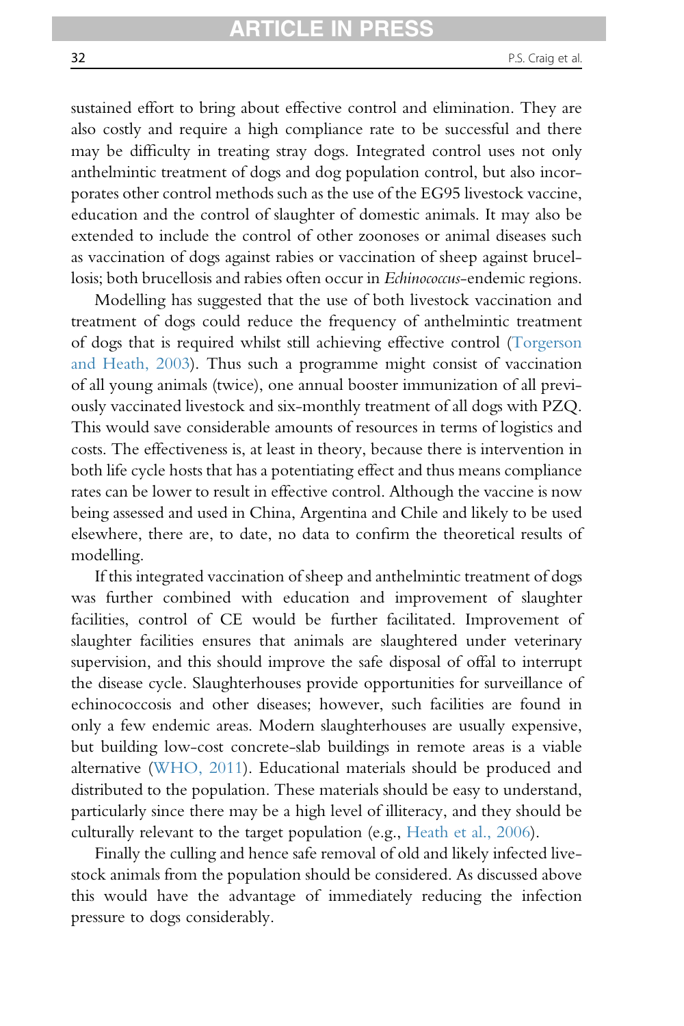sustained effort to bring about effective control and elimination. They are also costly and require a high compliance rate to be successful and there may be difficulty in treating stray dogs. Integrated control uses not only anthelmintic treatment of dogs and dog population control, but also incorporates other control methods such as the use of the EG95 livestock vaccine, education and the control of slaughter of domestic animals. It may also be extended to include the control of other zoonoses or animal diseases such as vaccination of dogs against rabies or vaccination of sheep against brucellosis; both brucellosis and rabies often occur in Echinococcus-endemic regions.

Modelling has suggested that the use of both livestock vaccination and treatment of dogs could reduce the frequency of anthelmintic treatment of dogs that is required whilst still achieving effective control [\(Torgerson](#page-101-0) [and Heath, 2003](#page-101-0)). Thus such a programme might consist of vaccination of all young animals (twice), one annual booster immunization of all previously vaccinated livestock and six-monthly treatment of all dogs with PZQ. This would save considerable amounts of resources in terms of logistics and costs. The effectiveness is, at least in theory, because there is intervention in both life cycle hosts that has a potentiating effect and thus means compliance rates can be lower to result in effective control. Although the vaccine is now being assessed and used in China, Argentina and Chile and likely to be used elsewhere, there are, to date, no data to confirm the theoretical results of modelling.

If this integrated vaccination of sheep and anthelmintic treatment of dogs was further combined with education and improvement of slaughter facilities, control of CE would be further facilitated. Improvement of slaughter facilities ensures that animals are slaughtered under veterinary supervision, and this should improve the safe disposal of offal to interrupt the disease cycle. Slaughterhouses provide opportunities for surveillance of echinococcosis and other diseases; however, such facilities are found in only a few endemic areas. Modern slaughterhouses are usually expensive, but building low-cost concrete-slab buildings in remote areas is a viable alternative ([WHO, 2011\)](#page-102-0). Educational materials should be produced and distributed to the population. These materials should be easy to understand, particularly since there may be a high level of illiteracy, and they should be culturally relevant to the target population (e.g., [Heath et al., 2006\)](#page-91-0).

Finally the culling and hence safe removal of old and likely infected livestock animals from the population should be considered. As discussed above this would have the advantage of immediately reducing the infection pressure to dogs considerably.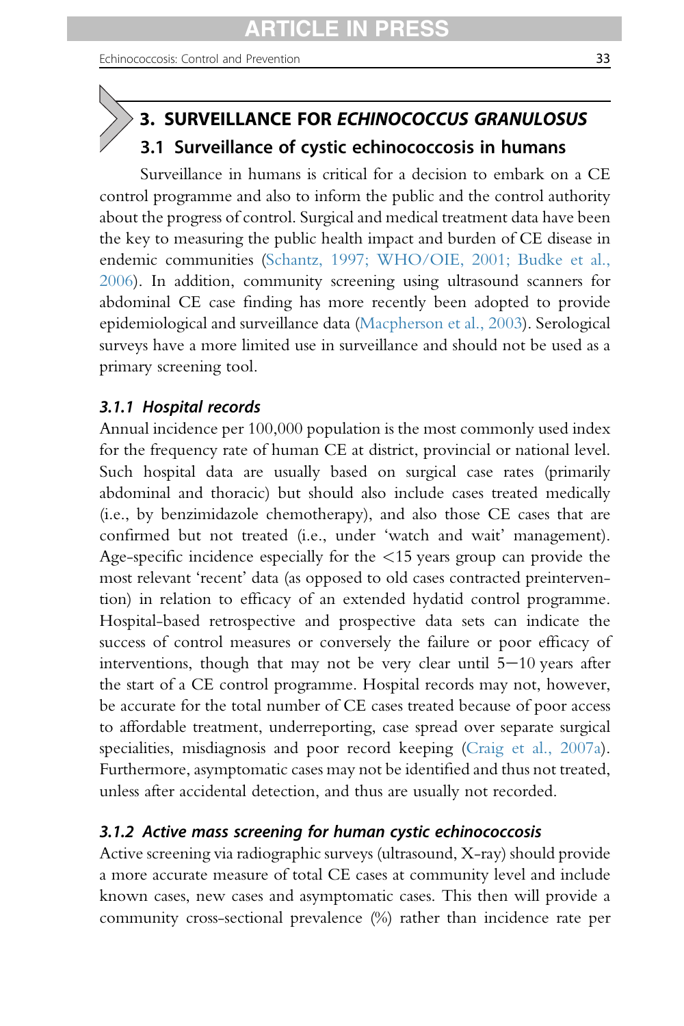# <span id="page-32-0"></span>3. SURVEILLANCE FOR ECHINOCOCCUS GRANULOSUS 3.1 Surveillance of cystic echinococcosis in humans

Surveillance in humans is critical for a decision to embark on a CE control programme and also to inform the public and the control authority about the progress of control. Surgical and medical treatment data have been the key to measuring the public health impact and burden of CE disease in endemic communities [\(Schantz, 1997; WHO/OIE, 2001; Budke et al.,](#page-99-0) [2006](#page-99-0)). In addition, community screening using ultrasound scanners for abdominal CE case finding has more recently been adopted to provide epidemiological and surveillance data [\(Macpherson et al., 2003\)](#page-95-0). Serological surveys have a more limited use in surveillance and should not be used as a primary screening tool.

# 3.1.1 Hospital records

Annual incidence per 100,000 population is the most commonly used index for the frequency rate of human CE at district, provincial or national level. Such hospital data are usually based on surgical case rates (primarily abdominal and thoracic) but should also include cases treated medically (i.e., by benzimidazole chemotherapy), and also those CE cases that are confirmed but not treated (i.e., under 'watch and wait' management). Age-specific incidence especially for the  $\langle 15 \rangle$  years group can provide the most relevant 'recent' data (as opposed to old cases contracted preintervention) in relation to efficacy of an extended hydatid control programme. Hospital-based retrospective and prospective data sets can indicate the success of control measures or conversely the failure or poor efficacy of interventions, though that may not be very clear until  $5-10$  years after the start of a CE control programme. Hospital records may not, however, be accurate for the total number of CE cases treated because of poor access to affordable treatment, underreporting, case spread over separate surgical specialities, misdiagnosis and poor record keeping [\(Craig et al., 2007a\)](#page-87-0). Furthermore, asymptomatic cases may not be identified and thus not treated, unless after accidental detection, and thus are usually not recorded.

# 3.1.2 Active mass screening for human cystic echinococcosis

Active screening via radiographic surveys (ultrasound, X-ray) should provide a more accurate measure of total CE cases at community level and include known cases, new cases and asymptomatic cases. This then will provide a community cross-sectional prevalence (%) rather than incidence rate per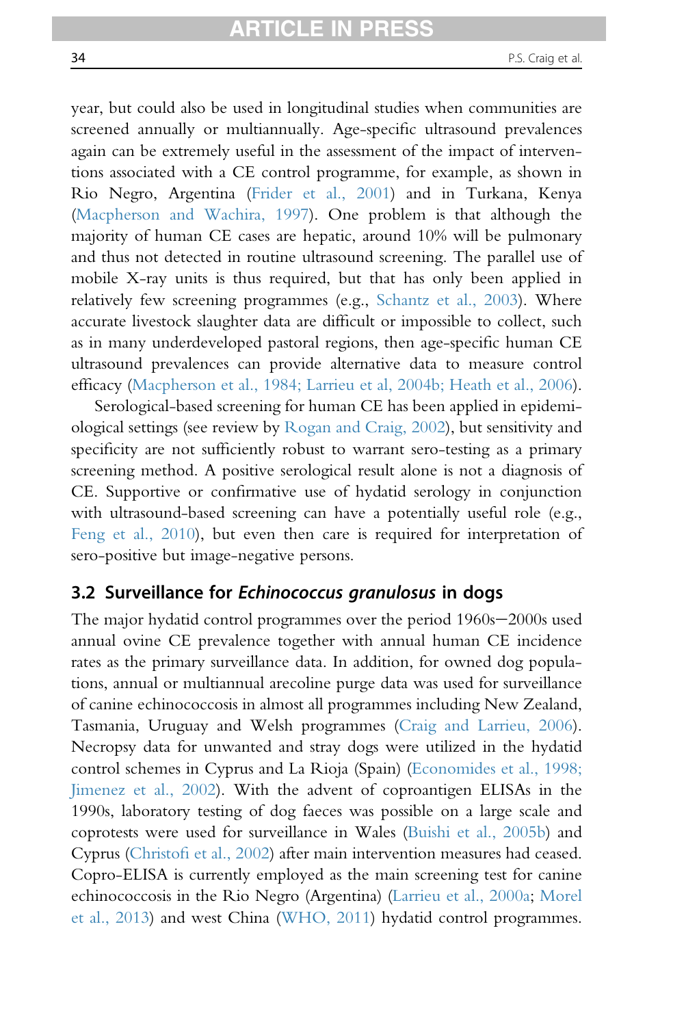<span id="page-33-0"></span>year, but could also be used in longitudinal studies when communities are screened annually or multiannually. Age-specific ultrasound prevalences again can be extremely useful in the assessment of the impact of interventions associated with a CE control programme, for example, as shown in Rio Negro, Argentina ([Frider et al., 2001\)](#page-89-0) and in Turkana, Kenya [\(Macpherson and Wachira, 1997](#page-95-0)). One problem is that although the majority of human CE cases are hepatic, around 10% will be pulmonary and thus not detected in routine ultrasound screening. The parallel use of mobile X-ray units is thus required, but that has only been applied in relatively few screening programmes (e.g., [Schantz et al., 2003](#page-99-0)). Where accurate livestock slaughter data are difficult or impossible to collect, such as in many underdeveloped pastoral regions, then age-specific human CE ultrasound prevalences can provide alternative data to measure control efficacy [\(Macpherson et al., 1984; Larrieu et al, 2004b; Heath et al., 2006\)](#page-96-0).

Serological-based screening for human CE has been applied in epidemiological settings (see review by [Rogan and Craig, 2002](#page-99-0)), but sensitivity and specificity are not sufficiently robust to warrant sero-testing as a primary screening method. A positive serological result alone is not a diagnosis of CE. Supportive or confirmative use of hydatid serology in conjunction with ultrasound-based screening can have a potentially useful role (e.g., [Feng et al., 2010](#page-89-0)), but even then care is required for interpretation of sero-positive but image-negative persons.

# 3.2 Surveillance for Echinococcus granulosus in dogs

The major hydatid control programmes over the period  $1960s-2000s$  used annual ovine CE prevalence together with annual human CE incidence rates as the primary surveillance data. In addition, for owned dog populations, annual or multiannual arecoline purge data was used for surveillance of canine echinococcosis in almost all programmes including New Zealand, Tasmania, Uruguay and Welsh programmes ([Craig and Larrieu, 2006\)](#page-87-0). Necropsy data for unwanted and stray dogs were utilized in the hydatid control schemes in Cyprus and La Rioja (Spain) ([Economides et al., 1998;](#page-89-0) [Jimenez et al., 2002](#page-89-0)). With the advent of coproantigen ELISAs in the 1990s, laboratory testing of dog faeces was possible on a large scale and coprotests were used for surveillance in Wales [\(Buishi et al., 2005b\)](#page-86-0) and Cyprus (Christofi [et al., 2002](#page-86-0)) after main intervention measures had ceased. Copro-ELISA is currently employed as the main screening test for canine echinococcosis in the Rio Negro (Argentina) ([Larrieu et al., 2000a;](#page-94-0) [Morel](#page-96-0) [et al., 2013](#page-96-0)) and west China [\(WHO, 2011](#page-102-0)) hydatid control programmes.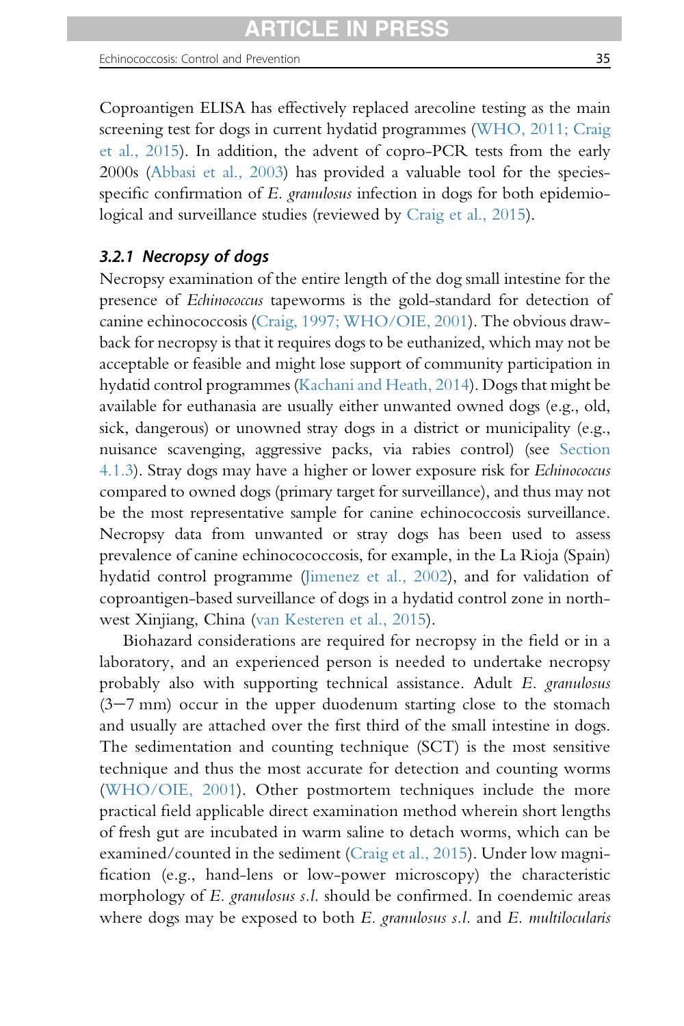Echinococcosis: Control and Prevention 35

Coproantigen ELISA has effectively replaced arecoline testing as the main screening test for dogs in current hydatid programmes [\(WHO, 2011; Craig](#page-102-0) [et al., 2015](#page-102-0)). In addition, the advent of copro-PCR tests from the early 2000s [\(Abbasi et al., 2003](#page-84-0)) has provided a valuable tool for the speciesspecific confirmation of E. granulosus infection in dogs for both epidemiological and surveillance studies (reviewed by [Craig et al., 2015](#page-87-0)).

# 3.2.1 Necropsy of dogs

Necropsy examination of the entire length of the dog small intestine for the presence of Echinococcus tapeworms is the gold-standard for detection of canine echinococcosis ([Craig, 1997; WHO/OIE, 2001\)](#page-87-0). The obvious drawback for necropsy is that it requires dogs to be euthanized, which may not be acceptable or feasible and might lose support of community participation in hydatid control programmes ([Kachani and Heath, 2014\)](#page-93-0). Dogs that might be available for euthanasia are usually either unwanted owned dogs (e.g., old, sick, dangerous) or unowned stray dogs in a district or municipality (e.g., nuisance scavenging, aggressive packs, via rabies control) (see [Section](#page-47-0) [4.1.3](#page-47-0)). Stray dogs may have a higher or lower exposure risk for Echinococcus compared to owned dogs (primary target for surveillance), and thus may not be the most representative sample for canine echinococcosis surveillance. Necropsy data from unwanted or stray dogs has been used to assess prevalence of canine echinocococcosis, for example, in the La Rioja (Spain) hydatid control programme ([Jimenez et al., 2002\)](#page-93-0), and for validation of coproantigen-based surveillance of dogs in a hydatid control zone in northwest Xinjiang, China [\(van Kesteren et al., 2015](#page-101-0)).

Biohazard considerations are required for necropsy in the field or in a laboratory, and an experienced person is needed to undertake necropsy probably also with supporting technical assistance. Adult E. granulosus  $(3-7)$  mm) occur in the upper duodenum starting close to the stomach and usually are attached over the first third of the small intestine in dogs. The sedimentation and counting technique (SCT) is the most sensitive technique and thus the most accurate for detection and counting worms ([WHO/OIE, 2001\)](#page-102-0). Other postmortem techniques include the more practical field applicable direct examination method wherein short lengths of fresh gut are incubated in warm saline to detach worms, which can be examined/counted in the sediment ([Craig et al., 2015](#page-87-0)). Under low magnification (e.g., hand-lens or low-power microscopy) the characteristic morphology of E. granulosus s.l. should be confirmed. In coendemic areas where dogs may be exposed to both E. granulosus s.l. and E. multilocularis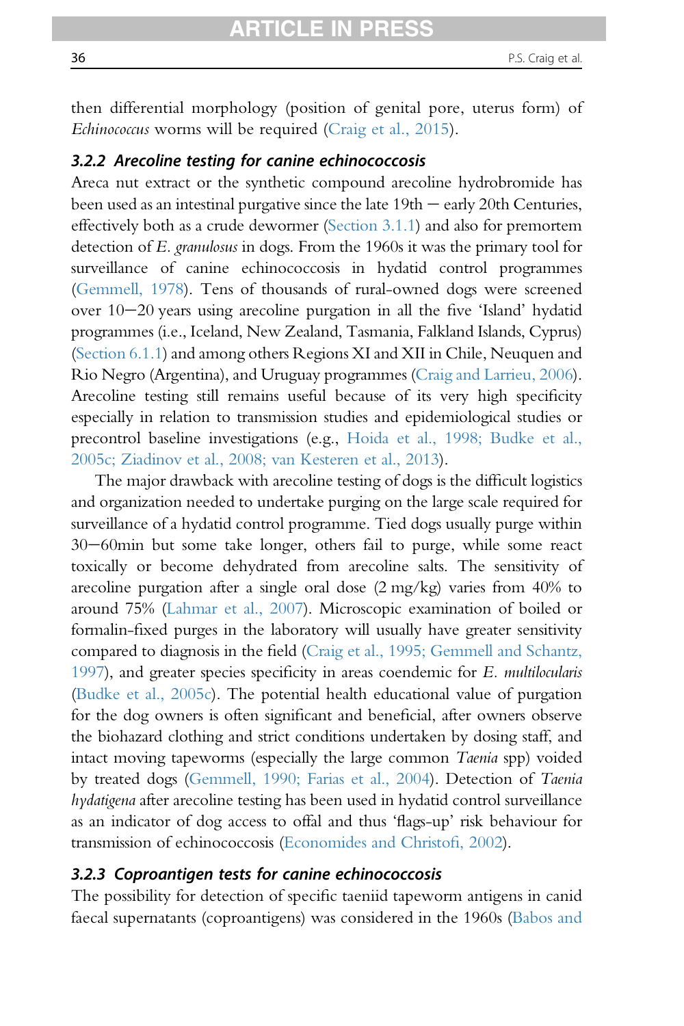then differential morphology (position of genital pore, uterus form) of Echinococcus worms will be required [\(Craig et al., 2015\)](#page-87-0).

#### 3.2.2 Arecoline testing for canine echinococcosis

Areca nut extract or the synthetic compound arecoline hydrobromide has been used as an intestinal purgative since the late  $19th -$  early 20th Centuries, effectively both as a crude dewormer [\(Section 3.1.1](#page-32-0)) and also for premortem detection of E. granulosus in dogs. From the 1960s it was the primary tool for surveillance of canine echinococcosis in hydatid control programmes [\(Gemmell, 1978\)](#page-89-0). Tens of thousands of rural-owned dogs were screened over  $10-20$  years using arecoline purgation in all the five 'Island' hydatid programmes (i.e., Iceland, New Zealand, Tasmania, Falkland Islands, Cyprus) [\(Section 6.1.1\)](#page-70-0) and among others Regions XI and XII in Chile, Neuquen and Rio Negro (Argentina), and Uruguay programmes [\(Craig and Larrieu, 2006\)](#page-87-0). Arecoline testing still remains useful because of its very high specificity especially in relation to transmission studies and epidemiological studies or precontrol baseline investigations (e.g., [Hoida et al., 1998; Budke et al.,](#page-92-0) [2005c; Ziadinov et al., 2008; van Kesteren et al., 2013](#page-92-0)).

The major drawback with arecoline testing of dogs is the difficult logistics and organization needed to undertake purging on the large scale required for surveillance of a hydatid control programme. Tied dogs usually purge within 30-60min but some take longer, others fail to purge, while some react toxically or become dehydrated from arecoline salts. The sensitivity of arecoline purgation after a single oral dose (2 mg/kg) varies from 40% to around 75% [\(Lahmar et al., 2007\)](#page-94-0). Microscopic examination of boiled or formalin-fixed purges in the laboratory will usually have greater sensitivity compared to diagnosis in the field [\(Craig et al., 1995; Gemmell and Schantz,](#page-87-0) [1997\)](#page-87-0), and greater species specificity in areas coendemic for E. multilocularis [\(Budke et al., 2005c](#page-85-0)). The potential health educational value of purgation for the dog owners is often significant and beneficial, after owners observe the biohazard clothing and strict conditions undertaken by dosing staff, and intact moving tapeworms (especially the large common Taenia spp) voided by treated dogs [\(Gemmell, 1990; Farias et al., 2004](#page-90-0)). Detection of Taenia hydatigena after arecoline testing has been used in hydatid control surveillance as an indicator of dog access to offal and thus 'flags-up' risk behaviour for transmission of echinococcosis [\(Economides and Christo](#page-88-0)fi, 2002).

#### 3.2.3 Coproantigen tests for canine echinococcosis

The possibility for detection of specific taeniid tapeworm antigens in canid faecal supernatants (coproantigens) was considered in the 1960s [\(Babos and](#page-84-0)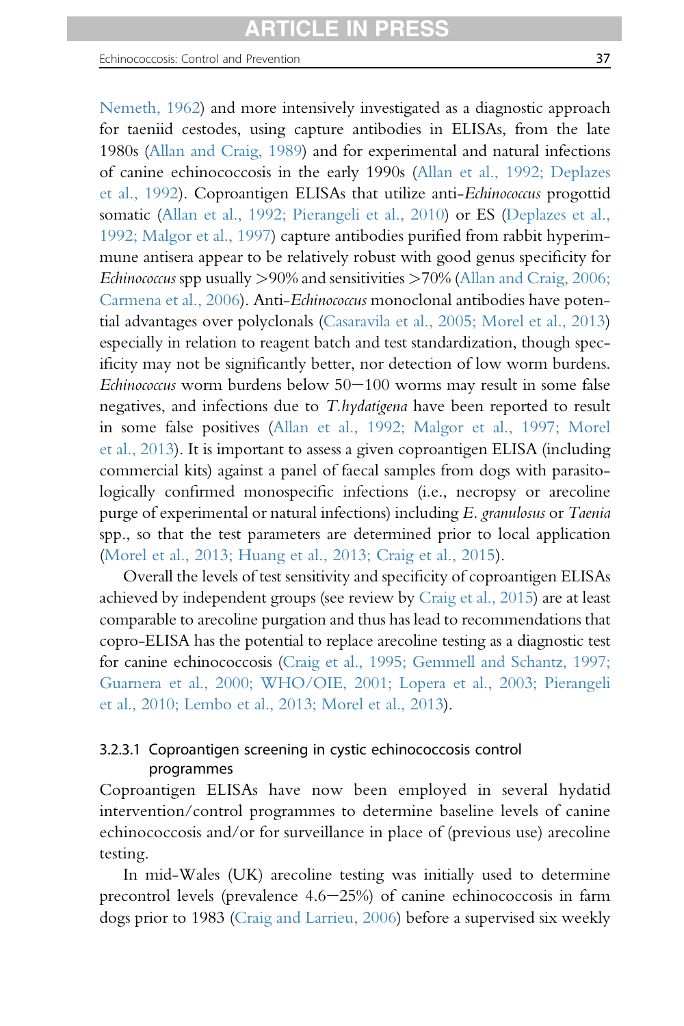[Nemeth, 1962](#page-84-0)) and more intensively investigated as a diagnostic approach for taeniid cestodes, using capture antibodies in ELISAs, from the late 1980s [\(Allan and Craig, 1989\)](#page-84-0) and for experimental and natural infections of canine echinococcosis in the early 1990s [\(Allan et al., 1992; Deplazes](#page-84-0) [et al., 1992\)](#page-84-0). Coproantigen ELISAs that utilize anti-Echinococcus progottid somatic [\(Allan et al., 1992; Pierangeli et al., 2010\)](#page-84-0) or ES ([Deplazes et al.,](#page-88-0) [1992; Malgor et al., 1997](#page-88-0)) capture antibodies purified from rabbit hyperimmune antisera appear to be relatively robust with good genus specificity for *Echinococcus* spp usually  $>90\%$  and sensitivities  $>70\%$  [\(Allan and Craig, 2006;](#page-84-0) [Carmena et al., 2006](#page-84-0)). Anti-Echinococcus monoclonal antibodies have potential advantages over polyclonals [\(Casaravila et al., 2005; Morel et al., 2013](#page-86-0)) especially in relation to reagent batch and test standardization, though specificity may not be significantly better, nor detection of low worm burdens.  $Echinococcus$  worm burdens below  $50-100$  worms may result in some false negatives, and infections due to T.hydatigena have been reported to result in some false positives [\(Allan et al., 1992; Malgor et al., 1997; Morel](#page-84-0) [et al., 2013](#page-84-0)). It is important to assess a given coproantigen ELISA (including commercial kits) against a panel of faecal samples from dogs with parasitologically confirmed monospecific infections (i.e., necropsy or arecoline purge of experimental or natural infections) including E. granulosus or Taenia

spp., so that the test parameters are determined prior to local application ([Morel et al., 2013; Huang et al., 2013; Craig et al., 2015\)](#page-96-0). Overall the levels of test sensitivity and specificity of coproantigen ELISAs achieved by independent groups (see review by [Craig et al., 2015\)](#page-87-0) are at least comparable to arecoline purgation and thus has lead to recommendations that copro-ELISA has the potential to replace arecoline testing as a diagnostic test for canine echinococcosis ([Craig et al., 1995; Gemmell and Schantz, 1997;](#page-87-0) [Guarnera et al., 2000; WHO/OIE, 2001; Lopera et al., 2003; Pierangeli](#page-87-0)

# 3.2.3.1 Coproantigen screening in cystic echinococcosis control programmes

[et al., 2010; Lembo et al., 2013; Morel et al., 2013](#page-87-0)).

Coproantigen ELISAs have now been employed in several hydatid intervention/control programmes to determine baseline levels of canine echinococcosis and/or for surveillance in place of (previous use) arecoline testing.

In mid-Wales (UK) arecoline testing was initially used to determine precontrol levels (prevalence  $4.6-25%$ ) of canine echinococcosis in farm dogs prior to 1983 [\(Craig and Larrieu, 2006](#page-87-0)) before a supervised six weekly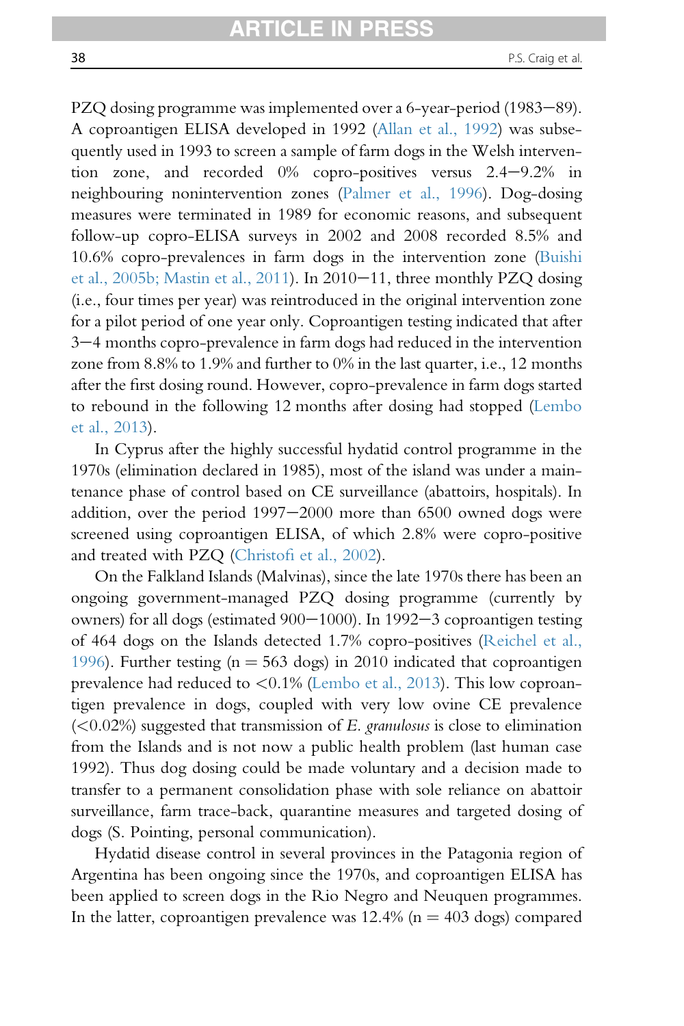PZQ dosing programme was implemented over a 6-year-period (1983–89). A coproantigen ELISA developed in 1992 [\(Allan et al., 1992](#page-84-0)) was subsequently used in 1993 to screen a sample of farm dogs in the Welsh intervention zone, and recorded  $0\%$  copro-positives versus  $2.4-9.2\%$  in neighbouring nonintervention zones [\(Palmer et al., 1996\)](#page-98-0). Dog-dosing measures were terminated in 1989 for economic reasons, and subsequent follow-up copro-ELISA surveys in 2002 and 2008 recorded 8.5% and 10.6% copro-prevalences in farm dogs in the intervention zone ([Buishi](#page-86-0) [et al., 2005b; Mastin et al., 2011](#page-86-0)). In 2010 $-11$ , three monthly PZQ dosing (i.e., four times per year) was reintroduced in the original intervention zone for a pilot period of one year only. Coproantigen testing indicated that after 3-4 months copro-prevalence in farm dogs had reduced in the intervention zone from 8.8% to 1.9% and further to 0% in the last quarter, i.e., 12 months after the first dosing round. However, copro-prevalence in farm dogs started to rebound in the following 12 months after dosing had stopped [\(Lembo](#page-94-0) [et al., 2013](#page-94-0)).

In Cyprus after the highly successful hydatid control programme in the 1970s (elimination declared in 1985), most of the island was under a maintenance phase of control based on CE surveillance (abattoirs, hospitals). In addition, over the period  $1997-2000$  more than  $6500$  owned dogs were screened using coproantigen ELISA, of which 2.8% were copro-positive and treated with PZQ (Christofi [et al., 2002\)](#page-86-0).

On the Falkland Islands (Malvinas), since the late 1970s there has been an ongoing government-managed PZQ dosing programme (currently by owners) for all dogs (estimated  $900-1000$ ). In 1992-3 coproantigen testing of 464 dogs on the Islands detected 1.7% copro-positives [\(Reichel et al.,](#page-98-0) [1996](#page-98-0)). Further testing ( $n = 563$  dogs) in 2010 indicated that coproantigen prevalence had reduced to <0.1% ([Lembo et al., 2013](#page-94-0)). This low coproantigen prevalence in dogs, coupled with very low ovine CE prevalence  $(< 0.02\%)$  suggested that transmission of E. granulosus is close to elimination from the Islands and is not now a public health problem (last human case 1992). Thus dog dosing could be made voluntary and a decision made to transfer to a permanent consolidation phase with sole reliance on abattoir surveillance, farm trace-back, quarantine measures and targeted dosing of dogs (S. Pointing, personal communication).

Hydatid disease control in several provinces in the Patagonia region of Argentina has been ongoing since the 1970s, and coproantigen ELISA has been applied to screen dogs in the Rio Negro and Neuquen programmes. In the latter, coproantigen prevalence was  $12.4\%$  (n =  $403$  dogs) compared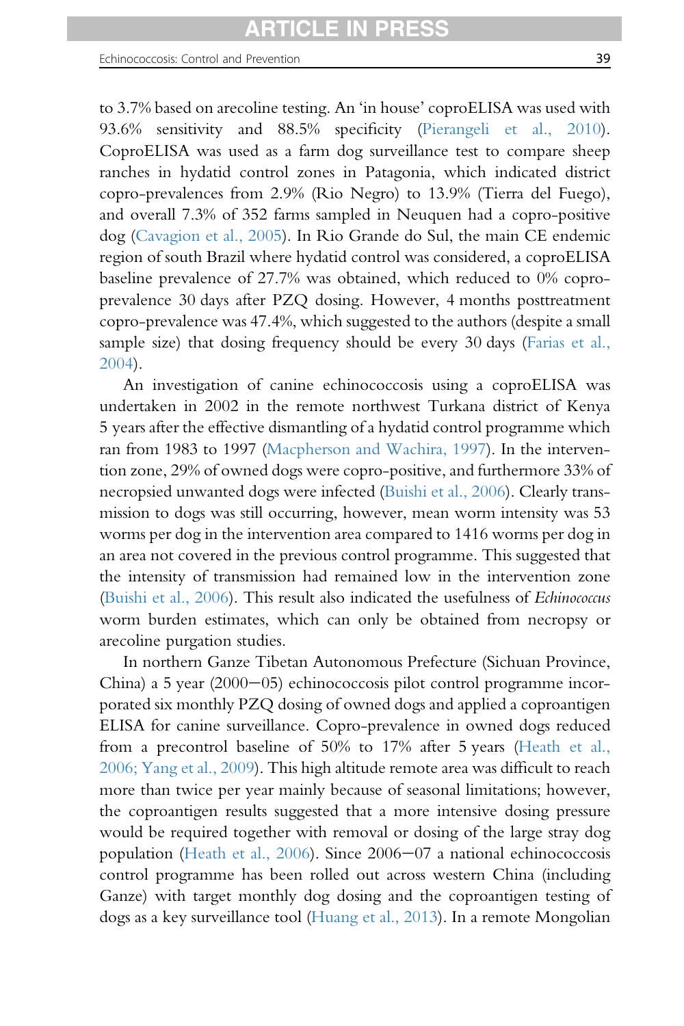to 3.7% based on arecoline testing. An 'in house' coproELISA was used with 93.6% sensitivity and 88.5% specificity ([Pierangeli et al., 2010\)](#page-98-0). CoproELISA was used as a farm dog surveillance test to compare sheep ranches in hydatid control zones in Patagonia, which indicated district copro-prevalences from 2.9% (Rio Negro) to 13.9% (Tierra del Fuego), and overall 7.3% of 352 farms sampled in Neuquen had a copro-positive dog ([Cavagion et al., 2005](#page-86-0)). In Rio Grande do Sul, the main CE endemic region of south Brazil where hydatid control was considered, a coproELISA baseline prevalence of 27.7% was obtained, which reduced to 0% coproprevalence 30 days after PZQ dosing. However, 4 months posttreatment copro-prevalence was 47.4%, which suggested to the authors (despite a small sample size) that dosing frequency should be every 30 days ([Farias et al.,](#page-89-0) [2004](#page-89-0)).

An investigation of canine echinococcosis using a coproELISA was undertaken in 2002 in the remote northwest Turkana district of Kenya 5 years after the effective dismantling of a hydatid control programme which ran from 1983 to 1997 [\(Macpherson and Wachira, 1997](#page-95-0)). In the intervention zone, 29% of owned dogs were copro-positive, and furthermore 33% of necropsied unwanted dogs were infected ([Buishi et al., 2006](#page-86-0)). Clearly transmission to dogs was still occurring, however, mean worm intensity was 53 worms per dog in the intervention area compared to 1416 worms per dog in an area not covered in the previous control programme. This suggested that the intensity of transmission had remained low in the intervention zone ([Buishi et al., 2006](#page-86-0)). This result also indicated the usefulness of Echinococcus worm burden estimates, which can only be obtained from necropsy or arecoline purgation studies.

In northern Ganze Tibetan Autonomous Prefecture (Sichuan Province, China) a 5 year  $(2000-05)$  echinococcosis pilot control programme incorporated six monthly PZQ dosing of owned dogs and applied a coproantigen ELISA for canine surveillance. Copro-prevalence in owned dogs reduced from a precontrol baseline of 50% to 17% after 5 years [\(Heath et al.,](#page-91-0) [2006; Yang et al., 2009\)](#page-91-0). This high altitude remote area was difficult to reach more than twice per year mainly because of seasonal limitations; however, the coproantigen results suggested that a more intensive dosing pressure would be required together with removal or dosing of the large stray dog population (Heath et al.,  $2006$ ). Since  $2006-07$  a national echinococcosis control programme has been rolled out across western China (including Ganze) with target monthly dog dosing and the coproantigen testing of dogs as a key surveillance tool ([Huang et al., 2013](#page-92-0)). In a remote Mongolian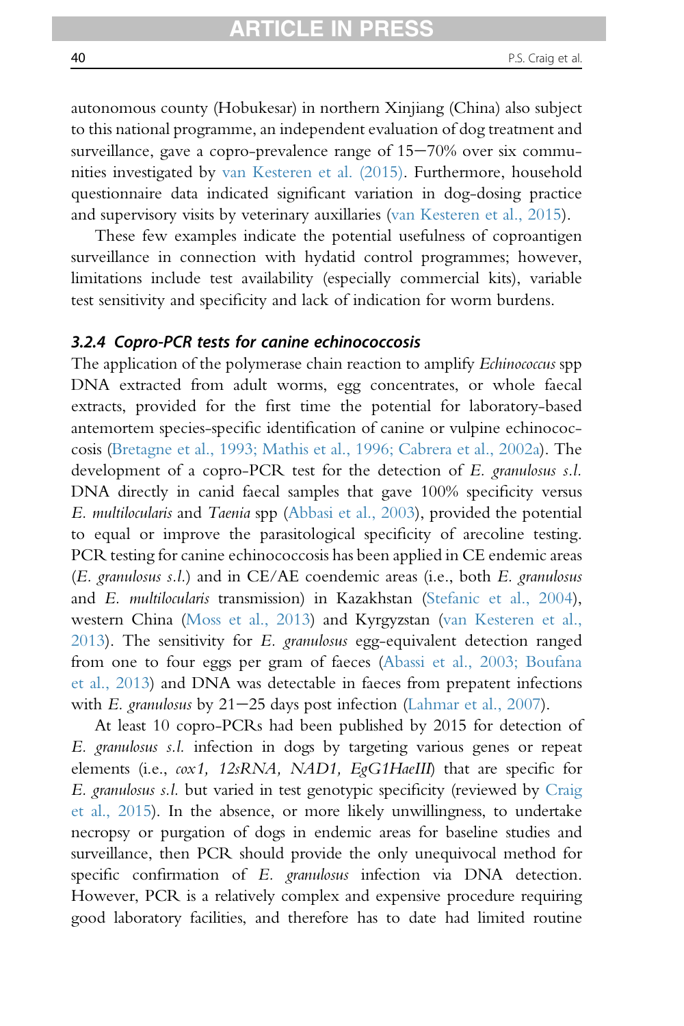autonomous county (Hobukesar) in northern Xinjiang (China) also subject to this national programme, an independent evaluation of dog treatment and surveillance, gave a copro-prevalence range of  $15-70\%$  over six communities investigated by [van Kesteren et al. \(2015\).](#page-101-0) Furthermore, household questionnaire data indicated significant variation in dog-dosing practice and supervisory visits by veterinary auxillaries ([van Kesteren et al., 2015\)](#page-101-0).

These few examples indicate the potential usefulness of coproantigen surveillance in connection with hydatid control programmes; however, limitations include test availability (especially commercial kits), variable test sensitivity and specificity and lack of indication for worm burdens.

### 3.2.4 Copro-PCR tests for canine echinococcosis

The application of the polymerase chain reaction to amplify Echinococcus spp DNA extracted from adult worms, egg concentrates, or whole faecal extracts, provided for the first time the potential for laboratory-based antemortem species-specific identification of canine or vulpine echinococcosis [\(Bretagne et al., 1993; Mathis et al., 1996; Cabrera et al., 2002a\)](#page-85-0). The development of a copro-PCR test for the detection of E. granulosus s.l. DNA directly in canid faecal samples that gave 100% specificity versus E. multilocularis and Taenia spp ([Abbasi et al., 2003](#page-84-0)), provided the potential to equal or improve the parasitological specificity of arecoline testing. PCR testing for canine echinococcosis has been applied in CE endemic areas (E. granulosus s.l.) and in CE/AE coendemic areas (i.e., both E. granulosus and E. multilocularis transmission) in Kazakhstan [\(Stefanic et al., 2004\)](#page-100-0), western China [\(Moss et al., 2013\)](#page-97-0) and Kyrgyzstan ([van Kesteren et al.,](#page-101-0) [2013](#page-101-0)). The sensitivity for E. granulosus egg-equivalent detection ranged from one to four eggs per gram of faeces [\(Abassi et al., 2003; Boufana](#page-84-0) [et al., 2013\)](#page-84-0) and DNA was detectable in faeces from prepatent infections with E. granulosus by  $21-25$  days post infection [\(Lahmar et al., 2007\)](#page-94-0).

At least 10 copro-PCRs had been published by 2015 for detection of E. granulosus s.l. infection in dogs by targeting various genes or repeat elements (i.e.,  $\omega x1$ , 12sRNA, NAD1, EgG1HaeIII) that are specific for E. granulosus s.l. but varied in test genotypic specificity (reviewed by [Craig](#page-87-0) [et al., 2015\)](#page-87-0). In the absence, or more likely unwillingness, to undertake necropsy or purgation of dogs in endemic areas for baseline studies and surveillance, then PCR should provide the only unequivocal method for specific confirmation of E. granulosus infection via DNA detection. However, PCR is a relatively complex and expensive procedure requiring good laboratory facilities, and therefore has to date had limited routine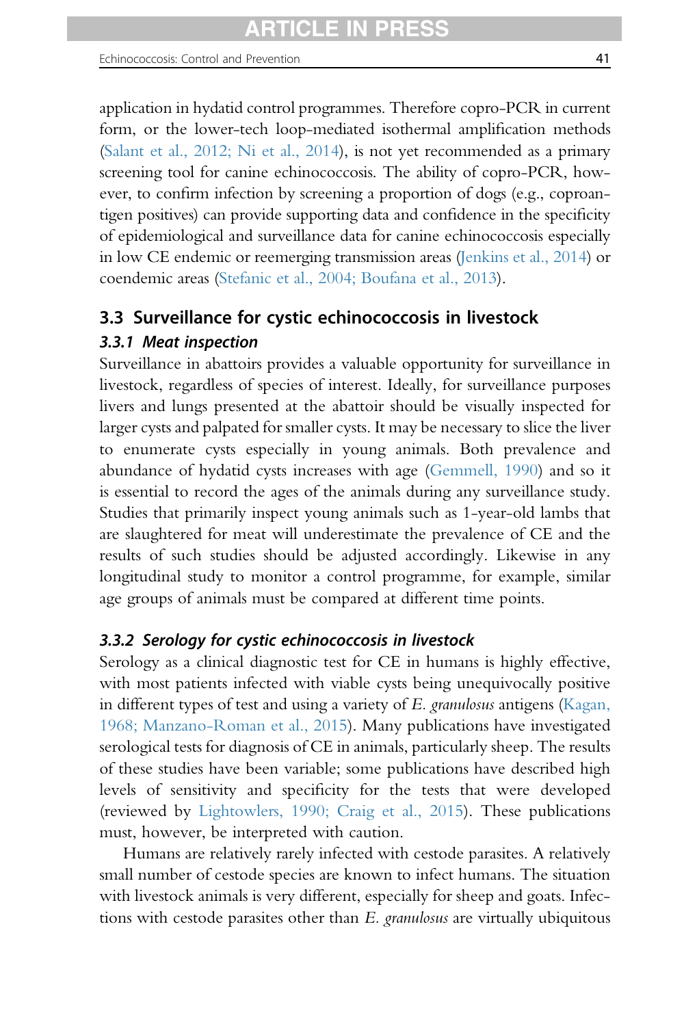<span id="page-40-0"></span>application in hydatid control programmes. Therefore copro-PCR in current form, or the lower-tech loop-mediated isothermal amplification methods ([Salant et al., 2012; Ni et al., 2014](#page-99-0)), is not yet recommended as a primary screening tool for canine echinococcosis. The ability of copro-PCR, however, to confirm infection by screening a proportion of dogs (e.g., coproantigen positives) can provide supporting data and confidence in the specificity of epidemiological and surveillance data for canine echinococcosis especially in low CE endemic or reemerging transmission areas ([Jenkins et al., 2014](#page-93-0)) or coendemic areas [\(Stefanic et al., 2004; Boufana et al., 2013\)](#page-100-0).

# 3.3 Surveillance for cystic echinococcosis in livestock

## 3.3.1 Meat inspection

Surveillance in abattoirs provides a valuable opportunity for surveillance in livestock, regardless of species of interest. Ideally, for surveillance purposes livers and lungs presented at the abattoir should be visually inspected for larger cysts and palpated for smaller cysts. It may be necessary to slice the liver to enumerate cysts especially in young animals. Both prevalence and abundance of hydatid cysts increases with age [\(Gemmell, 1990\)](#page-90-0) and so it is essential to record the ages of the animals during any surveillance study. Studies that primarily inspect young animals such as 1-year-old lambs that are slaughtered for meat will underestimate the prevalence of CE and the results of such studies should be adjusted accordingly. Likewise in any longitudinal study to monitor a control programme, for example, similar age groups of animals must be compared at different time points.

#### 3.3.2 Serology for cystic echinococcosis in livestock

Serology as a clinical diagnostic test for CE in humans is highly effective, with most patients infected with viable cysts being unequivocally positive in different types of test and using a variety of E. granulosus antigens ([Kagan,](#page-93-0) [1968; Manzano-Roman et al., 2015](#page-93-0)). Many publications have investigated serological tests for diagnosis of CE in animals, particularly sheep. The results of these studies have been variable; some publications have described high levels of sensitivity and specificity for the tests that were developed (reviewed by [Lightowlers, 1990; Craig et al., 2015\)](#page-95-0). These publications must, however, be interpreted with caution.

Humans are relatively rarely infected with cestode parasites. A relatively small number of cestode species are known to infect humans. The situation with livestock animals is very different, especially for sheep and goats. Infections with cestode parasites other than E. granulosus are virtually ubiquitous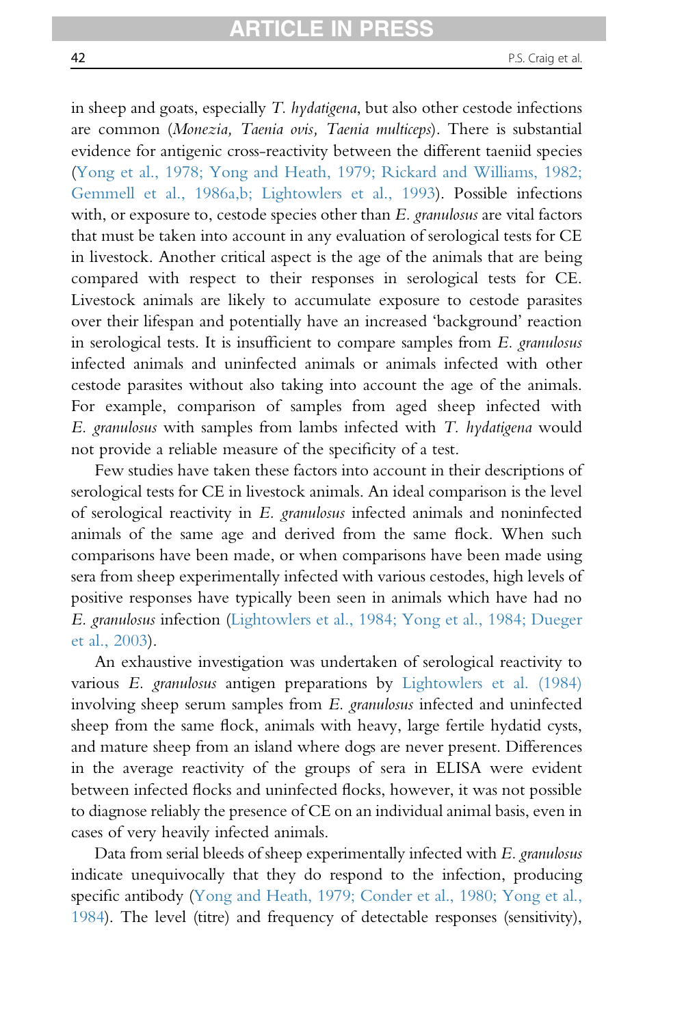in sheep and goats, especially T. *hydatigena*, but also other cestode infections are common (Monezia, Taenia ovis, Taenia multiceps). There is substantial evidence for antigenic cross-reactivity between the different taeniid species [\(Yong et al., 1978; Yong and Heath, 1979; Rickard and Williams, 1982;](#page-103-0) [Gemmell et al., 1986a,b; Lightowlers et al., 1993](#page-103-0)). Possible infections with, or exposure to, cestode species other than  $E$ . granulosus are vital factors that must be taken into account in any evaluation of serological tests for CE in livestock. Another critical aspect is the age of the animals that are being compared with respect to their responses in serological tests for CE. Livestock animals are likely to accumulate exposure to cestode parasites over their lifespan and potentially have an increased 'background' reaction in serological tests. It is insufficient to compare samples from E. granulosus infected animals and uninfected animals or animals infected with other cestode parasites without also taking into account the age of the animals. For example, comparison of samples from aged sheep infected with E. granulosus with samples from lambs infected with T. hydatigena would not provide a reliable measure of the specificity of a test.

Few studies have taken these factors into account in their descriptions of serological tests for CE in livestock animals. An ideal comparison is the level of serological reactivity in E. granulosus infected animals and noninfected animals of the same age and derived from the same flock. When such comparisons have been made, or when comparisons have been made using sera from sheep experimentally infected with various cestodes, high levels of positive responses have typically been seen in animals which have had no E. granulosus infection ([Lightowlers et al., 1984; Yong et al., 1984; Dueger](#page-95-0) [et al., 2003](#page-95-0)).

An exhaustive investigation was undertaken of serological reactivity to various E. granulosus antigen preparations by [Lightowlers et al. \(1984\)](#page-95-0) involving sheep serum samples from E. granulosus infected and uninfected sheep from the same flock, animals with heavy, large fertile hydatid cysts, and mature sheep from an island where dogs are never present. Differences in the average reactivity of the groups of sera in ELISA were evident between infected flocks and uninfected flocks, however, it was not possible to diagnose reliably the presence of CE on an individual animal basis, even in cases of very heavily infected animals.

Data from serial bleeds of sheep experimentally infected with E. granulosus indicate unequivocally that they do respond to the infection, producing specific antibody [\(Yong and Heath, 1979; Conder et al., 1980; Yong et al.,](#page-103-0) [1984\)](#page-103-0). The level (titre) and frequency of detectable responses (sensitivity),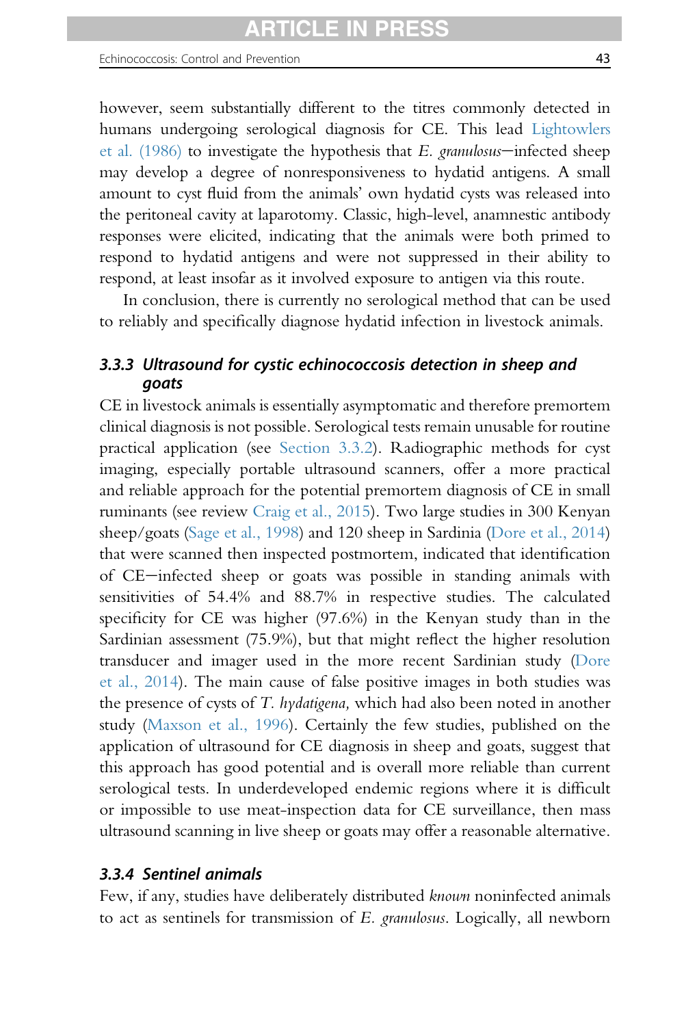however, seem substantially different to the titres commonly detected in humans undergoing serological diagnosis for CE. This lead [Lightowlers](#page-95-0) et al.  $(1986)$  to investigate the hypothesis that E. granulosus—infected sheep may develop a degree of nonresponsiveness to hydatid antigens. A small amount to cyst fluid from the animals' own hydatid cysts was released into the peritoneal cavity at laparotomy. Classic, high-level, anamnestic antibody responses were elicited, indicating that the animals were both primed to respond to hydatid antigens and were not suppressed in their ability to respond, at least insofar as it involved exposure to antigen via this route.

In conclusion, there is currently no serological method that can be used to reliably and specifically diagnose hydatid infection in livestock animals.

## 3.3.3 Ultrasound for cystic echinococcosis detection in sheep and goats

CE in livestock animals is essentially asymptomatic and therefore premortem clinical diagnosis is not possible. Serological tests remain unusable for routine practical application (see [Section 3.3.2](#page-40-0)). Radiographic methods for cyst imaging, especially portable ultrasound scanners, offer a more practical and reliable approach for the potential premortem diagnosis of CE in small ruminants (see review [Craig et al., 2015](#page-87-0)). Two large studies in 300 Kenyan sheep/goats [\(Sage et al., 1998\)](#page-99-0) and 120 sheep in Sardinia [\(Dore et al., 2014](#page-88-0)) that were scanned then inspected postmortem, indicated that identification of CE-infected sheep or goats was possible in standing animals with sensitivities of 54.4% and 88.7% in respective studies. The calculated specificity for CE was higher (97.6%) in the Kenyan study than in the Sardinian assessment (75.9%), but that might reflect the higher resolution transducer and imager used in the more recent Sardinian study [\(Dore](#page-88-0) [et al., 2014\)](#page-88-0). The main cause of false positive images in both studies was the presence of cysts of T. hydatigena, which had also been noted in another study ([Maxson et al., 1996](#page-96-0)). Certainly the few studies, published on the application of ultrasound for CE diagnosis in sheep and goats, suggest that this approach has good potential and is overall more reliable than current serological tests. In underdeveloped endemic regions where it is difficult or impossible to use meat-inspection data for CE surveillance, then mass ultrasound scanning in live sheep or goats may offer a reasonable alternative.

## 3.3.4 Sentinel animals

Few, if any, studies have deliberately distributed known noninfected animals to act as sentinels for transmission of E. granulosus. Logically, all newborn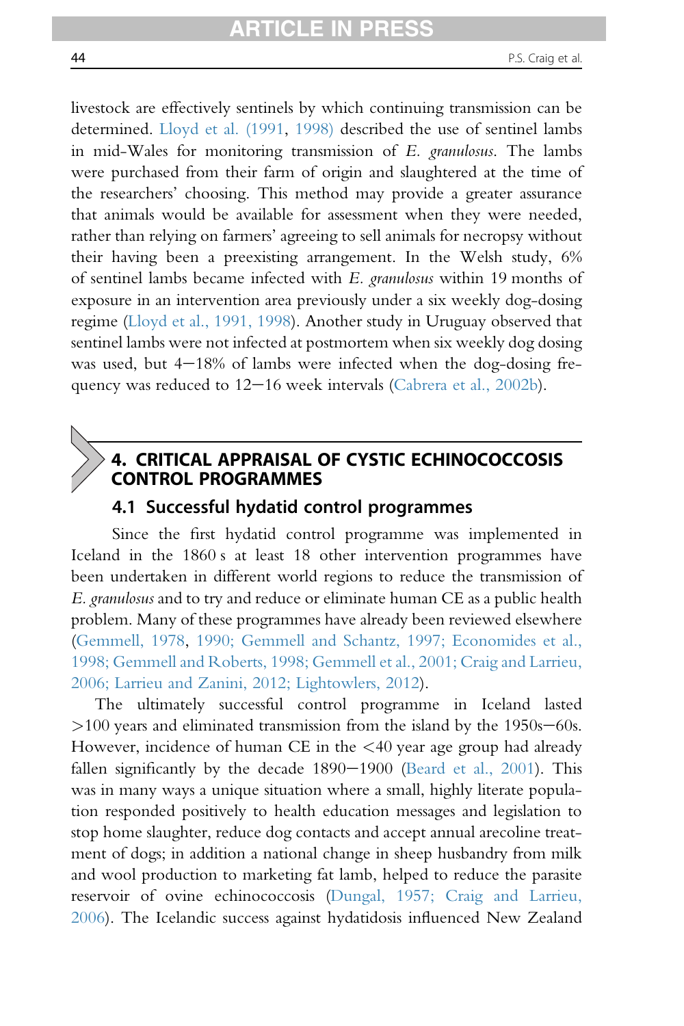livestock are effectively sentinels by which continuing transmission can be determined. [Lloyd et al. \(1991,](#page-95-0) [1998\)](#page-95-0) described the use of sentinel lambs in mid-Wales for monitoring transmission of E. granulosus. The lambs were purchased from their farm of origin and slaughtered at the time of the researchers' choosing. This method may provide a greater assurance that animals would be available for assessment when they were needed, rather than relying on farmers' agreeing to sell animals for necropsy without their having been a preexisting arrangement. In the Welsh study, 6% of sentinel lambs became infected with E. granulosus within 19 months of exposure in an intervention area previously under a six weekly dog-dosing regime ([Lloyd et al., 1991, 1998\)](#page-95-0). Another study in Uruguay observed that sentinel lambs were not infected at postmortem when six weekly dog dosing was used, but  $4-18\%$  of lambs were infected when the dog-dosing frequency was reduced to  $12-16$  week intervals ([Cabrera et al., 2002b\)](#page-86-0).

# 4. CRITICAL APPRAISAL OF CYSTIC ECHINOCOCCOSIS CONTROL PROGRAMMES

# 4.1 Successful hydatid control programmes

Since the first hydatid control programme was implemented in Iceland in the 1860 s at least 18 other intervention programmes have been undertaken in different world regions to reduce the transmission of E. granulosus and to try and reduce or eliminate human CE as a public health problem. Many of these programmes have already been reviewed elsewhere [\(Gemmell, 1978,](#page-89-0) [1990; Gemmell and Schantz, 1997; Economides et al.,](#page-90-0) [1998; Gemmell and Roberts, 1998; Gemmell et al., 2001; Craig and Larrieu,](#page-90-0) [2006; Larrieu and Zanini, 2012; Lightowlers, 2012\)](#page-90-0).

The ultimately successful control programme in Iceland lasted  $>100$  years and eliminated transmission from the island by the 1950s–60s. However, incidence of human CE in the <40 year age group had already fallen significantly by the decade  $1890-1900$  [\(Beard et al., 2001\)](#page-85-0). This was in many ways a unique situation where a small, highly literate population responded positively to health education messages and legislation to stop home slaughter, reduce dog contacts and accept annual arecoline treatment of dogs; in addition a national change in sheep husbandry from milk and wool production to marketing fat lamb, helped to reduce the parasite reservoir of ovine echinococcosis ([Dungal, 1957; Craig and Larrieu,](#page-88-0) [2006](#page-88-0)). The Icelandic success against hydatidosis influenced New Zealand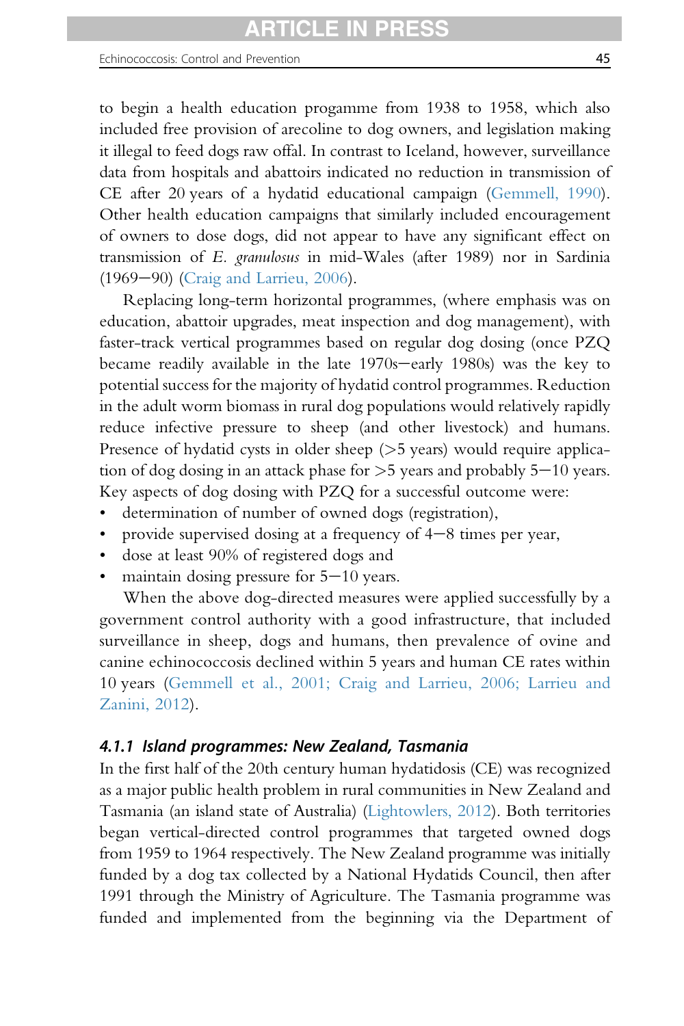to begin a health education progamme from 1938 to 1958, which also included free provision of arecoline to dog owners, and legislation making it illegal to feed dogs raw offal. In contrast to Iceland, however, surveillance data from hospitals and abattoirs indicated no reduction in transmission of CE after 20 years of a hydatid educational campaign [\(Gemmell, 1990\)](#page-90-0). Other health education campaigns that similarly included encouragement of owners to dose dogs, did not appear to have any significant effect on transmission of E. granulosus in mid-Wales (after 1989) nor in Sardinia (1969-90) [\(Craig and Larrieu, 2006\)](#page-87-0).

Replacing long-term horizontal programmes, (where emphasis was on education, abattoir upgrades, meat inspection and dog management), with faster-track vertical programmes based on regular dog dosing (once PZQ became readily available in the late 1970s-early 1980s) was the key to potential success for the majority of hydatid control programmes. Reduction in the adult worm biomass in rural dog populations would relatively rapidly reduce infective pressure to sheep (and other livestock) and humans. Presence of hydatid cysts in older sheep  $(>5$  years) would require application of dog dosing in an attack phase for  $>5$  years and probably  $5-10$  years. Key aspects of dog dosing with PZQ for a successful outcome were:

- determination of number of owned dogs (registration),
- provide supervised dosing at a frequency of  $4-8$  times per year,
- dose at least 90% of registered dogs and
- maintain dosing pressure for  $5-10$  years.

When the above dog-directed measures were applied successfully by a government control authority with a good infrastructure, that included surveillance in sheep, dogs and humans, then prevalence of ovine and canine echinococcosis declined within 5 years and human CE rates within 10 years [\(Gemmell et al., 2001; Craig and Larrieu, 2006; Larrieu and](#page-90-0) [Zanini, 2012\)](#page-90-0).

### 4.1.1 Island programmes: New Zealand, Tasmania

In the first half of the 20th century human hydatidosis (CE) was recognized as a major public health problem in rural communities in New Zealand and Tasmania (an island state of Australia) [\(Lightowlers, 2012](#page-95-0)). Both territories began vertical-directed control programmes that targeted owned dogs from 1959 to 1964 respectively. The New Zealand programme was initially funded by a dog tax collected by a National Hydatids Council, then after 1991 through the Ministry of Agriculture. The Tasmania programme was funded and implemented from the beginning via the Department of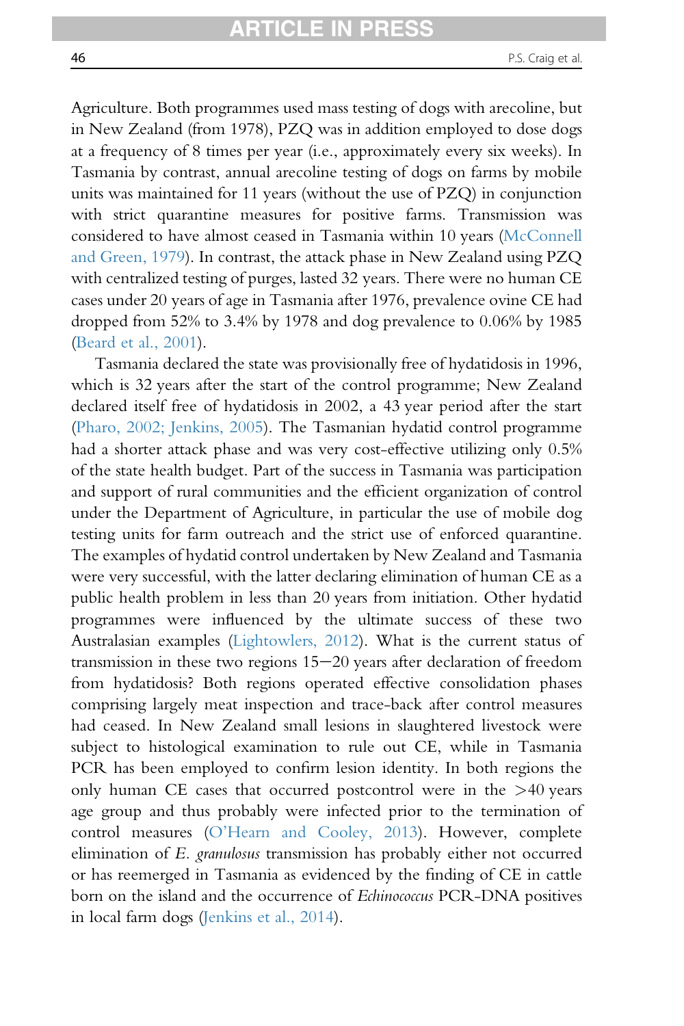Agriculture. Both programmes used mass testing of dogs with arecoline, but in New Zealand (from 1978), PZQ was in addition employed to dose dogs at a frequency of 8 times per year (i.e., approximately every six weeks). In Tasmania by contrast, annual arecoline testing of dogs on farms by mobile units was maintained for 11 years (without the use of PZQ) in conjunction with strict quarantine measures for positive farms. Transmission was considered to have almost ceased in Tasmania within 10 years [\(McConnell](#page-96-0) [and Green, 1979\)](#page-96-0). In contrast, the attack phase in New Zealand using PZQ with centralized testing of purges, lasted 32 years. There were no human CE cases under 20 years of age in Tasmania after 1976, prevalence ovine CE had dropped from 52% to 3.4% by 1978 and dog prevalence to 0.06% by 1985 [\(Beard et al., 2001\)](#page-85-0).

Tasmania declared the state was provisionally free of hydatidosis in 1996, which is 32 years after the start of the control programme; New Zealand declared itself free of hydatidosis in 2002, a 43 year period after the start [\(Pharo, 2002; Jenkins, 2005](#page-98-0)). The Tasmanian hydatid control programme had a shorter attack phase and was very cost-effective utilizing only 0.5% of the state health budget. Part of the success in Tasmania was participation and support of rural communities and the efficient organization of control under the Department of Agriculture, in particular the use of mobile dog testing units for farm outreach and the strict use of enforced quarantine. The examples of hydatid control undertaken by New Zealand and Tasmania were very successful, with the latter declaring elimination of human CE as a public health problem in less than 20 years from initiation. Other hydatid programmes were influenced by the ultimate success of these two Australasian examples [\(Lightowlers, 2012\)](#page-95-0). What is the current status of transmission in these two regions  $15-20$  years after declaration of freedom from hydatidosis? Both regions operated effective consolidation phases comprising largely meat inspection and trace-back after control measures had ceased. In New Zealand small lesions in slaughtered livestock were subject to histological examination to rule out CE, while in Tasmania PCR has been employed to confirm lesion identity. In both regions the only human CE cases that occurred postcontrol were in the  $>40$  years age group and thus probably were infected prior to the termination of control measures (O'[Hearn and Cooley, 2013\)](#page-97-0). However, complete elimination of E. granulosus transmission has probably either not occurred or has reemerged in Tasmania as evidenced by the finding of CE in cattle born on the island and the occurrence of Echinococcus PCR-DNA positives in local farm dogs [\(Jenkins et al., 2014\)](#page-93-0).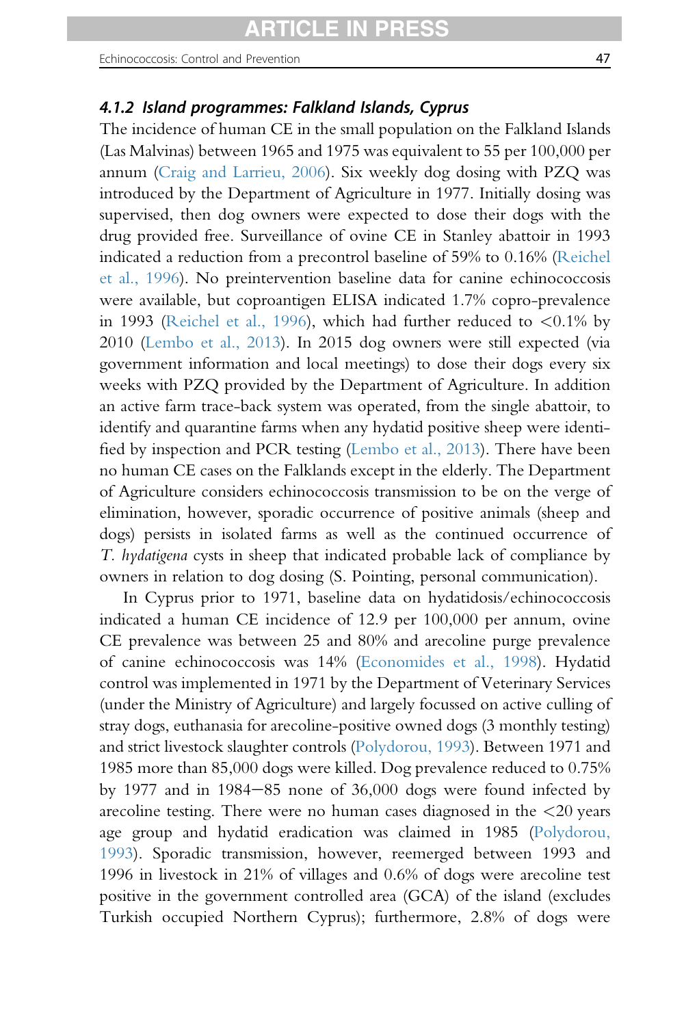<span id="page-46-0"></span>Echinococcosis: Control and Prevention 47

## 4.1.2 Island programmes: Falkland Islands, Cyprus

The incidence of human CE in the small population on the Falkland Islands (Las Malvinas) between 1965 and 1975 was equivalent to 55 per 100,000 per annum ([Craig and Larrieu, 2006\)](#page-87-0). Six weekly dog dosing with PZQ was introduced by the Department of Agriculture in 1977. Initially dosing was supervised, then dog owners were expected to dose their dogs with the drug provided free. Surveillance of ovine CE in Stanley abattoir in 1993 indicated a reduction from a precontrol baseline of 59% to 0.16% ([Reichel](#page-98-0) [et al., 1996](#page-98-0)). No preintervention baseline data for canine echinococcosis were available, but coproantigen ELISA indicated 1.7% copro-prevalence in 1993 ([Reichel et al., 1996\)](#page-98-0), which had further reduced to <0.1% by 2010 ([Lembo et al., 2013](#page-94-0)). In 2015 dog owners were still expected (via government information and local meetings) to dose their dogs every six weeks with PZQ provided by the Department of Agriculture. In addition an active farm trace-back system was operated, from the single abattoir, to identify and quarantine farms when any hydatid positive sheep were identified by inspection and PCR testing ([Lembo et al., 2013](#page-94-0)). There have been no human CE cases on the Falklands except in the elderly. The Department of Agriculture considers echinococcosis transmission to be on the verge of elimination, however, sporadic occurrence of positive animals (sheep and dogs) persists in isolated farms as well as the continued occurrence of T. hydatigena cysts in sheep that indicated probable lack of compliance by owners in relation to dog dosing (S. Pointing, personal communication).

In Cyprus prior to 1971, baseline data on hydatidosis/echinococcosis indicated a human CE incidence of 12.9 per 100,000 per annum, ovine CE prevalence was between 25 and 80% and arecoline purge prevalence of canine echinococcosis was 14% ([Economides et al., 1998](#page-89-0)). Hydatid control was implemented in 1971 by the Department of Veterinary Services (under the Ministry of Agriculture) and largely focussed on active culling of stray dogs, euthanasia for arecoline-positive owned dogs (3 monthly testing) and strict livestock slaughter controls [\(Polydorou, 1993\)](#page-98-0). Between 1971 and 1985 more than 85,000 dogs were killed. Dog prevalence reduced to 0.75% by 1977 and in 1984 $-85$  none of 36,000 dogs were found infected by arecoline testing. There were no human cases diagnosed in the  $\langle 20 \rangle$  years age group and hydatid eradication was claimed in 1985 [\(Polydorou,](#page-98-0) [1993](#page-98-0)). Sporadic transmission, however, reemerged between 1993 and 1996 in livestock in 21% of villages and 0.6% of dogs were arecoline test positive in the government controlled area (GCA) of the island (excludes Turkish occupied Northern Cyprus); furthermore, 2.8% of dogs were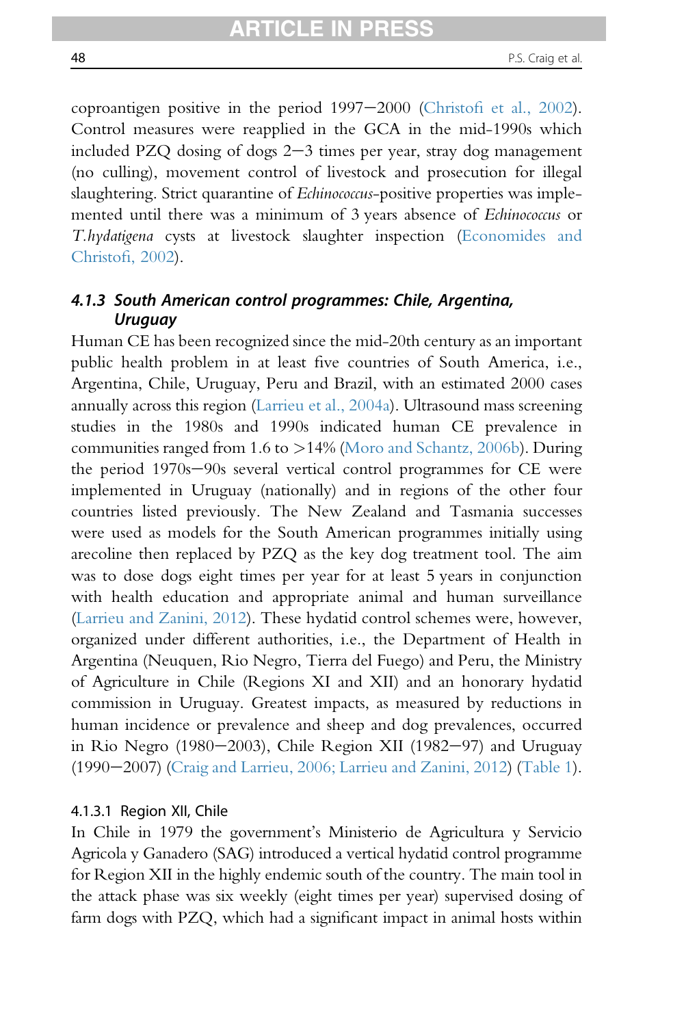coproantigen positive in the period  $1997-2000$  (Christofi [et al., 2002\)](#page-86-0). Control measures were reapplied in the GCA in the mid-1990s which included PZQ dosing of dogs  $2-3$  times per year, stray dog management (no culling), movement control of livestock and prosecution for illegal slaughtering. Strict quarantine of Echinococcus-positive properties was implemented until there was a minimum of 3 years absence of Echinococcus or T.hydatigena cysts at livestock slaughter inspection ([Economides and](#page-88-0) [Christo](#page-88-0)fi, 2002).

## 4.1.3 South American control programmes: Chile, Argentina, Uruguay

Human CE has been recognized since the mid-20th century as an important public health problem in at least five countries of South America, i.e., Argentina, Chile, Uruguay, Peru and Brazil, with an estimated 2000 cases annually across this region ([Larrieu et al., 2004a](#page-94-0)). Ultrasound mass screening studies in the 1980s and 1990s indicated human CE prevalence in communities ranged from 1.6 to >14% ([Moro and Schantz, 2006b](#page-97-0)). During the period 1970s-90s several vertical control programmes for CE were implemented in Uruguay (nationally) and in regions of the other four countries listed previously. The New Zealand and Tasmania successes were used as models for the South American programmes initially using arecoline then replaced by PZQ as the key dog treatment tool. The aim was to dose dogs eight times per year for at least 5 years in conjunction with health education and appropriate animal and human surveillance [\(Larrieu and Zanini, 2012\)](#page-94-0). These hydatid control schemes were, however, organized under different authorities, i.e., the Department of Health in Argentina (Neuquen, Rio Negro, Tierra del Fuego) and Peru, the Ministry of Agriculture in Chile (Regions XI and XII) and an honorary hydatid commission in Uruguay. Greatest impacts, as measured by reductions in human incidence or prevalence and sheep and dog prevalences, occurred in Rio Negro (1980–2003), Chile Region XII (1982–97) and Uruguay  $(1990-2007)$  ([Craig and Larrieu, 2006; Larrieu and Zanini, 2012](#page-87-0)) [\(Table 1\)](#page-4-0).

#### 4.1.3.1 Region XII, Chile

In Chile in 1979 the government's Ministerio de Agricultura y Servicio Agricola y Ganadero (SAG) introduced a vertical hydatid control programme for Region XII in the highly endemic south of the country. The main tool in the attack phase was six weekly (eight times per year) supervised dosing of farm dogs with PZQ, which had a significant impact in animal hosts within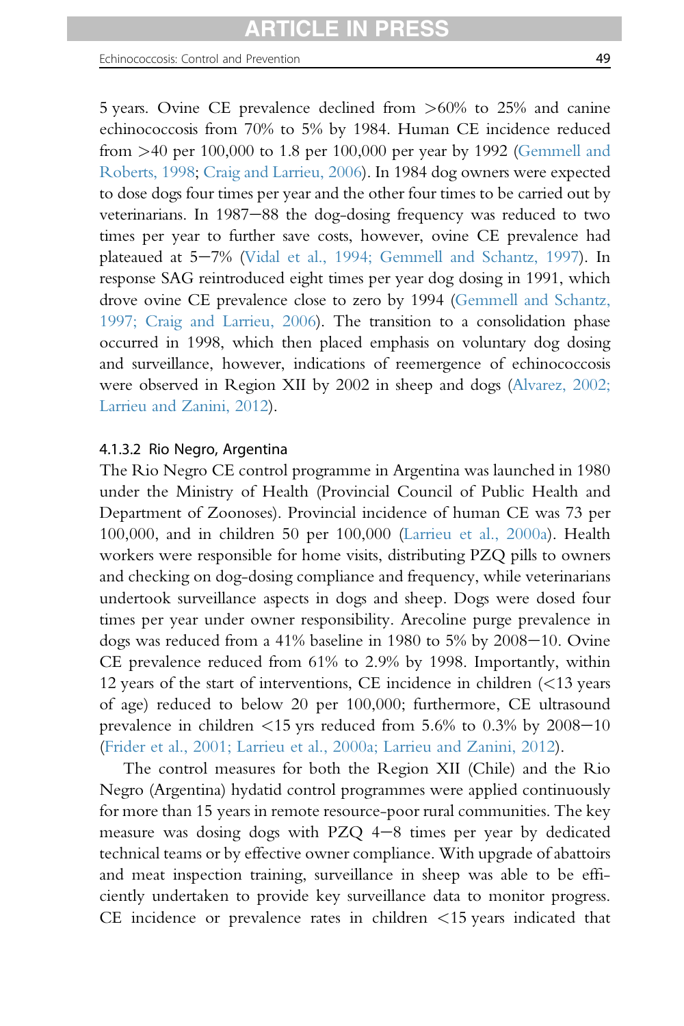#### Echinococcosis: Control and Prevention 49

5 years. Ovine CE prevalence declined from >60% to 25% and canine echinococcosis from 70% to 5% by 1984. Human CE incidence reduced from >40 per 100,000 to 1.8 per 100,000 per year by 1992 [\(Gemmell and](#page-90-0) [Roberts, 1998](#page-90-0); [Craig and Larrieu, 2006](#page-87-0)). In 1984 dog owners were expected to dose dogs four times per year and the other four times to be carried out by veterinarians. In 1987-88 the dog-dosing frequency was reduced to two times per year to further save costs, however, ovine CE prevalence had plateaued at 5-7% [\(Vidal et al., 1994; Gemmell and Schantz, 1997\)](#page-102-0). In response SAG reintroduced eight times per year dog dosing in 1991, which drove ovine CE prevalence close to zero by 1994 [\(Gemmell and Schantz,](#page-90-0) [1997; Craig and Larrieu, 2006\)](#page-90-0). The transition to a consolidation phase occurred in 1998, which then placed emphasis on voluntary dog dosing and surveillance, however, indications of reemergence of echinococcosis were observed in Region XII by 2002 in sheep and dogs [\(Alvarez, 2002;](#page-84-0) [Larrieu and Zanini, 2012](#page-84-0)).

#### 4.1.3.2 Rio Negro, Argentina

The Rio Negro CE control programme in Argentina was launched in 1980 under the Ministry of Health (Provincial Council of Public Health and Department of Zoonoses). Provincial incidence of human CE was 73 per 100,000, and in children 50 per 100,000 ([Larrieu et al., 2000a\)](#page-94-0). Health workers were responsible for home visits, distributing PZQ pills to owners and checking on dog-dosing compliance and frequency, while veterinarians undertook surveillance aspects in dogs and sheep. Dogs were dosed four times per year under owner responsibility. Arecoline purge prevalence in dogs was reduced from a  $41\%$  baseline in 1980 to  $5\%$  by  $2008-10$ . Ovine CE prevalence reduced from 61% to 2.9% by 1998. Importantly, within 12 years of the start of interventions, CE incidence in children (<13 years of age) reduced to below 20 per 100,000; furthermore, CE ultrasound prevalence in children  $\leq 15$  yrs reduced from 5.6% to 0.3% by 2008–10 ([Frider et al., 2001; Larrieu et al., 2000a; Larrieu and Zanini, 2012\)](#page-89-0).

The control measures for both the Region XII (Chile) and the Rio Negro (Argentina) hydatid control programmes were applied continuously for more than 15 years in remote resource-poor rural communities. The key measure was dosing dogs with PZQ  $4-8$  times per year by dedicated technical teams or by effective owner compliance. With upgrade of abattoirs and meat inspection training, surveillance in sheep was able to be efficiently undertaken to provide key surveillance data to monitor progress. CE incidence or prevalence rates in children <15 years indicated that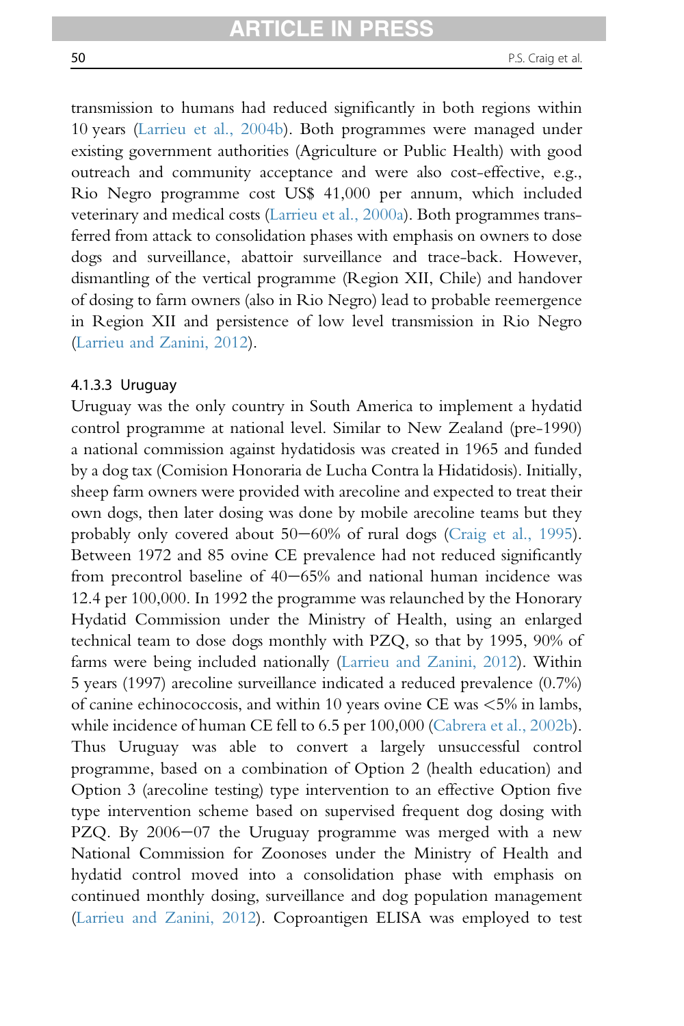transmission to humans had reduced significantly in both regions within 10 years [\(Larrieu et al., 2004b](#page-94-0)). Both programmes were managed under existing government authorities (Agriculture or Public Health) with good outreach and community acceptance and were also cost-effective, e.g., Rio Negro programme cost US\$ 41,000 per annum, which included veterinary and medical costs [\(Larrieu et al., 2000a\)](#page-94-0). Both programmes transferred from attack to consolidation phases with emphasis on owners to dose dogs and surveillance, abattoir surveillance and trace-back. However, dismantling of the vertical programme (Region XII, Chile) and handover of dosing to farm owners (also in Rio Negro) lead to probable reemergence in Region XII and persistence of low level transmission in Rio Negro [\(Larrieu and Zanini, 2012\)](#page-94-0).

#### 4.1.3.3 Uruguay

Uruguay was the only country in South America to implement a hydatid control programme at national level. Similar to New Zealand (pre-1990) a national commission against hydatidosis was created in 1965 and funded by a dog tax (Comision Honoraria de Lucha Contra la Hidatidosis). Initially, sheep farm owners were provided with arecoline and expected to treat their own dogs, then later dosing was done by mobile arecoline teams but they probably only covered about  $50-60\%$  of rural dogs [\(Craig et al., 1995\)](#page-87-0). Between 1972 and 85 ovine CE prevalence had not reduced significantly from precontrol baseline of  $40-65%$  and national human incidence was 12.4 per 100,000. In 1992 the programme was relaunched by the Honorary Hydatid Commission under the Ministry of Health, using an enlarged technical team to dose dogs monthly with PZQ, so that by 1995, 90% of farms were being included nationally [\(Larrieu and Zanini, 2012\)](#page-94-0). Within 5 years (1997) arecoline surveillance indicated a reduced prevalence (0.7%) of canine echinococcosis, and within 10 years ovine CE was <5% in lambs, while incidence of human CE fell to 6.5 per 100,000 [\(Cabrera et al., 2002b\)](#page-86-0). Thus Uruguay was able to convert a largely unsuccessful control programme, based on a combination of Option 2 (health education) and Option 3 (arecoline testing) type intervention to an effective Option five type intervention scheme based on supervised frequent dog dosing with PZQ. By  $2006-07$  the Uruguay programme was merged with a new National Commission for Zoonoses under the Ministry of Health and hydatid control moved into a consolidation phase with emphasis on continued monthly dosing, surveillance and dog population management [\(Larrieu and Zanini, 2012\)](#page-94-0). Coproantigen ELISA was employed to test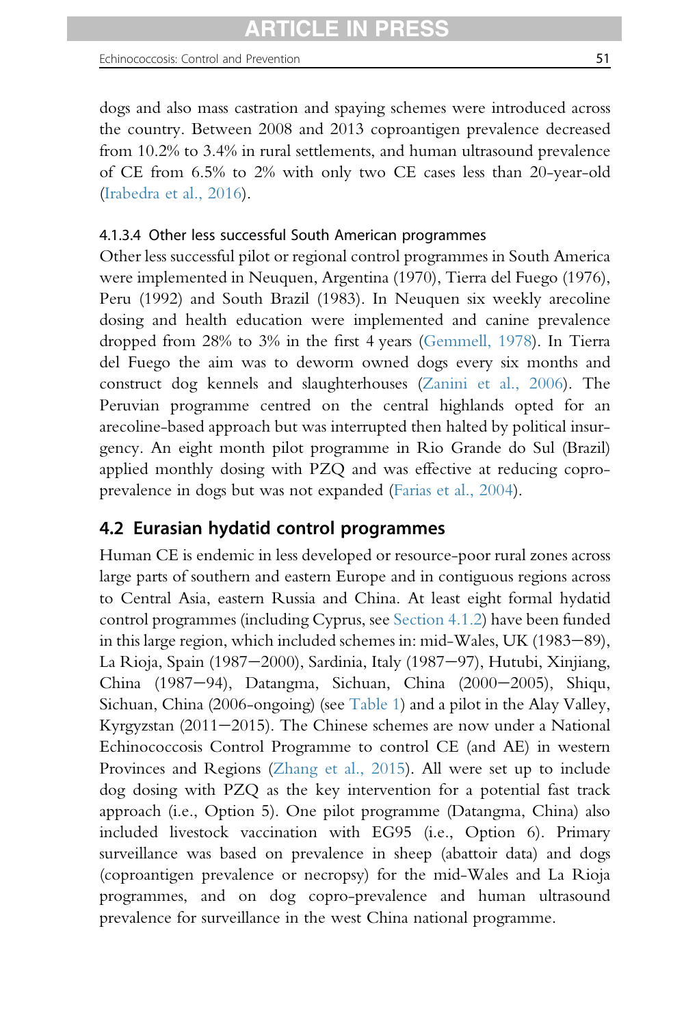dogs and also mass castration and spaying schemes were introduced across the country. Between 2008 and 2013 coproantigen prevalence decreased from 10.2% to 3.4% in rural settlements, and human ultrasound prevalence of CE from 6.5% to 2% with only two CE cases less than 20-year-old ([Irabedra et al., 2016\)](#page-92-0).

## 4.1.3.4 Other less successful South American programmes

Other less successful pilot or regional control programmes in South America were implemented in Neuquen, Argentina (1970), Tierra del Fuego (1976), Peru (1992) and South Brazil (1983). In Neuquen six weekly arecoline dosing and health education were implemented and canine prevalence dropped from 28% to 3% in the first 4 years [\(Gemmell, 1978\)](#page-89-0). In Tierra del Fuego the aim was to deworm owned dogs every six months and construct dog kennels and slaughterhouses ([Zanini et al., 2006\)](#page-103-0). The Peruvian programme centred on the central highlands opted for an arecoline-based approach but was interrupted then halted by political insurgency. An eight month pilot programme in Rio Grande do Sul (Brazil) applied monthly dosing with PZQ and was effective at reducing coproprevalence in dogs but was not expanded ([Farias et al., 2004](#page-89-0)).

# 4.2 Eurasian hydatid control programmes

Human CE is endemic in less developed or resource-poor rural zones across large parts of southern and eastern Europe and in contiguous regions across to Central Asia, eastern Russia and China. At least eight formal hydatid control programmes (including Cyprus, see [Section 4.1.2](#page-46-0)) have been funded in this large region, which included schemes in: mid-Wales, UK (1983–89), La Rioja, Spain (1987–2000), Sardinia, Italy (1987–97), Hutubi, Xinjiang, China (1987-94), Datangma, Sichuan, China (2000-2005), Shiqu, Sichuan, China (2006-ongoing) (see [Table 1\)](#page-4-0) and a pilot in the Alay Valley, Kyrgyzstan (2011–2015). The Chinese schemes are now under a National Echinococcosis Control Programme to control CE (and AE) in western Provinces and Regions [\(Zhang et al., 2015\)](#page-103-0). All were set up to include dog dosing with PZQ as the key intervention for a potential fast track approach (i.e., Option 5). One pilot programme (Datangma, China) also included livestock vaccination with EG95 (i.e., Option 6). Primary surveillance was based on prevalence in sheep (abattoir data) and dogs (coproantigen prevalence or necropsy) for the mid-Wales and La Rioja programmes, and on dog copro-prevalence and human ultrasound prevalence for surveillance in the west China national programme.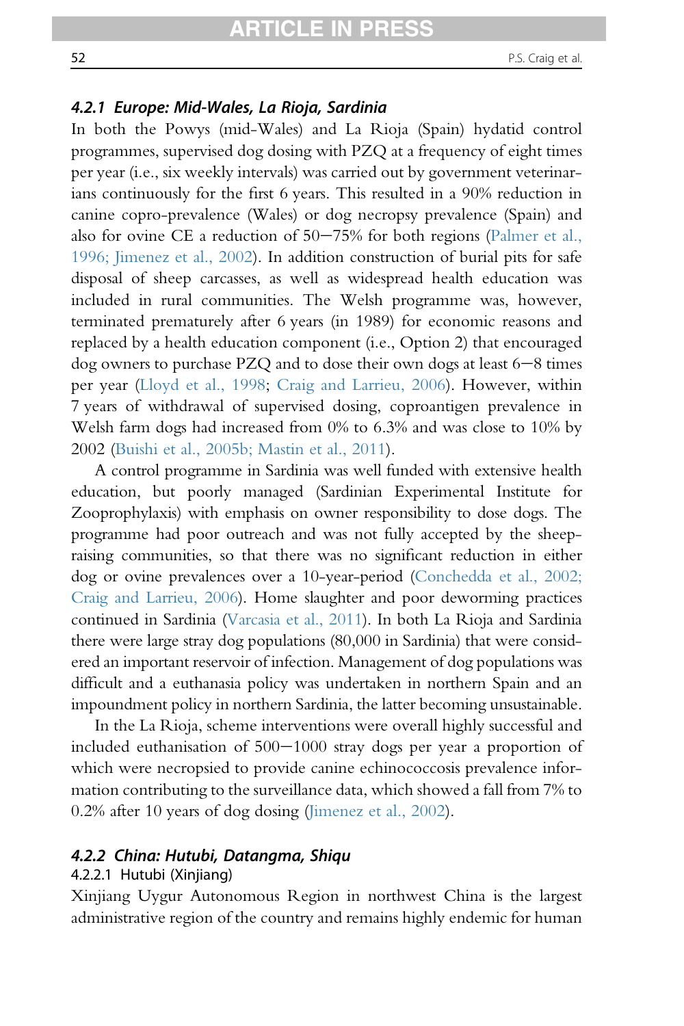### 4.2.1 Europe: Mid-Wales, La Rioja, Sardinia

In both the Powys (mid-Wales) and La Rioja (Spain) hydatid control programmes, supervised dog dosing with PZQ at a frequency of eight times per year (i.e., six weekly intervals) was carried out by government veterinarians continuously for the first 6 years. This resulted in a 90% reduction in canine copro-prevalence (Wales) or dog necropsy prevalence (Spain) and also for ovine CE a reduction of  $50-75%$  for both regions ([Palmer et al.,](#page-98-0) [1996; Jimenez et al., 2002\)](#page-98-0). In addition construction of burial pits for safe disposal of sheep carcasses, as well as widespread health education was included in rural communities. The Welsh programme was, however, terminated prematurely after 6 years (in 1989) for economic reasons and replaced by a health education component (i.e., Option 2) that encouraged dog owners to purchase PZQ and to dose their own dogs at least  $6-8$  times per year [\(Lloyd et al., 1998;](#page-95-0) [Craig and Larrieu, 2006](#page-87-0)). However, within 7 years of withdrawal of supervised dosing, coproantigen prevalence in Welsh farm dogs had increased from 0% to 6.3% and was close to 10% by 2002 ([Buishi et al., 2005b; Mastin et al., 2011\)](#page-86-0).

A control programme in Sardinia was well funded with extensive health education, but poorly managed (Sardinian Experimental Institute for Zooprophylaxis) with emphasis on owner responsibility to dose dogs. The programme had poor outreach and was not fully accepted by the sheepraising communities, so that there was no significant reduction in either dog or ovine prevalences over a 10-year-period [\(Conchedda et al., 2002;](#page-87-0) [Craig and Larrieu, 2006](#page-87-0)). Home slaughter and poor deworming practices continued in Sardinia [\(Varcasia et al., 2011\)](#page-101-0). In both La Rioja and Sardinia there were large stray dog populations (80,000 in Sardinia) that were considered an important reservoir of infection. Management of dog populations was difficult and a euthanasia policy was undertaken in northern Spain and an impoundment policy in northern Sardinia, the latter becoming unsustainable.

In the La Rioja, scheme interventions were overall highly successful and included euthanisation of  $500-1000$  stray dogs per year a proportion of which were necropsied to provide canine echinococcosis prevalence information contributing to the surveillance data, which showed a fall from 7% to 0.2% after 10 years of dog dosing [\(Jimenez et al., 2002](#page-93-0)).

## 4.2.2 China: Hutubi, Datangma, Shiqu

#### 4.2.2.1 Hutubi (Xinjiang)

Xinjiang Uygur Autonomous Region in northwest China is the largest administrative region of the country and remains highly endemic for human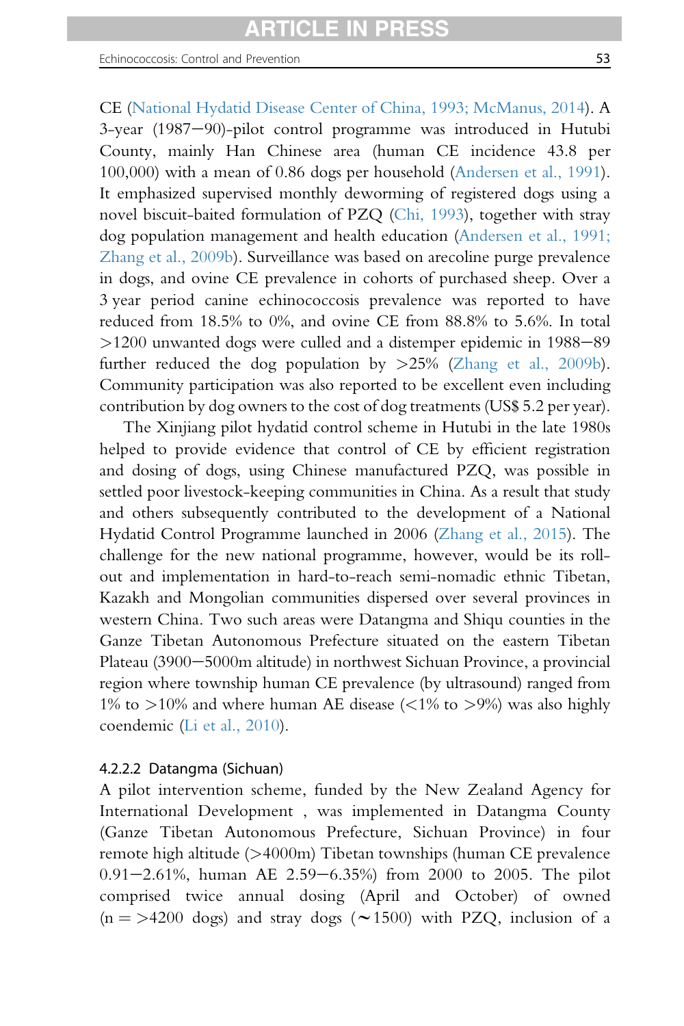Echinococcosis: Control and Prevention 53 and 53

CE [\(National Hydatid Disease Center of China, 1993; McManus, 2014](#page-97-0)). A  $3$ -year (1987–90)-pilot control programme was introduced in Hutubi County, mainly Han Chinese area (human CE incidence 43.8 per 100,000) with a mean of 0.86 dogs per household [\(Andersen et al., 1991\)](#page-84-0). It emphasized supervised monthly deworming of registered dogs using a novel biscuit-baited formulation of PZQ ([Chi, 1993](#page-86-0)), together with stray dog population management and health education ([Andersen et al., 1991;](#page-84-0) [Zhang et al., 2009b](#page-84-0)). Surveillance was based on arecoline purge prevalence in dogs, and ovine CE prevalence in cohorts of purchased sheep. Over a 3 year period canine echinococcosis prevalence was reported to have reduced from 18.5% to 0%, and ovine CE from 88.8% to 5.6%. In total  $>1200$  unwanted dogs were culled and a distemper epidemic in  $1988-89$ further reduced the dog population by  $>25\%$  [\(Zhang et al., 2009b\)](#page-103-0). Community participation was also reported to be excellent even including contribution by dog owners to the cost of dog treatments (US\$ 5.2 per year).

The Xinjiang pilot hydatid control scheme in Hutubi in the late 1980s helped to provide evidence that control of CE by efficient registration and dosing of dogs, using Chinese manufactured PZQ, was possible in settled poor livestock-keeping communities in China. As a result that study and others subsequently contributed to the development of a National Hydatid Control Programme launched in 2006 ([Zhang et al., 2015](#page-103-0)). The challenge for the new national programme, however, would be its rollout and implementation in hard-to-reach semi-nomadic ethnic Tibetan, Kazakh and Mongolian communities dispersed over several provinces in western China. Two such areas were Datangma and Shiqu counties in the Ganze Tibetan Autonomous Prefecture situated on the eastern Tibetan Plateau (3900–5000m altitude) in northwest Sichuan Province, a provincial region where township human CE prevalence (by ultrasound) ranged from 1% to  $>$ 10% and where human AE disease (<1% to  $>$ 9%) was also highly coendemic [\(Li et al., 2010\)](#page-94-0).

### 4.2.2.2 Datangma (Sichuan)

A pilot intervention scheme, funded by the New Zealand Agency for International Development , was implemented in Datangma County (Ganze Tibetan Autonomous Prefecture, Sichuan Province) in four remote high altitude (>4000m) Tibetan townships (human CE prevalence  $0.91-2.61\%$ , human AE 2.59-6.35%) from 2000 to 2005. The pilot comprised twice annual dosing (April and October) of owned  $(n = > 4200$  dogs) and stray dogs ( $\sim 1500$ ) with PZQ, inclusion of a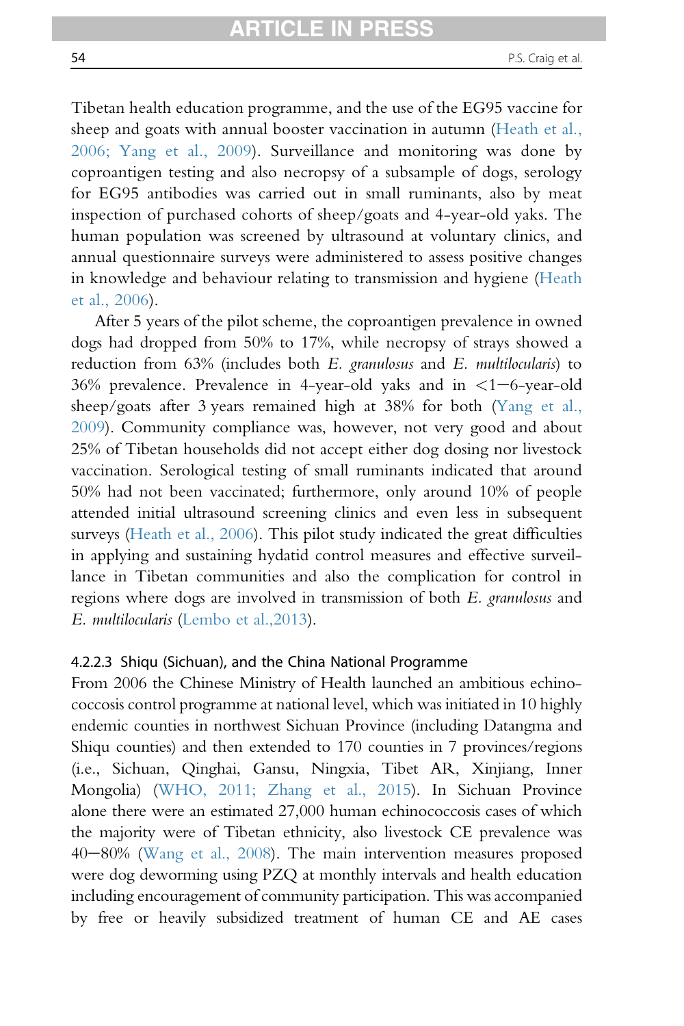Tibetan health education programme, and the use of the EG95 vaccine for sheep and goats with annual booster vaccination in autumn ([Heath et al.,](#page-91-0) [2006; Yang et al., 2009](#page-91-0)). Surveillance and monitoring was done by coproantigen testing and also necropsy of a subsample of dogs, serology for EG95 antibodies was carried out in small ruminants, also by meat inspection of purchased cohorts of sheep/goats and 4-year-old yaks. The human population was screened by ultrasound at voluntary clinics, and annual questionnaire surveys were administered to assess positive changes in knowledge and behaviour relating to transmission and hygiene ([Heath](#page-91-0) [et al., 2006](#page-91-0)).

After 5 years of the pilot scheme, the coproantigen prevalence in owned dogs had dropped from 50% to 17%, while necropsy of strays showed a reduction from 63% (includes both E. granulosus and E. multilocularis) to 36% prevalence. Prevalence in 4-year-old yaks and in  $\lt 1-6$ -year-old sheep/goats after 3 years remained high at 38% for both [\(Yang et al.,](#page-103-0) [2009](#page-103-0)). Community compliance was, however, not very good and about 25% of Tibetan households did not accept either dog dosing nor livestock vaccination. Serological testing of small ruminants indicated that around 50% had not been vaccinated; furthermore, only around 10% of people attended initial ultrasound screening clinics and even less in subsequent surveys ([Heath et al., 2006](#page-91-0)). This pilot study indicated the great difficulties in applying and sustaining hydatid control measures and effective surveillance in Tibetan communities and also the complication for control in regions where dogs are involved in transmission of both E. granulosus and E. multilocularis [\(Lembo et al.,2013](#page-94-0)).

#### 4.2.2.3 Shiqu (Sichuan), and the China National Programme

From 2006 the Chinese Ministry of Health launched an ambitious echinococcosis control programme at national level, which was initiated in 10 highly endemic counties in northwest Sichuan Province (including Datangma and Shiqu counties) and then extended to 170 counties in 7 provinces/regions (i.e., Sichuan, Qinghai, Gansu, Ningxia, Tibet AR, Xinjiang, Inner Mongolia) ([WHO, 2011; Zhang et al., 2015\)](#page-102-0). In Sichuan Province alone there were an estimated 27,000 human echinococcosis cases of which the majority were of Tibetan ethnicity, also livestock CE prevalence was  $40-80\%$  ([Wang et al., 2008](#page-102-0)). The main intervention measures proposed were dog deworming using PZQ at monthly intervals and health education including encouragement of community participation. This was accompanied by free or heavily subsidized treatment of human CE and AE cases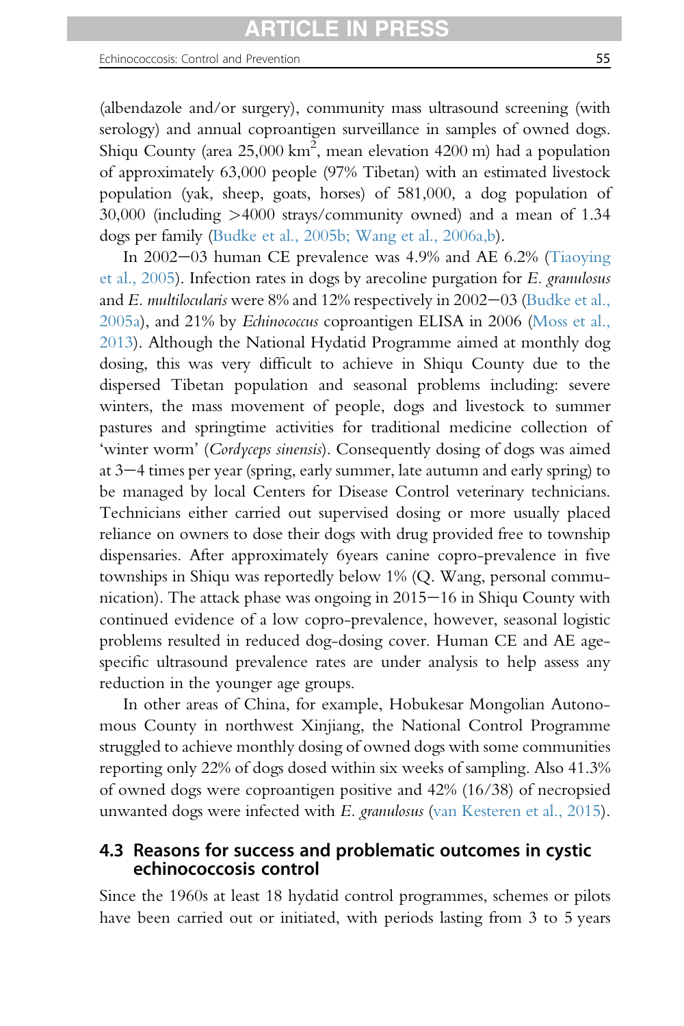(albendazole and/or surgery), community mass ultrasound screening (with serology) and annual coproantigen surveillance in samples of owned dogs. Shiqu County (area 25,000 km<sup>2</sup>, mean elevation 4200 m) had a population of approximately 63,000 people (97% Tibetan) with an estimated livestock population (yak, sheep, goats, horses) of 581,000, a dog population of 30,000 (including >4000 strays/community owned) and a mean of 1.34 dogs per family [\(Budke et al., 2005b; Wang et al., 2006a,b](#page-86-0)).

In  $2002-03$  human CE prevalence was  $4.9\%$  and AE  $6.2\%$  ([Tiaoying](#page-100-0) [et al., 2005\)](#page-100-0). Infection rates in dogs by arecoline purgation for E. granulosus and E. multilocularis were 8% and 12% respectively in  $2002-03$  [\(Budke et al.,](#page-85-0) [2005a\)](#page-85-0), and 21% by Echinococcus coproantigen ELISA in 2006 [\(Moss et al.,](#page-97-0) [2013](#page-97-0)). Although the National Hydatid Programme aimed at monthly dog dosing, this was very difficult to achieve in Shiqu County due to the dispersed Tibetan population and seasonal problems including: severe winters, the mass movement of people, dogs and livestock to summer pastures and springtime activities for traditional medicine collection of 'winter worm' (Cordyceps sinensis). Consequently dosing of dogs was aimed at  $3-4$  times per year (spring, early summer, late autumn and early spring) to be managed by local Centers for Disease Control veterinary technicians. Technicians either carried out supervised dosing or more usually placed reliance on owners to dose their dogs with drug provided free to township dispensaries. After approximately 6years canine copro-prevalence in five townships in Shiqu was reportedly below 1% (Q. Wang, personal communication). The attack phase was ongoing in  $2015-16$  in Shiqu County with continued evidence of a low copro-prevalence, however, seasonal logistic problems resulted in reduced dog-dosing cover. Human CE and AE agespecific ultrasound prevalence rates are under analysis to help assess any reduction in the younger age groups.

In other areas of China, for example, Hobukesar Mongolian Autonomous County in northwest Xinjiang, the National Control Programme struggled to achieve monthly dosing of owned dogs with some communities reporting only 22% of dogs dosed within six weeks of sampling. Also 41.3% of owned dogs were coproantigen positive and 42% (16/38) of necropsied unwanted dogs were infected with E. granulosus ([van Kesteren et al., 2015\)](#page-101-0).

# 4.3 Reasons for success and problematic outcomes in cystic echinococcosis control

Since the 1960s at least 18 hydatid control programmes, schemes or pilots have been carried out or initiated, with periods lasting from 3 to 5 years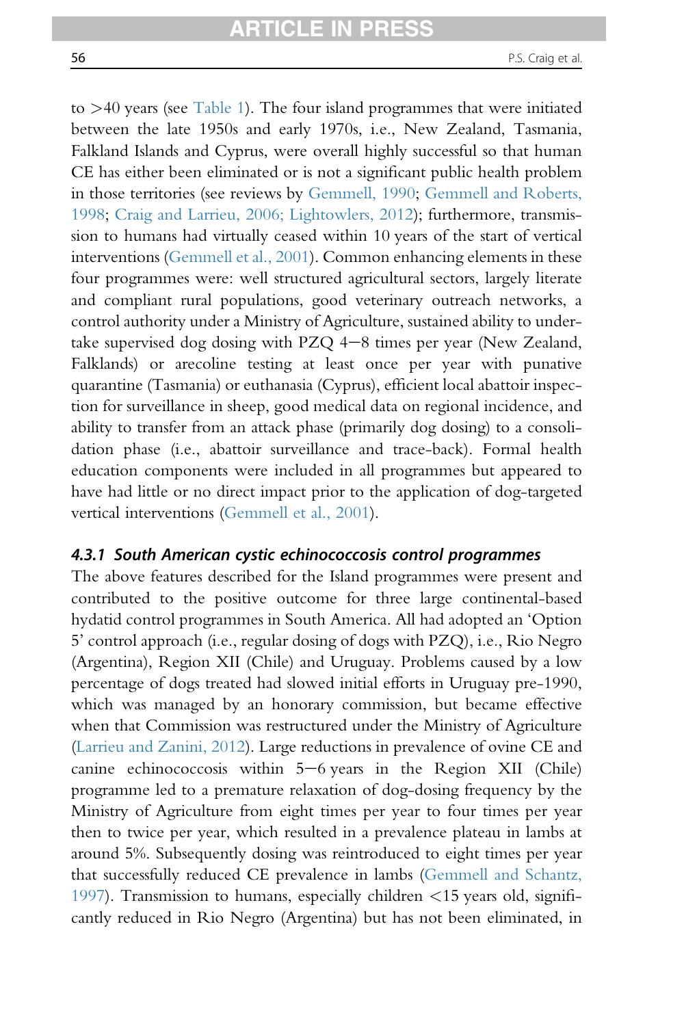to  $>40$  years (see [Table 1\)](#page-4-0). The four island programmes that were initiated between the late 1950s and early 1970s, i.e., New Zealand, Tasmania, Falkland Islands and Cyprus, were overall highly successful so that human CE has either been eliminated or is not a significant public health problem in those territories (see reviews by [Gemmell, 1990](#page-90-0); [Gemmell and Roberts,](#page-90-0) [1998](#page-90-0); [Craig and Larrieu, 2006; Lightowlers, 2012](#page-87-0)); furthermore, transmission to humans had virtually ceased within 10 years of the start of vertical interventions [\(Gemmell et al., 2001\)](#page-90-0). Common enhancing elements in these four programmes were: well structured agricultural sectors, largely literate and compliant rural populations, good veterinary outreach networks, a control authority under a Ministry of Agriculture, sustained ability to undertake supervised dog dosing with PZQ  $4-8$  times per year (New Zealand, Falklands) or arecoline testing at least once per year with punative quarantine (Tasmania) or euthanasia (Cyprus), efficient local abattoir inspection for surveillance in sheep, good medical data on regional incidence, and ability to transfer from an attack phase (primarily dog dosing) to a consolidation phase (i.e., abattoir surveillance and trace-back). Formal health education components were included in all programmes but appeared to have had little or no direct impact prior to the application of dog-targeted vertical interventions ([Gemmell et al., 2001\)](#page-90-0).

#### 4.3.1 South American cystic echinococcosis control programmes

The above features described for the Island programmes were present and contributed to the positive outcome for three large continental-based hydatid control programmes in South America. All had adopted an 'Option 5' control approach (i.e., regular dosing of dogs with PZQ), i.e., Rio Negro (Argentina), Region XII (Chile) and Uruguay. Problems caused by a low percentage of dogs treated had slowed initial efforts in Uruguay pre-1990, which was managed by an honorary commission, but became effective when that Commission was restructured under the Ministry of Agriculture [\(Larrieu and Zanini, 2012\)](#page-94-0). Large reductions in prevalence of ovine CE and canine echinococcosis within  $5-6$  years in the Region XII (Chile) programme led to a premature relaxation of dog-dosing frequency by the Ministry of Agriculture from eight times per year to four times per year then to twice per year, which resulted in a prevalence plateau in lambs at around 5%. Subsequently dosing was reintroduced to eight times per year that successfully reduced CE prevalence in lambs ([Gemmell and Schantz,](#page-90-0) [1997](#page-90-0)). Transmission to humans, especially children <15 years old, significantly reduced in Rio Negro (Argentina) but has not been eliminated, in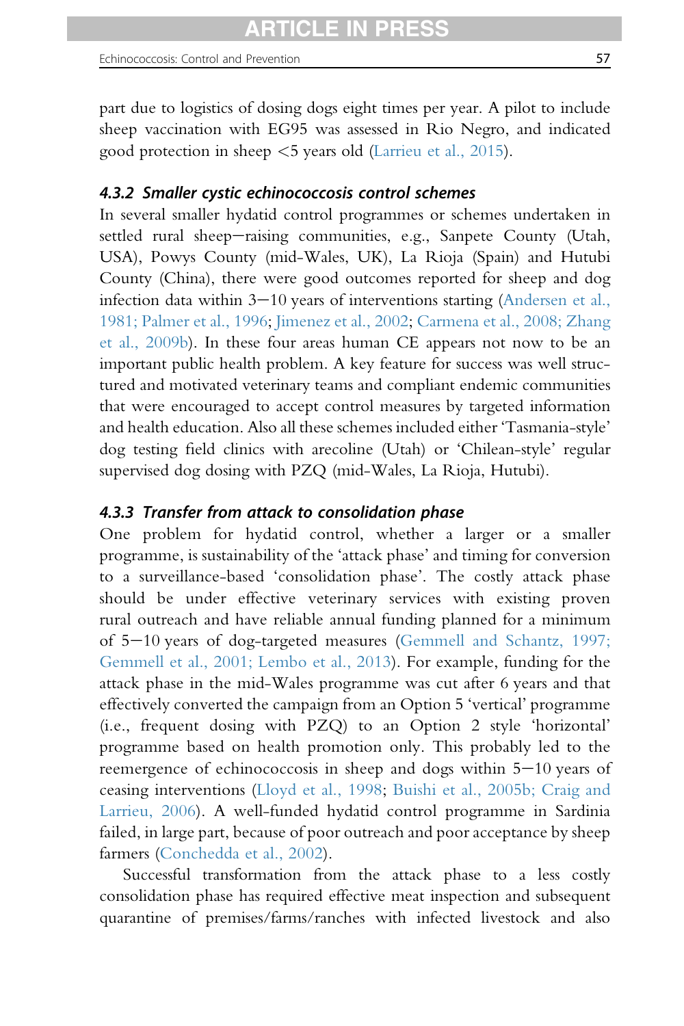part due to logistics of dosing dogs eight times per year. A pilot to include sheep vaccination with EG95 was assessed in Rio Negro, and indicated good protection in sheep <5 years old ([Larrieu et al., 2015](#page-94-0)).

### 4.3.2 Smaller cystic echinococcosis control schemes

In several smaller hydatid control programmes or schemes undertaken in settled rural sheep-raising communities, e.g., Sanpete County (Utah, USA), Powys County (mid-Wales, UK), La Rioja (Spain) and Hutubi County (China), there were good outcomes reported for sheep and dog infection data within  $3-10$  years of interventions starting ([Andersen et al.,](#page-84-0) [1981; Palmer et al., 1996](#page-84-0); [Jimenez et al., 2002](#page-93-0); [Carmena et al., 2008; Zhang](#page-86-0) [et al., 2009b\)](#page-86-0). In these four areas human CE appears not now to be an important public health problem. A key feature for success was well structured and motivated veterinary teams and compliant endemic communities that were encouraged to accept control measures by targeted information and health education. Also all these schemes included either 'Tasmania-style' dog testing field clinics with arecoline (Utah) or 'Chilean-style' regular supervised dog dosing with PZQ (mid-Wales, La Rioja, Hutubi).

#### 4.3.3 Transfer from attack to consolidation phase

One problem for hydatid control, whether a larger or a smaller programme, is sustainability of the 'attack phase' and timing for conversion to a surveillance-based 'consolidation phase'. The costly attack phase should be under effective veterinary services with existing proven rural outreach and have reliable annual funding planned for a minimum of 5-10 years of dog-targeted measures ([Gemmell and Schantz, 1997;](#page-90-0) [Gemmell et al., 2001; Lembo et al., 2013](#page-90-0)). For example, funding for the attack phase in the mid-Wales programme was cut after 6 years and that effectively converted the campaign from an Option 5 'vertical' programme (i.e., frequent dosing with PZQ) to an Option 2 style 'horizontal' programme based on health promotion only. This probably led to the reemergence of echinococcosis in sheep and dogs within  $5-10$  years of ceasing interventions ([Lloyd et al., 1998;](#page-95-0) [Buishi et al., 2005b; Craig and](#page-86-0) [Larrieu, 2006\)](#page-86-0). A well-funded hydatid control programme in Sardinia failed, in large part, because of poor outreach and poor acceptance by sheep farmers ([Conchedda et al., 2002\)](#page-87-0).

Successful transformation from the attack phase to a less costly consolidation phase has required effective meat inspection and subsequent quarantine of premises/farms/ranches with infected livestock and also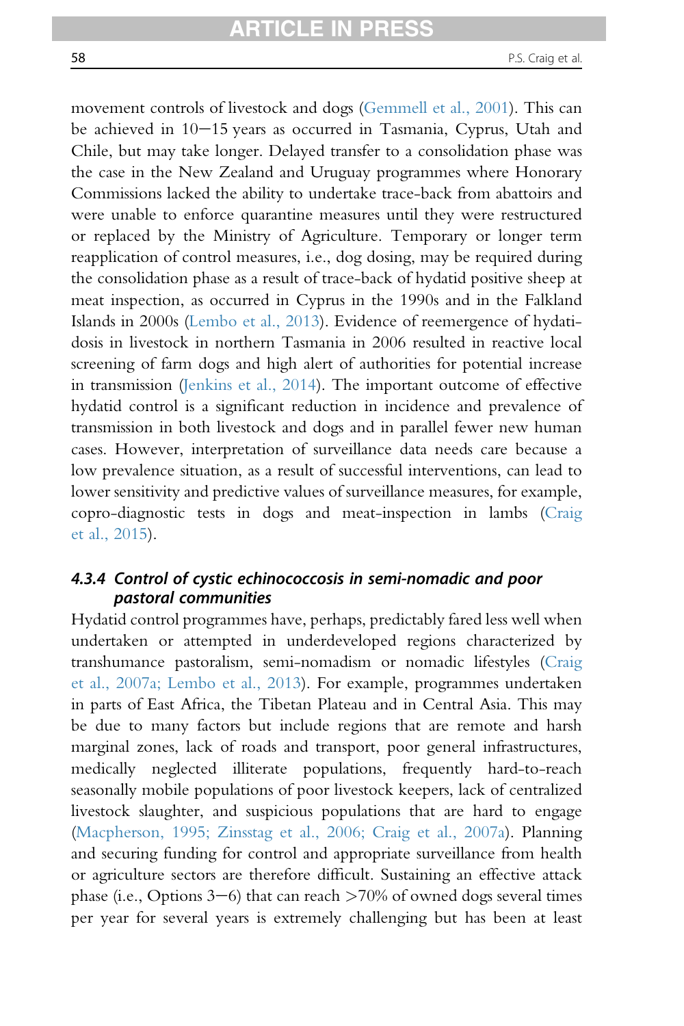movement controls of livestock and dogs ([Gemmell et al., 2001\)](#page-90-0). This can be achieved in  $10-15$  years as occurred in Tasmania, Cyprus, Utah and Chile, but may take longer. Delayed transfer to a consolidation phase was the case in the New Zealand and Uruguay programmes where Honorary Commissions lacked the ability to undertake trace-back from abattoirs and were unable to enforce quarantine measures until they were restructured or replaced by the Ministry of Agriculture. Temporary or longer term reapplication of control measures, i.e., dog dosing, may be required during the consolidation phase as a result of trace-back of hydatid positive sheep at meat inspection, as occurred in Cyprus in the 1990s and in the Falkland Islands in 2000s [\(Lembo et al., 2013\)](#page-94-0). Evidence of reemergence of hydatidosis in livestock in northern Tasmania in 2006 resulted in reactive local screening of farm dogs and high alert of authorities for potential increase in transmission ([Jenkins et al., 2014\)](#page-93-0). The important outcome of effective hydatid control is a significant reduction in incidence and prevalence of transmission in both livestock and dogs and in parallel fewer new human cases. However, interpretation of surveillance data needs care because a low prevalence situation, as a result of successful interventions, can lead to lower sensitivity and predictive values of surveillance measures, for example, copro-diagnostic tests in dogs and meat-inspection in lambs [\(Craig](#page-87-0) [et al., 2015](#page-87-0)).

## 4.3.4 Control of cystic echinococcosis in semi-nomadic and poor pastoral communities

Hydatid control programmes have, perhaps, predictably fared less well when undertaken or attempted in underdeveloped regions characterized by transhumance pastoralism, semi-nomadism or nomadic lifestyles [\(Craig](#page-87-0) [et al., 2007a; Lembo et al., 2013](#page-87-0)). For example, programmes undertaken in parts of East Africa, the Tibetan Plateau and in Central Asia. This may be due to many factors but include regions that are remote and harsh marginal zones, lack of roads and transport, poor general infrastructures, medically neglected illiterate populations, frequently hard-to-reach seasonally mobile populations of poor livestock keepers, lack of centralized livestock slaughter, and suspicious populations that are hard to engage [\(Macpherson, 1995; Zinsstag et al., 2006; Craig et al., 2007a\)](#page-95-0). Planning and securing funding for control and appropriate surveillance from health or agriculture sectors are therefore difficult. Sustaining an effective attack phase (i.e., Options  $3-6$ ) that can reach  $>70\%$  of owned dogs several times per year for several years is extremely challenging but has been at least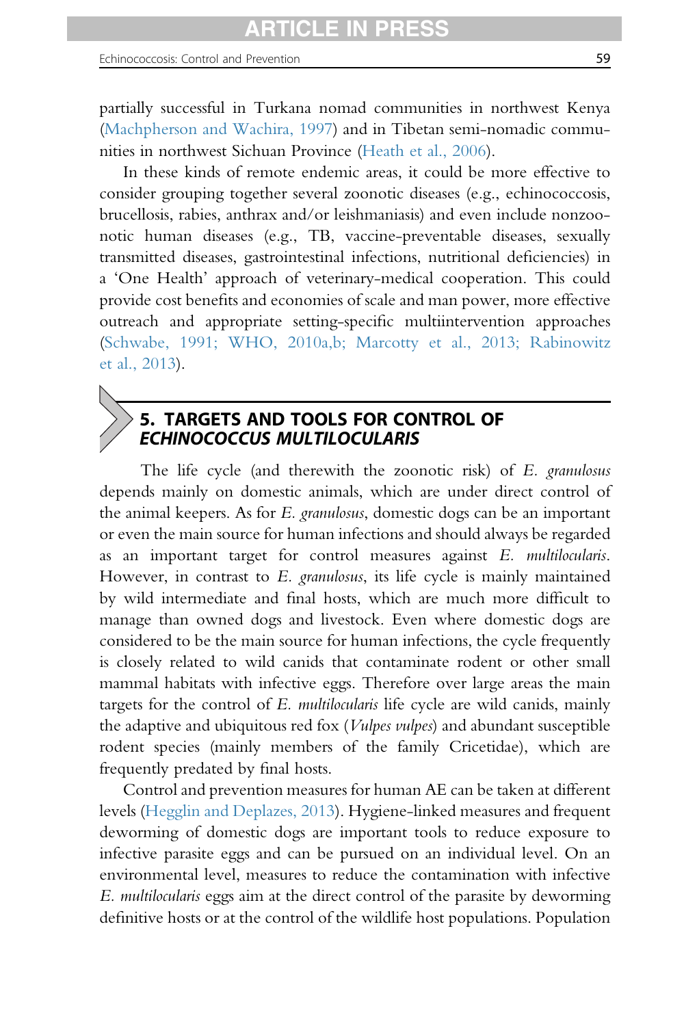partially successful in Turkana nomad communities in northwest Kenya ([Machpherson and Wachira, 1997](#page-95-0)) and in Tibetan semi-nomadic communities in northwest Sichuan Province ([Heath et al., 2006](#page-91-0)).

In these kinds of remote endemic areas, it could be more effective to consider grouping together several zoonotic diseases (e.g., echinococcosis, brucellosis, rabies, anthrax and/or leishmaniasis) and even include nonzoonotic human diseases (e.g., TB, vaccine-preventable diseases, sexually transmitted diseases, gastrointestinal infections, nutritional deficiencies) in a 'One Health' approach of veterinary-medical cooperation. This could provide cost benefits and economies of scale and man power, more effective outreach and appropriate setting-specific multiintervention approaches ([Schwabe, 1991; WHO, 2010a,b; Marcotty et al., 2013; Rabinowitz](#page-99-0) [et al., 2013](#page-99-0)).

# 5. TARGETS AND TOOLS FOR CONTROL OF ECHINOCOCCUS MULTILOCULARIS

The life cycle (and therewith the zoonotic risk) of E. granulosus depends mainly on domestic animals, which are under direct control of the animal keepers. As for E. granulosus, domestic dogs can be an important or even the main source for human infections and should always be regarded as an important target for control measures against E. multilocularis. However, in contrast to E. granulosus, its life cycle is mainly maintained by wild intermediate and final hosts, which are much more difficult to manage than owned dogs and livestock. Even where domestic dogs are considered to be the main source for human infections, the cycle frequently is closely related to wild canids that contaminate rodent or other small mammal habitats with infective eggs. Therefore over large areas the main targets for the control of E. multilocularis life cycle are wild canids, mainly the adaptive and ubiquitous red fox (Vulpes vulpes) and abundant susceptible rodent species (mainly members of the family Cricetidae), which are frequently predated by final hosts.

Control and prevention measures for human AE can be taken at different levels ([Hegglin and Deplazes, 2013\)](#page-92-0). Hygiene-linked measures and frequent deworming of domestic dogs are important tools to reduce exposure to infective parasite eggs and can be pursued on an individual level. On an environmental level, measures to reduce the contamination with infective E. multilocularis eggs aim at the direct control of the parasite by deworming definitive hosts or at the control of the wildlife host populations. Population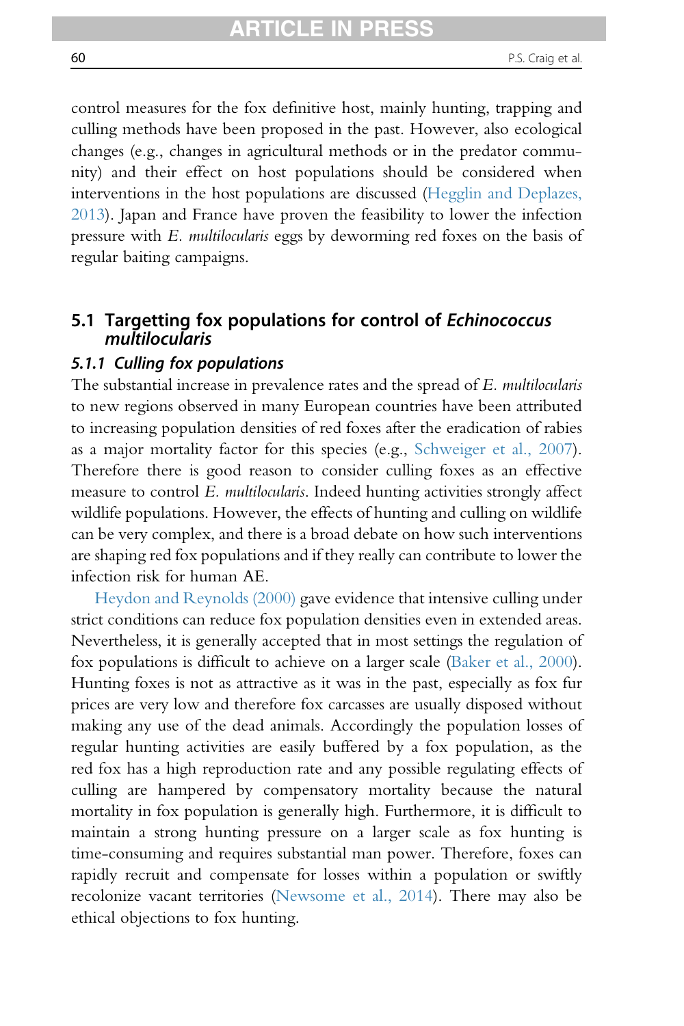control measures for the fox definitive host, mainly hunting, trapping and culling methods have been proposed in the past. However, also ecological changes (e.g., changes in agricultural methods or in the predator community) and their effect on host populations should be considered when interventions in the host populations are discussed ([Hegglin and Deplazes,](#page-92-0) [2013](#page-92-0)). Japan and France have proven the feasibility to lower the infection pressure with E. multilocularis eggs by deworming red foxes on the basis of regular baiting campaigns.

# 5.1 Targetting fox populations for control of Echinococcus multilocularis

## 5.1.1 Culling fox populations

The substantial increase in prevalence rates and the spread of E. *multilocularis* to new regions observed in many European countries have been attributed to increasing population densities of red foxes after the eradication of rabies as a major mortality factor for this species (e.g., [Schweiger et al., 2007\)](#page-99-0). Therefore there is good reason to consider culling foxes as an effective measure to control E. multilocularis. Indeed hunting activities strongly affect wildlife populations. However, the effects of hunting and culling on wildlife can be very complex, and there is a broad debate on how such interventions are shaping red fox populations and if they really can contribute to lower the infection risk for human AE.

[Heydon and Reynolds \(2000\)](#page-92-0) gave evidence that intensive culling under strict conditions can reduce fox population densities even in extended areas. Nevertheless, it is generally accepted that in most settings the regulation of fox populations is difficult to achieve on a larger scale ([Baker et al., 2000\)](#page-84-0). Hunting foxes is not as attractive as it was in the past, especially as fox fur prices are very low and therefore fox carcasses are usually disposed without making any use of the dead animals. Accordingly the population losses of regular hunting activities are easily buffered by a fox population, as the red fox has a high reproduction rate and any possible regulating effects of culling are hampered by compensatory mortality because the natural mortality in fox population is generally high. Furthermore, it is difficult to maintain a strong hunting pressure on a larger scale as fox hunting is time-consuming and requires substantial man power. Therefore, foxes can rapidly recruit and compensate for losses within a population or swiftly recolonize vacant territories [\(Newsome et al., 2014](#page-97-0)). There may also be ethical objections to fox hunting.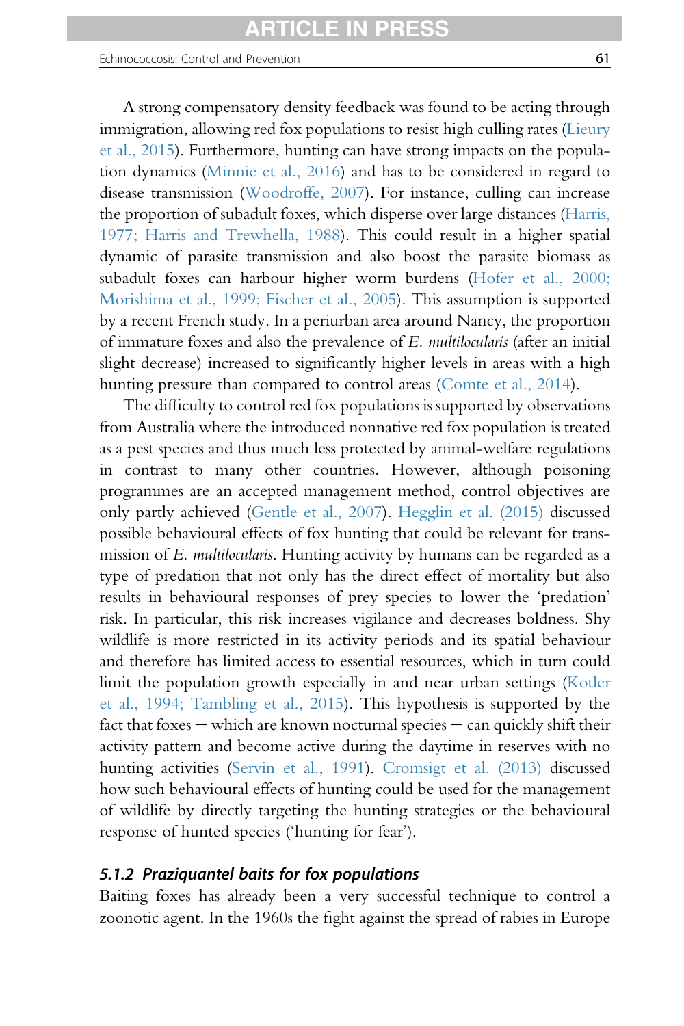#### Echinococcosis: Control and Prevention 61

A strong compensatory density feedback was found to be acting through immigration, allowing red fox populations to resist high culling rates ([Lieury](#page-95-0) [et al., 2015](#page-95-0)). Furthermore, hunting can have strong impacts on the population dynamics [\(Minnie et al., 2016\)](#page-96-0) and has to be considered in regard to disease transmission [\(Woodroffe, 2007](#page-102-0)). For instance, culling can increase the proportion of subadult foxes, which disperse over large distances ([Harris,](#page-91-0) [1977; Harris and Trewhella, 1988\)](#page-91-0). This could result in a higher spatial dynamic of parasite transmission and also boost the parasite biomass as subadult foxes can harbour higher worm burdens ([Hofer et al., 2000;](#page-92-0) [Morishima et al., 1999; Fischer et al., 2005](#page-92-0)). This assumption is supported

by a recent French study. In a periurban area around Nancy, the proportion of immature foxes and also the prevalence of E. multilocularis (after an initial slight decrease) increased to significantly higher levels in areas with a high hunting pressure than compared to control areas ([Comte et al., 2014](#page-87-0)).

The difficulty to control red fox populations is supported by observations from Australia where the introduced nonnative red fox population is treated as a pest species and thus much less protected by animal-welfare regulations in contrast to many other countries. However, although poisoning programmes are an accepted management method, control objectives are only partly achieved ([Gentle et al., 2007](#page-89-0)). [Hegglin et al. \(2015\)](#page-91-0) discussed possible behavioural effects of fox hunting that could be relevant for transmission of E. *multilocularis*. Hunting activity by humans can be regarded as a type of predation that not only has the direct effect of mortality but also results in behavioural responses of prey species to lower the 'predation' risk. In particular, this risk increases vigilance and decreases boldness. Shy wildlife is more restricted in its activity periods and its spatial behaviour and therefore has limited access to essential resources, which in turn could limit the population growth especially in and near urban settings [\(Kotler](#page-93-0) [et al., 1994; Tambling et al., 2015](#page-93-0)). This hypothesis is supported by the fact that foxes  $-$  which are known nocturnal species  $-$  can quickly shift their activity pattern and become active during the daytime in reserves with no hunting activities [\(Servin et al., 1991\)](#page-99-0). [Cromsigt et al. \(2013\)](#page-88-0) discussed how such behavioural effects of hunting could be used for the management of wildlife by directly targeting the hunting strategies or the behavioural response of hunted species ('hunting for fear').

#### 5.1.2 Praziquantel baits for fox populations

Baiting foxes has already been a very successful technique to control a zoonotic agent. In the 1960s the fight against the spread of rabies in Europe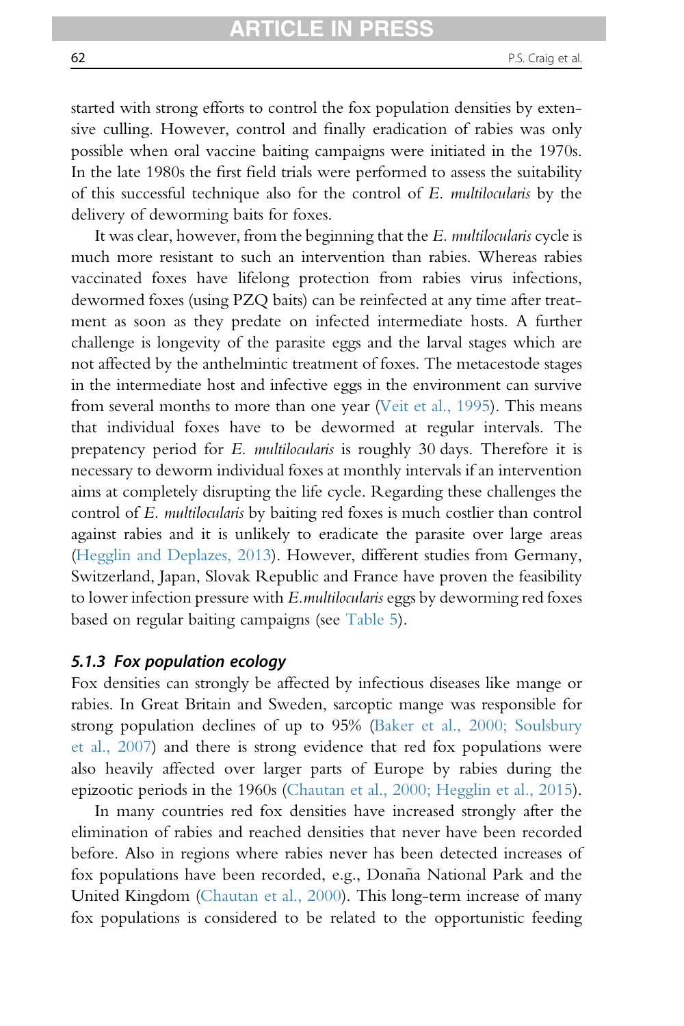started with strong efforts to control the fox population densities by extensive culling. However, control and finally eradication of rabies was only possible when oral vaccine baiting campaigns were initiated in the 1970s. In the late 1980s the first field trials were performed to assess the suitability of this successful technique also for the control of E. multilocularis by the delivery of deworming baits for foxes.

It was clear, however, from the beginning that the E. multilocularis cycle is much more resistant to such an intervention than rabies. Whereas rabies vaccinated foxes have lifelong protection from rabies virus infections, dewormed foxes (using PZQ baits) can be reinfected at any time after treatment as soon as they predate on infected intermediate hosts. A further challenge is longevity of the parasite eggs and the larval stages which are not affected by the anthelmintic treatment of foxes. The metacestode stages in the intermediate host and infective eggs in the environment can survive from several months to more than one year ([Veit et al., 1995\)](#page-101-0). This means that individual foxes have to be dewormed at regular intervals. The prepatency period for E. multilocularis is roughly 30 days. Therefore it is necessary to deworm individual foxes at monthly intervals if an intervention aims at completely disrupting the life cycle. Regarding these challenges the control of E. multilocularis by baiting red foxes is much costlier than control against rabies and it is unlikely to eradicate the parasite over large areas [\(Hegglin and Deplazes, 2013](#page-92-0)). However, different studies from Germany, Switzerland, Japan, Slovak Republic and France have proven the feasibility to lower infection pressure with E.multilocularis eggs by deworming red foxes based on regular baiting campaigns (see [Table 5](#page-62-0)).

#### 5.1.3 Fox population ecology

Fox densities can strongly be affected by infectious diseases like mange or rabies. In Great Britain and Sweden, sarcoptic mange was responsible for strong population declines of up to 95% [\(Baker et al., 2000; Soulsbury](#page-84-0) [et al., 2007\)](#page-84-0) and there is strong evidence that red fox populations were also heavily affected over larger parts of Europe by rabies during the epizootic periods in the 1960s [\(Chautan et al., 2000; Hegglin et al., 2015\)](#page-86-0).

In many countries red fox densities have increased strongly after the elimination of rabies and reached densities that never have been recorded before. Also in regions where rabies never has been detected increases of fox populations have been recorded, e.g., Donaña National Park and the United Kingdom ([Chautan et al., 2000\)](#page-86-0). This long-term increase of many fox populations is considered to be related to the opportunistic feeding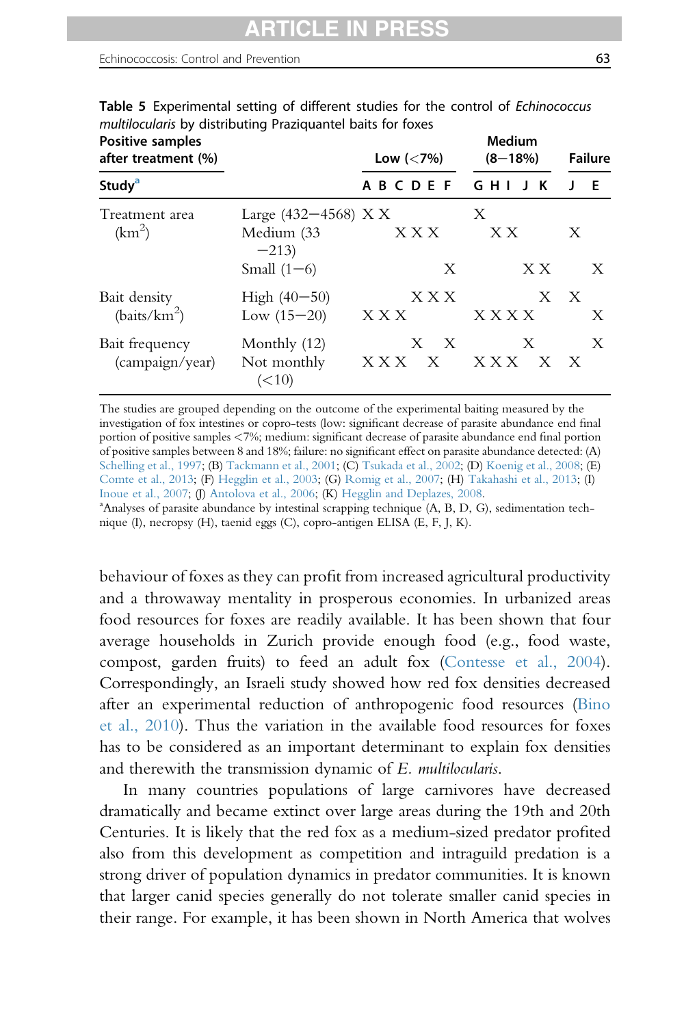#### <span id="page-62-0"></span>Echinococcosis: Control and Prevention 63

| Positive samples<br>after treatment (%)<br>Study <sup>a</sup> |                                              | Low $(< 7\%)$                | Medium<br>$(8 - 18\%)$ | <b>Failure</b> |
|---------------------------------------------------------------|----------------------------------------------|------------------------------|------------------------|----------------|
|                                                               |                                              | <b>BCDEF</b><br>A            | GHI<br>К<br>J.         | Е              |
| Treatment area<br>(km <sup>2</sup> )                          | Large $(432-4568)$ X X<br>Medium (33         | X X X                        | X<br>X X               | X              |
|                                                               | $-213$<br>Small $(1-6)$                      | X                            | X X                    | X              |
| Bait density<br>(baits/km <sup>2</sup> )                      | High $(40-50)$<br>Low $(15-20)$              | X X X<br>X X X               | <b>XXXX</b>            | X X<br>X       |
| Bait frequency<br>(campaign/year)                             | Monthly $(12)$<br>Not monthly<br>$(\leq 10)$ | X X<br>X X X<br>$\mathbf{X}$ | X<br>X X X<br>X X      | X              |

Table 5 Experimental setting of different studies for the control of Echinococcus multilocularis by distributing Praziquantel baits for foxes

The studies are grouped depending on the outcome of the experimental baiting measured by the investigation of fox intestines or copro-tests (low: significant decrease of parasite abundance end final portion of positive samples <7%; medium: significant decrease of parasite abundance end final portion of positive samples between 8 and 18%; failure: no significant effect on parasite abundance detected: (A) [Schelling et al., 1997](#page-99-0); (B) [Tackmann et al., 2001](#page-100-0); (C) [Tsukada et al., 2002;](#page-101-0) (D) [Koenig et al., 2008](#page-93-0); (E) [Comte et al., 2013](#page-87-0); (F) [Hegglin et al., 2003;](#page-92-0) (G) [Romig et al., 2007;](#page-99-0) (H) [Takahashi et al., 2013](#page-100-0); (I) [Inoue et al., 2007;](#page-92-0) (J) [Antolova et al., 2006;](#page-84-0) (K) [Hegglin and Deplazes, 2008](#page-92-0). Analyses of parasite abundance by intestinal scrapping technique (A, B, D, G), sedimentation technique (I), necropsy (H), taenid eggs (C), copro-antigen ELISA (E, F, J, K).

behaviour of foxes as they can profit from increased agricultural productivity and a throwaway mentality in prosperous economies. In urbanized areas food resources for foxes are readily available. It has been shown that four average households in Zurich provide enough food (e.g., food waste, compost, garden fruits) to feed an adult fox ([Contesse et al., 2004\)](#page-87-0). Correspondingly, an Israeli study showed how red fox densities decreased after an experimental reduction of anthropogenic food resources ([Bino](#page-85-0) [et al., 2010](#page-85-0)). Thus the variation in the available food resources for foxes has to be considered as an important determinant to explain fox densities and therewith the transmission dynamic of E. multilocularis.

In many countries populations of large carnivores have decreased dramatically and became extinct over large areas during the 19th and 20th Centuries. It is likely that the red fox as a medium-sized predator profited also from this development as competition and intraguild predation is a strong driver of population dynamics in predator communities. It is known that larger canid species generally do not tolerate smaller canid species in their range. For example, it has been shown in North America that wolves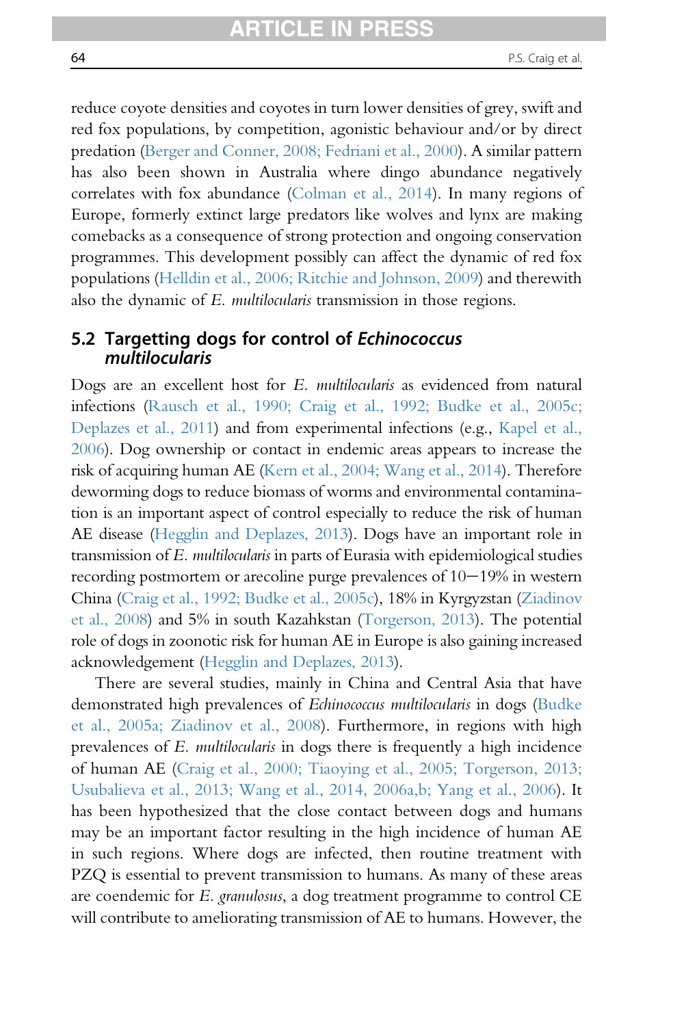reduce coyote densities and coyotes in turn lower densities of grey, swift and red fox populations, by competition, agonistic behaviour and/or by direct predation [\(Berger and Conner, 2008; Fedriani et al., 2000](#page-85-0)). A similar pattern has also been shown in Australia where dingo abundance negatively correlates with fox abundance [\(Colman et al., 2014](#page-87-0)). In many regions of Europe, formerly extinct large predators like wolves and lynx are making comebacks as a consequence of strong protection and ongoing conservation programmes. This development possibly can affect the dynamic of red fox populations [\(Helldin et al., 2006; Ritchie and Johnson, 2009](#page-92-0)) and therewith also the dynamic of E. multilocularis transmission in those regions.

## 5.2 Targetting dogs for control of Echinococcus multilocularis

Dogs are an excellent host for E. multilocularis as evidenced from natural infections [\(Rausch et al., 1990; Craig et al., 1992; Budke et al., 2005c;](#page-98-0) [Deplazes et al., 2011](#page-98-0)) and from experimental infections (e.g., [Kapel et al.,](#page-93-0) [2006\)](#page-93-0). Dog ownership or contact in endemic areas appears to increase the risk of acquiring human AE ([Kern et al., 2004; Wang et al., 2014\)](#page-93-0). Therefore deworming dogs to reduce biomass of worms and environmental contamination is an important aspect of control especially to reduce the risk of human AE disease ([Hegglin and Deplazes, 2013\)](#page-92-0). Dogs have an important role in transmission of E. multilocularis in parts of Eurasia with epidemiological studies recording postmortem or arecoline purge prevalences of  $10-19\%$  in western China ([Craig et al., 1992; Budke et al., 2005c](#page-87-0)), 18% in Kyrgyzstan [\(Ziadinov](#page-103-0) [et al., 2008](#page-103-0)) and 5% in south Kazahkstan ([Torgerson, 2013\)](#page-100-0). The potential role of dogs in zoonotic risk for human AE in Europe is also gaining increased acknowledgement ([Hegglin and Deplazes, 2013\)](#page-92-0).

There are several studies, mainly in China and Central Asia that have demonstrated high prevalences of Echinococcus multilocularis in dogs [\(Budke](#page-85-0) [et al., 2005a; Ziadinov et al., 2008\)](#page-85-0). Furthermore, in regions with high prevalences of E. multilocularis in dogs there is frequently a high incidence of human AE ([Craig et al., 2000; Tiaoying et al., 2005; Torgerson, 2013;](#page-87-0) [Usubalieva et al., 2013; Wang et al., 2014, 2006a,b; Yang et al., 2006](#page-87-0)). It has been hypothesized that the close contact between dogs and humans may be an important factor resulting in the high incidence of human AE in such regions. Where dogs are infected, then routine treatment with PZQ is essential to prevent transmission to humans. As many of these areas are coendemic for E. granulosus, a dog treatment programme to control CE will contribute to ameliorating transmission of AE to humans. However, the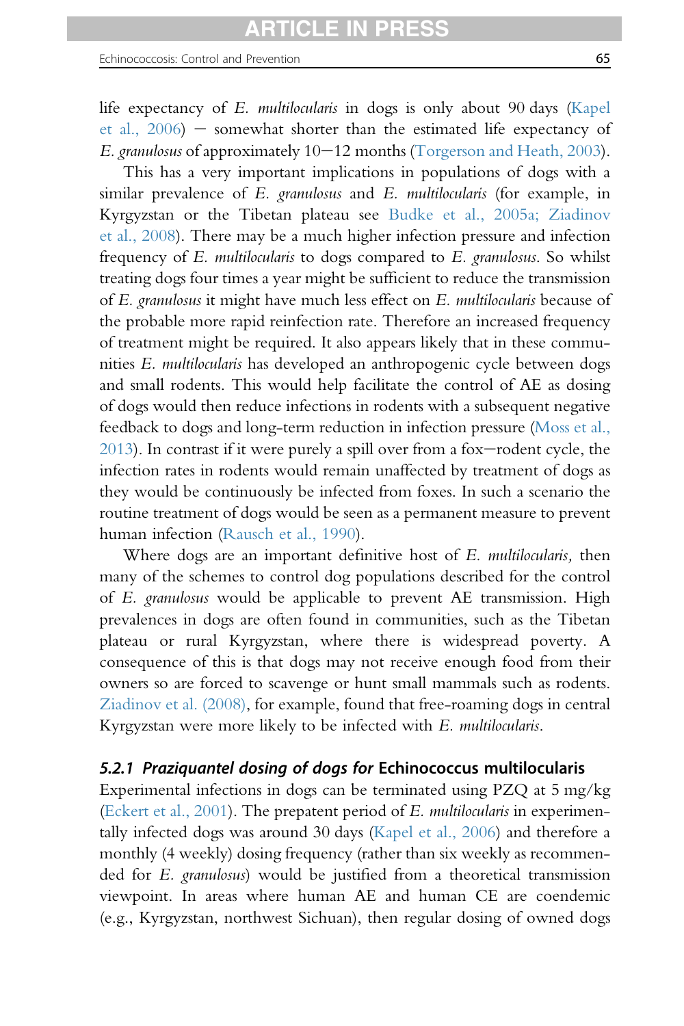life expectancy of E. multilocularis in dogs is only about 90 days ([Kapel](#page-93-0) et al.,  $2006$ ) – somewhat shorter than the estimated life expectancy of E. granulosus of approximately  $10-12$  months ([Torgerson and Heath, 2003\)](#page-101-0).

This has a very important implications in populations of dogs with a similar prevalence of E. granulosus and E. multilocularis (for example, in Kyrgyzstan or the Tibetan plateau see [Budke et al., 2005a; Ziadinov](#page-85-0) [et al., 2008\)](#page-85-0). There may be a much higher infection pressure and infection frequency of E. multilocularis to dogs compared to E. granulosus. So whilst treating dogs four times a year might be sufficient to reduce the transmission of E. granulosus it might have much less effect on E. multilocularis because of the probable more rapid reinfection rate. Therefore an increased frequency of treatment might be required. It also appears likely that in these communities E. multilocularis has developed an anthropogenic cycle between dogs and small rodents. This would help facilitate the control of AE as dosing of dogs would then reduce infections in rodents with a subsequent negative feedback to dogs and long-term reduction in infection pressure ([Moss et al.,](#page-97-0)  $2013$ ). In contrast if it were purely a spill over from a fox-rodent cycle, the infection rates in rodents would remain unaffected by treatment of dogs as they would be continuously be infected from foxes. In such a scenario the routine treatment of dogs would be seen as a permanent measure to prevent human infection ([Rausch et al., 1990\)](#page-98-0).

Where dogs are an important definitive host of E. multilocularis, then many of the schemes to control dog populations described for the control of E. granulosus would be applicable to prevent AE transmission. High prevalences in dogs are often found in communities, such as the Tibetan plateau or rural Kyrgyzstan, where there is widespread poverty. A consequence of this is that dogs may not receive enough food from their owners so are forced to scavenge or hunt small mammals such as rodents. [Ziadinov et al. \(2008\)](#page-103-0), for example, found that free-roaming dogs in central Kyrgyzstan were more likely to be infected with E. multilocularis.

## 5.2.1 Praziquantel dosing of dogs for Echinococcus multilocularis

Experimental infections in dogs can be terminated using PZQ at 5 mg/kg ([Eckert et al., 2001](#page-88-0)). The prepatent period of E. multilocularis in experimentally infected dogs was around 30 days [\(Kapel et al., 2006](#page-93-0)) and therefore a monthly (4 weekly) dosing frequency (rather than six weekly as recommended for E. granulosus) would be justified from a theoretical transmission viewpoint. In areas where human AE and human CE are coendemic (e.g., Kyrgyzstan, northwest Sichuan), then regular dosing of owned dogs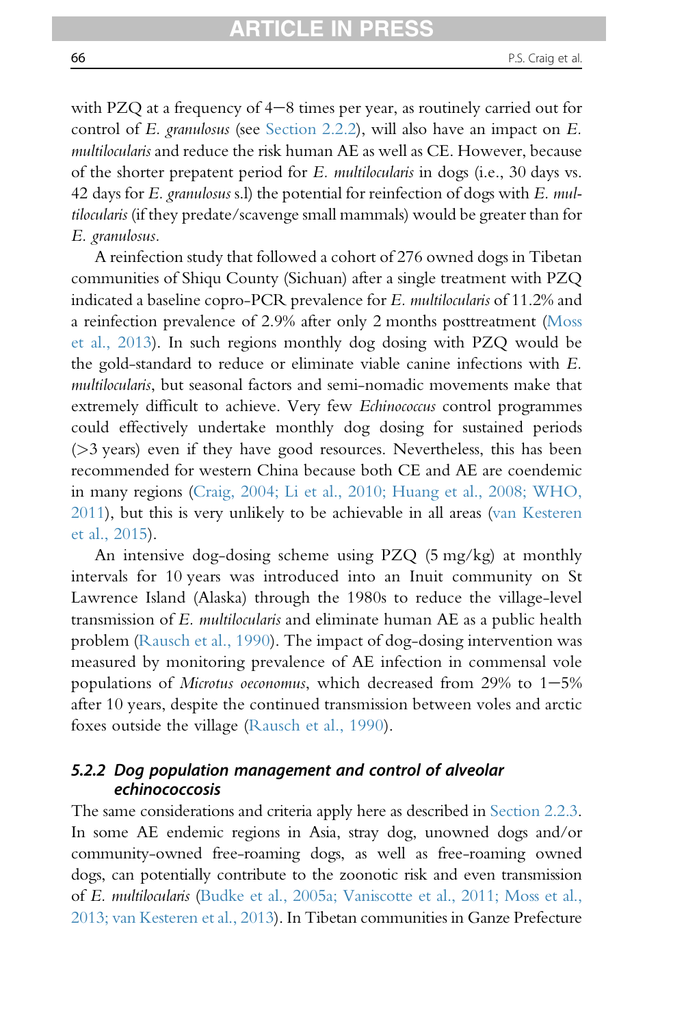with PZQ at a frequency of  $4-8$  times per year, as routinely carried out for control of E. granulosus (see [Section 2.2.2\)](#page-16-0), will also have an impact on E. multilocularis and reduce the risk human AE as well as CE. However, because of the shorter prepatent period for E. multilocularis in dogs (i.e., 30 days vs. 42 days for  $E$ . granulosus s.l) the potential for reinfection of dogs with  $E$ . multilocularis (if they predate/scavenge small mammals) would be greater than for E. granulosus.

A reinfection study that followed a cohort of 276 owned dogs in Tibetan communities of Shiqu County (Sichuan) after a single treatment with PZQ indicated a baseline copro-PCR prevalence for E. multilocularis of 11.2% and a reinfection prevalence of 2.9% after only 2 months posttreatment [\(Moss](#page-97-0) [et al., 2013\)](#page-97-0). In such regions monthly dog dosing with PZQ would be the gold-standard to reduce or eliminate viable canine infections with E. multilocularis, but seasonal factors and semi-nomadic movements make that extremely difficult to achieve. Very few Echinococcus control programmes could effectively undertake monthly dog dosing for sustained periods  $($ >3 years) even if they have good resources. Nevertheless, this has been recommended for western China because both CE and AE are coendemic in many regions [\(Craig, 2004; Li et al., 2010; Huang et al., 2008; WHO,](#page-87-0) [2011](#page-87-0)), but this is very unlikely to be achievable in all areas [\(van Kesteren](#page-101-0) [et al., 2015](#page-101-0)).

An intensive dog-dosing scheme using PZQ (5 mg/kg) at monthly intervals for 10 years was introduced into an Inuit community on St Lawrence Island (Alaska) through the 1980s to reduce the village-level transmission of E. multilocularis and eliminate human AE as a public health problem ([Rausch et al., 1990\)](#page-98-0). The impact of dog-dosing intervention was measured by monitoring prevalence of AE infection in commensal vole populations of *Microtus oeconomus*, which decreased from 29% to  $1-5\%$ after 10 years, despite the continued transmission between voles and arctic foxes outside the village ([Rausch et al., 1990](#page-98-0)).

### 5.2.2 Dog population management and control of alveolar echinococcosis

The same considerations and criteria apply here as described in [Section 2.2.3.](#page-18-0) In some AE endemic regions in Asia, stray dog, unowned dogs and/or community-owned free-roaming dogs, as well as free-roaming owned dogs, can potentially contribute to the zoonotic risk and even transmission of E. multilocularis [\(Budke et al., 2005a; Vaniscotte et al., 2011; Moss et al.,](#page-85-0) [2013; van Kesteren et al., 2013\)](#page-85-0). In Tibetan communities in Ganze Prefecture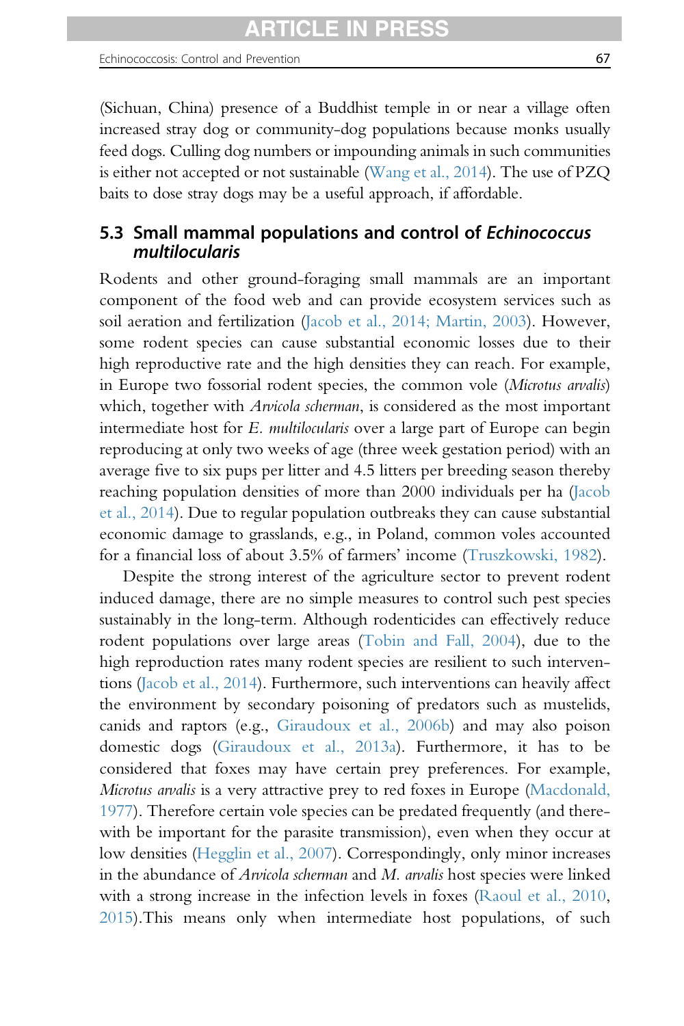(Sichuan, China) presence of a Buddhist temple in or near a village often increased stray dog or community-dog populations because monks usually feed dogs. Culling dog numbers or impounding animals in such communities is either not accepted or not sustainable ([Wang et al., 2014\)](#page-102-0). The use of PZQ baits to dose stray dogs may be a useful approach, if affordable.

# 5.3 Small mammal populations and control of Echinococcus multilocularis

Rodents and other ground-foraging small mammals are an important component of the food web and can provide ecosystem services such as soil aeration and fertilization ([Jacob et al., 2014; Martin, 2003\)](#page-93-0). However, some rodent species can cause substantial economic losses due to their high reproductive rate and the high densities they can reach. For example, in Europe two fossorial rodent species, the common vole (Microtus arvalis) which, together with *Arvicola scherman*, is considered as the most important intermediate host for E. multilocularis over a large part of Europe can begin reproducing at only two weeks of age (three week gestation period) with an average five to six pups per litter and 4.5 litters per breeding season thereby reaching population densities of more than 2000 individuals per ha [\(Jacob](#page-93-0) [et al., 2014](#page-93-0)). Due to regular population outbreaks they can cause substantial economic damage to grasslands, e.g., in Poland, common voles accounted for a financial loss of about 3.5% of farmers' income ([Truszkowski, 1982](#page-101-0)).

Despite the strong interest of the agriculture sector to prevent rodent induced damage, there are no simple measures to control such pest species sustainably in the long-term. Although rodenticides can effectively reduce rodent populations over large areas [\(Tobin and Fall, 2004\)](#page-100-0), due to the high reproduction rates many rodent species are resilient to such interventions [\(Jacob et al., 2014\)](#page-93-0). Furthermore, such interventions can heavily affect the environment by secondary poisoning of predators such as mustelids, canids and raptors (e.g., [Giraudoux et al., 2006b](#page-91-0)) and may also poison domestic dogs [\(Giraudoux et al., 2013a](#page-90-0)). Furthermore, it has to be considered that foxes may have certain prey preferences. For example, Microtus arvalis is a very attractive prey to red foxes in Europe ([Macdonald,](#page-95-0) [1977](#page-95-0)). Therefore certain vole species can be predated frequently (and therewith be important for the parasite transmission), even when they occur at low densities [\(Hegglin et al., 2007](#page-91-0)). Correspondingly, only minor increases in the abundance of Arvicola scherman and M. arvalis host species were linked with a strong increase in the infection levels in foxes [\(Raoul et al., 2010,](#page-98-0) [2015](#page-98-0)).This means only when intermediate host populations, of such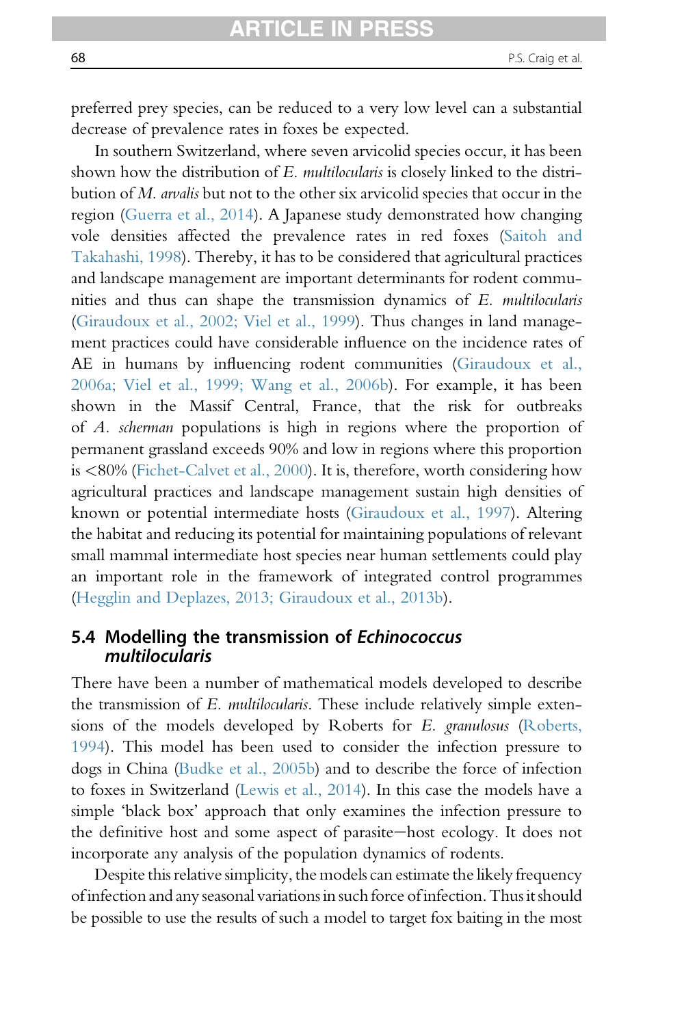preferred prey species, can be reduced to a very low level can a substantial decrease of prevalence rates in foxes be expected.

In southern Switzerland, where seven arvicolid species occur, it has been shown how the distribution of E. multilocularis is closely linked to the distribution of M. arvalis but not to the other six arvicolid species that occur in the region ([Guerra et al., 2014](#page-91-0)). A Japanese study demonstrated how changing vole densities affected the prevalence rates in red foxes [\(Saitoh and](#page-99-0) [Takahashi, 1998\)](#page-99-0). Thereby, it has to be considered that agricultural practices and landscape management are important determinants for rodent communities and thus can shape the transmission dynamics of E. multilocularis [\(Giraudoux et al., 2002; Viel et al., 1999](#page-90-0)). Thus changes in land management practices could have considerable influence on the incidence rates of AE in humans by influencing rodent communities ([Giraudoux et al.,](#page-90-0) [2006a; Viel et al., 1999; Wang et al., 2006b](#page-90-0)). For example, it has been shown in the Massif Central, France, that the risk for outbreaks of A. scherman populations is high in regions where the proportion of permanent grassland exceeds 90% and low in regions where this proportion is <80% [\(Fichet-Calvet et al., 2000](#page-89-0)). It is, therefore, worth considering how agricultural practices and landscape management sustain high densities of known or potential intermediate hosts [\(Giraudoux et al., 1997\)](#page-90-0). Altering the habitat and reducing its potential for maintaining populations of relevant small mammal intermediate host species near human settlements could play an important role in the framework of integrated control programmes [\(Hegglin and Deplazes, 2013; Giraudoux et al., 2013b\)](#page-92-0).

## 5.4 Modelling the transmission of Echinococcus multilocularis

There have been a number of mathematical models developed to describe the transmission of E. multilocularis. These include relatively simple exten-sions of the models developed by Roberts for E. granulosus [\(Roberts,](#page-98-0) [1994](#page-98-0)). This model has been used to consider the infection pressure to dogs in China ([Budke et al., 2005b\)](#page-86-0) and to describe the force of infection to foxes in Switzerland [\(Lewis et al., 2014](#page-94-0)). In this case the models have a simple 'black box' approach that only examines the infection pressure to the definitive host and some aspect of parasite-host ecology. It does not incorporate any analysis of the population dynamics of rodents.

Despite this relative simplicity, the models can estimate the likely frequency of infection and any seasonal variations in such force of infection. Thus itshould be possible to use the results of such a model to target fox baiting in the most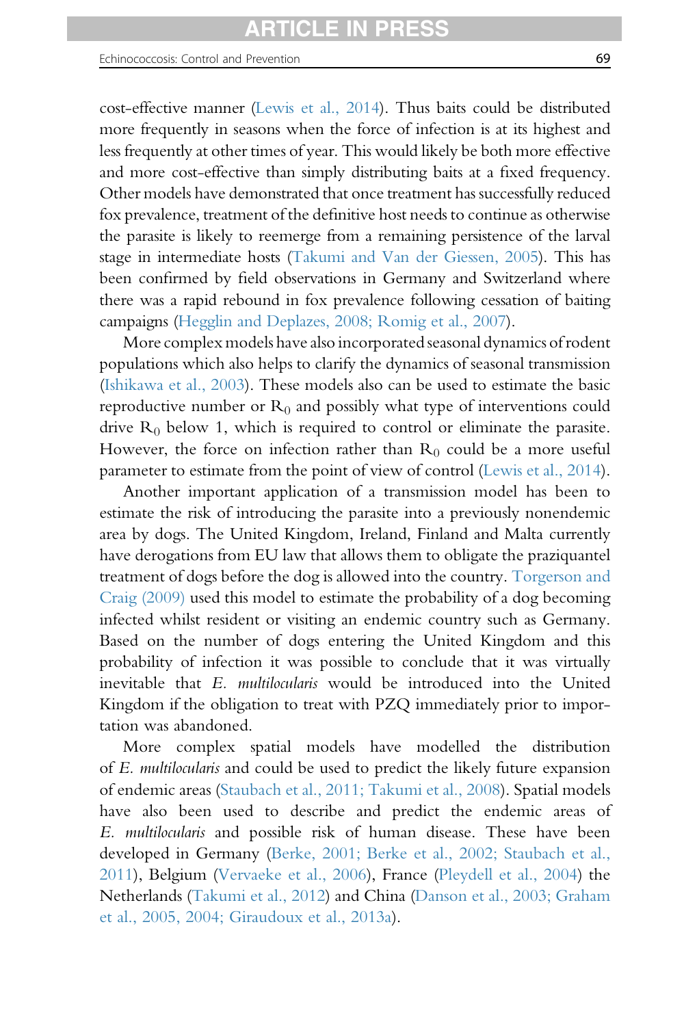cost-effective manner [\(Lewis et al., 2014\)](#page-94-0). Thus baits could be distributed more frequently in seasons when the force of infection is at its highest and less frequently at other times of year. This would likely be both more effective and more cost-effective than simply distributing baits at a fixed frequency. Other models have demonstrated that once treatment has successfully reduced fox prevalence, treatment of the definitive host needs to continue as otherwise the parasite is likely to reemerge from a remaining persistence of the larval stage in intermediate hosts [\(Takumi and Van der Giessen, 2005\)](#page-100-0). This has been confirmed by field observations in Germany and Switzerland where there was a rapid rebound in fox prevalence following cessation of baiting campaigns [\(Hegglin and Deplazes, 2008; Romig et al., 2007\)](#page-92-0).

More complex models have also incorporated seasonal dynamics of rodent populations which also helps to clarify the dynamics of seasonal transmission ([Ishikawa et al., 2003\)](#page-92-0). These models also can be used to estimate the basic reproductive number or  $R_0$  and possibly what type of interventions could drive  $R_0$  below 1, which is required to control or eliminate the parasite. However, the force on infection rather than  $R_0$  could be a more useful parameter to estimate from the point of view of control [\(Lewis et al., 2014\)](#page-94-0).

Another important application of a transmission model has been to estimate the risk of introducing the parasite into a previously nonendemic area by dogs. The United Kingdom, Ireland, Finland and Malta currently have derogations from EU law that allows them to obligate the praziquantel treatment of dogs before the dog is allowed into the country. [Torgerson and](#page-100-0) [Craig \(2009\)](#page-100-0) used this model to estimate the probability of a dog becoming infected whilst resident or visiting an endemic country such as Germany. Based on the number of dogs entering the United Kingdom and this probability of infection it was possible to conclude that it was virtually inevitable that E. multilocularis would be introduced into the United Kingdom if the obligation to treat with PZQ immediately prior to importation was abandoned.

More complex spatial models have modelled the distribution of E. multilocularis and could be used to predict the likely future expansion of endemic areas [\(Staubach et al., 2011; Takumi et al., 2008](#page-100-0)). Spatial models have also been used to describe and predict the endemic areas of E. multilocularis and possible risk of human disease. These have been developed in Germany [\(Berke, 2001; Berke et al., 2002; Staubach et al.,](#page-85-0) [2011](#page-85-0)), Belgium ([Vervaeke et al., 2006](#page-102-0)), France [\(Pleydell et al., 2004\)](#page-98-0) the Netherlands [\(Takumi et al., 2012\)](#page-100-0) and China [\(Danson et al., 2003; Graham](#page-88-0) [et al., 2005, 2004; Giraudoux et al., 2013a](#page-88-0)).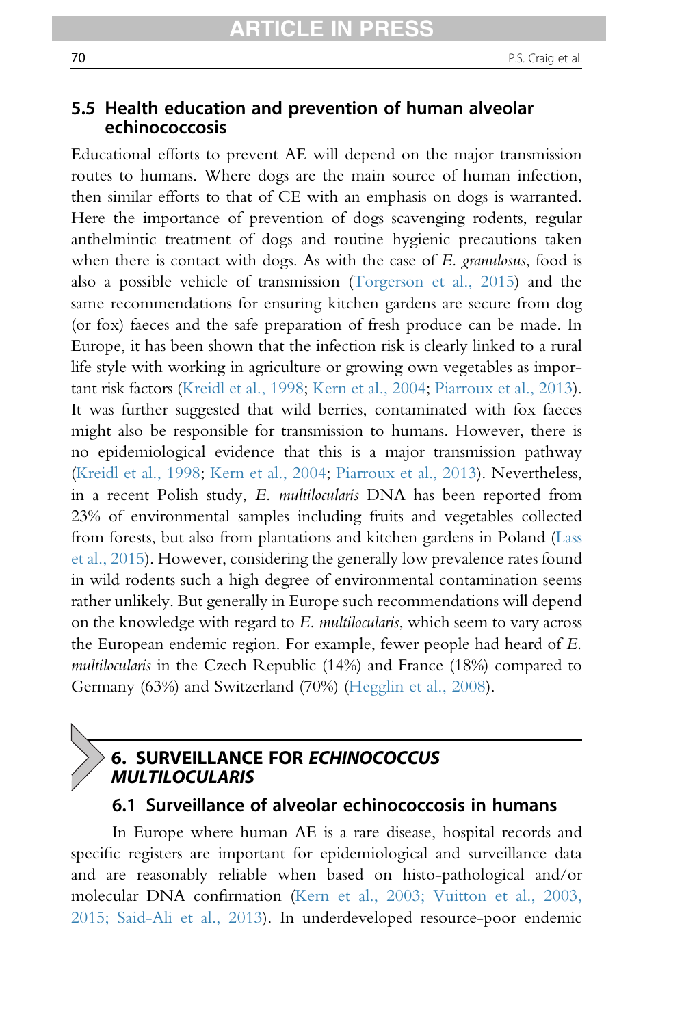# 5.5 Health education and prevention of human alveolar echinococcosis

Educational efforts to prevent AE will depend on the major transmission routes to humans. Where dogs are the main source of human infection, then similar efforts to that of CE with an emphasis on dogs is warranted. Here the importance of prevention of dogs scavenging rodents, regular anthelmintic treatment of dogs and routine hygienic precautions taken when there is contact with dogs. As with the case of E. granulosus, food is also a possible vehicle of transmission [\(Torgerson et al., 2015\)](#page-101-0) and the same recommendations for ensuring kitchen gardens are secure from dog (or fox) faeces and the safe preparation of fresh produce can be made. In Europe, it has been shown that the infection risk is clearly linked to a rural life style with working in agriculture or growing own vegetables as important risk factors [\(Kreidl et al., 1998;](#page-93-0) [Kern et al., 2004](#page-93-0); [Piarroux et al., 2013\)](#page-98-0). It was further suggested that wild berries, contaminated with fox faeces might also be responsible for transmission to humans. However, there is no epidemiological evidence that this is a major transmission pathway [\(Kreidl et al., 1998;](#page-93-0) [Kern et al., 2004](#page-93-0); [Piarroux et al., 2013](#page-98-0)). Nevertheless, in a recent Polish study, E. multilocularis DNA has been reported from 23% of environmental samples including fruits and vegetables collected from forests, but also from plantations and kitchen gardens in Poland ([Lass](#page-94-0) [et al., 2015](#page-94-0)). However, considering the generally low prevalence rates found in wild rodents such a high degree of environmental contamination seems rather unlikely. But generally in Europe such recommendations will depend on the knowledge with regard to E. multilocularis, which seem to vary across the European endemic region. For example, fewer people had heard of E. multilocularis in the Czech Republic (14%) and France (18%) compared to Germany (63%) and Switzerland (70%) [\(Hegglin et al., 2008\)](#page-92-0).

# 6. SURVEILLANCE FOR ECHINOCOCCUS MULTILOCULARIS

# 6.1 Surveillance of alveolar echinococcosis in humans

In Europe where human AE is a rare disease, hospital records and specific registers are important for epidemiological and surveillance data and are reasonably reliable when based on histo-pathological and/or molecular DNA confirmation [\(Kern et al., 2003; Vuitton et al., 2003,](#page-93-0) [2015; Said-Ali et al., 2013\)](#page-93-0). In underdeveloped resource-poor endemic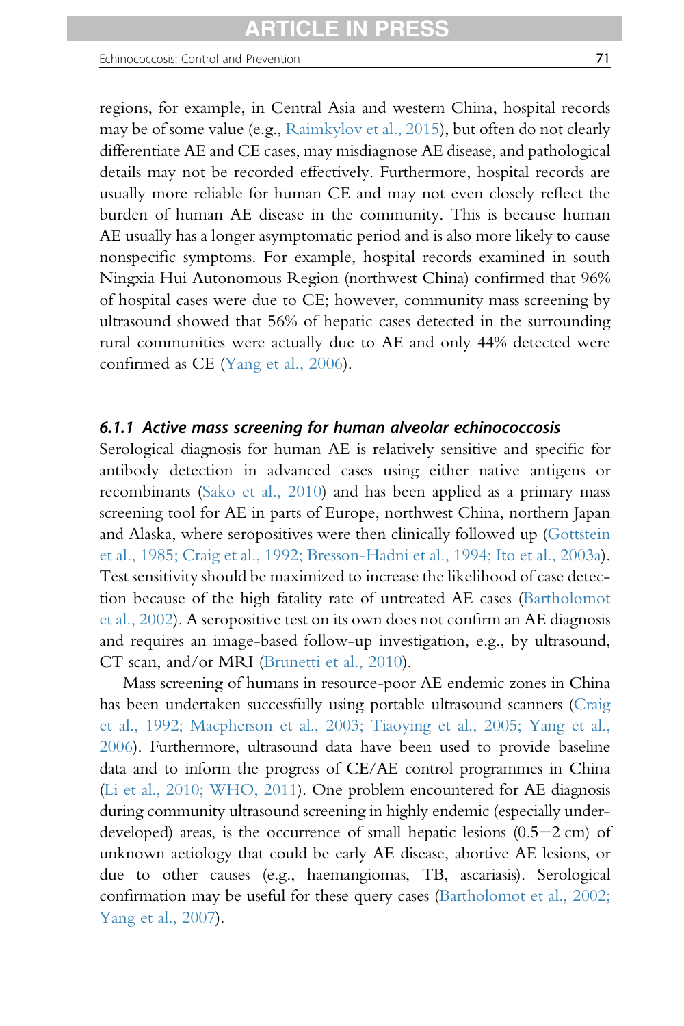regions, for example, in Central Asia and western China, hospital records may be of some value (e.g., [Raimkylov et al., 2015\)](#page-98-0), but often do not clearly differentiate AE and CE cases, may misdiagnose AE disease, and pathological details may not be recorded effectively. Furthermore, hospital records are usually more reliable for human CE and may not even closely reflect the burden of human AE disease in the community. This is because human AE usually has a longer asymptomatic period and is also more likely to cause nonspecific symptoms. For example, hospital records examined in south Ningxia Hui Autonomous Region (northwest China) confirmed that 96% of hospital cases were due to CE; however, community mass screening by ultrasound showed that 56% of hepatic cases detected in the surrounding rural communities were actually due to AE and only 44% detected were confirmed as CE [\(Yang et al., 2006\)](#page-103-0).

## 6.1.1 Active mass screening for human alveolar echinococcosis

Serological diagnosis for human AE is relatively sensitive and specific for antibody detection in advanced cases using either native antigens or recombinants ([Sako et al., 2010](#page-99-0)) and has been applied as a primary mass screening tool for AE in parts of Europe, northwest China, northern Japan and Alaska, where seropositives were then clinically followed up ([Gottstein](#page-91-0) [et al., 1985; Craig et al., 1992; Bresson-Hadni et al., 1994; Ito et al., 2003a\)](#page-91-0). Test sensitivity should be maximized to increase the likelihood of case detection because of the high fatality rate of untreated AE cases [\(Bartholomot](#page-85-0) [et al., 2002](#page-85-0)). A seropositive test on its own does not confirm an AE diagnosis and requires an image-based follow-up investigation, e.g., by ultrasound, CT scan, and/or MRI ([Brunetti et al., 2010](#page-85-0)).

Mass screening of humans in resource-poor AE endemic zones in China has been undertaken successfully using portable ultrasound scanners [\(Craig](#page-87-0) [et al., 1992; Macpherson et al., 2003; Tiaoying et al., 2005; Yang et al.,](#page-87-0) [2006\)](#page-87-0). Furthermore, ultrasound data have been used to provide baseline data and to inform the progress of CE/AE control programmes in China ([Li et al., 2010; WHO, 2011\)](#page-94-0). One problem encountered for AE diagnosis during community ultrasound screening in highly endemic (especially underdeveloped) areas, is the occurrence of small hepatic lesions  $(0.5-2 \text{ cm})$  of unknown aetiology that could be early AE disease, abortive AE lesions, or due to other causes (e.g., haemangiomas, TB, ascariasis). Serological confirmation may be useful for these query cases [\(Bartholomot et al., 2002;](#page-85-0) [Yang et al., 2007](#page-85-0)).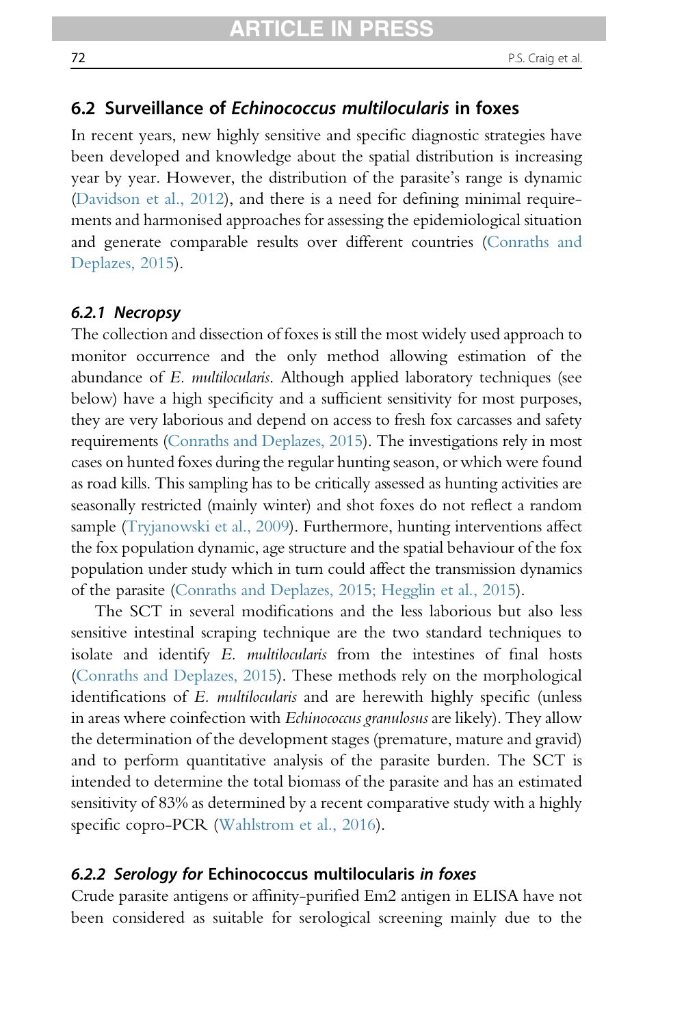# 6.2 Surveillance of Echinococcus multilocularis in foxes

In recent years, new highly sensitive and specific diagnostic strategies have been developed and knowledge about the spatial distribution is increasing year by year. However, the distribution of the parasite's range is dynamic [\(Davidson et al., 2012\)](#page-88-0), and there is a need for defining minimal requirements and harmonised approaches for assessing the epidemiological situation and generate comparable results over different countries ([Conraths and](#page-87-0) [Deplazes, 2015](#page-87-0)).

### 6.2.1 Necropsy

The collection and dissection of foxes is still the most widely used approach to monitor occurrence and the only method allowing estimation of the abundance of E. multilocularis. Although applied laboratory techniques (see below) have a high specificity and a sufficient sensitivity for most purposes, they are very laborious and depend on access to fresh fox carcasses and safety requirements ([Conraths and Deplazes, 2015](#page-87-0)). The investigations rely in most cases on hunted foxes during the regular hunting season, or which were found as road kills. This sampling has to be critically assessed as hunting activities are seasonally restricted (mainly winter) and shot foxes do not reflect a random sample ([Tryjanowski et al., 2009\)](#page-101-0). Furthermore, hunting interventions affect the fox population dynamic, age structure and the spatial behaviour of the fox population under study which in turn could affect the transmission dynamics of the parasite ([Conraths and Deplazes, 2015; Hegglin et al., 2015\)](#page-87-0).

The SCT in several modifications and the less laborious but also less sensitive intestinal scraping technique are the two standard techniques to isolate and identify E. multilocularis from the intestines of final hosts [\(Conraths and Deplazes, 2015\)](#page-87-0). These methods rely on the morphological identifications of E. *multilocularis* and are herewith highly specific (unless in areas where coinfection with *Echinococcus granulosus* are likely). They allow the determination of the development stages (premature, mature and gravid) and to perform quantitative analysis of the parasite burden. The SCT is intended to determine the total biomass of the parasite and has an estimated sensitivity of 83% as determined by a recent comparative study with a highly specific copro-PCR ([Wahlstrom et al., 2016](#page-102-0)).

#### 6.2.2 Serology for Echinococcus multilocularis in foxes

Crude parasite antigens or affinity-purified Em2 antigen in ELISA have not been considered as suitable for serological screening mainly due to the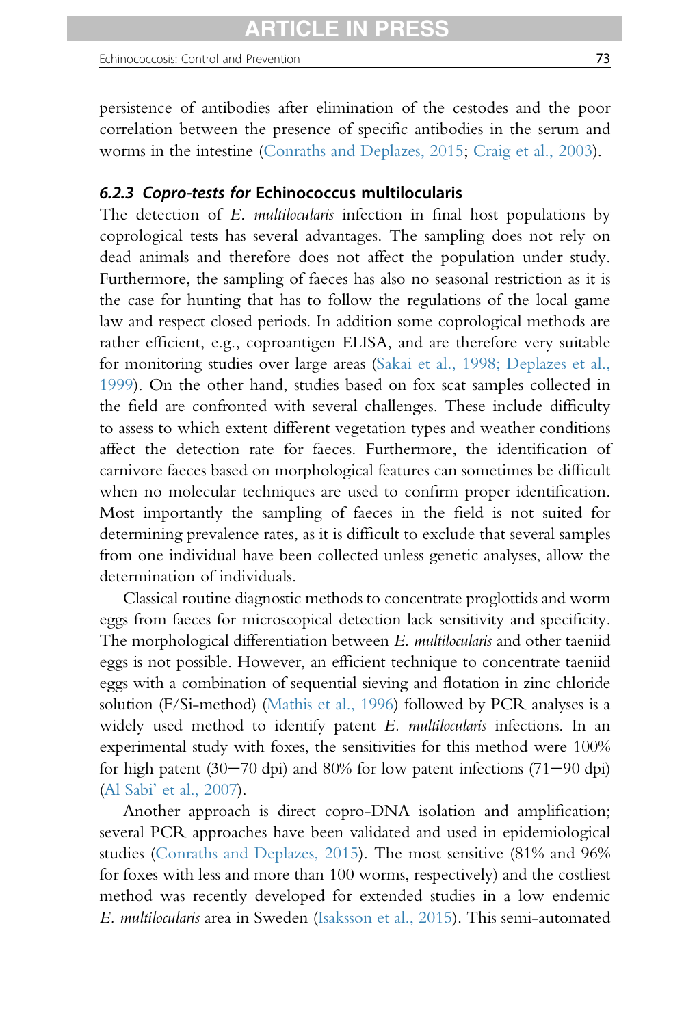persistence of antibodies after elimination of the cestodes and the poor correlation between the presence of specific antibodies in the serum and worms in the intestine [\(Conraths and Deplazes, 2015;](#page-87-0) [Craig et al., 2003](#page-88-0)).

## 6.2.3 Copro-tests for Echinococcus multilocularis

The detection of E. multilocularis infection in final host populations by coprological tests has several advantages. The sampling does not rely on dead animals and therefore does not affect the population under study. Furthermore, the sampling of faeces has also no seasonal restriction as it is the case for hunting that has to follow the regulations of the local game law and respect closed periods. In addition some coprological methods are rather efficient, e.g., coproantigen ELISA, and are therefore very suitable for monitoring studies over large areas ([Sakai et al., 1998; Deplazes et al.,](#page-99-0) [1999](#page-99-0)). On the other hand, studies based on fox scat samples collected in the field are confronted with several challenges. These include difficulty to assess to which extent different vegetation types and weather conditions affect the detection rate for faeces. Furthermore, the identification of carnivore faeces based on morphological features can sometimes be difficult when no molecular techniques are used to confirm proper identification. Most importantly the sampling of faeces in the field is not suited for determining prevalence rates, as it is difficult to exclude that several samples from one individual have been collected unless genetic analyses, allow the determination of individuals.

Classical routine diagnostic methods to concentrate proglottids and worm eggs from faeces for microscopical detection lack sensitivity and specificity. The morphological differentiation between E. multilocularis and other taeniid eggs is not possible. However, an efficient technique to concentrate taeniid eggs with a combination of sequential sieving and flotation in zinc chloride solution (F/Si-method) [\(Mathis et al., 1996\)](#page-96-0) followed by PCR analyses is a widely used method to identify patent  $E$ . *multilocularis* infections. In an experimental study with foxes, the sensitivities for this method were 100% for high patent  $(30-70 \text{ dpi})$  and  $80\%$  for low patent infections  $(71-90 \text{ dpi})$ (Al Sabi' [et al., 2007\)](#page-84-0).

Another approach is direct copro-DNA isolation and amplification; several PCR approaches have been validated and used in epidemiological studies [\(Conraths and Deplazes, 2015](#page-87-0)). The most sensitive (81% and 96% for foxes with less and more than 100 worms, respectively) and the costliest method was recently developed for extended studies in a low endemic E. multilocularis area in Sweden ([Isaksson et al., 2015\)](#page-92-0). This semi-automated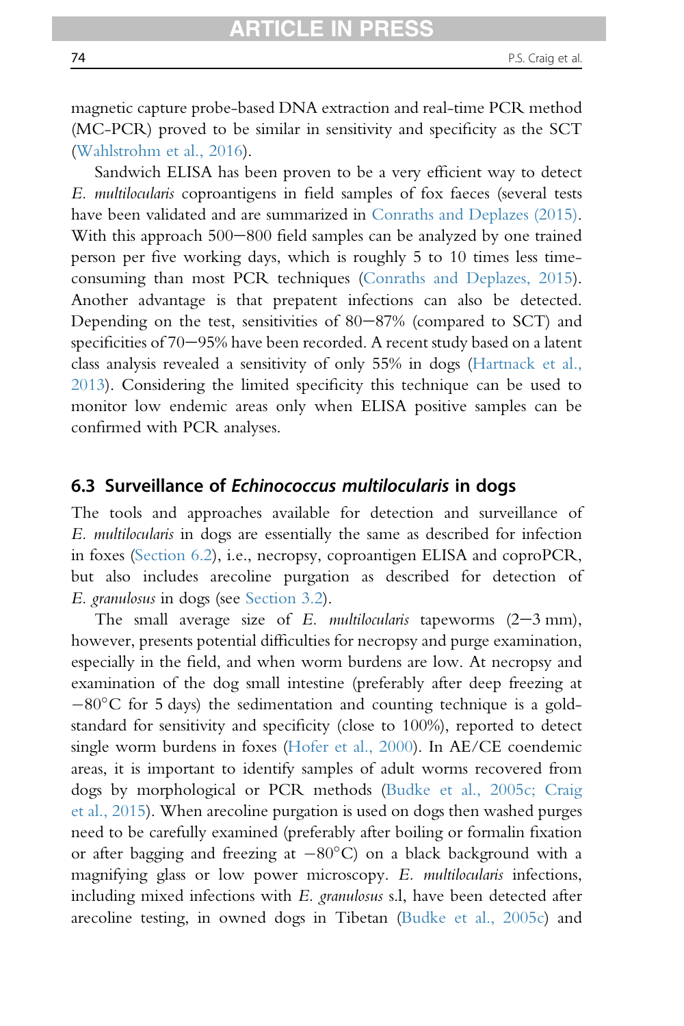magnetic capture probe-based DNA extraction and real-time PCR method (MC-PCR) proved to be similar in sensitivity and specificity as the SCT [\(Wahlstrohm et al., 2016](#page-102-0)).

Sandwich ELISA has been proven to be a very efficient way to detect E. multilocularis coproantigens in field samples of fox faeces (several tests have been validated and are summarized in [Conraths and Deplazes \(2015\).](#page-87-0) With this approach  $500-800$  field samples can be analyzed by one trained person per five working days, which is roughly 5 to 10 times less timeconsuming than most PCR techniques [\(Conraths and Deplazes, 2015\)](#page-87-0). Another advantage is that prepatent infections can also be detected. Depending on the test, sensitivities of  $80-87%$  (compared to SCT) and specificities of  $70-95%$  have been recorded. A recent study based on a latent class analysis revealed a sensitivity of only 55% in dogs [\(Hartnack et al.,](#page-91-0) [2013](#page-91-0)). Considering the limited specificity this technique can be used to monitor low endemic areas only when ELISA positive samples can be confirmed with PCR analyses.

# 6.3 Surveillance of Echinococcus multilocularis in dogs

The tools and approaches available for detection and surveillance of E. multilocularis in dogs are essentially the same as described for infection in foxes [\(Section 6.2](#page-71-0)), i.e., necropsy, coproantigen ELISA and coproPCR, but also includes arecoline purgation as described for detection of E. granulosus in dogs (see [Section 3.2\)](#page-33-0).

The small average size of E. multilocularis tapeworms  $(2-3 \text{ mm})$ , however, presents potential difficulties for necropsy and purge examination, especially in the field, and when worm burdens are low. At necropsy and examination of the dog small intestine (preferably after deep freezing at  $-80^{\circ}$ C for 5 days) the sedimentation and counting technique is a goldstandard for sensitivity and specificity (close to 100%), reported to detect single worm burdens in foxes ([Hofer et al., 2000\)](#page-92-0). In AE/CE coendemic areas, it is important to identify samples of adult worms recovered from dogs by morphological or PCR methods ([Budke et al., 2005c; Craig](#page-85-0) [et al., 2015](#page-85-0)). When arecoline purgation is used on dogs then washed purges need to be carefully examined (preferably after boiling or formalin fixation or after bagging and freezing at  $-80^{\circ}$ C) on a black background with a magnifying glass or low power microscopy. E. multilocularis infections, including mixed infections with E. granulosus s.l, have been detected after arecoline testing, in owned dogs in Tibetan [\(Budke et al., 2005c\)](#page-85-0) and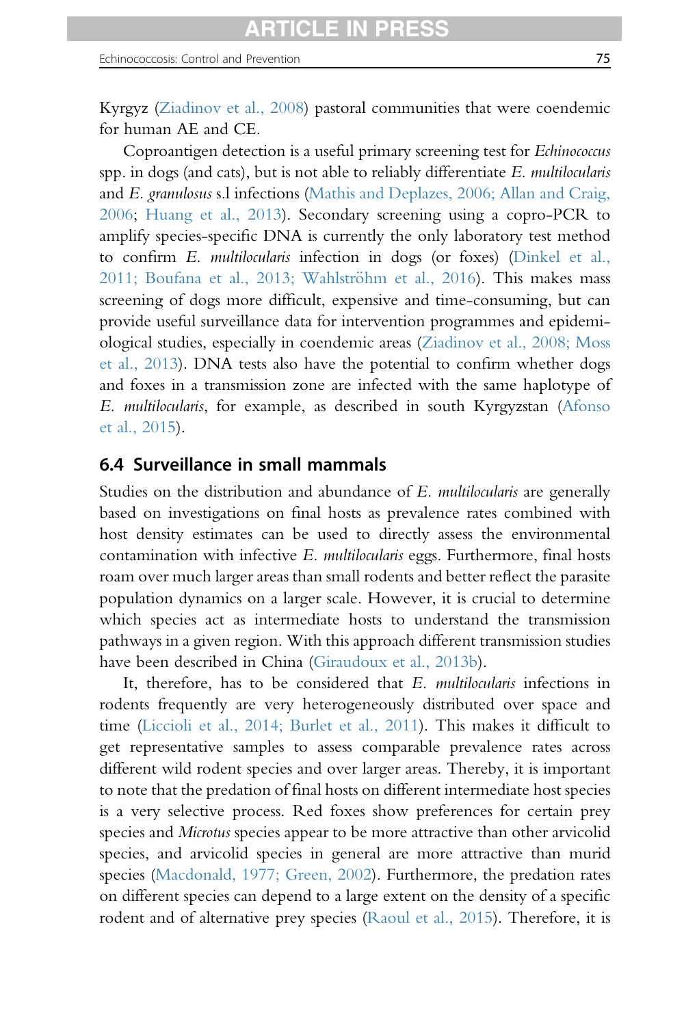Kyrgyz [\(Ziadinov et al., 2008](#page-103-0)) pastoral communities that were coendemic for human AE and CE.

Coproantigen detection is a useful primary screening test for Echinococcus spp. in dogs (and cats), but is not able to reliably differentiate E. multilocularis and E. granulosus s.l infections [\(Mathis and Deplazes, 2006; Allan and Craig,](#page-96-0) [2006](#page-96-0); [Huang et al., 2013\)](#page-87-0). Secondary screening using a copro-PCR to amplify species-specific DNA is currently the only laboratory test method to confirm E. multilocularis infection in dogs (or foxes) [\(Dinkel et al.,](#page-88-0) 2011; Boufana et al., 2013; Wahlströhm et al., 2016). This makes mass screening of dogs more difficult, expensive and time-consuming, but can provide useful surveillance data for intervention programmes and epidemiological studies, especially in coendemic areas [\(Ziadinov et al., 2008; Moss](#page-103-0) [et al., 2013\)](#page-103-0). DNA tests also have the potential to confirm whether dogs and foxes in a transmission zone are infected with the same haplotype of E. multilocularis, for example, as described in south Kyrgyzstan ([Afonso](#page-84-0) [et al., 2015](#page-84-0)).

### 6.4 Surveillance in small mammals

Studies on the distribution and abundance of E. multilocularis are generally based on investigations on final hosts as prevalence rates combined with host density estimates can be used to directly assess the environmental contamination with infective E. multilocularis eggs. Furthermore, final hosts roam over much larger areas than small rodents and better reflect the parasite population dynamics on a larger scale. However, it is crucial to determine which species act as intermediate hosts to understand the transmission pathways in a given region. With this approach different transmission studies have been described in China ([Giraudoux et al., 2013b\)](#page-90-0).

It, therefore, has to be considered that E. multilocularis infections in rodents frequently are very heterogeneously distributed over space and time ([Liccioli et al., 2014; Burlet et al., 2011\)](#page-95-0). This makes it difficult to get representative samples to assess comparable prevalence rates across different wild rodent species and over larger areas. Thereby, it is important to note that the predation of final hosts on different intermediate host species is a very selective process. Red foxes show preferences for certain prey species and *Microtus* species appear to be more attractive than other arvicolid species, and arvicolid species in general are more attractive than murid species [\(Macdonald, 1977; Green, 2002\)](#page-95-0). Furthermore, the predation rates on different species can depend to a large extent on the density of a specific rodent and of alternative prey species ([Raoul et al., 2015](#page-98-0)). Therefore, it is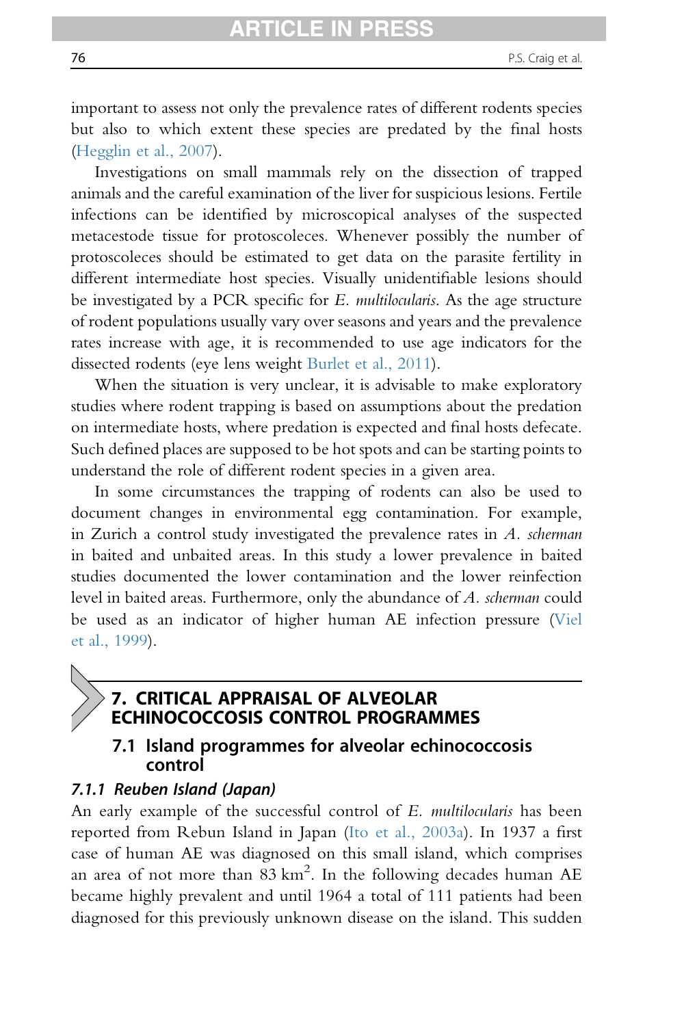important to assess not only the prevalence rates of different rodents species but also to which extent these species are predated by the final hosts [\(Hegglin et al., 2007](#page-91-0)).

Investigations on small mammals rely on the dissection of trapped animals and the careful examination of the liver for suspicious lesions. Fertile infections can be identified by microscopical analyses of the suspected metacestode tissue for protoscoleces. Whenever possibly the number of protoscoleces should be estimated to get data on the parasite fertility in different intermediate host species. Visually unidentifiable lesions should be investigated by a PCR specific for E. multilocularis. As the age structure of rodent populations usually vary over seasons and years and the prevalence rates increase with age, it is recommended to use age indicators for the dissected rodents (eye lens weight [Burlet et al., 2011](#page-86-0)).

When the situation is very unclear, it is advisable to make exploratory studies where rodent trapping is based on assumptions about the predation on intermediate hosts, where predation is expected and final hosts defecate. Such defined places are supposed to be hot spots and can be starting points to understand the role of different rodent species in a given area.

In some circumstances the trapping of rodents can also be used to document changes in environmental egg contamination. For example, in Zurich a control study investigated the prevalence rates in  $A$ . scherman in baited and unbaited areas. In this study a lower prevalence in baited studies documented the lower contamination and the lower reinfection level in baited areas. Furthermore, only the abundance of A. *scherman* could be used as an indicator of higher human AE infection pressure ([Viel](#page-102-0) [et al., 1999](#page-102-0)).

# 7. CRITICAL APPRAISAL OF ALVEOLAR ECHINOCOCCOSIS CONTROL PROGRAMMES

# 7.1 Island programmes for alveolar echinococcosis control

### 7.1.1 Reuben Island (Japan)

An early example of the successful control of E. multilocularis has been reported from Rebun Island in Japan [\(Ito et al., 2003a\)](#page-93-0). In 1937 a first case of human AE was diagnosed on this small island, which comprises an area of not more than  $83 \text{ km}^2$ . In the following decades human AE became highly prevalent and until 1964 a total of 111 patients had been diagnosed for this previously unknown disease on the island. This sudden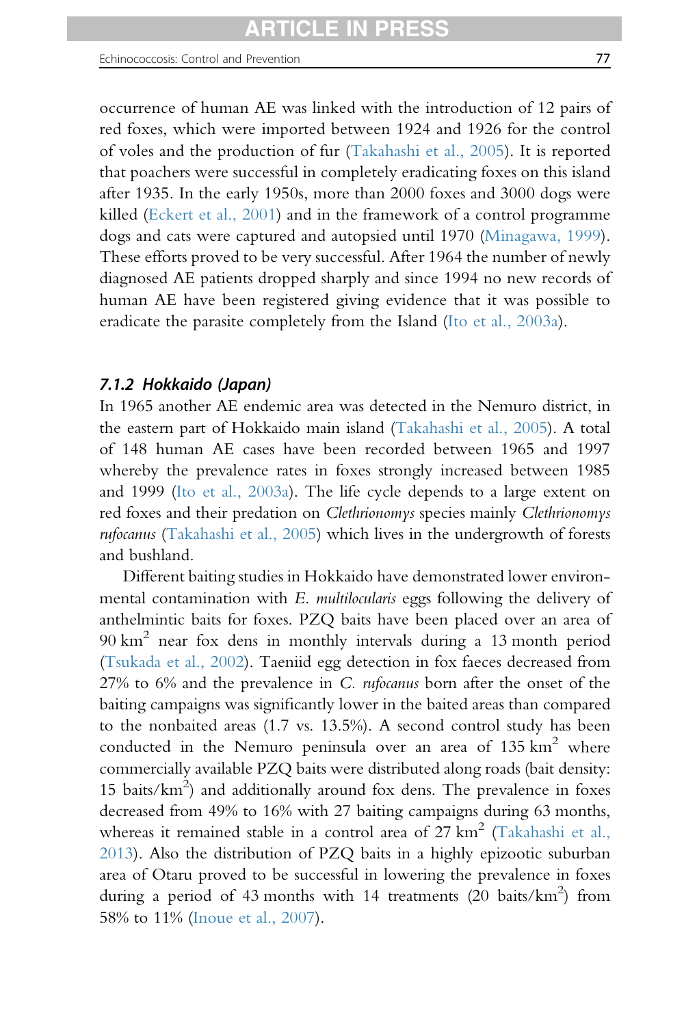occurrence of human AE was linked with the introduction of 12 pairs of red foxes, which were imported between 1924 and 1926 for the control of voles and the production of fur [\(Takahashi et al., 2005\)](#page-100-0). It is reported that poachers were successful in completely eradicating foxes on this island after 1935. In the early 1950s, more than 2000 foxes and 3000 dogs were killed ([Eckert et al., 2001\)](#page-88-0) and in the framework of a control programme dogs and cats were captured and autopsied until 1970 [\(Minagawa, 1999\)](#page-96-0). These efforts proved to be very successful. After 1964 the number of newly diagnosed AE patients dropped sharply and since 1994 no new records of human AE have been registered giving evidence that it was possible to eradicate the parasite completely from the Island ([Ito et al., 2003a\)](#page-93-0).

### 7.1.2 Hokkaido (Japan)

In 1965 another AE endemic area was detected in the Nemuro district, in the eastern part of Hokkaido main island ([Takahashi et al., 2005\)](#page-100-0). A total of 148 human AE cases have been recorded between 1965 and 1997 whereby the prevalence rates in foxes strongly increased between 1985 and 1999 [\(Ito et al., 2003a](#page-93-0)). The life cycle depends to a large extent on red foxes and their predation on Clethrionomys species mainly Clethrionomys rufocanus ([Takahashi et al., 2005\)](#page-100-0) which lives in the undergrowth of forests and bushland.

Different baiting studies in Hokkaido have demonstrated lower environmental contamination with E. multilocularis eggs following the delivery of anthelmintic baits for foxes. PZQ baits have been placed over an area of 90 km<sup>2</sup> near fox dens in monthly intervals during a 13 month period ([Tsukada et al., 2002](#page-101-0)). Taeniid egg detection in fox faeces decreased from 27% to 6% and the prevalence in C. rufocanus born after the onset of the baiting campaigns was significantly lower in the baited areas than compared to the nonbaited areas (1.7 vs. 13.5%). A second control study has been conducted in the Nemuro peninsula over an area of  $135 \text{ km}^2$  where commercially available PZQ baits were distributed along roads (bait density: 15 baits/ $km^2$ ) and additionally around fox dens. The prevalence in foxes decreased from 49% to 16% with 27 baiting campaigns during 63 months, whereas it remained stable in a control area of  $27 \text{ km}^2$  ([Takahashi et al.,](#page-100-0) [2013](#page-100-0)). Also the distribution of PZQ baits in a highly epizootic suburban area of Otaru proved to be successful in lowering the prevalence in foxes during a period of 43 months with 14 treatments (20 baits/ $\text{km}^2$ ) from 58% to 11% ([Inoue et al., 2007\)](#page-92-0).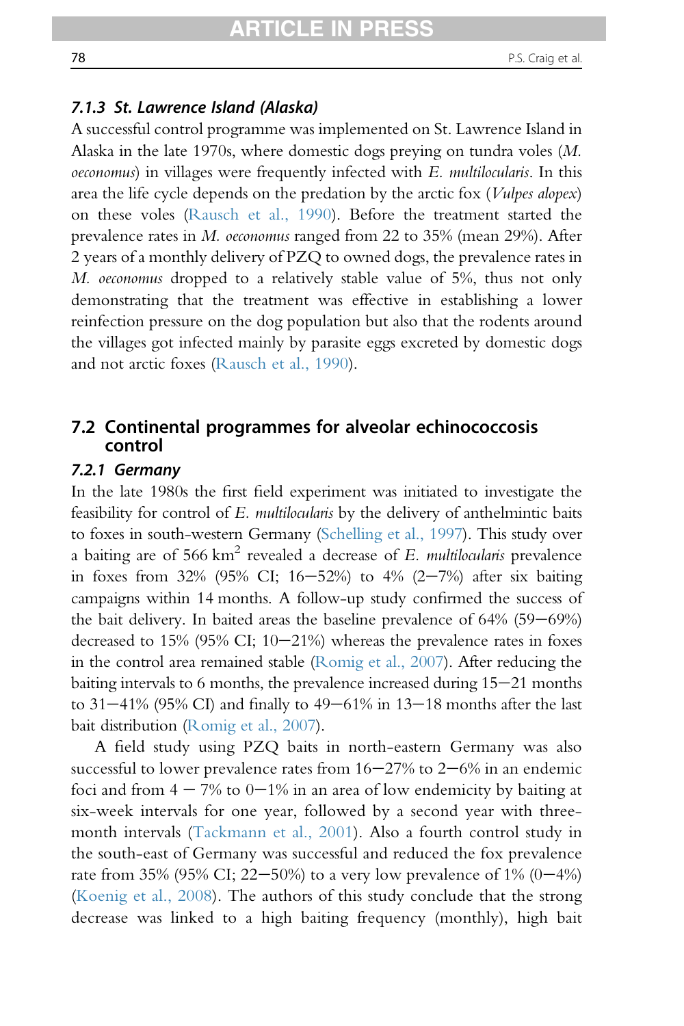## 7.1.3 St. Lawrence Island (Alaska)

A successful control programme was implemented on St. Lawrence Island in Alaska in the late 1970s, where domestic dogs preying on tundra voles (M. oeconomus) in villages were frequently infected with E. multilocularis. In this area the life cycle depends on the predation by the arctic fox (*Vulpes alopex*) on these voles ([Rausch et al., 1990](#page-98-0)). Before the treatment started the prevalence rates in M. oeconomus ranged from 22 to 35% (mean 29%). After 2 years of a monthly delivery of PZQ to owned dogs, the prevalence rates in M. oeconomus dropped to a relatively stable value of 5%, thus not only demonstrating that the treatment was effective in establishing a lower reinfection pressure on the dog population but also that the rodents around the villages got infected mainly by parasite eggs excreted by domestic dogs and not arctic foxes [\(Rausch et al., 1990](#page-98-0)).

# 7.2 Continental programmes for alveolar echinococcosis control

### 7.2.1 Germany

In the late 1980s the first field experiment was initiated to investigate the feasibility for control of E. multilocularis by the delivery of anthelmintic baits to foxes in south-western Germany ([Schelling et al., 1997](#page-99-0)). This study over a baiting are of  $566 \text{ km}^2$  revealed a decrease of E. multilocularis prevalence in foxes from 32% (95% CI; 16-52%) to 4% (2-7%) after six baiting campaigns within 14 months. A follow-up study confirmed the success of the bait delivery. In baited areas the baseline prevalence of  $64\%$  (59 $-69\%$ ) decreased to  $15\%$  (95% CI;  $10-21\%$ ) whereas the prevalence rates in foxes in the control area remained stable ([Romig et al., 2007](#page-99-0)). After reducing the baiting intervals to  $6$  months, the prevalence increased during  $15-21$  months to  $31-41\%$  (95% CI) and finally to  $49-61\%$  in  $13-18$  months after the last bait distribution [\(Romig et al., 2007](#page-99-0)).

A field study using PZQ baits in north-eastern Germany was also successful to lower prevalence rates from  $16-27\%$  to  $2-6\%$  in an endemic foci and from  $4 - 7\%$  to  $0 - 1\%$  in an area of low endemicity by baiting at six-week intervals for one year, followed by a second year with threemonth intervals ([Tackmann et al., 2001](#page-100-0)). Also a fourth control study in the south-east of Germany was successful and reduced the fox prevalence rate from 35% (95% CI; 22–50%) to a very low prevalence of  $1\%$  (0–4%) [\(Koenig et al., 2008](#page-93-0)). The authors of this study conclude that the strong decrease was linked to a high baiting frequency (monthly), high bait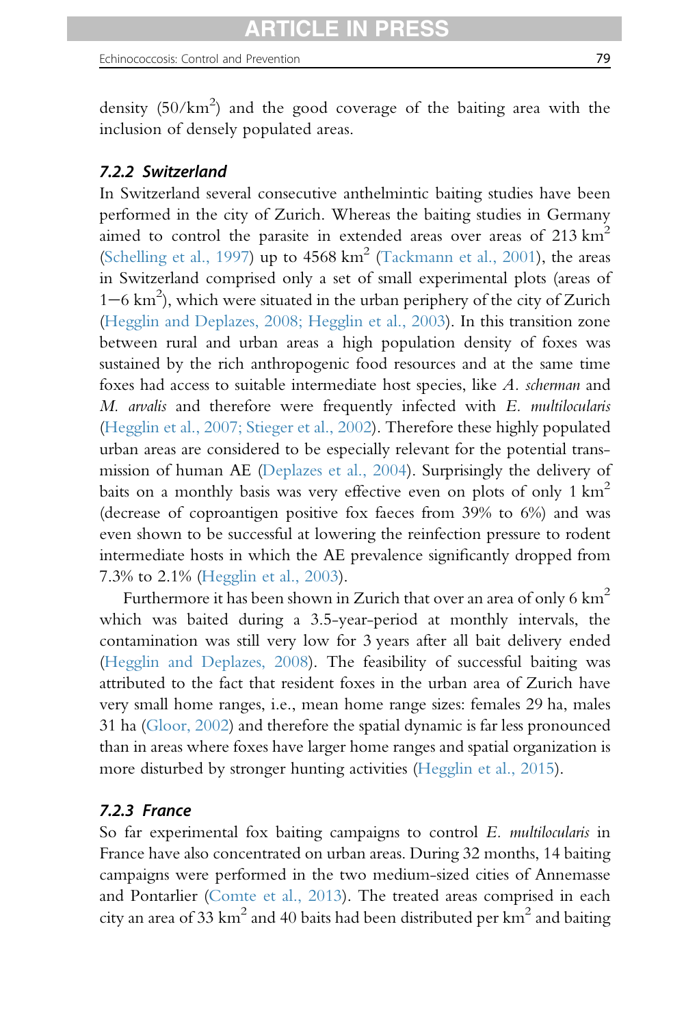density  $(50/km^2)$  and the good coverage of the baiting area with the inclusion of densely populated areas.

# 7.2.2 Switzerland

In Switzerland several consecutive anthelmintic baiting studies have been performed in the city of Zurich. Whereas the baiting studies in Germany aimed to control the parasite in extended areas over areas of  $213 \text{ km}^2$ ([Schelling et al., 1997\)](#page-99-0) up to  $4568 \text{ km}^2$  [\(Tackmann et al., 2001\)](#page-100-0), the areas in Switzerland comprised only a set of small experimental plots (areas of 1-6 km<sup>2</sup>), which were situated in the urban periphery of the city of Zurich ([Hegglin and Deplazes, 2008; Hegglin et al., 2003](#page-92-0)). In this transition zone between rural and urban areas a high population density of foxes was sustained by the rich anthropogenic food resources and at the same time foxes had access to suitable intermediate host species, like A. scherman and M. arvalis and therefore were frequently infected with E. multilocularis ([Hegglin et al., 2007; Stieger et al., 2002\)](#page-91-0). Therefore these highly populated urban areas are considered to be especially relevant for the potential transmission of human AE ([Deplazes et al., 2004\)](#page-88-0). Surprisingly the delivery of baits on a monthly basis was very effective even on plots of only  $1 \text{ km}^2$ (decrease of coproantigen positive fox faeces from 39% to 6%) and was even shown to be successful at lowering the reinfection pressure to rodent intermediate hosts in which the AE prevalence significantly dropped from 7.3% to 2.1% [\(Hegglin et al., 2003\)](#page-92-0).

Furthermore it has been shown in Zurich that over an area of only 6  $km^2$ which was baited during a 3.5-year-period at monthly intervals, the contamination was still very low for 3 years after all bait delivery ended ([Hegglin and Deplazes, 2008\)](#page-92-0). The feasibility of successful baiting was attributed to the fact that resident foxes in the urban area of Zurich have very small home ranges, i.e., mean home range sizes: females 29 ha, males 31 ha [\(Gloor, 2002\)](#page-91-0) and therefore the spatial dynamic is far less pronounced than in areas where foxes have larger home ranges and spatial organization is more disturbed by stronger hunting activities ([Hegglin et al., 2015](#page-91-0)).

### 7.2.3 France

So far experimental fox baiting campaigns to control E. multilocularis in France have also concentrated on urban areas. During 32 months, 14 baiting campaigns were performed in the two medium-sized cities of Annemasse and Pontarlier ([Comte et al., 2013](#page-87-0)). The treated areas comprised in each city an area of 33 km<sup>2</sup> and 40 baits had been distributed per km<sup>2</sup> and baiting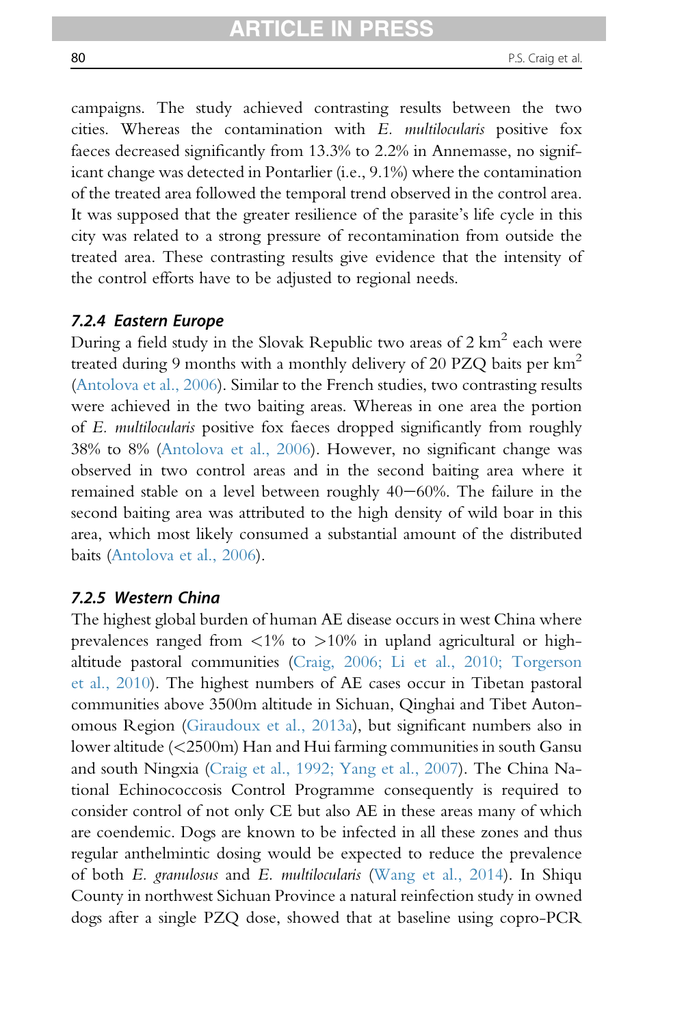campaigns. The study achieved contrasting results between the two cities. Whereas the contamination with E. multilocularis positive fox faeces decreased significantly from 13.3% to 2.2% in Annemasse, no significant change was detected in Pontarlier (i.e., 9.1%) where the contamination of the treated area followed the temporal trend observed in the control area. It was supposed that the greater resilience of the parasite's life cycle in this city was related to a strong pressure of recontamination from outside the treated area. These contrasting results give evidence that the intensity of the control efforts have to be adjusted to regional needs.

### 7.2.4 Eastern Europe

During a field study in the Slovak Republic two areas of 2 km<sup>2</sup> each were treated during 9 months with a monthly delivery of 20 PZQ baits per  $km^2$ [\(Antolova et al., 2006](#page-84-0)). Similar to the French studies, two contrasting results were achieved in the two baiting areas. Whereas in one area the portion of E. multilocularis positive fox faeces dropped significantly from roughly 38% to 8% ([Antolova et al., 2006](#page-84-0)). However, no significant change was observed in two control areas and in the second baiting area where it remained stable on a level between roughly  $40-60\%$ . The failure in the second baiting area was attributed to the high density of wild boar in this area, which most likely consumed a substantial amount of the distributed baits [\(Antolova et al., 2006\)](#page-84-0).

### 7.2.5 Western China

The highest global burden of human AE disease occurs in west China where prevalences ranged from  $\langle 1\% \rangle$  to  $> 10\%$  in upland agricultural or highaltitude pastoral communities [\(Craig, 2006; Li et al., 2010; Torgerson](#page-87-0) [et al., 2010\)](#page-87-0). The highest numbers of AE cases occur in Tibetan pastoral communities above 3500m altitude in Sichuan, Qinghai and Tibet Autonomous Region ([Giraudoux et al., 2013a\)](#page-90-0), but significant numbers also in lower altitude (<2500m) Han and Hui farming communities in south Gansu and south Ningxia [\(Craig et al., 1992; Yang et al., 2007\)](#page-87-0). The China National Echinococcosis Control Programme consequently is required to consider control of not only CE but also AE in these areas many of which are coendemic. Dogs are known to be infected in all these zones and thus regular anthelmintic dosing would be expected to reduce the prevalence of both E. granulosus and E. multilocularis ([Wang et al., 2014\)](#page-102-0). In Shiqu County in northwest Sichuan Province a natural reinfection study in owned dogs after a single PZQ dose, showed that at baseline using copro-PCR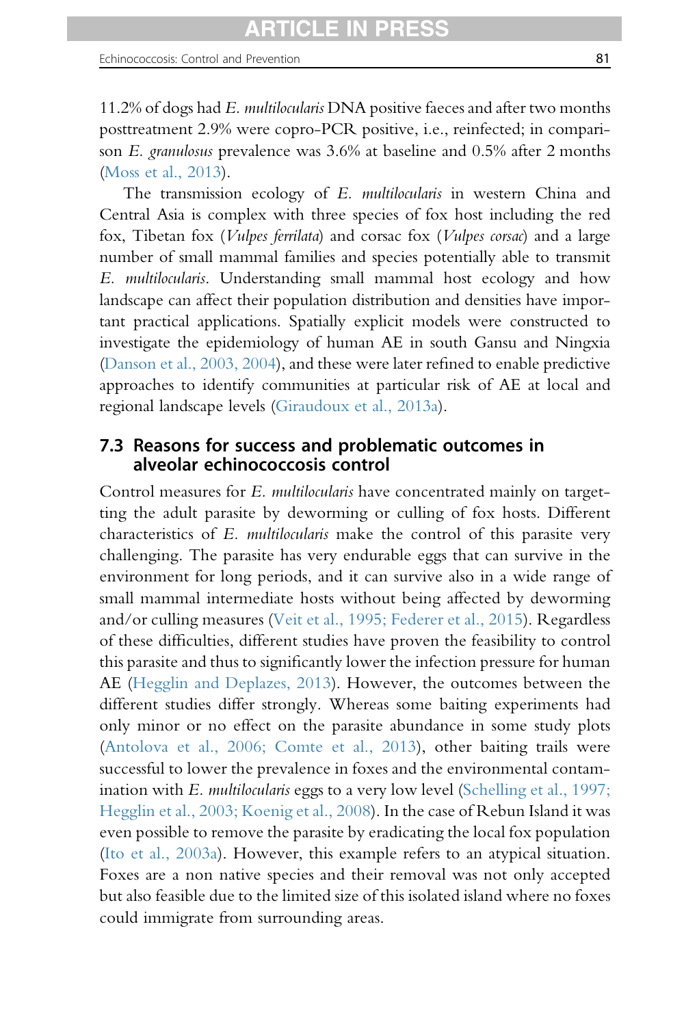11.2% of dogs had E. *multilocularis* DNA positive faeces and after two months posttreatment 2.9% were copro-PCR positive, i.e., reinfected; in comparison E. granulosus prevalence was 3.6% at baseline and 0.5% after 2 months ([Moss et al., 2013\)](#page-97-0).

The transmission ecology of E. multilocularis in western China and Central Asia is complex with three species of fox host including the red fox, Tibetan fox (Vulpes ferrilata) and corsac fox (Vulpes corsac) and a large number of small mammal families and species potentially able to transmit E. multilocularis. Understanding small mammal host ecology and how landscape can affect their population distribution and densities have important practical applications. Spatially explicit models were constructed to investigate the epidemiology of human AE in south Gansu and Ningxia ([Danson et al., 2003, 2004](#page-88-0)), and these were later refined to enable predictive approaches to identify communities at particular risk of AE at local and regional landscape levels ([Giraudoux et al., 2013a\)](#page-90-0).

## 7.3 Reasons for success and problematic outcomes in alveolar echinococcosis control

Control measures for E. multilocularis have concentrated mainly on targetting the adult parasite by deworming or culling of fox hosts. Different characteristics of E. multilocularis make the control of this parasite very challenging. The parasite has very endurable eggs that can survive in the environment for long periods, and it can survive also in a wide range of small mammal intermediate hosts without being affected by deworming and/or culling measures [\(Veit et al., 1995; Federer et al., 2015](#page-101-0)). Regardless of these difficulties, different studies have proven the feasibility to control this parasite and thus to significantly lower the infection pressure for human AE ([Hegglin and Deplazes, 2013](#page-92-0)). However, the outcomes between the different studies differ strongly. Whereas some baiting experiments had only minor or no effect on the parasite abundance in some study plots ([Antolova et al., 2006; Comte et al., 2013\)](#page-84-0), other baiting trails were successful to lower the prevalence in foxes and the environmental contamination with *E. multilocularis* eggs to a very low level [\(Schelling et al., 1997;](#page-99-0) [Hegglin et al., 2003; Koenig et al., 2008](#page-99-0)). In the case of Rebun Island it was even possible to remove the parasite by eradicating the local fox population ([Ito et al., 2003a](#page-93-0)). However, this example refers to an atypical situation. Foxes are a non native species and their removal was not only accepted but also feasible due to the limited size of this isolated island where no foxes could immigrate from surrounding areas.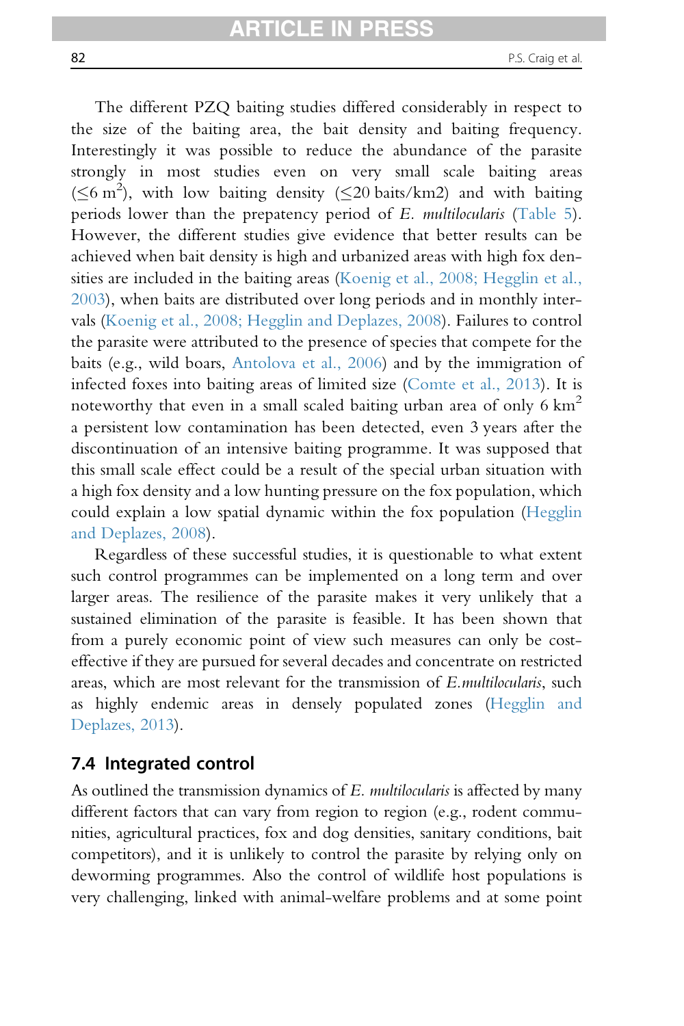The different PZQ baiting studies differed considerably in respect to the size of the baiting area, the bait density and baiting frequency. Interestingly it was possible to reduce the abundance of the parasite strongly in most studies even on very small scale baiting areas  $(\leq 6 \text{ m}^2)$ , with low baiting density ( $\leq 20$  baits/km2) and with baiting periods lower than the prepatency period of E. multilocularis ([Table 5\)](#page-62-0). However, the different studies give evidence that better results can be achieved when bait density is high and urbanized areas with high fox den-sities are included in the baiting areas ([Koenig et al., 2008; Hegglin et al.,](#page-93-0) [2003\)](#page-93-0), when baits are distributed over long periods and in monthly intervals ([Koenig et al., 2008; Hegglin and Deplazes, 2008\)](#page-93-0). Failures to control the parasite were attributed to the presence of species that compete for the baits (e.g., wild boars, [Antolova et al., 2006](#page-84-0)) and by the immigration of infected foxes into baiting areas of limited size [\(Comte et al., 2013](#page-87-0)). It is noteworthy that even in a small scaled baiting urban area of only 6  $km^2$ a persistent low contamination has been detected, even 3 years after the discontinuation of an intensive baiting programme. It was supposed that this small scale effect could be a result of the special urban situation with a high fox density and a low hunting pressure on the fox population, which could explain a low spatial dynamic within the fox population [\(Hegglin](#page-92-0) [and Deplazes, 2008](#page-92-0)).

Regardless of these successful studies, it is questionable to what extent such control programmes can be implemented on a long term and over larger areas. The resilience of the parasite makes it very unlikely that a sustained elimination of the parasite is feasible. It has been shown that from a purely economic point of view such measures can only be costeffective if they are pursued for several decades and concentrate on restricted areas, which are most relevant for the transmission of E.multilocularis, such as highly endemic areas in densely populated zones [\(Hegglin and](#page-92-0) [Deplazes, 2013](#page-92-0)).

## 7.4 Integrated control

As outlined the transmission dynamics of E. *multilocularis* is affected by many different factors that can vary from region to region (e.g., rodent communities, agricultural practices, fox and dog densities, sanitary conditions, bait competitors), and it is unlikely to control the parasite by relying only on deworming programmes. Also the control of wildlife host populations is very challenging, linked with animal-welfare problems and at some point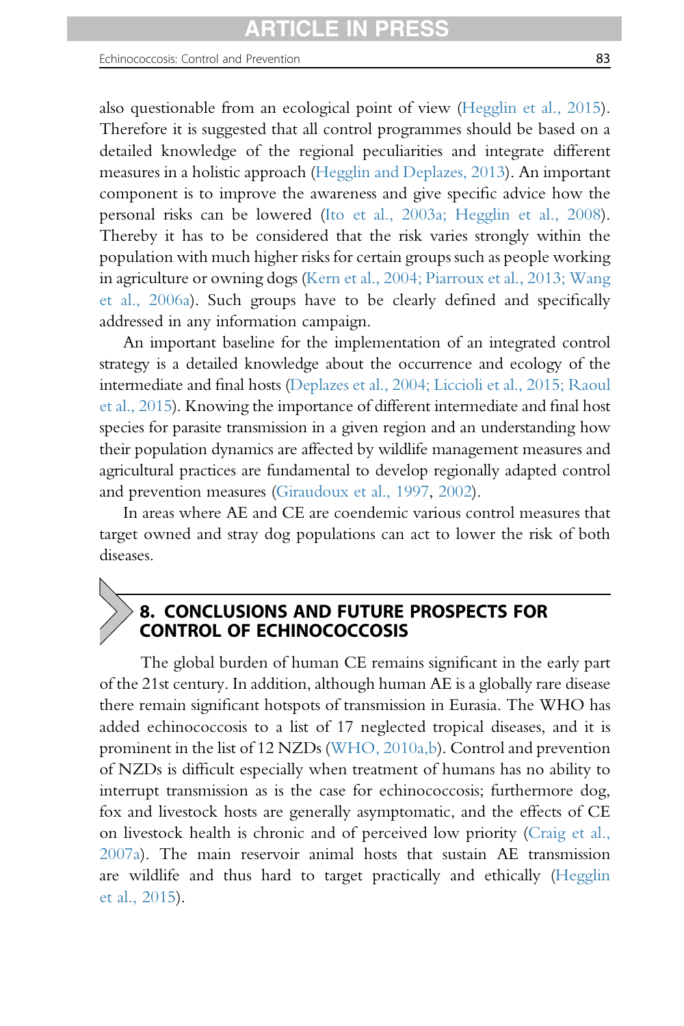also questionable from an ecological point of view ([Hegglin et al., 2015\)](#page-91-0). Therefore it is suggested that all control programmes should be based on a detailed knowledge of the regional peculiarities and integrate different measures in a holistic approach [\(Hegglin and Deplazes, 2013](#page-92-0)). An important component is to improve the awareness and give specific advice how the personal risks can be lowered [\(Ito et al., 2003a; Hegglin et al., 2008\)](#page-93-0). Thereby it has to be considered that the risk varies strongly within the population with much higher risks for certain groups such as people working in agriculture or owning dogs [\(Kern et al., 2004; Piarroux et al., 2013; Wang](#page-93-0) [et al., 2006a\)](#page-93-0). Such groups have to be clearly defined and specifically addressed in any information campaign.

An important baseline for the implementation of an integrated control strategy is a detailed knowledge about the occurrence and ecology of the intermediate and final hosts [\(Deplazes et al., 2004; Liccioli et al., 2015; Raoul](#page-88-0) [et al., 2015\)](#page-88-0). Knowing the importance of different intermediate and final host species for parasite transmission in a given region and an understanding how their population dynamics are affected by wildlife management measures and agricultural practices are fundamental to develop regionally adapted control and prevention measures [\(Giraudoux et al., 1997,](#page-90-0) [2002\)](#page-90-0).

In areas where AE and CE are coendemic various control measures that target owned and stray dog populations can act to lower the risk of both diseases.

# 8. CONCLUSIONS AND FUTURE PROSPECTS FOR CONTROL OF ECHINOCOCCOSIS

The global burden of human CE remains significant in the early part of the 21st century. In addition, although human AE is a globally rare disease there remain significant hotspots of transmission in Eurasia. The WHO has added echinococcosis to a list of 17 neglected tropical diseases, and it is prominent in the list of 12 NZDs [\(WHO, 2010a,b](#page-102-0)). Control and prevention of NZDs is difficult especially when treatment of humans has no ability to interrupt transmission as is the case for echinococcosis; furthermore dog, fox and livestock hosts are generally asymptomatic, and the effects of CE on livestock health is chronic and of perceived low priority ([Craig et al.,](#page-87-0) [2007a\)](#page-87-0). The main reservoir animal hosts that sustain AE transmission are wildlife and thus hard to target practically and ethically ([Hegglin](#page-91-0) [et al., 2015](#page-91-0)).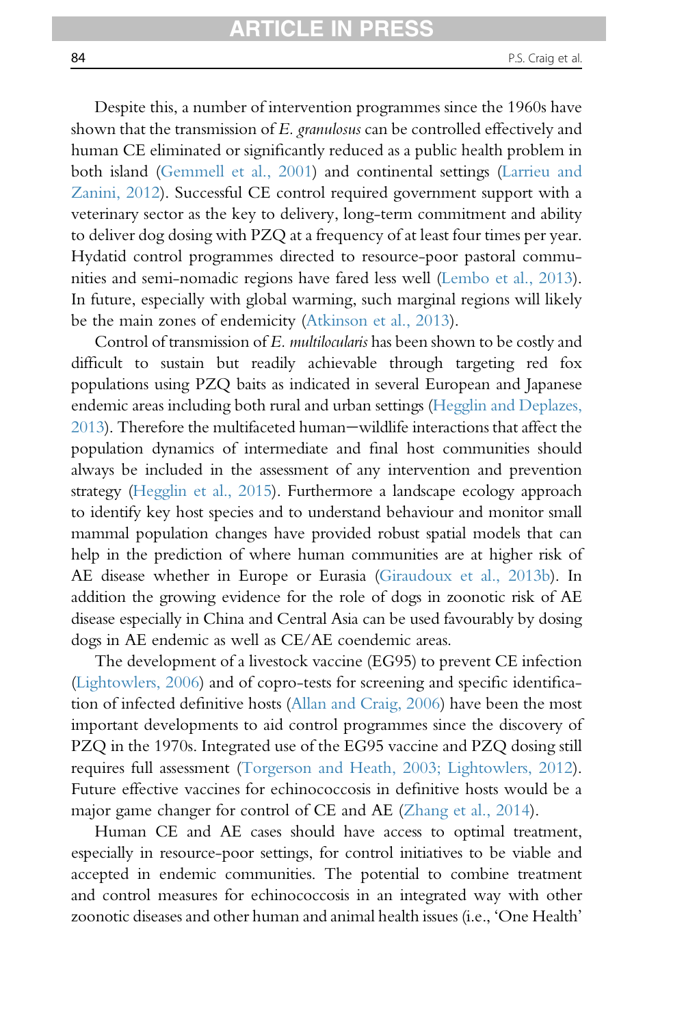Despite this, a number of intervention programmes since the 1960s have shown that the transmission of E. granulosus can be controlled effectively and human CE eliminated or significantly reduced as a public health problem in both island [\(Gemmell et al., 2001](#page-90-0)) and continental settings ([Larrieu and](#page-94-0) [Zanini, 2012](#page-94-0)). Successful CE control required government support with a veterinary sector as the key to delivery, long-term commitment and ability to deliver dog dosing with PZQ at a frequency of at least four times per year. Hydatid control programmes directed to resource-poor pastoral communities and semi-nomadic regions have fared less well ([Lembo et al., 2013\)](#page-94-0). In future, especially with global warming, such marginal regions will likely be the main zones of endemicity [\(Atkinson et al., 2013\)](#page-84-0).

Control of transmission of E. multilocularis has been shown to be costly and difficult to sustain but readily achievable through targeting red fox populations using PZQ baits as indicated in several European and Japanese endemic areas including both rural and urban settings [\(Hegglin and Deplazes,](#page-92-0) [2013\)](#page-92-0). Therefore the multifaceted human—wildlife interactions that affect the population dynamics of intermediate and final host communities should always be included in the assessment of any intervention and prevention strategy ([Hegglin et al., 2015\)](#page-91-0). Furthermore a landscape ecology approach to identify key host species and to understand behaviour and monitor small mammal population changes have provided robust spatial models that can help in the prediction of where human communities are at higher risk of AE disease whether in Europe or Eurasia ([Giraudoux et al., 2013b](#page-90-0)). In addition the growing evidence for the role of dogs in zoonotic risk of AE disease especially in China and Central Asia can be used favourably by dosing dogs in AE endemic as well as CE/AE coendemic areas.

The development of a livestock vaccine (EG95) to prevent CE infection [\(Lightowlers, 2006\)](#page-95-0) and of copro-tests for screening and specific identification of infected definitive hosts ([Allan and Craig, 2006](#page-84-0)) have been the most important developments to aid control programmes since the discovery of PZQ in the 1970s. Integrated use of the EG95 vaccine and PZQ dosing still requires full assessment [\(Torgerson and Heath, 2003; Lightowlers, 2012\)](#page-101-0). Future effective vaccines for echinococcosis in definitive hosts would be a major game changer for control of CE and AE ([Zhang et al., 2014\)](#page-103-0).

Human CE and AE cases should have access to optimal treatment, especially in resource-poor settings, for control initiatives to be viable and accepted in endemic communities. The potential to combine treatment and control measures for echinococcosis in an integrated way with other zoonotic diseases and other human and animal health issues (i.e., 'One Health'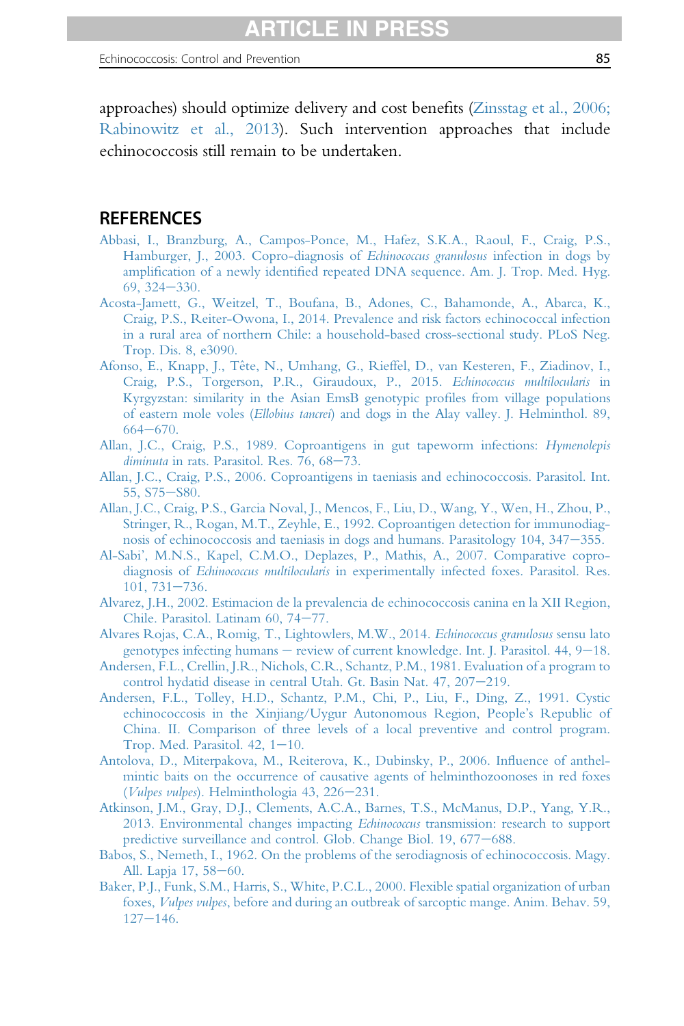<span id="page-84-0"></span>approaches) should optimize delivery and cost benefits ([Zinsstag et al., 2006;](#page-103-0) [Rabinowitz et al., 2013](#page-103-0)). Such intervention approaches that include echinococcosis still remain to be undertaken.

# **REFERENCES**

- [Abbasi, I., Branzburg, A., Campos-Ponce, M., Hafez, S.K.A., Raoul, F., Craig, P.S.,](http://refhub.elsevier.com/S0065-308X(16)30085-9/sref1) [Hamburger, J., 2003. Copro-diagnosis of](http://refhub.elsevier.com/S0065-308X(16)30085-9/sref1) *Echinococcus granulosus* infection in dogs by amplification of a newly identifi[ed repeated DNA sequence. Am. J. Trop. Med. Hyg.](http://refhub.elsevier.com/S0065-308X(16)30085-9/sref1)  $69, 324 - 330.$  $69, 324 - 330.$  $69, 324 - 330.$
- [Acosta-Jamett, G., Weitzel, T., Boufana, B., Adones, C., Bahamonde, A., Abarca, K.,](http://refhub.elsevier.com/S0065-308X(16)30085-9/sref2) [Craig, P.S., Reiter-Owona, I., 2014. Prevalence and risk factors echinococcal infection](http://refhub.elsevier.com/S0065-308X(16)30085-9/sref2) [in a rural area of northern Chile: a household-based cross-sectional study. PLoS Neg.](http://refhub.elsevier.com/S0065-308X(16)30085-9/sref2) [Trop. Dis. 8, e3090.](http://refhub.elsevier.com/S0065-308X(16)30085-9/sref2)
- [Afonso, E., Knapp, J., Tête, N., Umhang, G., Rieffel, D., van Kesteren, F., Ziadinov, I.,](http://refhub.elsevier.com/S0065-308X(16)30085-9/sref3) [Craig, P.S., Torgerson, P.R., Giraudoux, P., 2015.](http://refhub.elsevier.com/S0065-308X(16)30085-9/sref3) Echinococcus multilocularis in [Kyrgyzstan: similarity in the Asian EmsB genotypic pro](http://refhub.elsevier.com/S0065-308X(16)30085-9/sref3)files from village populations of eastern mole voles (Ellobius tancrei[\) and dogs in the Alay valley. J. Helminthol. 89,](http://refhub.elsevier.com/S0065-308X(16)30085-9/sref3)  $664 - 670.$  $664 - 670.$  $664 - 670.$
- [Allan, J.C., Craig, P.S., 1989. Coproantigens in gut tapeworm infections:](http://refhub.elsevier.com/S0065-308X(16)30085-9/sref4) Hymenolepis  $diminuta$  in rats. Parasitol. Res. 76,  $68-73$ .
- [Allan, J.C., Craig, P.S., 2006. Coproantigens in taeniasis and echinococcosis. Parasitol. Int.](http://refhub.elsevier.com/S0065-308X(16)30085-9/sref5) [55, S75](http://refhub.elsevier.com/S0065-308X(16)30085-9/sref5)-[S80.](http://refhub.elsevier.com/S0065-308X(16)30085-9/sref5)
- [Allan, J.C., Craig, P.S., Garcia Noval, J., Mencos, F., Liu, D., Wang, Y., Wen, H., Zhou, P.,](http://refhub.elsevier.com/S0065-308X(16)30085-9/sref6) [Stringer, R., Rogan, M.T., Zeyhle, E., 1992. Coproantigen detection for immunodiag](http://refhub.elsevier.com/S0065-308X(16)30085-9/sref6)[nosis of echinococcosis and taeniasis in dogs and humans. Parasitology 104, 347](http://refhub.elsevier.com/S0065-308X(16)30085-9/sref6)–[355.](http://refhub.elsevier.com/S0065-308X(16)30085-9/sref6)
- Al-Sabi'[, M.N.S., Kapel, C.M.O., Deplazes, P., Mathis, A., 2007. Comparative copro](http://refhub.elsevier.com/S0065-308X(16)30085-9/sref7)diagnosis of Echinococcus multilocularis [in experimentally infected foxes. Parasitol. Res.](http://refhub.elsevier.com/S0065-308X(16)30085-9/sref7)  $101, 731 - 736.$  $101, 731 - 736.$  $101, 731 - 736.$
- [Alvarez, J.H., 2002. Estimacion de la prevalencia de echinococcosis canina en la XII Region,](http://refhub.elsevier.com/S0065-308X(16)30085-9/sref8) [Chile. Parasitol. Latinam 60, 74](http://refhub.elsevier.com/S0065-308X(16)30085-9/sref8)-[77.](http://refhub.elsevier.com/S0065-308X(16)30085-9/sref8)
- [Alvares Rojas, C.A., Romig, T., Lightowlers, M.W., 2014.](http://refhub.elsevier.com/S0065-308X(16)30085-9/sref9) Echinococcus granulosus sensu lato [genotypes infecting humans](http://refhub.elsevier.com/S0065-308X(16)30085-9/sref9)  $-$  review of current knowledge. Int. J. Parasitol. 44,  $9-18$ .
- [Andersen, F.L., Crellin, J.R., Nichols, C.R., Schantz, P.M., 1981. Evaluation of a program to](http://refhub.elsevier.com/S0065-308X(16)30085-9/sref10) [control hydatid disease in central Utah. Gt. Basin Nat. 47, 207](http://refhub.elsevier.com/S0065-308X(16)30085-9/sref10)-[219.](http://refhub.elsevier.com/S0065-308X(16)30085-9/sref10)
- [Andersen, F.L., Tolley, H.D., Schantz, P.M., Chi, P., Liu, F., Ding, Z., 1991. Cystic](http://refhub.elsevier.com/S0065-308X(16)30085-9/sref11) [echinococcosis in the Xinjiang/Uygur Autonomous Region, People](http://refhub.elsevier.com/S0065-308X(16)30085-9/sref11)'s Republic of [China. II. Comparison of three levels of a local preventive and control program.](http://refhub.elsevier.com/S0065-308X(16)30085-9/sref11) Trop. Med. Parasitol.  $42$ ,  $1-10$ .
- [Antolova, D., Miterpakova, M., Reiterova, K., Dubinsky, P., 2006. In](http://refhub.elsevier.com/S0065-308X(16)30085-9/sref12)fluence of anthel[mintic baits on the occurrence of causative agents of helminthozoonoses in red foxes](http://refhub.elsevier.com/S0065-308X(16)30085-9/sref12) (*Vulpes vulpes*). Helminthologia  $43$ ,  $226-231$ .
- [Atkinson, J.M., Gray, D.J., Clements, A.C.A., Barnes, T.S., McManus, D.P., Yang, Y.R.,](http://refhub.elsevier.com/S0065-308X(16)30085-9/sref13) [2013. Environmental changes impacting](http://refhub.elsevier.com/S0065-308X(16)30085-9/sref13) Echinococcus transmission: research to support [predictive surveillance and control. Glob. Change Biol. 19, 677](http://refhub.elsevier.com/S0065-308X(16)30085-9/sref13)-[688.](http://refhub.elsevier.com/S0065-308X(16)30085-9/sref13)
- [Babos, S., Nemeth, I., 1962. On the problems of the serodiagnosis of echinococcosis. Magy.](http://refhub.elsevier.com/S0065-308X(16)30085-9/sref14) [All. Lapja 17, 58](http://refhub.elsevier.com/S0065-308X(16)30085-9/sref14)–[60.](http://refhub.elsevier.com/S0065-308X(16)30085-9/sref14)
- [Baker, P.J., Funk, S.M., Harris, S., White, P.C.L., 2000. Flexible spatial organization of urban](http://refhub.elsevier.com/S0065-308X(16)30085-9/sref15) foxes, Vulpes vulpes[, before and during an outbreak of sarcoptic mange. Anim. Behav. 59,](http://refhub.elsevier.com/S0065-308X(16)30085-9/sref15)  $127 - 146.$  $127 - 146.$  $127 - 146.$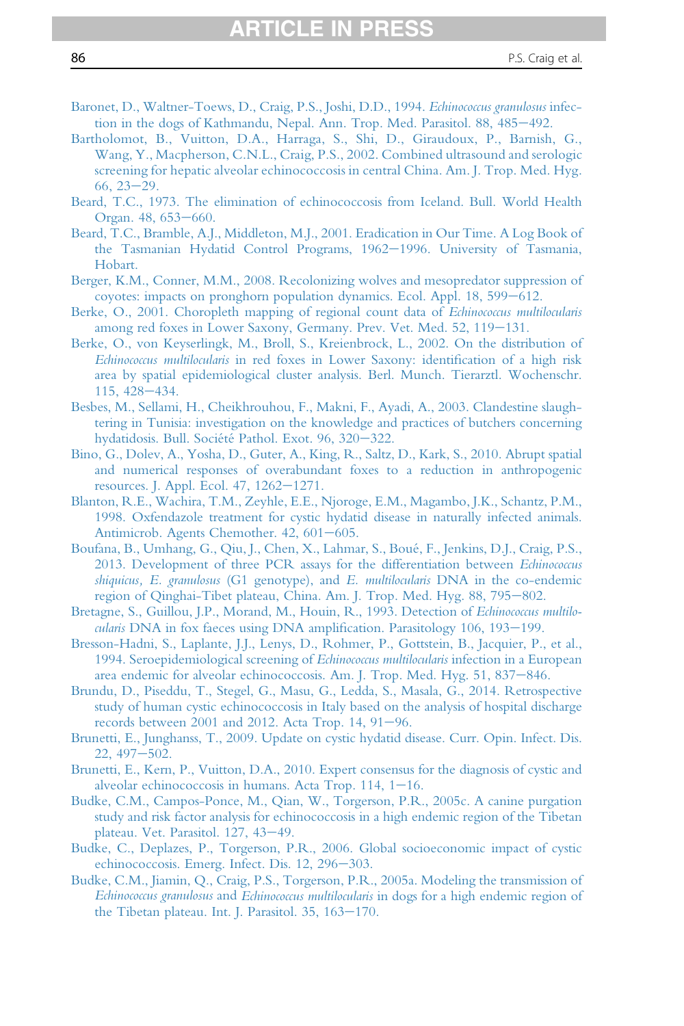- <span id="page-85-0"></span>[Baronet, D., Waltner-Toews, D., Craig, P.S., Joshi, D.D., 1994.](http://refhub.elsevier.com/S0065-308X(16)30085-9/sref16) Echinococcus granulosus infec[tion in the dogs of Kathmandu, Nepal. Ann. Trop. Med. Parasitol. 88, 485](http://refhub.elsevier.com/S0065-308X(16)30085-9/sref16)-[492.](http://refhub.elsevier.com/S0065-308X(16)30085-9/sref16)
- [Bartholomot, B., Vuitton, D.A., Harraga, S., Shi, D., Giraudoux, P., Barnish, G.,](http://refhub.elsevier.com/S0065-308X(16)30085-9/sref17) [Wang, Y., Macpherson, C.N.L., Craig, P.S., 2002. Combined ultrasound and serologic](http://refhub.elsevier.com/S0065-308X(16)30085-9/sref17) [screening for hepatic alveolar echinococcosis in central China. Am. J. Trop. Med. Hyg.](http://refhub.elsevier.com/S0065-308X(16)30085-9/sref17)  $66, 23 - 29.$  $66, 23 - 29.$  $66, 23 - 29.$
- [Beard, T.C., 1973. The elimination of echinococcosis from Iceland. Bull. World Health](http://refhub.elsevier.com/S0065-308X(16)30085-9/sref18) [Organ. 48, 653](http://refhub.elsevier.com/S0065-308X(16)30085-9/sref18)-[660.](http://refhub.elsevier.com/S0065-308X(16)30085-9/sref18)
- [Beard, T.C., Bramble, A.J., Middleton, M.J., 2001. Eradication in Our Time. A Log Book of](http://refhub.elsevier.com/S0065-308X(16)30085-9/sref19) [the Tasmanian Hydatid Control Programs, 1962](http://refhub.elsevier.com/S0065-308X(16)30085-9/sref19)-[1996. University of Tasmania,](http://refhub.elsevier.com/S0065-308X(16)30085-9/sref19) [Hobart.](http://refhub.elsevier.com/S0065-308X(16)30085-9/sref19)
- [Berger, K.M., Conner, M.M., 2008. Recolonizing wolves and mesopredator suppression of](http://refhub.elsevier.com/S0065-308X(16)30085-9/sref20) [coyotes: impacts on pronghorn population dynamics. Ecol. Appl. 18, 599](http://refhub.elsevier.com/S0065-308X(16)30085-9/sref20)–[612.](http://refhub.elsevier.com/S0065-308X(16)30085-9/sref20)
- [Berke, O., 2001. Choropleth mapping of regional count data of](http://refhub.elsevier.com/S0065-308X(16)30085-9/sref21) Echinococcus multilocularis [among red foxes in Lower Saxony, Germany. Prev. Vet. Med. 52, 119](http://refhub.elsevier.com/S0065-308X(16)30085-9/sref21)-[131.](http://refhub.elsevier.com/S0065-308X(16)30085-9/sref21)
- [Berke, O., von Keyserlingk, M., Broll, S., Kreienbrock, L., 2002. On the distribution of](http://refhub.elsevier.com/S0065-308X(16)30085-9/sref22) Echinococcus multilocularis [in red foxes in Lower Saxony: identi](http://refhub.elsevier.com/S0065-308X(16)30085-9/sref22)fication of a high risk [area by spatial epidemiological cluster analysis. Berl. Munch. Tierarztl. Wochenschr.](http://refhub.elsevier.com/S0065-308X(16)30085-9/sref22) [115, 428](http://refhub.elsevier.com/S0065-308X(16)30085-9/sref22)-[434.](http://refhub.elsevier.com/S0065-308X(16)30085-9/sref22)
- [Besbes, M., Sellami, H., Cheikhrouhou, F., Makni, F., Ayadi, A., 2003. Clandestine slaugh](http://refhub.elsevier.com/S0065-308X(16)30085-9/sref23)[tering in Tunisia: investigation on the knowledge and practices of butchers concerning](http://refhub.elsevier.com/S0065-308X(16)30085-9/sref23) [hydatidosis. Bull. Société Pathol. Exot. 96, 320](http://refhub.elsevier.com/S0065-308X(16)30085-9/sref23)-[322.](http://refhub.elsevier.com/S0065-308X(16)30085-9/sref23)
- [Bino, G., Dolev, A., Yosha, D., Guter, A., King, R., Saltz, D., Kark, S., 2010. Abrupt spatial](http://refhub.elsevier.com/S0065-308X(16)30085-9/sref24) [and numerical responses of overabundant foxes to a reduction in anthropogenic](http://refhub.elsevier.com/S0065-308X(16)30085-9/sref24) [resources. J. Appl. Ecol. 47, 1262](http://refhub.elsevier.com/S0065-308X(16)30085-9/sref24)-[1271.](http://refhub.elsevier.com/S0065-308X(16)30085-9/sref24)
- [Blanton, R.E., Wachira, T.M., Zeyhle, E.E., Njoroge, E.M., Magambo, J.K., Schantz, P.M.,](http://refhub.elsevier.com/S0065-308X(16)30085-9/sref25) [1998. Oxfendazole treatment for cystic hydatid disease in naturally infected animals.](http://refhub.elsevier.com/S0065-308X(16)30085-9/sref25) [Antimicrob. Agents Chemother. 42, 601](http://refhub.elsevier.com/S0065-308X(16)30085-9/sref25)-[605.](http://refhub.elsevier.com/S0065-308X(16)30085-9/sref25)
- [Boufana, B., Umhang, G., Qiu, J., Chen, X., Lahmar, S., Boué, F., Jenkins, D.J., Craig, P.S.,](http://refhub.elsevier.com/S0065-308X(16)30085-9/sref26) [2013. Development of three PCR assays for the differentiation between](http://refhub.elsevier.com/S0065-308X(16)30085-9/sref26) Echinococcus shiquicus, E. granulosus (G1 genotype), and E. multilocularis [DNA in the co-endemic](http://refhub.elsevier.com/S0065-308X(16)30085-9/sref26) [region of Qinghai-Tibet plateau, China. Am. J. Trop. Med. Hyg. 88, 795](http://refhub.elsevier.com/S0065-308X(16)30085-9/sref26)-[802.](http://refhub.elsevier.com/S0065-308X(16)30085-9/sref26)
- [Bretagne, S., Guillou, J.P., Morand, M., Houin, R., 1993. Detection of](http://refhub.elsevier.com/S0065-308X(16)30085-9/sref27) Echinococcus multilo-cularis [DNA in fox faeces using DNA ampli](http://refhub.elsevier.com/S0065-308X(16)30085-9/sref27)fication. Parasitology 106, 193-[199.](http://refhub.elsevier.com/S0065-308X(16)30085-9/sref27)
- [Bresson-Hadni, S., Laplante, J.J., Lenys, D., Rohmer, P., Gottstein, B., Jacquier, P., et al.,](http://refhub.elsevier.com/S0065-308X(16)30085-9/sref28) [1994. Seroepidemiological screening of](http://refhub.elsevier.com/S0065-308X(16)30085-9/sref28) Echinococcus multilocularis infection in a European [area endemic for alveolar echinococcosis. Am. J. Trop. Med. Hyg. 51, 837](http://refhub.elsevier.com/S0065-308X(16)30085-9/sref28)-[846.](http://refhub.elsevier.com/S0065-308X(16)30085-9/sref28)
- [Brundu, D., Piseddu, T., Stegel, G., Masu, G., Ledda, S., Masala, G., 2014. Retrospective](http://refhub.elsevier.com/S0065-308X(16)30085-9/sref29) [study of human cystic echinococcosis in Italy based on the analysis of hospital discharge](http://refhub.elsevier.com/S0065-308X(16)30085-9/sref29) records between  $2001$  and  $2012$ . Acta Trop. 14,  $91-96$ .
- [Brunetti, E., Junghanss, T., 2009. Update on cystic hydatid disease. Curr. Opin. Infect. Dis.](http://refhub.elsevier.com/S0065-308X(16)30085-9/sref30)  $22,497-502.$  $22,497-502.$
- [Brunetti, E., Kern, P., Vuitton, D.A., 2010. Expert consensus for the diagnosis of cystic and](http://refhub.elsevier.com/S0065-308X(16)30085-9/sref31) alveolar echinococcosis in humans. Acta Trop.  $114$ ,  $1-16$ .
- [Budke, C.M., Campos-Ponce, M., Qian, W., Torgerson, P.R., 2005c. A canine purgation](http://refhub.elsevier.com/S0065-308X(16)30085-9/sref32) [study and risk factor analysis for echinococcosis in a high endemic region of the Tibetan](http://refhub.elsevier.com/S0065-308X(16)30085-9/sref32) [plateau. Vet. Parasitol. 127, 43](http://refhub.elsevier.com/S0065-308X(16)30085-9/sref32)-[49.](http://refhub.elsevier.com/S0065-308X(16)30085-9/sref32)
- [Budke, C., Deplazes, P., Torgerson, P.R., 2006. Global socioeconomic impact of cystic](http://refhub.elsevier.com/S0065-308X(16)30085-9/sref33) [echinococcosis. Emerg. Infect. Dis. 12, 296](http://refhub.elsevier.com/S0065-308X(16)30085-9/sref33)-[303.](http://refhub.elsevier.com/S0065-308X(16)30085-9/sref33)
- [Budke, C.M., Jiamin, Q., Craig, P.S., Torgerson, P.R., 2005a. Modeling the transmission of](http://refhub.elsevier.com/S0065-308X(16)30085-9/sref34) Echinococcus granulosus and Echinococcus multilocularis [in dogs for a high endemic region of](http://refhub.elsevier.com/S0065-308X(16)30085-9/sref34) the Tibetan plateau. Int. J. Parasitol.  $35, 163-170$ .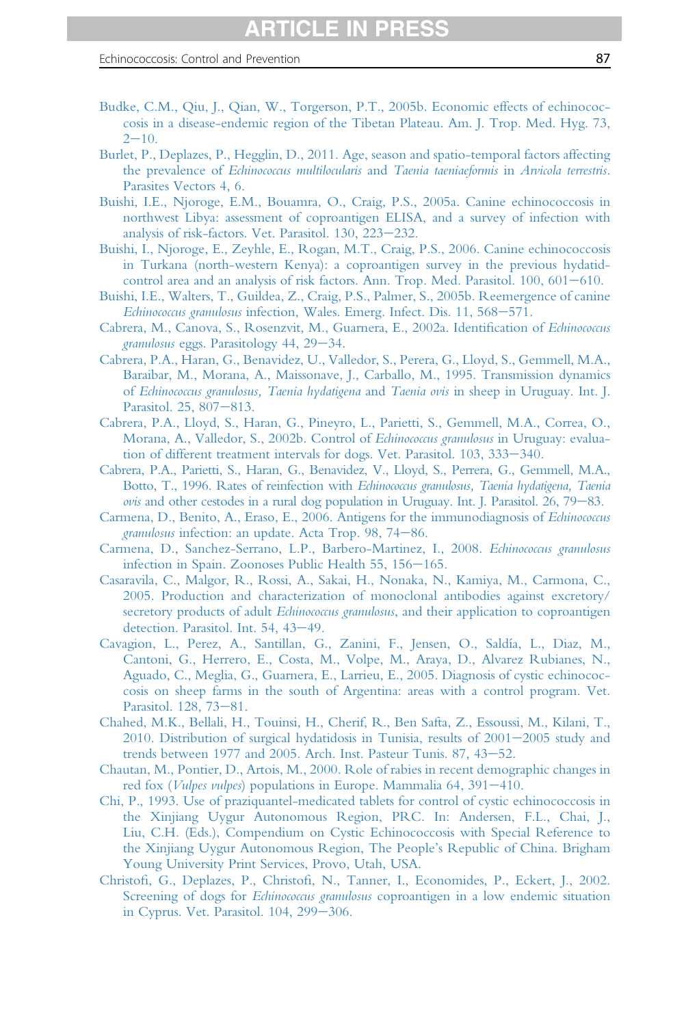- <span id="page-86-0"></span>[Budke, C.M., Qiu, J., Qian, W., Torgerson, P.T., 2005b. Economic effects of echinococ](http://refhub.elsevier.com/S0065-308X(16)30085-9/sref35)[cosis in a disease-endemic region of the Tibetan Plateau. Am. J. Trop. Med. Hyg. 73,](http://refhub.elsevier.com/S0065-308X(16)30085-9/sref35)  $2 - 10$  $2 - 10$ .
- [Burlet, P., Deplazes, P., Hegglin, D., 2011. Age, season and spatio-temporal factors affecting](http://refhub.elsevier.com/S0065-308X(16)30085-9/sref36) the prevalence of [Echinococcus multilocularis](http://refhub.elsevier.com/S0065-308X(16)30085-9/sref36) and Taenia taeniaeformis in Arvicola terrestris. [Parasites Vectors 4, 6.](http://refhub.elsevier.com/S0065-308X(16)30085-9/sref36)
- [Buishi, I.E., Njoroge, E.M., Bouamra, O., Craig, P.S., 2005a. Canine echinococcosis in](http://refhub.elsevier.com/S0065-308X(16)30085-9/sref37) [northwest Libya: assessment of coproantigen ELISA, and a survey of infection with](http://refhub.elsevier.com/S0065-308X(16)30085-9/sref37) [analysis of risk-factors. Vet. Parasitol. 130, 223](http://refhub.elsevier.com/S0065-308X(16)30085-9/sref37)-[232.](http://refhub.elsevier.com/S0065-308X(16)30085-9/sref37)
- [Buishi, I., Njoroge, E., Zeyhle, E., Rogan, M.T., Craig, P.S., 2006. Canine echinococcosis](http://refhub.elsevier.com/S0065-308X(16)30085-9/sref38) [in Turkana \(north-western Kenya\): a coproantigen survey in the previous hydatid](http://refhub.elsevier.com/S0065-308X(16)30085-9/sref38)[control area and an analysis of risk factors. Ann. Trop. Med. Parasitol. 100, 601](http://refhub.elsevier.com/S0065-308X(16)30085-9/sref38)-[610.](http://refhub.elsevier.com/S0065-308X(16)30085-9/sref38)
- [Buishi, I.E., Walters, T., Guildea, Z., Craig, P.S., Palmer, S., 2005b. Reemergence of canine](http://refhub.elsevier.com/S0065-308X(16)30085-9/sref39) Echinococcus granulosus [infection, Wales. Emerg. Infect. Dis. 11, 568](http://refhub.elsevier.com/S0065-308X(16)30085-9/sref39)-[571.](http://refhub.elsevier.com/S0065-308X(16)30085-9/sref39)
- [Cabrera, M., Canova, S., Rosenzvit, M., Guarnera, E., 2002a. Identi](http://refhub.elsevier.com/S0065-308X(16)30085-9/sref40)fication of Echinococcus granulosus [eggs. Parasitology 44, 29](http://refhub.elsevier.com/S0065-308X(16)30085-9/sref40)-[34.](http://refhub.elsevier.com/S0065-308X(16)30085-9/sref40)
- [Cabrera, P.A., Haran, G., Benavidez, U., Valledor, S., Perera, G., Lloyd, S., Gemmell, M.A.,](http://refhub.elsevier.com/S0065-308X(16)30085-9/sref41) [Baraibar, M., Morana, A., Maissonave, J., Carballo, M., 1995. Transmission dynamics](http://refhub.elsevier.com/S0065-308X(16)30085-9/sref41) of [Echinococcus granulosus, Taenia hydatigena](http://refhub.elsevier.com/S0065-308X(16)30085-9/sref41) and Taenia ovis in sheep in Uruguay. Int. J. [Parasitol. 25, 807](http://refhub.elsevier.com/S0065-308X(16)30085-9/sref41)-[813.](http://refhub.elsevier.com/S0065-308X(16)30085-9/sref41)
- [Cabrera, P.A., Lloyd, S., Haran, G., Pineyro, L., Parietti, S., Gemmell, M.A., Correa, O.,](http://refhub.elsevier.com/S0065-308X(16)30085-9/sref42) [Morana, A., Valledor, S., 2002b. Control of](http://refhub.elsevier.com/S0065-308X(16)30085-9/sref42) Echinococcus granulosus in Uruguay: evalua[tion of different treatment intervals for dogs. Vet. Parasitol. 103, 333](http://refhub.elsevier.com/S0065-308X(16)30085-9/sref42)-[340.](http://refhub.elsevier.com/S0065-308X(16)30085-9/sref42)
- [Cabrera, P.A., Parietti, S., Haran, G., Benavidez, V., Lloyd, S., Perrera, G., Gemmell, M.A.,](http://refhub.elsevier.com/S0065-308X(16)30085-9/sref43) Botto, T., 1996. Rates of reinfection with [Echinococcus granulosus, Taenia hydatigena, Taenia](http://refhub.elsevier.com/S0065-308X(16)30085-9/sref43)  $ovis$  [and other cestodes in a rural dog population in Uruguay. Int. J. Parasitol. 26, 79](http://refhub.elsevier.com/S0065-308X(16)30085-9/sref43)–[83.](http://refhub.elsevier.com/S0065-308X(16)30085-9/sref43)
- [Carmena, D., Benito, A., Eraso, E., 2006. Antigens for the immunodiagnosis of](http://refhub.elsevier.com/S0065-308X(16)30085-9/sref44) Echinococcus granulosus [infection: an update. Acta Trop. 98, 74](http://refhub.elsevier.com/S0065-308X(16)30085-9/sref44)-[86.](http://refhub.elsevier.com/S0065-308X(16)30085-9/sref44)
- [Carmena, D., Sanchez-Serrano, L.P., Barbero-Martinez, I., 2008.](http://refhub.elsevier.com/S0065-308X(16)30085-9/sref45) Echinococcus granulosus [infection in Spain. Zoonoses Public Health 55, 156](http://refhub.elsevier.com/S0065-308X(16)30085-9/sref45)-[165.](http://refhub.elsevier.com/S0065-308X(16)30085-9/sref45)
- [Casaravila, C., Malgor, R., Rossi, A., Sakai, H., Nonaka, N., Kamiya, M., Carmona, C.,](http://refhub.elsevier.com/S0065-308X(16)30085-9/sref46) [2005. Production and characterization of monoclonal antibodies against excretory/](http://refhub.elsevier.com/S0065-308X(16)30085-9/sref46) secretory products of adult Echinococcus granulosus[, and their application to coproantigen](http://refhub.elsevier.com/S0065-308X(16)30085-9/sref46) [detection. Parasitol. Int. 54, 43](http://refhub.elsevier.com/S0065-308X(16)30085-9/sref46)-[49.](http://refhub.elsevier.com/S0065-308X(16)30085-9/sref46)
- [Cavagion, L., Perez, A., Santillan, G., Zanini, F., Jensen, O., Saldía, L., Diaz, M.,](http://refhub.elsevier.com/S0065-308X(16)30085-9/sref47) [Cantoni, G., Herrero, E., Costa, M., Volpe, M., Araya, D., Alvarez Rubianes, N.,](http://refhub.elsevier.com/S0065-308X(16)30085-9/sref47) [Aguado, C., Meglia, G., Guarnera, E., Larrieu, E., 2005. Diagnosis of cystic echinococ](http://refhub.elsevier.com/S0065-308X(16)30085-9/sref47)[cosis on sheep farms in the south of Argentina: areas with a control program. Vet.](http://refhub.elsevier.com/S0065-308X(16)30085-9/sref47) [Parasitol. 128, 73](http://refhub.elsevier.com/S0065-308X(16)30085-9/sref47)-[81.](http://refhub.elsevier.com/S0065-308X(16)30085-9/sref47)
- [Chahed, M.K., Bellali, H., Touinsi, H., Cherif, R., Ben Safta, Z., Essoussi, M., Kilani, T.,](http://refhub.elsevier.com/S0065-308X(16)30085-9/sref48)  $2010$ . Distribution of surgical hydatidosis in Tunisia, results of  $2001-2005$  study and trends between 1977 and 2005. Arch. Inst. Pasteur Tunis.  $87, 43-52$ .
- [Chautan, M., Pontier, D., Artois, M., 2000. Role of rabies in recent demographic changes in](http://refhub.elsevier.com/S0065-308X(16)30085-9/sref49) red fox (*Vulpes vulpes*[\) populations in Europe. Mammalia 64, 391](http://refhub.elsevier.com/S0065-308X(16)30085-9/sref49)–[410.](http://refhub.elsevier.com/S0065-308X(16)30085-9/sref49)
- [Chi, P., 1993. Use of praziquantel-medicated tablets for control of cystic echinococcosis in](http://refhub.elsevier.com/S0065-308X(16)30085-9/sref50) [the Xinjiang Uygur Autonomous Region, PRC. In: Andersen, F.L., Chai, J.,](http://refhub.elsevier.com/S0065-308X(16)30085-9/sref50) [Liu, C.H. \(Eds.\), Compendium on Cystic Echinococcosis with Special Reference to](http://refhub.elsevier.com/S0065-308X(16)30085-9/sref50) [the Xinjiang Uygur Autonomous Region, The People](http://refhub.elsevier.com/S0065-308X(16)30085-9/sref50)'s Republic of China. Brigham [Young University Print Services, Provo, Utah, USA.](http://refhub.elsevier.com/S0065-308X(16)30085-9/sref50)
- Christofi, G., Deplazes, P., Christofi[, N., Tanner, I., Economides, P., Eckert, J., 2002.](http://refhub.elsevier.com/S0065-308X(16)30085-9/sref51) Screening of dogs for Echinococcus granulosus [coproantigen in a low endemic situation](http://refhub.elsevier.com/S0065-308X(16)30085-9/sref51) [in Cyprus. Vet. Parasitol. 104, 299](http://refhub.elsevier.com/S0065-308X(16)30085-9/sref51)-[306.](http://refhub.elsevier.com/S0065-308X(16)30085-9/sref51)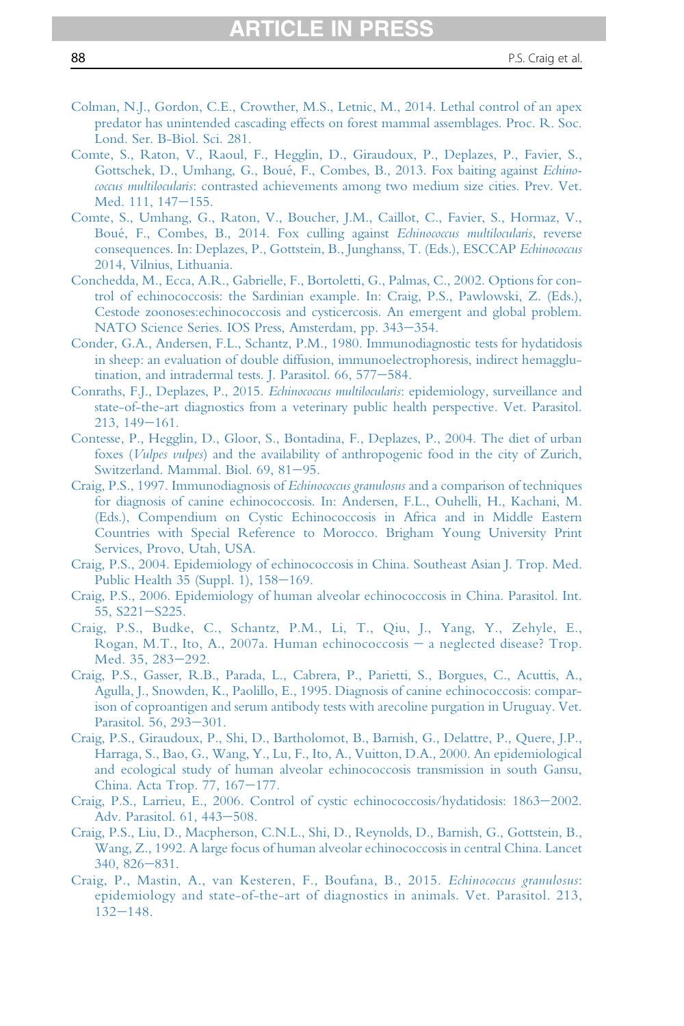- <span id="page-87-0"></span>[Colman, N.J., Gordon, C.E., Crowther, M.S., Letnic, M., 2014. Lethal control of an apex](http://refhub.elsevier.com/S0065-308X(16)30085-9/sref52) [predator has unintended cascading effects on forest mammal assemblages. Proc. R. Soc.](http://refhub.elsevier.com/S0065-308X(16)30085-9/sref52) [Lond. Ser. B-Biol. Sci. 281.](http://refhub.elsevier.com/S0065-308X(16)30085-9/sref52)
- [Comte, S., Raton, V., Raoul, F., Hegglin, D., Giraudoux, P., Deplazes, P., Favier, S.,](http://refhub.elsevier.com/S0065-308X(16)30085-9/sref53) [Gottschek, D., Umhang, G., Boué, F., Combes, B., 2013. Fox baiting against](http://refhub.elsevier.com/S0065-308X(16)30085-9/sref53) Echinococcus multilocularis[: contrasted achievements among two medium size cities. Prev. Vet.](http://refhub.elsevier.com/S0065-308X(16)30085-9/sref53) [Med. 111, 147](http://refhub.elsevier.com/S0065-308X(16)30085-9/sref53)-[155.](http://refhub.elsevier.com/S0065-308X(16)30085-9/sref53)
- [Comte, S., Umhang, G., Raton, V., Boucher, J.M., Caillot, C., Favier, S., Hormaz, V.,](http://refhub.elsevier.com/S0065-308X(16)30085-9/sref54) [Boué, F., Combes, B., 2014. Fox culling against](http://refhub.elsevier.com/S0065-308X(16)30085-9/sref54) Echinococcus multilocularis, reverse [consequences. In: Deplazes, P., Gottstein, B., Junghanss, T. \(Eds.\), ESCCAP](http://refhub.elsevier.com/S0065-308X(16)30085-9/sref54) Echinococcus [2014, Vilnius, Lithuania.](http://refhub.elsevier.com/S0065-308X(16)30085-9/sref54)
- [Conchedda, M., Ecca, A.R., Gabrielle, F., Bortoletti, G., Palmas, C., 2002. Options for con](http://refhub.elsevier.com/S0065-308X(16)30085-9/sref55)[trol of echinococcosis: the Sardinian example. In: Craig, P.S., Pawlowski, Z. \(Eds.\),](http://refhub.elsevier.com/S0065-308X(16)30085-9/sref55) [Cestode zoonoses:echinococcosis and cysticercosis. An emergent and global problem.](http://refhub.elsevier.com/S0065-308X(16)30085-9/sref55) [NATO Science Series. IOS Press, Amsterdam, pp. 343](http://refhub.elsevier.com/S0065-308X(16)30085-9/sref55)-[354.](http://refhub.elsevier.com/S0065-308X(16)30085-9/sref55)
- [Conder, G.A., Andersen, F.L., Schantz, P.M., 1980. Immunodiagnostic tests for hydatidosis](http://refhub.elsevier.com/S0065-308X(16)30085-9/sref56) [in sheep: an evaluation of double diffusion, immunoelectrophoresis, indirect hemagglu](http://refhub.elsevier.com/S0065-308X(16)30085-9/sref56)[tination, and intradermal tests. J. Parasitol. 66, 577](http://refhub.elsevier.com/S0065-308X(16)30085-9/sref56)-[584.](http://refhub.elsevier.com/S0065-308X(16)30085-9/sref56)
- [Conraths, F.J., Deplazes, P., 2015.](http://refhub.elsevier.com/S0065-308X(16)30085-9/sref57) Echinococcus multilocularis: epidemiology, surveillance and [state-of-the-art diagnostics from a veterinary public health perspective. Vet. Parasitol.](http://refhub.elsevier.com/S0065-308X(16)30085-9/sref57)  $213, 149 - 161.$  $213, 149 - 161.$  $213, 149 - 161.$
- [Contesse, P., Hegglin, D., Gloor, S., Bontadina, F., Deplazes, P., 2004. The diet of urban](http://refhub.elsevier.com/S0065-308X(16)30085-9/sref58) foxes (Vulpes vulpes[\) and the availability of anthropogenic food in the city of Zurich,](http://refhub.elsevier.com/S0065-308X(16)30085-9/sref58) [Switzerland. Mammal. Biol. 69, 81](http://refhub.elsevier.com/S0065-308X(16)30085-9/sref58)-[95.](http://refhub.elsevier.com/S0065-308X(16)30085-9/sref58)
- [Craig, P.S., 1997. Immunodiagnosis of](http://refhub.elsevier.com/S0065-308X(16)30085-9/sref59) Echinococcus granulosus and a comparison of techniques [for diagnosis of canine echinococcosis. In: Andersen, F.L., Ouhelli, H., Kachani, M.](http://refhub.elsevier.com/S0065-308X(16)30085-9/sref59) [\(Eds.\), Compendium on Cystic Echinococcosis in Africa and in Middle Eastern](http://refhub.elsevier.com/S0065-308X(16)30085-9/sref59) [Countries with Special Reference to Morocco. Brigham Young University Print](http://refhub.elsevier.com/S0065-308X(16)30085-9/sref59) [Services, Provo, Utah, USA.](http://refhub.elsevier.com/S0065-308X(16)30085-9/sref59)
- [Craig, P.S., 2004. Epidemiology of echinococcosis in China. Southeast Asian J. Trop. Med.](http://refhub.elsevier.com/S0065-308X(16)30085-9/sref60) Public Health  $35$  (Suppl. 1),  $158-169$ .
- [Craig, P.S., 2006. Epidemiology of human alveolar echinococcosis in China. Parasitol. Int.](http://refhub.elsevier.com/S0065-308X(16)30085-9/sref61)  $55, S221 - S225.$  $55, S221 - S225.$  $55, S221 - S225.$
- [Craig, P.S., Budke, C., Schantz, P.M., Li, T., Qiu, J., Yang, Y., Zehyle, E.,](http://refhub.elsevier.com/S0065-308X(16)30085-9/sref62) [Rogan, M.T., Ito, A., 2007a. Human echinococcosis](http://refhub.elsevier.com/S0065-308X(16)30085-9/sref62) - [a neglected disease? Trop.](http://refhub.elsevier.com/S0065-308X(16)30085-9/sref62) [Med. 35, 283](http://refhub.elsevier.com/S0065-308X(16)30085-9/sref62)-[292.](http://refhub.elsevier.com/S0065-308X(16)30085-9/sref62)
- [Craig, P.S., Gasser, R.B., Parada, L., Cabrera, P., Parietti, S., Borgues, C., Acuttis, A.,](http://refhub.elsevier.com/S0065-308X(16)30085-9/sref63) [Agulla, J., Snowden, K., Paolillo, E., 1995. Diagnosis of canine echinococcosis: compar](http://refhub.elsevier.com/S0065-308X(16)30085-9/sref63)[ison of coproantigen and serum antibody tests with arecoline purgation in Uruguay. Vet.](http://refhub.elsevier.com/S0065-308X(16)30085-9/sref63) [Parasitol. 56, 293](http://refhub.elsevier.com/S0065-308X(16)30085-9/sref63)-[301.](http://refhub.elsevier.com/S0065-308X(16)30085-9/sref63)
- [Craig, P.S., Giraudoux, P., Shi, D., Bartholomot, B., Barnish, G., Delattre, P., Quere, J.P.,](http://refhub.elsevier.com/S0065-308X(16)30085-9/sref64) [Harraga, S., Bao, G., Wang, Y., Lu, F., Ito, A., Vuitton, D.A., 2000. An epidemiological](http://refhub.elsevier.com/S0065-308X(16)30085-9/sref64) [and ecological study of human alveolar echinococcosis transmission in south Gansu,](http://refhub.elsevier.com/S0065-308X(16)30085-9/sref64) [China. Acta Trop. 77, 167](http://refhub.elsevier.com/S0065-308X(16)30085-9/sref64)-[177.](http://refhub.elsevier.com/S0065-308X(16)30085-9/sref64)
- [Craig, P.S., Larrieu, E., 2006. Control of cystic echinococcosis/hydatidosis: 1863](http://refhub.elsevier.com/S0065-308X(16)30085-9/sref65)-[2002.](http://refhub.elsevier.com/S0065-308X(16)30085-9/sref65) [Adv. Parasitol. 61, 443](http://refhub.elsevier.com/S0065-308X(16)30085-9/sref65)-[508.](http://refhub.elsevier.com/S0065-308X(16)30085-9/sref65)
- [Craig, P.S., Liu, D., Macpherson, C.N.L., Shi, D., Reynolds, D., Barnish, G., Gottstein, B.,](http://refhub.elsevier.com/S0065-308X(16)30085-9/sref66) [Wang, Z., 1992. A large focus of human alveolar echinococcosis in central China. Lancet](http://refhub.elsevier.com/S0065-308X(16)30085-9/sref66)  $340, 826 - 831.$  $340, 826 - 831.$  $340, 826 - 831.$
- [Craig, P., Mastin, A., van Kesteren, F., Boufana, B., 2015.](http://refhub.elsevier.com/S0065-308X(16)30085-9/sref67) Echinococcus granulosus: [epidemiology and state-of-the-art of diagnostics in animals. Vet. Parasitol. 213,](http://refhub.elsevier.com/S0065-308X(16)30085-9/sref67)  $132 - 148.$  $132 - 148.$  $132 - 148.$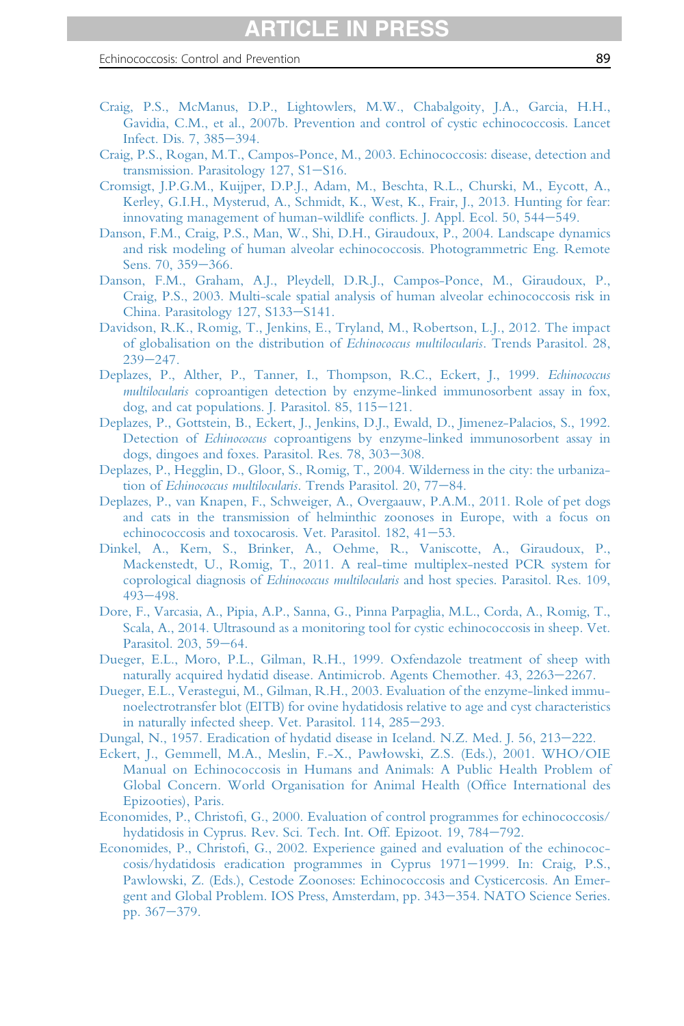- <span id="page-88-0"></span>[Craig, P.S., McManus, D.P., Lightowlers, M.W., Chabalgoity, J.A., Garcia, H.H.,](http://refhub.elsevier.com/S0065-308X(16)30085-9/sref68) [Gavidia, C.M., et al., 2007b. Prevention and control of cystic echinococcosis. Lancet](http://refhub.elsevier.com/S0065-308X(16)30085-9/sref68) [Infect. Dis. 7, 385](http://refhub.elsevier.com/S0065-308X(16)30085-9/sref68)-[394.](http://refhub.elsevier.com/S0065-308X(16)30085-9/sref68)
- [Craig, P.S., Rogan, M.T., Campos-Ponce, M., 2003. Echinococcosis: disease, detection and](http://refhub.elsevier.com/S0065-308X(16)30085-9/sref69) [transmission. Parasitology 127, S1](http://refhub.elsevier.com/S0065-308X(16)30085-9/sref69)-[S16.](http://refhub.elsevier.com/S0065-308X(16)30085-9/sref69)
- [Cromsigt, J.P.G.M., Kuijper, D.P.J., Adam, M., Beschta, R.L., Churski, M., Eycott, A.,](http://refhub.elsevier.com/S0065-308X(16)30085-9/sref70) [Kerley, G.I.H., Mysterud, A., Schmidt, K., West, K., Frair, J., 2013. Hunting for fear:](http://refhub.elsevier.com/S0065-308X(16)30085-9/sref70) [innovating management of human-wildlife con](http://refhub.elsevier.com/S0065-308X(16)30085-9/sref70)flicts. J. Appl. Ecol. 50, 544–[549.](http://refhub.elsevier.com/S0065-308X(16)30085-9/sref70)
- [Danson, F.M., Craig, P.S., Man, W., Shi, D.H., Giraudoux, P., 2004. Landscape dynamics](http://refhub.elsevier.com/S0065-308X(16)30085-9/sref71) [and risk modeling of human alveolar echinococcosis. Photogrammetric Eng. Remote](http://refhub.elsevier.com/S0065-308X(16)30085-9/sref71) [Sens. 70, 359](http://refhub.elsevier.com/S0065-308X(16)30085-9/sref71)-[366.](http://refhub.elsevier.com/S0065-308X(16)30085-9/sref71)
- [Danson, F.M., Graham, A.J., Pleydell, D.R.J., Campos-Ponce, M., Giraudoux, P.,](http://refhub.elsevier.com/S0065-308X(16)30085-9/sref72) [Craig, P.S., 2003. Multi-scale spatial analysis of human alveolar echinococcosis risk in](http://refhub.elsevier.com/S0065-308X(16)30085-9/sref72) [China. Parasitology 127, S133](http://refhub.elsevier.com/S0065-308X(16)30085-9/sref72)-[S141.](http://refhub.elsevier.com/S0065-308X(16)30085-9/sref72)
- [Davidson, R.K., Romig, T., Jenkins, E., Tryland, M., Robertson, L.J., 2012. The impact](http://refhub.elsevier.com/S0065-308X(16)30085-9/sref73) [of globalisation on the distribution of](http://refhub.elsevier.com/S0065-308X(16)30085-9/sref73) Echinococcus multilocularis. Trends Parasitol. 28,  $239 - 247$  $239 - 247$ .
- [Deplazes, P., Alther, P., Tanner, I., Thompson, R.C., Eckert, J., 1999.](http://refhub.elsevier.com/S0065-308X(16)30085-9/sref74) Echinococcus multilocularis [coproantigen detection by enzyme-linked immunosorbent assay in fox,](http://refhub.elsevier.com/S0065-308X(16)30085-9/sref74) dog, and cat populations. J. Parasitol.  $85$ ,  $115-121$ .
- [Deplazes, P., Gottstein, B., Eckert, J., Jenkins, D.J., Ewald, D., Jimenez-Palacios, S., 1992.](http://refhub.elsevier.com/S0065-308X(16)30085-9/sref75) Detection of Echinococcus [coproantigens by enzyme-linked immunosorbent assay in](http://refhub.elsevier.com/S0065-308X(16)30085-9/sref75) [dogs, dingoes and foxes. Parasitol. Res. 78, 303](http://refhub.elsevier.com/S0065-308X(16)30085-9/sref75)-[308.](http://refhub.elsevier.com/S0065-308X(16)30085-9/sref75)
- [Deplazes, P., Hegglin, D., Gloor, S., Romig, T., 2004. Wilderness in the city: the urbaniza-](http://refhub.elsevier.com/S0065-308X(16)30085-9/sref76)tion of Echinococcus multilocularis[. Trends Parasitol. 20, 77](http://refhub.elsevier.com/S0065-308X(16)30085-9/sref76)-[84.](http://refhub.elsevier.com/S0065-308X(16)30085-9/sref76)
- [Deplazes, P., van Knapen, F., Schweiger, A., Overgaauw, P.A.M., 2011. Role of pet dogs](http://refhub.elsevier.com/S0065-308X(16)30085-9/sref77) [and cats in the transmission of helminthic zoonoses in Europe, with a focus on](http://refhub.elsevier.com/S0065-308X(16)30085-9/sref77) [echinococcosis and toxocarosis. Vet. Parasitol. 182, 41](http://refhub.elsevier.com/S0065-308X(16)30085-9/sref77)-[53.](http://refhub.elsevier.com/S0065-308X(16)30085-9/sref77)
- [Dinkel, A., Kern, S., Brinker, A., Oehme, R., Vaniscotte, A., Giraudoux, P.,](http://refhub.elsevier.com/S0065-308X(16)30085-9/sref78) [Mackenstedt, U., Romig, T., 2011. A real-time multiplex-nested PCR system for](http://refhub.elsevier.com/S0065-308X(16)30085-9/sref78) coprological diagnosis of Echinococcus multilocularis [and host species. Parasitol. Res. 109,](http://refhub.elsevier.com/S0065-308X(16)30085-9/sref78) [493](http://refhub.elsevier.com/S0065-308X(16)30085-9/sref78)-[498.](http://refhub.elsevier.com/S0065-308X(16)30085-9/sref78)
- [Dore, F., Varcasia, A., Pipia, A.P., Sanna, G., Pinna Parpaglia, M.L., Corda, A., Romig, T.,](http://refhub.elsevier.com/S0065-308X(16)30085-9/sref79) [Scala, A., 2014. Ultrasound as a monitoring tool for cystic echinococcosis in sheep. Vet.](http://refhub.elsevier.com/S0065-308X(16)30085-9/sref79) [Parasitol. 203, 59](http://refhub.elsevier.com/S0065-308X(16)30085-9/sref79)-[64.](http://refhub.elsevier.com/S0065-308X(16)30085-9/sref79)
- [Dueger, E.L., Moro, P.L., Gilman, R.H., 1999. Oxfendazole treatment of sheep with](http://refhub.elsevier.com/S0065-308X(16)30085-9/sref80) [naturally acquired hydatid disease. Antimicrob. Agents Chemother. 43, 2263](http://refhub.elsevier.com/S0065-308X(16)30085-9/sref80)-[2267.](http://refhub.elsevier.com/S0065-308X(16)30085-9/sref80)
- [Dueger, E.L., Verastegui, M., Gilman, R.H., 2003. Evaluation of the enzyme-linked immu](http://refhub.elsevier.com/S0065-308X(16)30085-9/sref81)[noelectrotransfer blot \(EITB\) for ovine hydatidosis relative to age and cyst characteristics](http://refhub.elsevier.com/S0065-308X(16)30085-9/sref81) [in naturally infected sheep. Vet. Parasitol. 114, 285](http://refhub.elsevier.com/S0065-308X(16)30085-9/sref81)-[293.](http://refhub.elsevier.com/S0065-308X(16)30085-9/sref81)
- [Dungal, N., 1957. Eradication of hydatid disease in Iceland. N.Z. Med. J. 56, 213](http://refhub.elsevier.com/S0065-308X(16)30085-9/sref82)–[222.](http://refhub.elsevier.com/S0065-308X(16)30085-9/sref82)
- [Eckert, J., Gemmell, M.A., Meslin, F.-X., Paw](http://refhub.elsevier.com/S0065-308X(16)30085-9/sref84)1[owski, Z.S. \(Eds.\), 2001. WHO/OIE](http://refhub.elsevier.com/S0065-308X(16)30085-9/sref84) [Manual on Echinococcosis in Humans and Animals: A Public Health Problem of](http://refhub.elsevier.com/S0065-308X(16)30085-9/sref84) [Global Concern. World Organisation for Animal Health \(Of](http://refhub.elsevier.com/S0065-308X(16)30085-9/sref84)fice International des [Epizooties\), Paris.](http://refhub.elsevier.com/S0065-308X(16)30085-9/sref84)
- Economides, P., Christofi[, G., 2000. Evaluation of control programmes for echinococcosis/](http://refhub.elsevier.com/S0065-308X(16)30085-9/sref85) [hydatidosis in Cyprus. Rev. Sci. Tech. Int. Off. Epizoot. 19, 784](http://refhub.elsevier.com/S0065-308X(16)30085-9/sref85)-[792.](http://refhub.elsevier.com/S0065-308X(16)30085-9/sref85)
- Economides, P., Christofi[, G., 2002. Experience gained and evaluation of the echinococ](http://refhub.elsevier.com/S0065-308X(16)30085-9/sref86)[cosis/hydatidosis eradication programmes in Cyprus 1971](http://refhub.elsevier.com/S0065-308X(16)30085-9/sref86)-[1999. In: Craig, P.S.,](http://refhub.elsevier.com/S0065-308X(16)30085-9/sref86) [Pawlowski, Z. \(Eds.\), Cestode Zoonoses: Echinococcosis and Cysticercosis. An Emer](http://refhub.elsevier.com/S0065-308X(16)30085-9/sref86)[gent and Global Problem. IOS Press, Amsterdam, pp. 343](http://refhub.elsevier.com/S0065-308X(16)30085-9/sref86)–[354. NATO Science Series.](http://refhub.elsevier.com/S0065-308X(16)30085-9/sref86) [pp. 367](http://refhub.elsevier.com/S0065-308X(16)30085-9/sref86)-[379.](http://refhub.elsevier.com/S0065-308X(16)30085-9/sref86)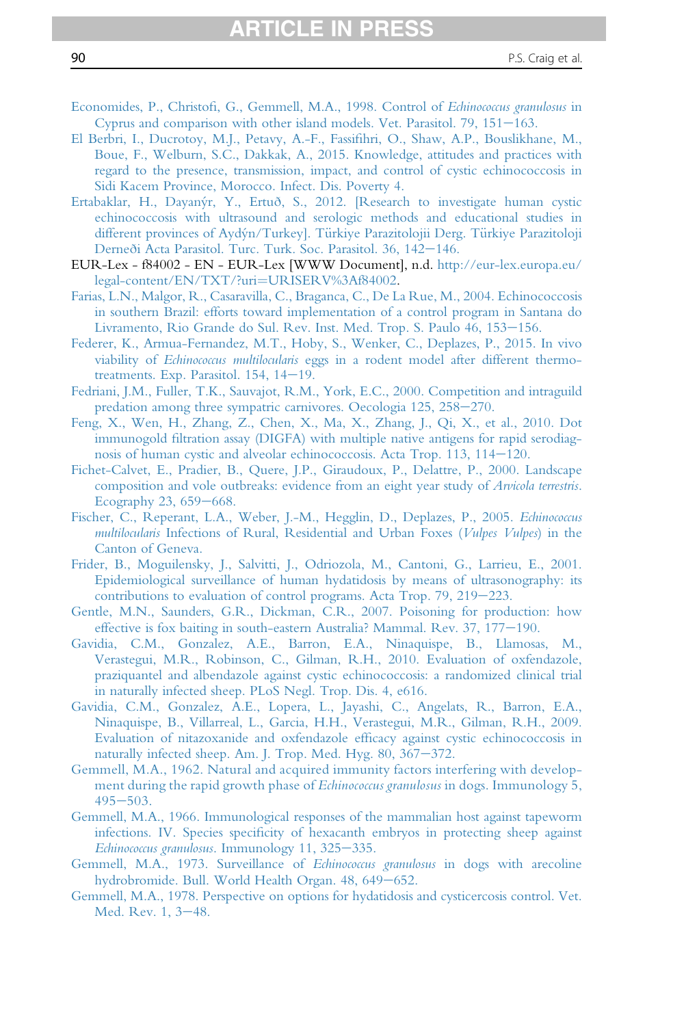- Economides, P., Christofi[, G., Gemmell, M.A., 1998. Control of](http://refhub.elsevier.com/S0065-308X(16)30085-9/sref87) Echinococcus granulosus in Cyprus and comparison with other island models. Vet. Parasitol.  $79$ ,  $151-163$ .
- [El Berbri, I., Ducrotoy, M.J., Petavy, A.-F., Fassi](http://refhub.elsevier.com/S0065-308X(16)30085-9/sref88)fihri, O., Shaw, A.P., Bouslikhane, M., [Boue, F., Welburn, S.C., Dakkak, A., 2015. Knowledge, attitudes and practices with](http://refhub.elsevier.com/S0065-308X(16)30085-9/sref88) [regard to the presence, transmission, impact, and control of cystic echinococcosis in](http://refhub.elsevier.com/S0065-308X(16)30085-9/sref88) [Sidi Kacem Province, Morocco. Infect. Dis. Poverty 4.](http://refhub.elsevier.com/S0065-308X(16)30085-9/sref88)
- [Ertabaklar, H., Dayanýr, Y., Ertuð, S., 2012. \[Research to investigate human cystic](http://refhub.elsevier.com/S0065-308X(16)30085-9/sref89) [echinococcosis with ultrasound and serologic methods and educational studies in](http://refhub.elsevier.com/S0065-308X(16)30085-9/sref89) [different provinces of Aydýn/Turkey\]. T](http://refhub.elsevier.com/S0065-308X(16)30085-9/sref89)ü[rkiye Parazitolojii Derg. T](http://refhub.elsevier.com/S0065-308X(16)30085-9/sref89)ü[rkiye Parazitoloji](http://refhub.elsevier.com/S0065-308X(16)30085-9/sref89) [Derneði Acta Parasitol. Turc. Turk. Soc. Parasitol. 36, 142](http://refhub.elsevier.com/S0065-308X(16)30085-9/sref89)-[146.](http://refhub.elsevier.com/S0065-308X(16)30085-9/sref89)
- EUR-Lex f84002 EN EUR-Lex [WWW Document], n.d. [http://eur-lex.europa.eu/](http://eur-lex.europa.eu/legal-content/EN/TXT/?uri=URISERV%3Af84002) [legal-content/EN/TXT/?uri](http://eur-lex.europa.eu/legal-content/EN/TXT/?uri=URISERV%3Af84002)=[URISERV%3Af84002.](http://eur-lex.europa.eu/legal-content/EN/TXT/?uri=URISERV%3Af84002)
- [Farias, L.N., Malgor, R., Casaravilla, C., Braganca, C., De La Rue, M., 2004. Echinococcosis](http://refhub.elsevier.com/S0065-308X(16)30085-9/sref90) [in southern Brazil: efforts toward implementation of a control program in Santana do](http://refhub.elsevier.com/S0065-308X(16)30085-9/sref90) [Livramento, Rio Grande do Sul. Rev. Inst. Med. Trop. S. Paulo 46, 153](http://refhub.elsevier.com/S0065-308X(16)30085-9/sref90)-[156.](http://refhub.elsevier.com/S0065-308X(16)30085-9/sref90)
- [Federer, K., Armua-Fernandez, M.T., Hoby, S., Wenker, C., Deplazes, P., 2015. In vivo](http://refhub.elsevier.com/S0065-308X(16)30085-9/sref91) viability of Echinococcus multilocularis [eggs in a rodent model after different thermo](http://refhub.elsevier.com/S0065-308X(16)30085-9/sref91)treatments. Exp. Parasitol.  $154$ ,  $14-19$ .
- [Fedriani, J.M., Fuller, T.K., Sauvajot, R.M., York, E.C., 2000. Competition and intraguild](http://refhub.elsevier.com/S0065-308X(16)30085-9/sref92) [predation among three sympatric carnivores. Oecologia 125, 258](http://refhub.elsevier.com/S0065-308X(16)30085-9/sref92)-[270.](http://refhub.elsevier.com/S0065-308X(16)30085-9/sref92)
- [Feng, X., Wen, H., Zhang, Z., Chen, X., Ma, X., Zhang, J., Qi, X., et al., 2010. Dot](http://refhub.elsevier.com/S0065-308X(16)30085-9/sref93) immunogold fi[ltration assay \(DIGFA\) with multiple native antigens for rapid serodiag](http://refhub.elsevier.com/S0065-308X(16)30085-9/sref93)nosis of human cystic and alveolar echinococcosis. Acta Trop.  $113$ ,  $114-120$ .
- [Fichet-Calvet, E., Pradier, B., Quere, J.P., Giraudoux, P., Delattre, P., 2000. Landscape](http://refhub.elsevier.com/S0065-308X(16)30085-9/sref94) [composition and vole outbreaks: evidence from an eight year study of](http://refhub.elsevier.com/S0065-308X(16)30085-9/sref94) Arvicola terrestris. Ecography 23,  $659-668$ .
- [Fischer, C., Reperant, L.A., Weber, J.-M., Hegglin, D., Deplazes, P., 2005.](http://refhub.elsevier.com/S0065-308X(16)30085-9/sref95) Echinococcus multilocularis [Infections of Rural, Residential and Urban Foxes \(](http://refhub.elsevier.com/S0065-308X(16)30085-9/sref95)Vulpes Vulpes) in the [Canton of Geneva.](http://refhub.elsevier.com/S0065-308X(16)30085-9/sref95)
- [Frider, B., Moguilensky, J., Salvitti, J., Odriozola, M., Cantoni, G., Larrieu, E., 2001.](http://refhub.elsevier.com/S0065-308X(16)30085-9/sref96) [Epidemiological surveillance of human hydatidosis by means of ultrasonography: its](http://refhub.elsevier.com/S0065-308X(16)30085-9/sref96) [contributions to evaluation of control programs. Acta Trop. 79, 219](http://refhub.elsevier.com/S0065-308X(16)30085-9/sref96)-[223.](http://refhub.elsevier.com/S0065-308X(16)30085-9/sref96)
- [Gentle, M.N., Saunders, G.R., Dickman, C.R., 2007. Poisoning for production: how](http://refhub.elsevier.com/S0065-308X(16)30085-9/sref97) [effective is fox baiting in south-eastern Australia? Mammal. Rev. 37, 177](http://refhub.elsevier.com/S0065-308X(16)30085-9/sref97)-[190.](http://refhub.elsevier.com/S0065-308X(16)30085-9/sref97)
- [Gavidia, C.M., Gonzalez, A.E., Barron, E.A., Ninaquispe, B., Llamosas, M.,](http://refhub.elsevier.com/S0065-308X(16)30085-9/sref98) [Verastegui, M.R., Robinson, C., Gilman, R.H., 2010. Evaluation of oxfendazole,](http://refhub.elsevier.com/S0065-308X(16)30085-9/sref98) [praziquantel and albendazole against cystic echinococcosis: a randomized clinical trial](http://refhub.elsevier.com/S0065-308X(16)30085-9/sref98) [in naturally infected sheep. PLoS Negl. Trop. Dis. 4, e616.](http://refhub.elsevier.com/S0065-308X(16)30085-9/sref98)
- [Gavidia, C.M., Gonzalez, A.E., Lopera, L., Jayashi, C., Angelats, R., Barron, E.A.,](http://refhub.elsevier.com/S0065-308X(16)30085-9/sref99) [Ninaquispe, B., Villarreal, L., Garcia, H.H., Verastegui, M.R., Gilman, R.H., 2009.](http://refhub.elsevier.com/S0065-308X(16)30085-9/sref99) [Evaluation of nitazoxanide and oxfendazole ef](http://refhub.elsevier.com/S0065-308X(16)30085-9/sref99)ficacy against cystic echinococcosis in [naturally infected sheep. Am. J. Trop. Med. Hyg. 80, 367](http://refhub.elsevier.com/S0065-308X(16)30085-9/sref99)-[372.](http://refhub.elsevier.com/S0065-308X(16)30085-9/sref99)
- [Gemmell, M.A., 1962. Natural and acquired immunity factors interfering with develop](http://refhub.elsevier.com/S0065-308X(16)30085-9/sref100)[ment during the rapid growth phase of](http://refhub.elsevier.com/S0065-308X(16)30085-9/sref100) *Echinococcus granulosus* in dogs. Immunology 5,  $495 - 503$  $495 - 503$ .
- [Gemmell, M.A., 1966. Immunological responses of the mammalian host against tapeworm](http://refhub.elsevier.com/S0065-308X(16)30085-9/sref101) infections. IV. Species specifi[city of hexacanth embryos in protecting sheep against](http://refhub.elsevier.com/S0065-308X(16)30085-9/sref101) Echinococcus granulosus[. Immunology 11, 325](http://refhub.elsevier.com/S0065-308X(16)30085-9/sref101)-[335.](http://refhub.elsevier.com/S0065-308X(16)30085-9/sref101)
- [Gemmell, M.A., 1973. Surveillance of](http://refhub.elsevier.com/S0065-308X(16)30085-9/sref102) Echinococcus granulosus in dogs with arecoline [hydrobromide. Bull. World Health Organ. 48, 649](http://refhub.elsevier.com/S0065-308X(16)30085-9/sref102)-[652.](http://refhub.elsevier.com/S0065-308X(16)30085-9/sref102)
- [Gemmell, M.A., 1978. Perspective on options for hydatidosis and cysticercosis control. Vet.](http://refhub.elsevier.com/S0065-308X(16)30085-9/sref103) [Med. Rev. 1, 3](http://refhub.elsevier.com/S0065-308X(16)30085-9/sref103)-[48.](http://refhub.elsevier.com/S0065-308X(16)30085-9/sref103)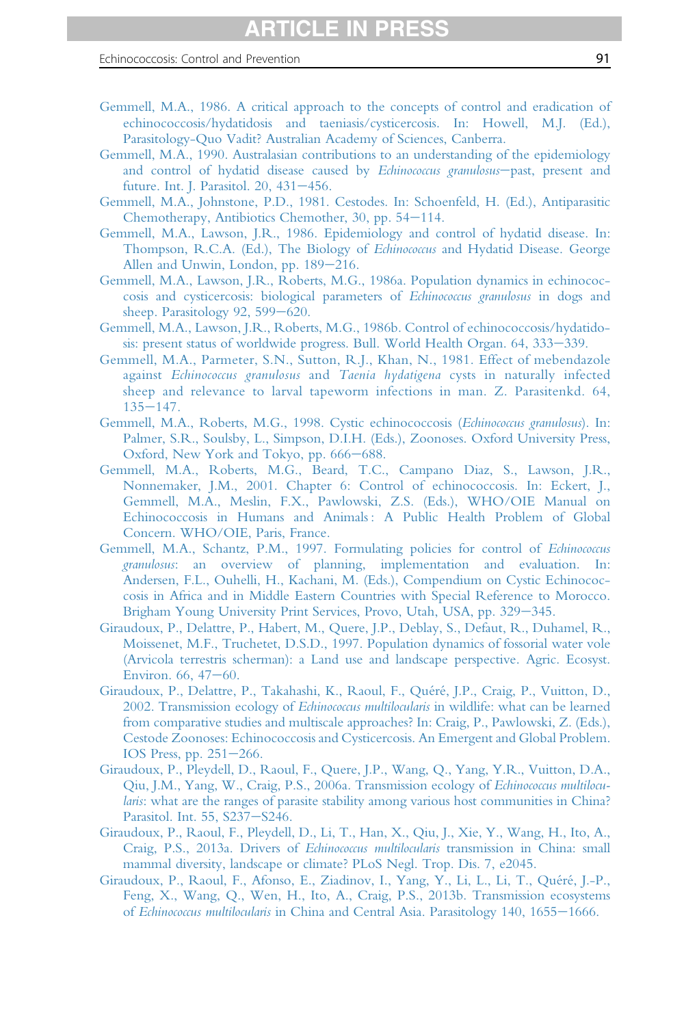- <span id="page-90-0"></span>[Gemmell, M.A., 1986. A critical approach to the concepts of control and eradication of](http://refhub.elsevier.com/S0065-308X(16)30085-9/sref104) [echinococcosis/hydatidosis and taeniasis/cysticercosis. In: Howell, M.J. \(Ed.\),](http://refhub.elsevier.com/S0065-308X(16)30085-9/sref104) [Parasitology-Quo Vadit? Australian Academy of Sciences, Canberra.](http://refhub.elsevier.com/S0065-308X(16)30085-9/sref104)
- [Gemmell, M.A., 1990. Australasian contributions to an understanding of the epidemiology](http://refhub.elsevier.com/S0065-308X(16)30085-9/sref105) [and control of hydatid disease caused by](http://refhub.elsevier.com/S0065-308X(16)30085-9/sref105) Echinococcus granulosus-[past, present and](http://refhub.elsevier.com/S0065-308X(16)30085-9/sref105) [future. Int. J. Parasitol. 20, 431](http://refhub.elsevier.com/S0065-308X(16)30085-9/sref105)-[456.](http://refhub.elsevier.com/S0065-308X(16)30085-9/sref105)
- [Gemmell, M.A., Johnstone, P.D., 1981. Cestodes. In: Schoenfeld, H. \(Ed.\), Antiparasitic](http://refhub.elsevier.com/S0065-308X(16)30085-9/sref106) [Chemotherapy, Antibiotics Chemother, 30, pp. 54](http://refhub.elsevier.com/S0065-308X(16)30085-9/sref106)-[114.](http://refhub.elsevier.com/S0065-308X(16)30085-9/sref106)
- [Gemmell, M.A., Lawson, J.R., 1986. Epidemiology and control of hydatid disease. In:](http://refhub.elsevier.com/S0065-308X(16)30085-9/sref107) [Thompson, R.C.A. \(Ed.\), The Biology of](http://refhub.elsevier.com/S0065-308X(16)30085-9/sref107) Echinococcus and Hydatid Disease. George [Allen and Unwin, London, pp. 189](http://refhub.elsevier.com/S0065-308X(16)30085-9/sref107)-[216.](http://refhub.elsevier.com/S0065-308X(16)30085-9/sref107)
- [Gemmell, M.A., Lawson, J.R., Roberts, M.G., 1986a. Population dynamics in echinococ](http://refhub.elsevier.com/S0065-308X(16)30085-9/sref108)[cosis and cysticercosis: biological parameters of](http://refhub.elsevier.com/S0065-308X(16)30085-9/sref108) Echinococcus granulosus in dogs and sheep. Parasitology 92,  $599-620$ .
- [Gemmell, M.A., Lawson, J.R., Roberts, M.G., 1986b. Control of echinococcosis/hydatido](http://refhub.elsevier.com/S0065-308X(16)30085-9/sref109)[sis: present status of worldwide progress. Bull. World Health Organ. 64, 333](http://refhub.elsevier.com/S0065-308X(16)30085-9/sref109)–[339.](http://refhub.elsevier.com/S0065-308X(16)30085-9/sref109)
- [Gemmell, M.A., Parmeter, S.N., Sutton, R.J., Khan, N., 1981. Effect of mebendazole](http://refhub.elsevier.com/S0065-308X(16)30085-9/sref110) against Echinococcus granulosus and Taenia hydatigena [cysts in naturally infected](http://refhub.elsevier.com/S0065-308X(16)30085-9/sref110) [sheep and relevance to larval tapeworm infections in man. Z. Parasitenkd. 64,](http://refhub.elsevier.com/S0065-308X(16)30085-9/sref110)  $135 - 147.$  $135 - 147.$  $135 - 147.$
- [Gemmell, M.A., Roberts, M.G., 1998. Cystic echinococcosis \(](http://refhub.elsevier.com/S0065-308X(16)30085-9/sref111)Echinococcus granulosus). In: [Palmer, S.R., Soulsby, L., Simpson, D.I.H. \(Eds.\), Zoonoses. Oxford University Press,](http://refhub.elsevier.com/S0065-308X(16)30085-9/sref111) [Oxford, New York and Tokyo, pp. 666](http://refhub.elsevier.com/S0065-308X(16)30085-9/sref111)–[688.](http://refhub.elsevier.com/S0065-308X(16)30085-9/sref111)
- [Gemmell, M.A., Roberts, M.G., Beard, T.C., Campano Diaz, S., Lawson, J.R.,](http://refhub.elsevier.com/S0065-308X(16)30085-9/sref112) [Nonnemaker, J.M., 2001. Chapter 6: Control of echinococcosis. In: Eckert, J.,](http://refhub.elsevier.com/S0065-308X(16)30085-9/sref112) [Gemmell, M.A., Meslin, F.X., Pawlowski, Z.S. \(Eds.\), WHO/OIE Manual on](http://refhub.elsevier.com/S0065-308X(16)30085-9/sref112) Echinococcosis in Humans and Animals: A Public Health Problem of Global [Concern. WHO/OIE, Paris, France.](http://refhub.elsevier.com/S0065-308X(16)30085-9/sref112)
- [Gemmell, M.A., Schantz, P.M., 1997. Formulating policies for control of](http://refhub.elsevier.com/S0065-308X(16)30085-9/sref113) Echinococcus granulosus[: an overview of planning, implementation and evaluation. In:](http://refhub.elsevier.com/S0065-308X(16)30085-9/sref113) [Andersen, F.L., Ouhelli, H., Kachani, M. \(Eds.\), Compendium on Cystic Echinococ](http://refhub.elsevier.com/S0065-308X(16)30085-9/sref113)[cosis in Africa and in Middle Eastern Countries with Special Reference to Morocco.](http://refhub.elsevier.com/S0065-308X(16)30085-9/sref113) [Brigham Young University Print Services, Provo, Utah, USA, pp. 329](http://refhub.elsevier.com/S0065-308X(16)30085-9/sref113)–[345.](http://refhub.elsevier.com/S0065-308X(16)30085-9/sref113)
- [Giraudoux, P., Delattre, P., Habert, M., Quere, J.P., Deblay, S., Defaut, R., Duhamel, R.,](http://refhub.elsevier.com/S0065-308X(16)30085-9/sref114) [Moissenet, M.F., Truchetet, D.S.D., 1997. Population dynamics of fossorial water vole](http://refhub.elsevier.com/S0065-308X(16)30085-9/sref114) [\(Arvicola terrestris scherman\): a Land use and landscape perspective. Agric. Ecosyst.](http://refhub.elsevier.com/S0065-308X(16)30085-9/sref114) Environ.  $66, 47-60.$  $66, 47-60.$
- [Giraudoux, P., Delattre, P., Takahashi, K., Raoul, F., Quéré, J.P., Craig, P., Vuitton, D.,](http://refhub.elsevier.com/S0065-308X(16)30085-9/sref115) 2002. Transmission ecology of *Echinococcus multilocularis* [in wildlife: what can be learned](http://refhub.elsevier.com/S0065-308X(16)30085-9/sref115) [from comparative studies and multiscale approaches? In: Craig, P., Pawlowski, Z. \(Eds.\),](http://refhub.elsevier.com/S0065-308X(16)30085-9/sref115) [Cestode Zoonoses: Echinococcosis and Cysticercosis. An Emergent and Global Problem.](http://refhub.elsevier.com/S0065-308X(16)30085-9/sref115) IOS Press, pp.  $251-266$ .
- [Giraudoux, P., Pleydell, D., Raoul, F., Quere, J.P., Wang, Q., Yang, Y.R., Vuitton, D.A.,](http://refhub.elsevier.com/S0065-308X(16)30085-9/sref116) [Qiu, J.M., Yang, W., Craig, P.S., 2006a. Transmission ecology of](http://refhub.elsevier.com/S0065-308X(16)30085-9/sref116) Echinococcus multilocu-laris[: what are the ranges of parasite stability among various host communities in China?](http://refhub.elsevier.com/S0065-308X(16)30085-9/sref116) [Parasitol. Int. 55, S237](http://refhub.elsevier.com/S0065-308X(16)30085-9/sref116)-[S246.](http://refhub.elsevier.com/S0065-308X(16)30085-9/sref116)
- [Giraudoux, P., Raoul, F., Pleydell, D., Li, T., Han, X., Qiu, J., Xie, Y., Wang, H., Ito, A.,](http://refhub.elsevier.com/S0065-308X(16)30085-9/sref117) [Craig, P.S., 2013a. Drivers of](http://refhub.elsevier.com/S0065-308X(16)30085-9/sref117) Echinococcus multilocularis transmission in China: small [mammal diversity, landscape or climate? PLoS Negl. Trop. Dis. 7, e2045.](http://refhub.elsevier.com/S0065-308X(16)30085-9/sref117)
- [Giraudoux, P., Raoul, F., Afonso, E., Ziadinov, I., Yang, Y., Li, L., Li, T., Quéré, J.-P.,](http://refhub.elsevier.com/S0065-308X(16)30085-9/sref118) [Feng, X., Wang, Q., Wen, H., Ito, A., Craig, P.S., 2013b. Transmission ecosystems](http://refhub.elsevier.com/S0065-308X(16)30085-9/sref118) of Echinococcus multilocularis [in China and Central Asia. Parasitology 140, 1655](http://refhub.elsevier.com/S0065-308X(16)30085-9/sref118)-[1666.](http://refhub.elsevier.com/S0065-308X(16)30085-9/sref118)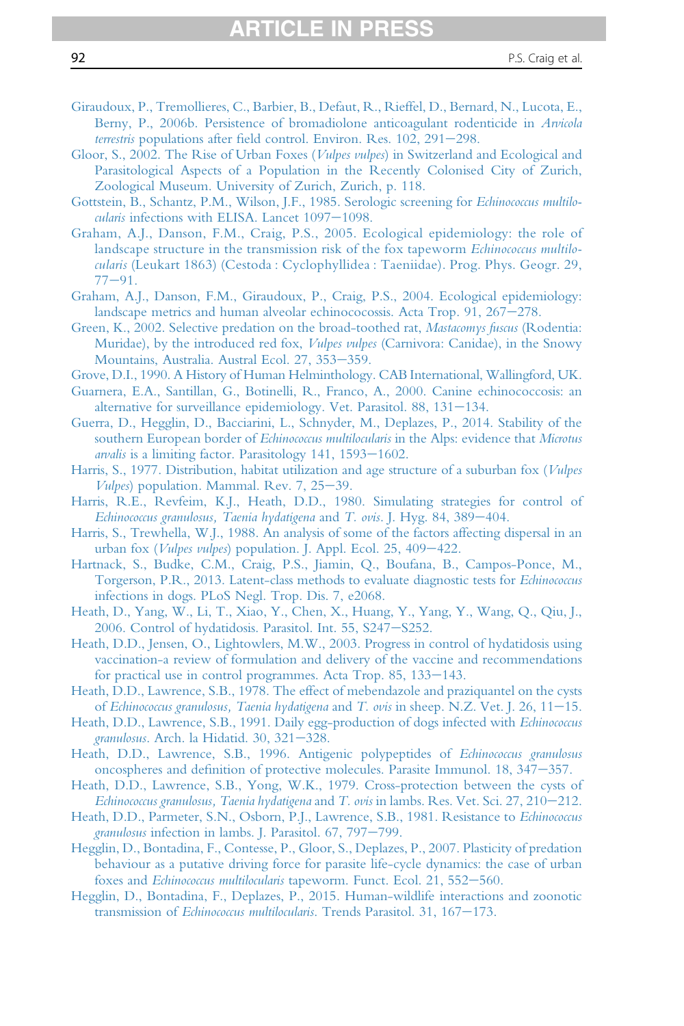- 
- <span id="page-91-0"></span>[Giraudoux, P., Tremollieres, C., Barbier, B., Defaut, R., Rieffel, D., Bernard, N., Lucota, E.,](http://refhub.elsevier.com/S0065-308X(16)30085-9/sref119) [Berny, P., 2006b. Persistence of bromadiolone anticoagulant rodenticide in](http://refhub.elsevier.com/S0065-308X(16)30085-9/sref119) Arvicola terrestris populations after fi[eld control. Environ. Res. 102, 291](http://refhub.elsevier.com/S0065-308X(16)30085-9/sref119)-[298.](http://refhub.elsevier.com/S0065-308X(16)30085-9/sref119)
- [Gloor, S., 2002. The Rise of Urban Foxes \(](http://refhub.elsevier.com/S0065-308X(16)30085-9/sref120)Vulpes vulpes) in Switzerland and Ecological and [Parasitological Aspects of a Population in the Recently Colonised City of Zurich,](http://refhub.elsevier.com/S0065-308X(16)30085-9/sref120) [Zoological Museum. University of Zurich, Zurich, p. 118.](http://refhub.elsevier.com/S0065-308X(16)30085-9/sref120)
- [Gottstein, B., Schantz, P.M., Wilson, J.F., 1985. Serologic screening for](http://refhub.elsevier.com/S0065-308X(16)30085-9/sref121) Echinococcus multilo- $\mu$ alaris [infections with ELISA. Lancet 1097](http://refhub.elsevier.com/S0065-308X(16)30085-9/sref121)-[1098.](http://refhub.elsevier.com/S0065-308X(16)30085-9/sref121)
- [Graham, A.J., Danson, F.M., Craig, P.S., 2005. Ecological epidemiology: the role of](http://refhub.elsevier.com/S0065-308X(16)30085-9/sref122) [landscape structure in the transmission risk of the fox tapeworm](http://refhub.elsevier.com/S0065-308X(16)30085-9/sref122) Echinococcus multilocularis [\(Leukart 1863\) \(Cestoda : Cyclophyllidea : Taeniidae\). Prog. Phys. Geogr. 29,](http://refhub.elsevier.com/S0065-308X(16)30085-9/sref122)  $77 - 91.$  $77 - 91.$  $77 - 91.$
- [Graham, A.J., Danson, F.M., Giraudoux, P., Craig, P.S., 2004. Ecological epidemiology:](http://refhub.elsevier.com/S0065-308X(16)30085-9/sref123) [landscape metrics and human alveolar echinococossis. Acta Trop. 91, 267](http://refhub.elsevier.com/S0065-308X(16)30085-9/sref123)-[278.](http://refhub.elsevier.com/S0065-308X(16)30085-9/sref123)
- [Green, K., 2002. Selective predation on the broad-toothed rat,](http://refhub.elsevier.com/S0065-308X(16)30085-9/sref124) Mastacomys fuscus (Rodentia: [Muridae\), by the introduced red fox,](http://refhub.elsevier.com/S0065-308X(16)30085-9/sref124) *Vulpes vulpes* (Carnivora: Canidae), in the Snowy [Mountains, Australia. Austral Ecol. 27, 353](http://refhub.elsevier.com/S0065-308X(16)30085-9/sref124)-[359.](http://refhub.elsevier.com/S0065-308X(16)30085-9/sref124)
- [Grove, D.I., 1990. A History of Human Helminthology. CAB International, Wallingford, UK.](http://refhub.elsevier.com/S0065-308X(16)30085-9/sref125)
- [Guarnera, E.A., Santillan, G., Botinelli, R., Franco, A., 2000. Canine echinococcosis: an](http://refhub.elsevier.com/S0065-308X(16)30085-9/sref126) alternative for surveillance epidemiology. Vet. Parasitol. 88,  $131-134$ .
- [Guerra, D., Hegglin, D., Bacciarini, L., Schnyder, M., Deplazes, P., 2014. Stability of the](http://refhub.elsevier.com/S0065-308X(16)30085-9/sref127) [southern European border of](http://refhub.elsevier.com/S0065-308X(16)30085-9/sref127) Echinococcus multilocularis in the Alps: evidence that Microtus arvalis is a limiting factor. Parasitology  $141$ ,  $1593-1602$ .
- [Harris, S., 1977. Distribution, habitat utilization and age structure of a suburban fox \(](http://refhub.elsevier.com/S0065-308X(16)30085-9/sref128)Vulpes Vulpes[\) population. Mammal. Rev. 7, 25](http://refhub.elsevier.com/S0065-308X(16)30085-9/sref128)-[39.](http://refhub.elsevier.com/S0065-308X(16)30085-9/sref128)
- [Harris, R.E., Revfeim, K.J., Heath, D.D., 1980. Simulating strategies for control of](http://refhub.elsevier.com/S0065-308X(16)30085-9/sref129) [Echinococcus granulosus, Taenia hydatigena](http://refhub.elsevier.com/S0065-308X(16)30085-9/sref129) and T. ovis. J. Hyg. 84, 389-[404.](http://refhub.elsevier.com/S0065-308X(16)30085-9/sref129)
- [Harris, S., Trewhella, W.J., 1988. An analysis of some of the factors affecting dispersal in an](http://refhub.elsevier.com/S0065-308X(16)30085-9/sref130) urban fox (*Vulpes vulpes*) population. J. Appl. Ecol.  $25, 409-422$ .
- [Hartnack, S., Budke, C.M., Craig, P.S., Jiamin, Q., Boufana, B., Campos-Ponce, M.,](http://refhub.elsevier.com/S0065-308X(16)30085-9/sref131) [Torgerson, P.R., 2013. Latent-class methods to evaluate diagnostic tests for](http://refhub.elsevier.com/S0065-308X(16)30085-9/sref131) Echinococcus [infections in dogs. PLoS Negl. Trop. Dis. 7, e2068.](http://refhub.elsevier.com/S0065-308X(16)30085-9/sref131)
- [Heath, D., Yang, W., Li, T., Xiao, Y., Chen, X., Huang, Y., Yang, Y., Wang, Q., Qiu, J.,](http://refhub.elsevier.com/S0065-308X(16)30085-9/sref132) [2006. Control of hydatidosis. Parasitol. Int. 55, S247](http://refhub.elsevier.com/S0065-308X(16)30085-9/sref132)-[S252.](http://refhub.elsevier.com/S0065-308X(16)30085-9/sref132)
- [Heath, D.D., Jensen, O., Lightowlers, M.W., 2003. Progress in control of hydatidosis using](http://refhub.elsevier.com/S0065-308X(16)30085-9/sref133) [vaccination-a review of formulation and delivery of the vaccine and recommendations](http://refhub.elsevier.com/S0065-308X(16)30085-9/sref133) for practical use in control programmes. Acta Trop.  $85, 133-143$ .
- [Heath, D.D., Lawrence, S.B., 1978. The effect of mebendazole and praziquantel on the cysts](http://refhub.elsevier.com/S0065-308X(16)30085-9/sref134) of [Echinococcus granulosus, Taenia hydatigena](http://refhub.elsevier.com/S0065-308X(16)30085-9/sref134) and T. ovis in sheep. N.Z. Vet. J. 26,  $11-15$ .
- [Heath, D.D., Lawrence, S.B., 1991. Daily egg-production of dogs infected with](http://refhub.elsevier.com/S0065-308X(16)30085-9/sref135) Echinococcus granulosus[. Arch. la Hidatid. 30, 321](http://refhub.elsevier.com/S0065-308X(16)30085-9/sref135)-[328.](http://refhub.elsevier.com/S0065-308X(16)30085-9/sref135)
- [Heath, D.D., Lawrence, S.B., 1996. Antigenic polypeptides of](http://refhub.elsevier.com/S0065-308X(16)30085-9/sref136) Echinococcus granulosus oncospheres and defi[nition of protective molecules. Parasite Immunol. 18, 347](http://refhub.elsevier.com/S0065-308X(16)30085-9/sref136)-[357.](http://refhub.elsevier.com/S0065-308X(16)30085-9/sref136)
- [Heath, D.D., Lawrence, S.B., Yong, W.K., 1979. Cross-protection between the cysts of](http://refhub.elsevier.com/S0065-308X(16)30085-9/sref137) [Echinococcus granulosus, Taenia hydatigena](http://refhub.elsevier.com/S0065-308X(16)30085-9/sref137) and T. ovis in lambs. Res. Vet. Sci. 27, 210–[212.](http://refhub.elsevier.com/S0065-308X(16)30085-9/sref137)
- [Heath, D.D., Parmeter, S.N., Osborn, P.J., Lawrence, S.B., 1981. Resistance to](http://refhub.elsevier.com/S0065-308X(16)30085-9/sref138) Echinococcus granulosus [infection in lambs. J. Parasitol. 67, 797](http://refhub.elsevier.com/S0065-308X(16)30085-9/sref138)-[799.](http://refhub.elsevier.com/S0065-308X(16)30085-9/sref138)
- [Hegglin, D., Bontadina, F., Contesse, P., Gloor, S., Deplazes, P., 2007. Plasticity of predation](http://refhub.elsevier.com/S0065-308X(16)30085-9/sref139) [behaviour as a putative driving force for parasite life-cycle dynamics: the case of urban](http://refhub.elsevier.com/S0065-308X(16)30085-9/sref139) foxes and Echinococcus multilocularis [tapeworm. Funct. Ecol. 21, 552](http://refhub.elsevier.com/S0065-308X(16)30085-9/sref139)-[560.](http://refhub.elsevier.com/S0065-308X(16)30085-9/sref139)
- [Hegglin, D., Bontadina, F., Deplazes, P., 2015. Human-wildlife interactions and zoonotic](http://refhub.elsevier.com/S0065-308X(16)30085-9/sref140) transmission of Echinococcus multilocularis. Trends Parasitol.  $31, 167-173$ .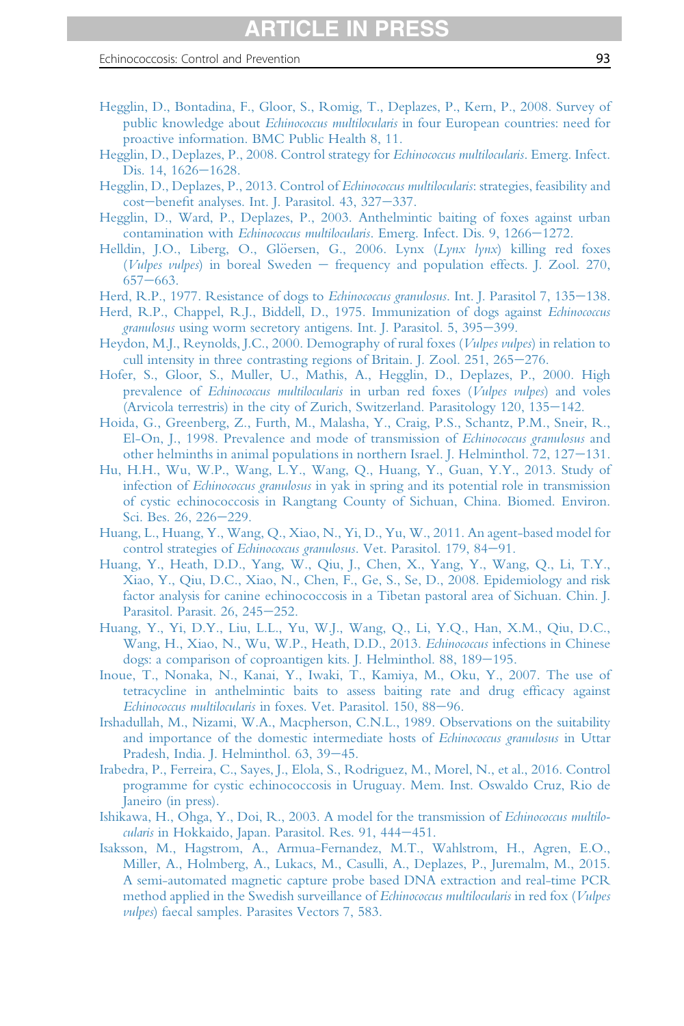- <span id="page-92-0"></span>[Hegglin, D., Bontadina, F., Gloor, S., Romig, T., Deplazes, P., Kern, P., 2008. Survey of](http://refhub.elsevier.com/S0065-308X(16)30085-9/sref141) public knowledge about *Echinococcus multilocularis* [in four European countries: need for](http://refhub.elsevier.com/S0065-308X(16)30085-9/sref141) [proactive information. BMC Public Health 8, 11.](http://refhub.elsevier.com/S0065-308X(16)30085-9/sref141)
- [Hegglin, D., Deplazes, P., 2008. Control strategy for](http://refhub.elsevier.com/S0065-308X(16)30085-9/sref142) Echinococcus multilocularis. Emerg. Infect. Dis. 14,  $1626 - 1628$ .
- [Hegglin, D., Deplazes, P., 2013. Control of](http://refhub.elsevier.com/S0065-308X(16)30085-9/sref143) Echinococcus multilocularis: strategies, feasibility and [cost](http://refhub.elsevier.com/S0065-308X(16)30085-9/sref143)-benefi[t analyses. Int. J. Parasitol. 43, 327](http://refhub.elsevier.com/S0065-308X(16)30085-9/sref143)-[337.](http://refhub.elsevier.com/S0065-308X(16)30085-9/sref143)
- [Hegglin, D., Ward, P., Deplazes, P., 2003. Anthelmintic baiting of foxes against urban](http://refhub.elsevier.com/S0065-308X(16)30085-9/sref144) contamination with Echinococcus multilocularis[. Emerg. Infect. Dis. 9, 1266](http://refhub.elsevier.com/S0065-308X(16)30085-9/sref144)-[1272.](http://refhub.elsevier.com/S0065-308X(16)30085-9/sref144)
- Helldin, J.O., Liberg, O., Glöersen, G., 2006. Lynx  $(Lynx \, lynx)$  killing red foxes (Vulpes vulpes[\) in boreal Sweden](http://refhub.elsevier.com/S0065-308X(16)30085-9/sref145)  $-$  [frequency and population effects. J. Zool. 270,](http://refhub.elsevier.com/S0065-308X(16)30085-9/sref145)  $657 - 663.$  $657 - 663.$  $657 - 663.$
- [Herd, R.P., 1977. Resistance of dogs to](http://refhub.elsevier.com/S0065-308X(16)30085-9/sref146) Echinococcus granulosus. Int. J. Parasitol 7, 135–[138.](http://refhub.elsevier.com/S0065-308X(16)30085-9/sref146)
- [Herd, R.P., Chappel, R.J., Biddell, D., 1975. Immunization of dogs against](http://refhub.elsevier.com/S0065-308X(16)30085-9/sref147) Echinococcus granulosus [using worm secretory antigens. Int. J. Parasitol. 5, 395](http://refhub.elsevier.com/S0065-308X(16)30085-9/sref147)–[399.](http://refhub.elsevier.com/S0065-308X(16)30085-9/sref147)
- [Heydon, M.J., Reynolds, J.C., 2000. Demography of rural foxes \(](http://refhub.elsevier.com/S0065-308X(16)30085-9/sref148)Vulpes vulpes) in relation to [cull intensity in three contrasting regions of Britain. J. Zool. 251, 265](http://refhub.elsevier.com/S0065-308X(16)30085-9/sref148)–[276.](http://refhub.elsevier.com/S0065-308X(16)30085-9/sref148)
- [Hofer, S., Gloor, S., Muller, U., Mathis, A., Hegglin, D., Deplazes, P., 2000. High](http://refhub.elsevier.com/S0065-308X(16)30085-9/sref149) prevalence of [Echinococcus multilocularis](http://refhub.elsevier.com/S0065-308X(16)30085-9/sref149) in urban red foxes (Vulpes vulpes) and voles (Arvicola terrestris) in the city of Zurich, Switzerland. Parasitology  $120$ ,  $135-142$ .
- [Hoida, G., Greenberg, Z., Furth, M., Malasha, Y., Craig, P.S., Schantz, P.M., Sneir, R.,](http://refhub.elsevier.com/S0065-308X(16)30085-9/sref150) [El-On, J., 1998. Prevalence and mode of transmission of](http://refhub.elsevier.com/S0065-308X(16)30085-9/sref150) Echinococcus granulosus and other helminths in animal populations in northern Israel. J. Helminthol. 72,  $127-131$ .
- [Hu, H.H., Wu, W.P., Wang, L.Y., Wang, Q., Huang, Y., Guan, Y.Y., 2013. Study of](http://refhub.elsevier.com/S0065-308X(16)30085-9/sref151) infection of Echinococcus granulosus [in yak in spring and its potential role in transmission](http://refhub.elsevier.com/S0065-308X(16)30085-9/sref151) [of cystic echinococcosis in Rangtang County of Sichuan, China. Biomed. Environ.](http://refhub.elsevier.com/S0065-308X(16)30085-9/sref151) [Sci. Bes. 26, 226](http://refhub.elsevier.com/S0065-308X(16)30085-9/sref151)-[229.](http://refhub.elsevier.com/S0065-308X(16)30085-9/sref151)
- [Huang, L., Huang, Y., Wang, Q., Xiao, N., Yi, D., Yu, W., 2011. An agent-based model for](http://refhub.elsevier.com/S0065-308X(16)30085-9/sref152) control strategies of Echinococcus granulosus[. Vet. Parasitol. 179, 84](http://refhub.elsevier.com/S0065-308X(16)30085-9/sref152)-[91.](http://refhub.elsevier.com/S0065-308X(16)30085-9/sref152)
- [Huang, Y., Heath, D.D., Yang, W., Qiu, J., Chen, X., Yang, Y., Wang, Q., Li, T.Y.,](http://refhub.elsevier.com/S0065-308X(16)30085-9/sref153) [Xiao, Y., Qiu, D.C., Xiao, N., Chen, F., Ge, S., Se, D., 2008. Epidemiology and risk](http://refhub.elsevier.com/S0065-308X(16)30085-9/sref153) [factor analysis for canine echinococcosis in a Tibetan pastoral area of Sichuan. Chin. J.](http://refhub.elsevier.com/S0065-308X(16)30085-9/sref153) [Parasitol. Parasit. 26, 245](http://refhub.elsevier.com/S0065-308X(16)30085-9/sref153)-[252.](http://refhub.elsevier.com/S0065-308X(16)30085-9/sref153)
- [Huang, Y., Yi, D.Y., Liu, L.L., Yu, W.J., Wang, Q., Li, Y.Q., Han, X.M., Qiu, D.C.,](http://refhub.elsevier.com/S0065-308X(16)30085-9/sref154) [Wang, H., Xiao, N., Wu, W.P., Heath, D.D., 2013.](http://refhub.elsevier.com/S0065-308X(16)30085-9/sref154) Echinococcus infections in Chinese dogs: a comparison of coproantigen kits. J. Helminthol.  $88$ ,  $189-195$ .
- [Inoue, T., Nonaka, N., Kanai, Y., Iwaki, T., Kamiya, M., Oku, Y., 2007. The use of](http://refhub.elsevier.com/S0065-308X(16)30085-9/sref155) [tetracycline in anthelmintic baits to assess baiting rate and drug ef](http://refhub.elsevier.com/S0065-308X(16)30085-9/sref155)ficacy against Echinococcus multilocularis [in foxes. Vet. Parasitol. 150, 88](http://refhub.elsevier.com/S0065-308X(16)30085-9/sref155)-[96.](http://refhub.elsevier.com/S0065-308X(16)30085-9/sref155)
- [Irshadullah, M., Nizami, W.A., Macpherson, C.N.L., 1989. Observations on the suitability](http://refhub.elsevier.com/S0065-308X(16)30085-9/sref156) [and importance of the domestic intermediate hosts of](http://refhub.elsevier.com/S0065-308X(16)30085-9/sref156) Echinococcus granulosus in Uttar [Pradesh, India. J. Helminthol. 63, 39](http://refhub.elsevier.com/S0065-308X(16)30085-9/sref156)-[45.](http://refhub.elsevier.com/S0065-308X(16)30085-9/sref156)
- [Irabedra, P., Ferreira, C., Sayes, J., Elola, S., Rodriguez, M., Morel, N., et al., 2016. Control](http://refhub.elsevier.com/S0065-308X(16)30085-9/sref157) [programme for cystic echinococcosis in Uruguay. Mem. Inst. Oswaldo Cruz, Rio de](http://refhub.elsevier.com/S0065-308X(16)30085-9/sref157) [Janeiro \(in press\).](http://refhub.elsevier.com/S0065-308X(16)30085-9/sref157)
- [Ishikawa, H., Ohga, Y., Doi, R., 2003. A model for the transmission of](http://refhub.elsevier.com/S0065-308X(16)30085-9/sref158) Echinococcus multilocularis [in Hokkaido, Japan. Parasitol. Res. 91, 444](http://refhub.elsevier.com/S0065-308X(16)30085-9/sref158)-[451.](http://refhub.elsevier.com/S0065-308X(16)30085-9/sref158)
- [Isaksson, M., Hagstrom, A., Armua-Fernandez, M.T., Wahlstrom, H., Agren, E.O.,](http://refhub.elsevier.com/S0065-308X(16)30085-9/sref159) [Miller, A., Holmberg, A., Lukacs, M., Casulli, A., Deplazes, P., Juremalm, M., 2015.](http://refhub.elsevier.com/S0065-308X(16)30085-9/sref159) [A semi-automated magnetic capture probe based DNA extraction and real-time PCR](http://refhub.elsevier.com/S0065-308X(16)30085-9/sref159) [method applied in the Swedish surveillance of](http://refhub.elsevier.com/S0065-308X(16)30085-9/sref159) *Echinococcus multilocularis* in red fox (*Vulpes* vulpes[\) faecal samples. Parasites Vectors 7, 583.](http://refhub.elsevier.com/S0065-308X(16)30085-9/sref159)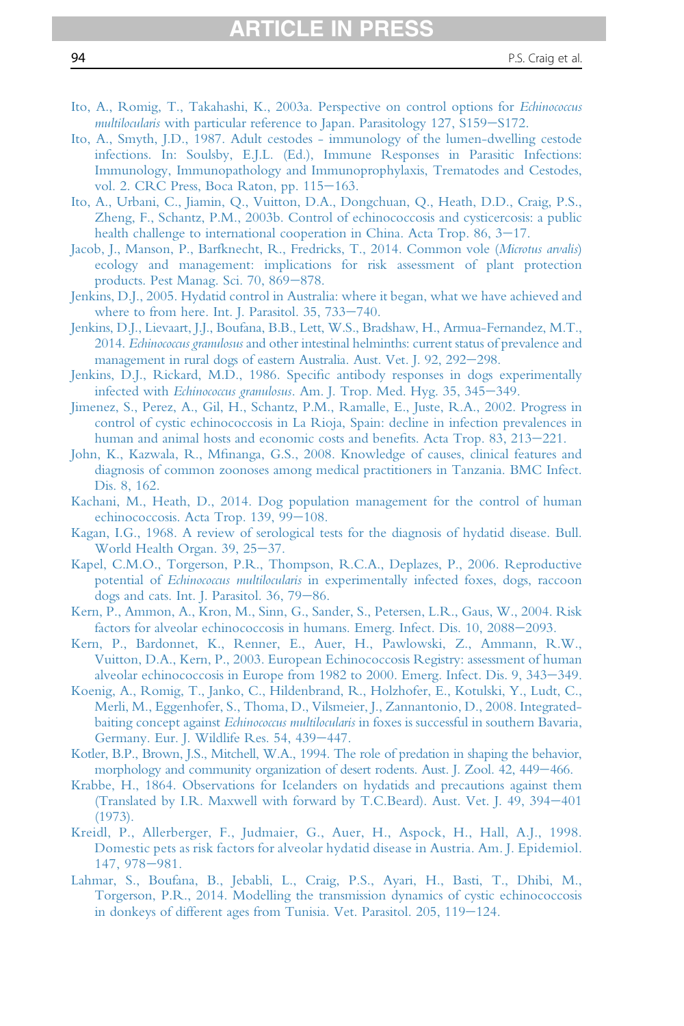# ARTICLE IN PRESS

- <span id="page-93-0"></span>[Ito, A., Romig, T., Takahashi, K., 2003a. Perspective on control options for](http://refhub.elsevier.com/S0065-308X(16)30085-9/sref160) Echinococcus multilocularis [with particular reference to Japan. Parasitology 127, S159](http://refhub.elsevier.com/S0065-308X(16)30085-9/sref160)-[S172.](http://refhub.elsevier.com/S0065-308X(16)30085-9/sref160)
- [Ito, A., Smyth, J.D., 1987. Adult cestodes immunology of the lumen-dwelling cestode](http://refhub.elsevier.com/S0065-308X(16)30085-9/sref161) [infections. In: Soulsby, E.J.L. \(Ed.\), Immune Responses in Parasitic Infections:](http://refhub.elsevier.com/S0065-308X(16)30085-9/sref161) [Immunology, Immunopathology and Immunoprophylaxis, Trematodes and Cestodes,](http://refhub.elsevier.com/S0065-308X(16)30085-9/sref161) [vol. 2. CRC Press, Boca Raton, pp. 115](http://refhub.elsevier.com/S0065-308X(16)30085-9/sref161)-[163.](http://refhub.elsevier.com/S0065-308X(16)30085-9/sref161)
- [Ito, A., Urbani, C., Jiamin, Q., Vuitton, D.A., Dongchuan, Q., Heath, D.D., Craig, P.S.,](http://refhub.elsevier.com/S0065-308X(16)30085-9/sref162) [Zheng, F., Schantz, P.M., 2003b. Control of echinococcosis and cysticercosis: a public](http://refhub.elsevier.com/S0065-308X(16)30085-9/sref162) health challenge to international cooperation in China. Acta Trop.  $86, 3-17$ .
- [Jacob, J., Manson, P., Barfknecht, R., Fredricks, T., 2014. Common vole \(](http://refhub.elsevier.com/S0065-308X(16)30085-9/sref163)Microtus arvalis) [ecology and management: implications for risk assessment of plant protection](http://refhub.elsevier.com/S0065-308X(16)30085-9/sref163) [products. Pest Manag. Sci. 70, 869](http://refhub.elsevier.com/S0065-308X(16)30085-9/sref163)-[878.](http://refhub.elsevier.com/S0065-308X(16)30085-9/sref163)
- [Jenkins, D.J., 2005. Hydatid control in Australia: where it began, what we have achieved and](http://refhub.elsevier.com/S0065-308X(16)30085-9/sref164) [where to from here. Int. J. Parasitol. 35, 733](http://refhub.elsevier.com/S0065-308X(16)30085-9/sref164)-[740.](http://refhub.elsevier.com/S0065-308X(16)30085-9/sref164)
- [Jenkins, D.J., Lievaart, J.J., Boufana, B.B., Lett, W.S., Bradshaw, H., Armua-Fernandez, M.T.,](http://refhub.elsevier.com/S0065-308X(16)30085-9/sref165) 2014. Echinococcus granulosus [and other intestinal helminths: current status of prevalence and](http://refhub.elsevier.com/S0065-308X(16)30085-9/sref165) [management in rural dogs of eastern Australia. Aust. Vet. J. 92, 292](http://refhub.elsevier.com/S0065-308X(16)30085-9/sref165)-[298.](http://refhub.elsevier.com/S0065-308X(16)30085-9/sref165)
- Jenkins, D.J., Rickard, M.D., 1986. Specifi[c antibody responses in dogs experimentally](http://refhub.elsevier.com/S0065-308X(16)30085-9/sref166) infected with Echinococcus granulosus[. Am. J. Trop. Med. Hyg. 35, 345](http://refhub.elsevier.com/S0065-308X(16)30085-9/sref166)-[349.](http://refhub.elsevier.com/S0065-308X(16)30085-9/sref166)
- [Jimenez, S., Perez, A., Gil, H., Schantz, P.M., Ramalle, E., Juste, R.A., 2002. Progress in](http://refhub.elsevier.com/S0065-308X(16)30085-9/sref167) [control of cystic echinococcosis in La Rioja, Spain: decline in infection prevalences in](http://refhub.elsevier.com/S0065-308X(16)30085-9/sref167) [human and animal hosts and economic costs and bene](http://refhub.elsevier.com/S0065-308X(16)30085-9/sref167)fits. Acta Trop. 83, 213–[221.](http://refhub.elsevier.com/S0065-308X(16)30085-9/sref167)
- John, K., Kazwala, R., Mfi[nanga, G.S., 2008. Knowledge of causes, clinical features and](http://refhub.elsevier.com/S0065-308X(16)30085-9/sref168) [diagnosis of common zoonoses among medical practitioners in Tanzania. BMC Infect.](http://refhub.elsevier.com/S0065-308X(16)30085-9/sref168) [Dis. 8, 162.](http://refhub.elsevier.com/S0065-308X(16)30085-9/sref168)
- [Kachani, M., Heath, D., 2014. Dog population management for the control of human](http://refhub.elsevier.com/S0065-308X(16)30085-9/sref169) [echinococcosis. Acta Trop. 139, 99](http://refhub.elsevier.com/S0065-308X(16)30085-9/sref169)-[108.](http://refhub.elsevier.com/S0065-308X(16)30085-9/sref169)
- [Kagan, I.G., 1968. A review of serological tests for the diagnosis of hydatid disease. Bull.](http://refhub.elsevier.com/S0065-308X(16)30085-9/sref170) [World Health Organ. 39, 25](http://refhub.elsevier.com/S0065-308X(16)30085-9/sref170)-[37.](http://refhub.elsevier.com/S0065-308X(16)30085-9/sref170)
- [Kapel, C.M.O., Torgerson, P.R., Thompson, R.C.A., Deplazes, P., 2006. Reproductive](http://refhub.elsevier.com/S0065-308X(16)30085-9/sref171) potential of Echinococcus multilocularis [in experimentally infected foxes, dogs, raccoon](http://refhub.elsevier.com/S0065-308X(16)30085-9/sref171) dogs and cats. Int. J. Parasitol.  $36, 79-86$ .
- [Kern, P., Ammon, A., Kron, M., Sinn, G., Sander, S., Petersen, L.R., Gaus, W., 2004. Risk](http://refhub.elsevier.com/S0065-308X(16)30085-9/sref172) [factors for alveolar echinococcosis in humans. Emerg. Infect. Dis. 10, 2088](http://refhub.elsevier.com/S0065-308X(16)30085-9/sref172)-[2093.](http://refhub.elsevier.com/S0065-308X(16)30085-9/sref172)
- [Kern, P., Bardonnet, K., Renner, E., Auer, H., Pawlowski, Z., Ammann, R.W.,](http://refhub.elsevier.com/S0065-308X(16)30085-9/sref173) [Vuitton, D.A., Kern, P., 2003. European Echinococcosis Registry: assessment of human](http://refhub.elsevier.com/S0065-308X(16)30085-9/sref173) [alveolar echinococcosis in Europe from 1982 to 2000. Emerg. Infect. Dis. 9, 343](http://refhub.elsevier.com/S0065-308X(16)30085-9/sref173)-[349.](http://refhub.elsevier.com/S0065-308X(16)30085-9/sref173)
- [Koenig, A., Romig, T., Janko, C., Hildenbrand, R., Holzhofer, E., Kotulski, Y., Ludt, C.,](http://refhub.elsevier.com/S0065-308X(16)30085-9/sref174) [Merli, M., Eggenhofer, S., Thoma, D., Vilsmeier, J., Zannantonio, D., 2008. Integrated](http://refhub.elsevier.com/S0065-308X(16)30085-9/sref174)baiting concept against Echinococcus multilocularis [in foxes is successful in southern Bavaria,](http://refhub.elsevier.com/S0065-308X(16)30085-9/sref174) [Germany. Eur. J. Wildlife Res. 54, 439](http://refhub.elsevier.com/S0065-308X(16)30085-9/sref174)-[447.](http://refhub.elsevier.com/S0065-308X(16)30085-9/sref174)
- [Kotler, B.P., Brown, J.S., Mitchell, W.A., 1994. The role of predation in shaping the behavior,](http://refhub.elsevier.com/S0065-308X(16)30085-9/sref175) [morphology and community organization](http://refhub.elsevier.com/S0065-308X(16)30085-9/sref175) of desert rodents. Aust. J. Zool. 42, 449–[466.](http://refhub.elsevier.com/S0065-308X(16)30085-9/sref175)
- [Krabbe, H., 1864. Observations for Icelanders on hydatids and precautions against them](http://refhub.elsevier.com/S0065-308X(16)30085-9/sref176) [\(Translated by I.R. Maxwell with forward by T.C.Beard\). Aust. Vet. J. 49, 394](http://refhub.elsevier.com/S0065-308X(16)30085-9/sref176)-[401](http://refhub.elsevier.com/S0065-308X(16)30085-9/sref176) [\(1973\).](http://refhub.elsevier.com/S0065-308X(16)30085-9/sref176)
- [Kreidl, P., Allerberger, F., Judmaier, G., Auer, H., Aspock, H., Hall, A.J., 1998.](http://refhub.elsevier.com/S0065-308X(16)30085-9/sref177) [Domestic pets as risk factors for alveolar hydatid disease in Austria. Am. J. Epidemiol.](http://refhub.elsevier.com/S0065-308X(16)30085-9/sref177) [147, 978](http://refhub.elsevier.com/S0065-308X(16)30085-9/sref177)-[981.](http://refhub.elsevier.com/S0065-308X(16)30085-9/sref177)
- [Lahmar, S., Boufana, B., Jebabli, L., Craig, P.S., Ayari, H., Basti, T., Dhibi, M.,](http://refhub.elsevier.com/S0065-308X(16)30085-9/sref178) [Torgerson, P.R., 2014. Modelling the transmission dynamics of cystic echinococcosis](http://refhub.elsevier.com/S0065-308X(16)30085-9/sref178) [in donkeys of different ages from Tunisia. Vet. Parasitol. 205, 119](http://refhub.elsevier.com/S0065-308X(16)30085-9/sref178)-[124.](http://refhub.elsevier.com/S0065-308X(16)30085-9/sref178)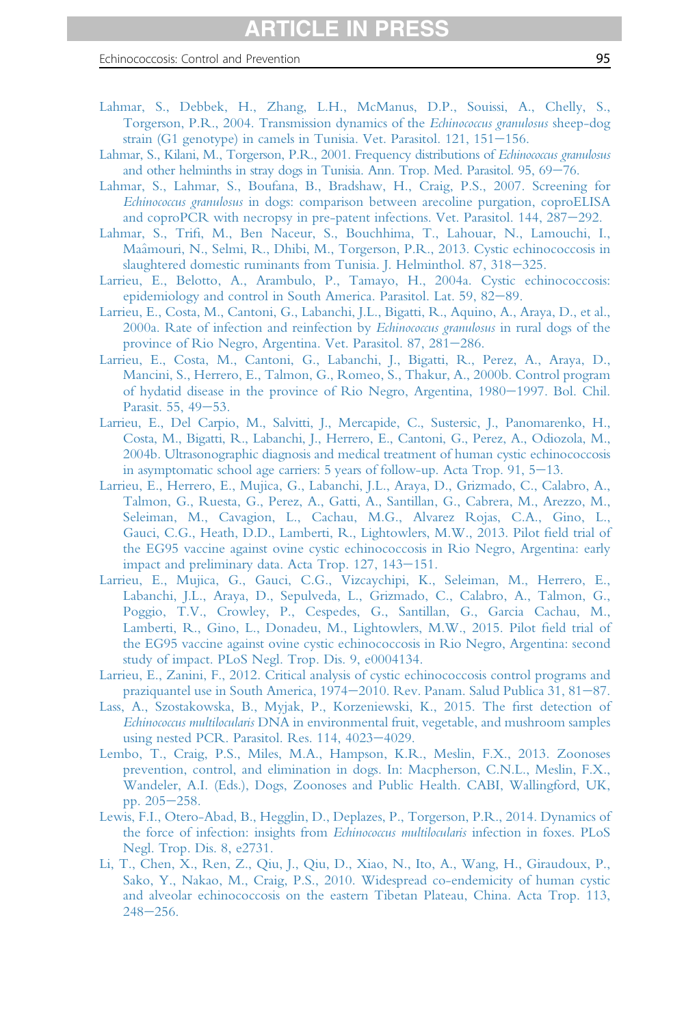- <span id="page-94-0"></span>[Lahmar, S., Debbek, H., Zhang, L.H., McManus, D.P., Souissi, A., Chelly, S.,](http://refhub.elsevier.com/S0065-308X(16)30085-9/sref179) [Torgerson, P.R., 2004. Transmission dynamics of the](http://refhub.elsevier.com/S0065-308X(16)30085-9/sref179) Echinococcus granulosus sheep-dog strain (G1 genotype) in camels in Tunisia. Vet. Parasitol.  $121, 151-156$ .
- [Lahmar, S., Kilani, M., Torgerson, P.R., 2001. Frequency distributions of](http://refhub.elsevier.com/S0065-308X(16)30085-9/sref180) Echinococcus granulosus [and other helminths in stray dogs in Tunisia. Ann. Trop. Med. Parasitol. 95, 69](http://refhub.elsevier.com/S0065-308X(16)30085-9/sref180)-[76.](http://refhub.elsevier.com/S0065-308X(16)30085-9/sref180)
- [Lahmar, S., Lahmar, S., Boufana, B., Bradshaw, H., Craig, P.S., 2007. Screening for](http://refhub.elsevier.com/S0065-308X(16)30085-9/sref181) Echinococcus granulosus [in dogs: comparison between arecoline purgation, coproELISA](http://refhub.elsevier.com/S0065-308X(16)30085-9/sref181) and coproPCR with necropsy in pre-patent infections. Vet. Parasitol.  $144$ ,  $287-292$ .
- Lahmar, S., Trifi[, M., Ben Naceur, S., Bouchhima, T., Lahouar, N., Lamouchi, I.,](http://refhub.elsevier.com/S0065-308X(16)30085-9/sref182) [Ma](http://refhub.elsevier.com/S0065-308X(16)30085-9/sref182)^[amouri, N., Selmi, R., Dhibi, M., Torgerson, P.R., 2013. Cystic echinococcosis in](http://refhub.elsevier.com/S0065-308X(16)30085-9/sref182) [slaughtered domestic ruminants from Tunisia. J. Helminthol. 87, 318](http://refhub.elsevier.com/S0065-308X(16)30085-9/sref182)-[325.](http://refhub.elsevier.com/S0065-308X(16)30085-9/sref182)
- [Larrieu, E., Belotto, A., Arambulo, P., Tamayo, H., 2004a. Cystic echinococcosis:](http://refhub.elsevier.com/S0065-308X(16)30085-9/sref183) [epidemiology and control in South America. Parasitol. Lat. 59, 82](http://refhub.elsevier.com/S0065-308X(16)30085-9/sref183)–[89.](http://refhub.elsevier.com/S0065-308X(16)30085-9/sref183)
- [Larrieu, E., Costa, M., Cantoni, G., Labanchi, J.L., Bigatti, R., Aquino, A., Araya, D., et al.,](http://refhub.elsevier.com/S0065-308X(16)30085-9/sref184) [2000a. Rate of infection and reinfection by](http://refhub.elsevier.com/S0065-308X(16)30085-9/sref184) Echinococcus granulosus in rural dogs of the [province of Rio Negro, Argentina. Vet. Parasitol. 87, 281](http://refhub.elsevier.com/S0065-308X(16)30085-9/sref184)-[286.](http://refhub.elsevier.com/S0065-308X(16)30085-9/sref184)
- [Larrieu, E., Costa, M., Cantoni, G., Labanchi, J., Bigatti, R., Perez, A., Araya, D.,](http://refhub.elsevier.com/S0065-308X(16)30085-9/sref185) [Mancini, S., Herrero, E., Talmon, G., Romeo, S., Thakur, A., 2000b. Control program](http://refhub.elsevier.com/S0065-308X(16)30085-9/sref185) [of hydatid disease in the province of Rio Negro, Argentina, 1980](http://refhub.elsevier.com/S0065-308X(16)30085-9/sref185)-[1997. Bol. Chil.](http://refhub.elsevier.com/S0065-308X(16)30085-9/sref185) [Parasit. 55, 49](http://refhub.elsevier.com/S0065-308X(16)30085-9/sref185)-[53.](http://refhub.elsevier.com/S0065-308X(16)30085-9/sref185)
- [Larrieu, E., Del Carpio, M., Salvitti, J., Mercapide, C., Sustersic, J., Panomarenko, H.,](http://refhub.elsevier.com/S0065-308X(16)30085-9/sref186) [Costa, M., Bigatti, R., Labanchi, J., Herrero, E., Cantoni, G., Perez, A., Odiozola, M.,](http://refhub.elsevier.com/S0065-308X(16)30085-9/sref186) [2004b. Ultrasonographic diagnosis and medical treatment of human cystic echinococcosis](http://refhub.elsevier.com/S0065-308X(16)30085-9/sref186) in asymptomatic school age carriers:  $5$  years of follow-up. Acta Trop.  $91, 5-13$ .
- [Larrieu, E., Herrero, E., Mujica, G., Labanchi, J.L., Araya, D., Grizmado, C., Calabro, A.,](http://refhub.elsevier.com/S0065-308X(16)30085-9/sref187) [Talmon, G., Ruesta, G., Perez, A., Gatti, A., Santillan, G., Cabrera, M., Arezzo, M.,](http://refhub.elsevier.com/S0065-308X(16)30085-9/sref187) [Seleiman, M., Cavagion, L., Cachau, M.G., Alvarez Rojas, C.A., Gino, L.,](http://refhub.elsevier.com/S0065-308X(16)30085-9/sref187) [Gauci, C.G., Heath, D.D., Lamberti, R., Lightowlers, M.W., 2013. Pilot](http://refhub.elsevier.com/S0065-308X(16)30085-9/sref187) field trial of [the EG95 vaccine against ovine cystic echinococcosis in Rio Negro, Argentina: early](http://refhub.elsevier.com/S0065-308X(16)30085-9/sref187) impact and preliminary data. Acta Trop.  $127$ ,  $143-151$ .
- [Larrieu, E., Mujica, G., Gauci, C.G., Vizcaychipi, K., Seleiman, M., Herrero, E.,](http://refhub.elsevier.com/S0065-308X(16)30085-9/sref188) [Labanchi, J.L., Araya, D., Sepulveda, L., Grizmado, C., Calabro, A., Talmon, G.,](http://refhub.elsevier.com/S0065-308X(16)30085-9/sref188) [Poggio, T.V., Crowley, P., Cespedes, G., Santillan, G., Garcia Cachau, M.,](http://refhub.elsevier.com/S0065-308X(16)30085-9/sref188) [Lamberti, R., Gino, L., Donadeu, M., Lightowlers, M.W., 2015. Pilot](http://refhub.elsevier.com/S0065-308X(16)30085-9/sref188) field trial of [the EG95 vaccine against ovine cystic echinococcosis in Rio Negro, Argentina: second](http://refhub.elsevier.com/S0065-308X(16)30085-9/sref188) [study of impact. PLoS Negl. Trop. Dis. 9, e0004134.](http://refhub.elsevier.com/S0065-308X(16)30085-9/sref188)
- [Larrieu, E., Zanini, F., 2012. Critical analysis of cystic echinococcosis control programs and](http://refhub.elsevier.com/S0065-308X(16)30085-9/sref189) [praziquantel use in South America, 1974](http://refhub.elsevier.com/S0065-308X(16)30085-9/sref189)–[2010. Rev. Panam. Salud Publica 31, 81](http://refhub.elsevier.com/S0065-308X(16)30085-9/sref189)–[87.](http://refhub.elsevier.com/S0065-308X(16)30085-9/sref189)
- [Lass, A., Szostakowska, B., Myjak, P., Korzeniewski, K., 2015. The](http://refhub.elsevier.com/S0065-308X(16)30085-9/sref190) first detection of Echinococcus multilocularis [DNA in environmental fruit, vegetable, and mushroom samples](http://refhub.elsevier.com/S0065-308X(16)30085-9/sref190) [using nested PCR. Parasitol. Res. 114, 4023](http://refhub.elsevier.com/S0065-308X(16)30085-9/sref190)-[4029.](http://refhub.elsevier.com/S0065-308X(16)30085-9/sref190)
- [Lembo, T., Craig, P.S., Miles, M.A., Hampson, K.R., Meslin, F.X., 2013. Zoonoses](http://refhub.elsevier.com/S0065-308X(16)30085-9/sref191) [prevention, control, and elimination in dogs. In: Macpherson, C.N.L., Meslin, F.X.,](http://refhub.elsevier.com/S0065-308X(16)30085-9/sref191) [Wandeler, A.I. \(Eds.\), Dogs, Zoonoses and Public Health. CABI, Wallingford, UK,](http://refhub.elsevier.com/S0065-308X(16)30085-9/sref191) pp.  $205 - 258$ .
- [Lewis, F.I., Otero-Abad, B., Hegglin, D., Deplazes, P., Torgerson, P.R., 2014. Dynamics of](http://refhub.elsevier.com/S0065-308X(16)30085-9/sref192) [the force of infection: insights from](http://refhub.elsevier.com/S0065-308X(16)30085-9/sref192) Echinococcus multilocularis infection in foxes. PLoS [Negl. Trop. Dis. 8, e2731.](http://refhub.elsevier.com/S0065-308X(16)30085-9/sref192)
- [Li, T., Chen, X., Ren, Z., Qiu, J., Qiu, D., Xiao, N., Ito, A., Wang, H., Giraudoux, P.,](http://refhub.elsevier.com/S0065-308X(16)30085-9/sref193) [Sako, Y., Nakao, M., Craig, P.S., 2010. Widespread co-endemicity of human cystic](http://refhub.elsevier.com/S0065-308X(16)30085-9/sref193) [and alveolar echinococcosis on the eastern Tibetan Plateau, China. Acta Trop. 113,](http://refhub.elsevier.com/S0065-308X(16)30085-9/sref193)  $248 - 256$  $248 - 256$ .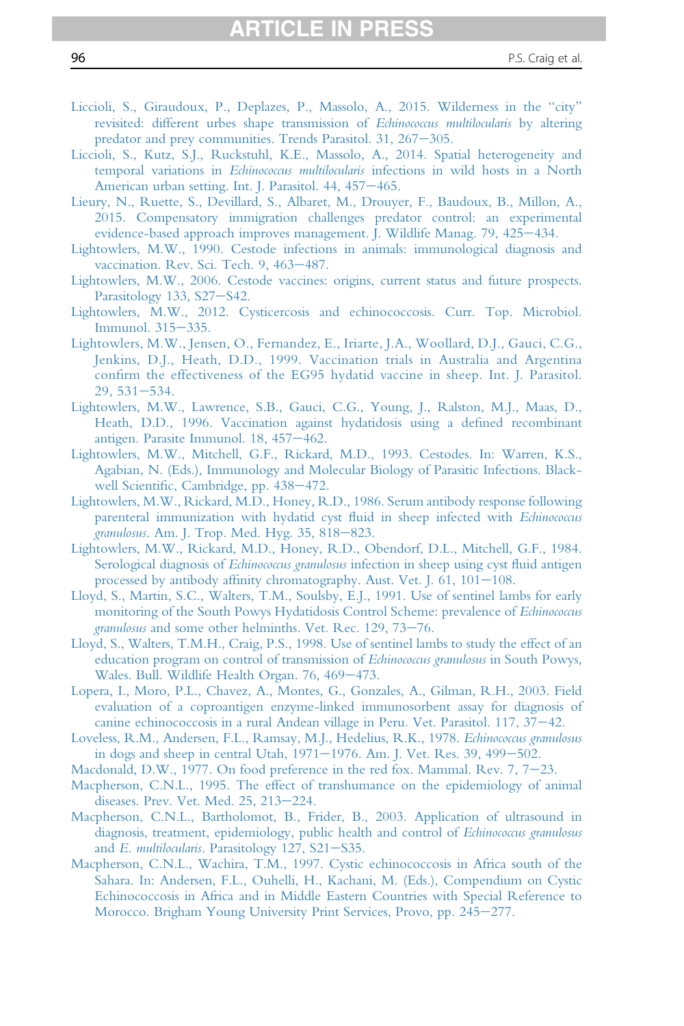- <span id="page-95-0"></span>[Liccioli, S., Giraudoux, P., Deplazes, P., Massolo, A., 2015. Wilderness in the](http://refhub.elsevier.com/S0065-308X(16)30085-9/sref194) "city" [revisited: different urbes shape transmission of](http://refhub.elsevier.com/S0065-308X(16)30085-9/sref194) Echinococcus multilocularis by altering [predator and prey communities. Trends Parasitol. 31, 267](http://refhub.elsevier.com/S0065-308X(16)30085-9/sref194)-[305.](http://refhub.elsevier.com/S0065-308X(16)30085-9/sref194)
- [Liccioli, S., Kutz, S.J., Ruckstuhl, K.E., Massolo, A., 2014. Spatial heterogeneity and](http://refhub.elsevier.com/S0065-308X(16)30085-9/sref195) temporal variations in Echinococcus multilocularis [infections in wild hosts in a North](http://refhub.elsevier.com/S0065-308X(16)30085-9/sref195) [American urban setting. Int. J. Parasitol. 44, 457](http://refhub.elsevier.com/S0065-308X(16)30085-9/sref195)-[465.](http://refhub.elsevier.com/S0065-308X(16)30085-9/sref195)
- [Lieury, N., Ruette, S., Devillard, S., Albaret, M., Drouyer, F., Baudoux, B., Millon, A.,](http://refhub.elsevier.com/S0065-308X(16)30085-9/sref196) [2015. Compensatory immigration challenges predator control: an experimental](http://refhub.elsevier.com/S0065-308X(16)30085-9/sref196) [evidence-based approach improves management. J. Wildlife Manag. 79, 425](http://refhub.elsevier.com/S0065-308X(16)30085-9/sref196)-[434.](http://refhub.elsevier.com/S0065-308X(16)30085-9/sref196)
- [Lightowlers, M.W., 1990. Cestode infections in animals: immunological diagnosis and](http://refhub.elsevier.com/S0065-308X(16)30085-9/sref197) [vaccination. Rev. Sci. Tech. 9, 463](http://refhub.elsevier.com/S0065-308X(16)30085-9/sref197)-[487.](http://refhub.elsevier.com/S0065-308X(16)30085-9/sref197)
- [Lightowlers, M.W., 2006. Cestode vaccines: origins, current status and future prospects.](http://refhub.elsevier.com/S0065-308X(16)30085-9/sref198) [Parasitology 133, S27](http://refhub.elsevier.com/S0065-308X(16)30085-9/sref198)-[S42.](http://refhub.elsevier.com/S0065-308X(16)30085-9/sref198)
- [Lightowlers, M.W., 2012. Cysticercosis and echinococcosis. Curr. Top. Microbiol.](http://refhub.elsevier.com/S0065-308X(16)30085-9/sref199) [Immunol. 315](http://refhub.elsevier.com/S0065-308X(16)30085-9/sref199)-[335.](http://refhub.elsevier.com/S0065-308X(16)30085-9/sref199)
- [Lightowlers, M.W., Jensen, O., Fernandez, E., Iriarte, J.A., Woollard, D.J., Gauci, C.G.,](http://refhub.elsevier.com/S0065-308X(16)30085-9/sref200) [Jenkins, D.J., Heath, D.D., 1999. Vaccination trials in Australia and Argentina](http://refhub.elsevier.com/S0065-308X(16)30085-9/sref200) confi[rm the effectiveness of the EG95 hydatid vaccine in sheep. Int. J. Parasitol.](http://refhub.elsevier.com/S0065-308X(16)30085-9/sref200)  $29,531-534.$  $29,531-534.$
- [Lightowlers, M.W., Lawrence, S.B., Gauci, C.G., Young, J., Ralston, M.J., Maas, D.,](http://refhub.elsevier.com/S0065-308X(16)30085-9/sref201) [Heath, D.D., 1996. Vaccination against hydatidosis using a de](http://refhub.elsevier.com/S0065-308X(16)30085-9/sref201)fined recombinant [antigen. Parasite Immunol. 18, 457](http://refhub.elsevier.com/S0065-308X(16)30085-9/sref201)-[462.](http://refhub.elsevier.com/S0065-308X(16)30085-9/sref201)
- [Lightowlers, M.W., Mitchell, G.F., Rickard, M.D., 1993. Cestodes. In: Warren, K.S.,](http://refhub.elsevier.com/S0065-308X(16)30085-9/sref202) [Agabian, N. \(Eds.\), Immunology and Molecular Biology of Parasitic Infections. Black](http://refhub.elsevier.com/S0065-308X(16)30085-9/sref202)well Scientifi[c, Cambridge, pp. 438](http://refhub.elsevier.com/S0065-308X(16)30085-9/sref202)-[472.](http://refhub.elsevier.com/S0065-308X(16)30085-9/sref202)
- [Lightowlers, M.W., Rickard, M.D., Honey, R.D., 1986. Serum antibody response following](http://refhub.elsevier.com/S0065-308X(16)30085-9/sref203) [parenteral immunization with hydatid cyst](http://refhub.elsevier.com/S0065-308X(16)30085-9/sref203) fluid in sheep infected with Echinococcus granulosus[. Am. J. Trop. Med. Hyg. 35, 818](http://refhub.elsevier.com/S0065-308X(16)30085-9/sref203)-[823.](http://refhub.elsevier.com/S0065-308X(16)30085-9/sref203)
- [Lightowlers, M.W., Rickard, M.D., Honey, R.D., Obendorf, D.L., Mitchell, G.F., 1984.](http://refhub.elsevier.com/S0065-308X(16)30085-9/sref204) Serological diagnosis of *Echinococcus granulosus* [infection in sheep using cyst](http://refhub.elsevier.com/S0065-308X(16)30085-9/sref204) fluid antigen processed by antibody affinity chromatography. Aust. Vet.  $I. 61, 101-108$ .
- [Lloyd, S., Martin, S.C., Walters, T.M., Soulsby, E.J., 1991. Use of sentinel lambs for early](http://refhub.elsevier.com/S0065-308X(16)30085-9/sref205) [monitoring of the South Powys Hydatidosis Control Scheme: prevalence of](http://refhub.elsevier.com/S0065-308X(16)30085-9/sref205) Echinococcus granulosus [and some other helminths. Vet. Rec. 129, 73](http://refhub.elsevier.com/S0065-308X(16)30085-9/sref205)-[76.](http://refhub.elsevier.com/S0065-308X(16)30085-9/sref205)
- [Lloyd, S., Walters, T.M.H., Craig, P.S., 1998. Use of sentinel lambs to study the effect of an](http://refhub.elsevier.com/S0065-308X(16)30085-9/sref206) [education program on control of transmission of](http://refhub.elsevier.com/S0065-308X(16)30085-9/sref206) Echinococcus granulosus in South Powys, [Wales. Bull. Wildlife Health Organ. 76, 469](http://refhub.elsevier.com/S0065-308X(16)30085-9/sref206)-[473.](http://refhub.elsevier.com/S0065-308X(16)30085-9/sref206)
- [Lopera, I., Moro, P.L., Chavez, A., Montes, G., Gonzales, A., Gilman, R.H., 2003. Field](http://refhub.elsevier.com/S0065-308X(16)30085-9/sref207) [evaluation of a coproantigen enzyme-linked immunosorbent assay for diagnosis of](http://refhub.elsevier.com/S0065-308X(16)30085-9/sref207) canine echinococcosis in a rural Andean village in Peru. Vet. Parasitol.  $117, 37-42$ .
- [Loveless, R.M., Andersen, F.L., Ramsay, M.J., Hedelius, R.K., 1978.](http://refhub.elsevier.com/S0065-308X(16)30085-9/sref208) Echinococcus granulosus in dogs and sheep in central Utah,  $1971-1976$ . Am. J. Vet. Res. 39,  $499-502$ .
- Macdonald, D.W., 1977. On food preference in the red fox. Mammal. Rev.  $7, 7-23$ .
- [Macpherson, C.N.L., 1995. The effect of transhumance on the epidemiology of animal](http://refhub.elsevier.com/S0065-308X(16)30085-9/sref210) [diseases. Prev. Vet. Med. 25, 213](http://refhub.elsevier.com/S0065-308X(16)30085-9/sref210)-[224.](http://refhub.elsevier.com/S0065-308X(16)30085-9/sref210)
- [Macpherson, C.N.L., Bartholomot, B., Frider, B., 2003. Application of ultrasound in](http://refhub.elsevier.com/S0065-308X(16)30085-9/sref211) [diagnosis, treatment, epidemiology, public health and control of](http://refhub.elsevier.com/S0065-308X(16)30085-9/sref211) Echinococcus granulosus and  $E.$  multilocularis. Parasitology  $127$ , S21-[S35.](http://refhub.elsevier.com/S0065-308X(16)30085-9/sref211)
- [Macpherson, C.N.L., Wachira, T.M., 1997. Cystic echinococcosis in Africa south of the](http://refhub.elsevier.com/S0065-308X(16)30085-9/sref212) [Sahara. In: Andersen, F.L., Ouhelli, H., Kachani, M. \(Eds.\), Compendium on Cystic](http://refhub.elsevier.com/S0065-308X(16)30085-9/sref212) [Echinococcosis in Africa and in Middle Eastern Countries with Special Reference to](http://refhub.elsevier.com/S0065-308X(16)30085-9/sref212) [Morocco. Brigham Young University Print Services, Provo, pp. 245](http://refhub.elsevier.com/S0065-308X(16)30085-9/sref212)-[277.](http://refhub.elsevier.com/S0065-308X(16)30085-9/sref212)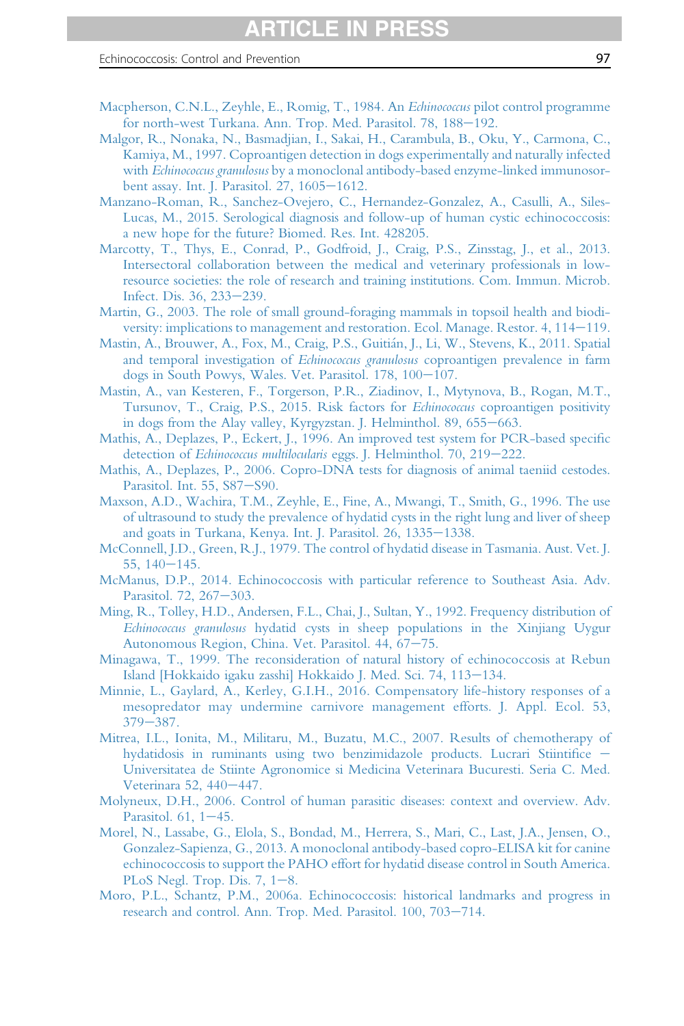- <span id="page-96-0"></span>[Macpherson, C.N.L., Zeyhle, E., Romig, T., 1984. An](http://refhub.elsevier.com/S0065-308X(16)30085-9/sref213) Echinococcus pilot control programme [for north-west Turkana. Ann. Trop. Med. Parasitol. 78, 188](http://refhub.elsevier.com/S0065-308X(16)30085-9/sref213)–[192.](http://refhub.elsevier.com/S0065-308X(16)30085-9/sref213)
- [Malgor, R., Nonaka, N., Basmadjian, I., Sakai, H., Carambula, B., Oku, Y., Carmona, C.,](http://refhub.elsevier.com/S0065-308X(16)30085-9/sref214) [Kamiya, M., 1997. Coproantigen detection in dogs experimentally and naturally infected](http://refhub.elsevier.com/S0065-308X(16)30085-9/sref214) with Echinococcus granulosus [by a monoclonal antibody-based enzyme-linked immunosor](http://refhub.elsevier.com/S0065-308X(16)30085-9/sref214)[bent assay. Int. J. Parasitol. 27, 1605](http://refhub.elsevier.com/S0065-308X(16)30085-9/sref214)-[1612.](http://refhub.elsevier.com/S0065-308X(16)30085-9/sref214)
- [Manzano-Roman, R., Sanchez-Ovejero, C., Hernandez-Gonzalez, A., Casulli, A., Siles-](http://refhub.elsevier.com/S0065-308X(16)30085-9/sref215)[Lucas, M., 2015. Serological diagnosis and follow-up of human cystic echinococcosis:](http://refhub.elsevier.com/S0065-308X(16)30085-9/sref215) [a new hope for the future? Biomed. Res. Int. 428205.](http://refhub.elsevier.com/S0065-308X(16)30085-9/sref215)
- [Marcotty, T., Thys, E., Conrad, P., Godfroid, J., Craig, P.S., Zinsstag, J., et al., 2013.](http://refhub.elsevier.com/S0065-308X(16)30085-9/sref216) [Intersectoral collaboration between the medical and veterinary professionals in low](http://refhub.elsevier.com/S0065-308X(16)30085-9/sref216)[resource societies: the role of research and training institutions. Com. Immun. Microb.](http://refhub.elsevier.com/S0065-308X(16)30085-9/sref216) [Infect. Dis. 36, 233](http://refhub.elsevier.com/S0065-308X(16)30085-9/sref216)-[239.](http://refhub.elsevier.com/S0065-308X(16)30085-9/sref216)
- [Martin, G., 2003. The role of small ground-foraging mammals in topsoil health and biodi](http://refhub.elsevier.com/S0065-308X(16)30085-9/sref217)[versity: implications to management and restoration. Ecol. Manage. Restor. 4, 114](http://refhub.elsevier.com/S0065-308X(16)30085-9/sref217)–[119.](http://refhub.elsevier.com/S0065-308X(16)30085-9/sref217)
- [Mastin, A., Brouwer, A., Fox, M., Craig, P.S., Guiti](http://refhub.elsevier.com/S0065-308X(16)30085-9/sref218)án, J., Li, W., Stevens, K., 2011. Spatial and temporal investigation of Echinococcus granulosus [coproantigen prevalence in farm](http://refhub.elsevier.com/S0065-308X(16)30085-9/sref218) [dogs in South Powys, Wales. Vet. Parasitol. 178, 100](http://refhub.elsevier.com/S0065-308X(16)30085-9/sref218)-[107.](http://refhub.elsevier.com/S0065-308X(16)30085-9/sref218)
- [Mastin, A., van Kesteren, F., Torgerson, P.R., Ziadinov, I., Mytynova, B., Rogan, M.T.,](http://refhub.elsevier.com/S0065-308X(16)30085-9/sref219) [Tursunov, T., Craig, P.S., 2015. Risk factors for](http://refhub.elsevier.com/S0065-308X(16)30085-9/sref219) *Echinococcus* coproantigen positivity [in dogs from the Alay valley, Kyrgyzstan. J. Helminthol. 89, 655](http://refhub.elsevier.com/S0065-308X(16)30085-9/sref219)–[663.](http://refhub.elsevier.com/S0065-308X(16)30085-9/sref219)
- [Mathis, A., Deplazes, P., Eckert, J., 1996. An improved test system for PCR-based speci](http://refhub.elsevier.com/S0065-308X(16)30085-9/sref220)fic detection of Echinococcus multilocularis [eggs. J. Helminthol. 70, 219](http://refhub.elsevier.com/S0065-308X(16)30085-9/sref220)-[222.](http://refhub.elsevier.com/S0065-308X(16)30085-9/sref220)
- [Mathis, A., Deplazes, P., 2006. Copro-DNA tests for diagnosis of animal taeniid cestodes.](http://refhub.elsevier.com/S0065-308X(16)30085-9/sref221) [Parasitol. Int. 55, S87](http://refhub.elsevier.com/S0065-308X(16)30085-9/sref221)-[S90.](http://refhub.elsevier.com/S0065-308X(16)30085-9/sref221)
- [Maxson, A.D., Wachira, T.M., Zeyhle, E., Fine, A., Mwangi, T., Smith, G., 1996. The use](http://refhub.elsevier.com/S0065-308X(16)30085-9/sref222) [of ultrasound to study the prevalence of hydatid cysts in the right lung and liver of sheep](http://refhub.elsevier.com/S0065-308X(16)30085-9/sref222) [and goats in Turkana, Kenya. Int. J. Parasitol. 26, 1335](http://refhub.elsevier.com/S0065-308X(16)30085-9/sref222)-[1338.](http://refhub.elsevier.com/S0065-308X(16)30085-9/sref222)
- [McConnell, J.D., Green, R.J., 1979. The control of hydatid disease in Tasmania. Aust. Vet. J.](http://refhub.elsevier.com/S0065-308X(16)30085-9/sref223)  $55, 140 - 145.$  $55, 140 - 145.$  $55, 140 - 145.$
- [McManus, D.P., 2014. Echinococcosis with particular reference to Southeast Asia. Adv.](http://refhub.elsevier.com/S0065-308X(16)30085-9/sref224) [Parasitol. 72, 267](http://refhub.elsevier.com/S0065-308X(16)30085-9/sref224)-[303.](http://refhub.elsevier.com/S0065-308X(16)30085-9/sref224)
- [Ming, R., Tolley, H.D., Andersen, F.L., Chai, J., Sultan, Y., 1992. Frequency distribution of](http://refhub.elsevier.com/S0065-308X(16)30085-9/sref225) Echinococcus granulosus [hydatid cysts in sheep populations in the Xinjiang Uygur](http://refhub.elsevier.com/S0065-308X(16)30085-9/sref225) [Autonomous Region, China. Vet. Parasitol. 44, 67](http://refhub.elsevier.com/S0065-308X(16)30085-9/sref225)-[75.](http://refhub.elsevier.com/S0065-308X(16)30085-9/sref225)
- [Minagawa, T., 1999. The reconsideration of natural history of echinococcosis at Rebun](http://refhub.elsevier.com/S0065-308X(16)30085-9/sref226) [Island \[Hokkaido igaku zasshi\] Hokkaido J. Med. Sci. 74, 113](http://refhub.elsevier.com/S0065-308X(16)30085-9/sref226)-[134.](http://refhub.elsevier.com/S0065-308X(16)30085-9/sref226)
- [Minnie, L., Gaylard, A., Kerley, G.I.H., 2016. Compensatory life-history responses of a](http://refhub.elsevier.com/S0065-308X(16)30085-9/sref227) [mesopredator may undermine carnivore management efforts. J. Appl. Ecol. 53,](http://refhub.elsevier.com/S0065-308X(16)30085-9/sref227)  $379 - 387$  $379 - 387$ .
- [Mitrea, I.L., Ionita, M., Militaru, M., Buzatu, M.C., 2007. Results of chemotherapy of](http://refhub.elsevier.com/S0065-308X(16)30085-9/sref228) [hydatidosis in ruminants using two benzimidazole products. Lucrari Stiinti](http://refhub.elsevier.com/S0065-308X(16)30085-9/sref228)fice -[Universitatea de Stiinte Agronomice si Medicina Veterinara Bucuresti. Seria C. Med.](http://refhub.elsevier.com/S0065-308X(16)30085-9/sref228) [Veterinara 52, 440](http://refhub.elsevier.com/S0065-308X(16)30085-9/sref228)-[447.](http://refhub.elsevier.com/S0065-308X(16)30085-9/sref228)
- [Molyneux, D.H., 2006. Control of human parasitic diseases: context and overview. Adv.](http://refhub.elsevier.com/S0065-308X(16)30085-9/sref229) Parasitol.  $61, 1-45$ .
- [Morel, N., Lassabe, G., Elola, S., Bondad, M., Herrera, S., Mari, C., Last, J.A., Jensen, O.,](http://refhub.elsevier.com/S0065-308X(16)30085-9/sref230) [Gonzalez-Sapienza, G., 2013. A monoclonal antibody-based copro-ELISA kit for canine](http://refhub.elsevier.com/S0065-308X(16)30085-9/sref230) [echinococcosis to support the PAHO effort for hydatid disease control in South America.](http://refhub.elsevier.com/S0065-308X(16)30085-9/sref230) PLoS Negl. Trop. Dis.  $7, 1-8$ .
- [Moro, P.L., Schantz, P.M., 2006a. Echinococcosis: historical landmarks and progress in](http://refhub.elsevier.com/S0065-308X(16)30085-9/sref231) [research and control. Ann. Trop. Med. Parasitol. 100, 703](http://refhub.elsevier.com/S0065-308X(16)30085-9/sref231)-[714.](http://refhub.elsevier.com/S0065-308X(16)30085-9/sref231)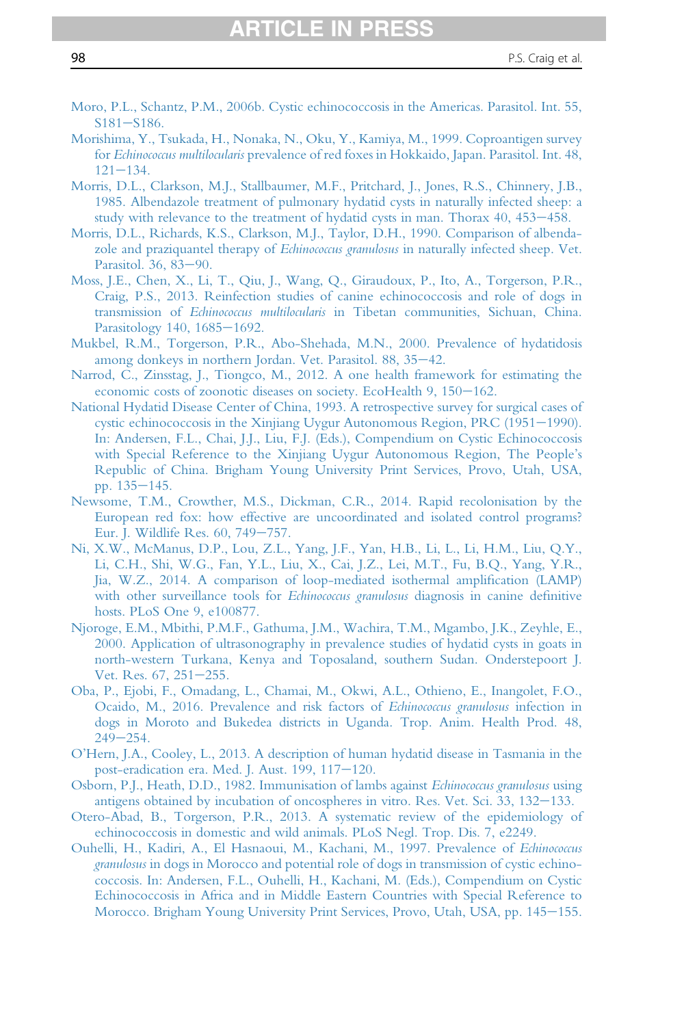- <span id="page-97-0"></span>[Moro, P.L., Schantz, P.M., 2006b. Cystic echinococcosis in the Americas. Parasitol. Int. 55,](http://refhub.elsevier.com/S0065-308X(16)30085-9/sref232)  $S181 - S186.$  $S181 - S186.$  $S181 - S186.$
- [Morishima, Y., Tsukada, H., Nonaka, N., Oku, Y., Kamiya, M., 1999. Coproantigen survey](http://refhub.elsevier.com/S0065-308X(16)30085-9/sref233) for Echinococcus multilocularis [prevalence of red foxes in Hokkaido, Japan. Parasitol. Int. 48,](http://refhub.elsevier.com/S0065-308X(16)30085-9/sref233)  $121 - 134.$  $121 - 134.$  $121 - 134.$
- [Morris, D.L., Clarkson, M.J., Stallbaumer, M.F., Pritchard, J., Jones, R.S., Chinnery, J.B.,](http://refhub.elsevier.com/S0065-308X(16)30085-9/sref234) [1985. Albendazole treatment of pulmonary hydatid cysts in naturally infected sheep: a](http://refhub.elsevier.com/S0065-308X(16)30085-9/sref234) [study with relevance to the treatment of hydatid cysts in man. Thorax 40, 453](http://refhub.elsevier.com/S0065-308X(16)30085-9/sref234)–[458.](http://refhub.elsevier.com/S0065-308X(16)30085-9/sref234)
- [Morris, D.L., Richards, K.S., Clarkson, M.J., Taylor, D.H., 1990. Comparison of albenda](http://refhub.elsevier.com/S0065-308X(16)30085-9/sref235)[zole and praziquantel therapy of](http://refhub.elsevier.com/S0065-308X(16)30085-9/sref235) Echinococcus granulosus in naturally infected sheep. Vet. [Parasitol. 36, 83](http://refhub.elsevier.com/S0065-308X(16)30085-9/sref235)-[90.](http://refhub.elsevier.com/S0065-308X(16)30085-9/sref235)
- [Moss, J.E., Chen, X., Li, T., Qiu, J., Wang, Q., Giraudoux, P., Ito, A., Torgerson, P.R.,](http://refhub.elsevier.com/S0065-308X(16)30085-9/sref236) [Craig, P.S., 2013. Reinfection studies of canine echinococcosis and role of dogs in](http://refhub.elsevier.com/S0065-308X(16)30085-9/sref236) transmission of Echinococcus multilocularis [in Tibetan communities, Sichuan, China.](http://refhub.elsevier.com/S0065-308X(16)30085-9/sref236) [Parasitology 140, 1685](http://refhub.elsevier.com/S0065-308X(16)30085-9/sref236)-[1692.](http://refhub.elsevier.com/S0065-308X(16)30085-9/sref236)
- [Mukbel, R.M., Torgerson, P.R., Abo-Shehada, M.N., 2000. Prevalence of hydatidosis](http://refhub.elsevier.com/S0065-308X(16)30085-9/sref237) [among donkeys in northern Jordan. Vet. Parasitol. 88, 35](http://refhub.elsevier.com/S0065-308X(16)30085-9/sref237)-[42.](http://refhub.elsevier.com/S0065-308X(16)30085-9/sref237)
- [Narrod, C., Zinsstag, J., Tiongco, M., 2012. A one health framework for estimating the](http://refhub.elsevier.com/S0065-308X(16)30085-9/sref238) [economic costs of zoonotic diseases on society. EcoHealth 9, 150](http://refhub.elsevier.com/S0065-308X(16)30085-9/sref238)-[162.](http://refhub.elsevier.com/S0065-308X(16)30085-9/sref238)
- [National Hydatid Disease Center of China, 1993. A retrospective survey for surgical cases of](http://refhub.elsevier.com/S0065-308X(16)30085-9/sref239) [cystic echinococcosis in the Xinjiang Uygur Autonomous Region, PRC \(1951](http://refhub.elsevier.com/S0065-308X(16)30085-9/sref239)–[1990\).](http://refhub.elsevier.com/S0065-308X(16)30085-9/sref239) [In: Andersen, F.L., Chai, J.J., Liu, F.J. \(Eds.\), Compendium on Cystic Echinococcosis](http://refhub.elsevier.com/S0065-308X(16)30085-9/sref239) [with Special Reference to the Xinjiang Uygur Autonomous Region, The People](http://refhub.elsevier.com/S0065-308X(16)30085-9/sref239)'s [Republic of China. Brigham Young University Print Services, Provo, Utah, USA,](http://refhub.elsevier.com/S0065-308X(16)30085-9/sref239) pp.  $135 - 145$ .
- [Newsome, T.M., Crowther, M.S., Dickman, C.R., 2014. Rapid recolonisation by the](http://refhub.elsevier.com/S0065-308X(16)30085-9/sref240) [European red fox: how effective are uncoordinated and isolated control programs?](http://refhub.elsevier.com/S0065-308X(16)30085-9/sref240) [Eur. J. Wildlife Res. 60, 749](http://refhub.elsevier.com/S0065-308X(16)30085-9/sref240)-[757.](http://refhub.elsevier.com/S0065-308X(16)30085-9/sref240)
- [Ni, X.W., McManus, D.P., Lou, Z.L., Yang, J.F., Yan, H.B., Li, L., Li, H.M., Liu, Q.Y.,](http://refhub.elsevier.com/S0065-308X(16)30085-9/sref241) [Li, C.H., Shi, W.G., Fan, Y.L., Liu, X., Cai, J.Z., Lei, M.T., Fu, B.Q., Yang, Y.R.,](http://refhub.elsevier.com/S0065-308X(16)30085-9/sref241) [Jia, W.Z., 2014. A comparison of loop-mediated isothermal ampli](http://refhub.elsevier.com/S0065-308X(16)30085-9/sref241)fication (LAMP) [with other surveillance tools for](http://refhub.elsevier.com/S0065-308X(16)30085-9/sref241) Echinococcus granulosus diagnosis in canine definitive [hosts. PLoS One 9, e100877.](http://refhub.elsevier.com/S0065-308X(16)30085-9/sref241)
- [Njoroge, E.M., Mbithi, P.M.F., Gathuma, J.M., Wachira, T.M., Mgambo, J.K., Zeyhle, E.,](http://refhub.elsevier.com/S0065-308X(16)30085-9/sref242) [2000. Application of ultrasonography in prevalence studies of hydatid cysts in goats in](http://refhub.elsevier.com/S0065-308X(16)30085-9/sref242) [north-western Turkana, Kenya and Toposaland, southern Sudan. Onderstepoort J.](http://refhub.elsevier.com/S0065-308X(16)30085-9/sref242) [Vet. Res. 67, 251](http://refhub.elsevier.com/S0065-308X(16)30085-9/sref242)-[255.](http://refhub.elsevier.com/S0065-308X(16)30085-9/sref242)
- [Oba, P., Ejobi, F., Omadang, L., Chamai, M., Okwi, A.L., Othieno, E., Inangolet, F.O.,](http://refhub.elsevier.com/S0065-308X(16)30085-9/sref243) [Ocaido, M., 2016. Prevalence and risk factors of](http://refhub.elsevier.com/S0065-308X(16)30085-9/sref243) Echinococcus granulosus infection in [dogs in Moroto and Bukedea districts in Uganda. Trop. Anim. Health Prod. 48,](http://refhub.elsevier.com/S0065-308X(16)30085-9/sref243)  $249 - 254.$  $249 - 254.$  $249 - 254.$
- O'[Hern, J.A., Cooley, L., 2013. A description of human hydatid disease in Tasmania in the](http://refhub.elsevier.com/S0065-308X(16)30085-9/sref244) [post-eradication era. Med. J. Aust. 199, 117](http://refhub.elsevier.com/S0065-308X(16)30085-9/sref244)-[120.](http://refhub.elsevier.com/S0065-308X(16)30085-9/sref244)
- [Osborn, P.J., Heath, D.D., 1982. Immunisation of lambs against](http://refhub.elsevier.com/S0065-308X(16)30085-9/sref245) Echinococcus granulosus using [antigens obtained by incubation of oncospheres in vitro. Res. Vet. Sci. 33, 132](http://refhub.elsevier.com/S0065-308X(16)30085-9/sref245)–[133.](http://refhub.elsevier.com/S0065-308X(16)30085-9/sref245)
- [Otero-Abad, B., Torgerson, P.R., 2013. A systematic review of the epidemiology of](http://refhub.elsevier.com/S0065-308X(16)30085-9/sref246) [echinococcosis in domestic and wild animals. PLoS Negl. Trop. Dis. 7, e2249.](http://refhub.elsevier.com/S0065-308X(16)30085-9/sref246)
- [Ouhelli, H., Kadiri, A., El Hasnaoui, M., Kachani, M., 1997. Prevalence of](http://refhub.elsevier.com/S0065-308X(16)30085-9/sref247) Echinococcus granulosus [in dogs in Morocco and potential role of dogs in transmission of cystic echino](http://refhub.elsevier.com/S0065-308X(16)30085-9/sref247)[coccosis. In: Andersen, F.L., Ouhelli, H., Kachani, M. \(Eds.\), Compendium on Cystic](http://refhub.elsevier.com/S0065-308X(16)30085-9/sref247) [Echinococcosis in Africa and in Middle Eastern Countries with Special Reference to](http://refhub.elsevier.com/S0065-308X(16)30085-9/sref247) [Morocco. Brigham Young University Print Services, Provo, Utah, USA, pp. 145](http://refhub.elsevier.com/S0065-308X(16)30085-9/sref247)-[155.](http://refhub.elsevier.com/S0065-308X(16)30085-9/sref247)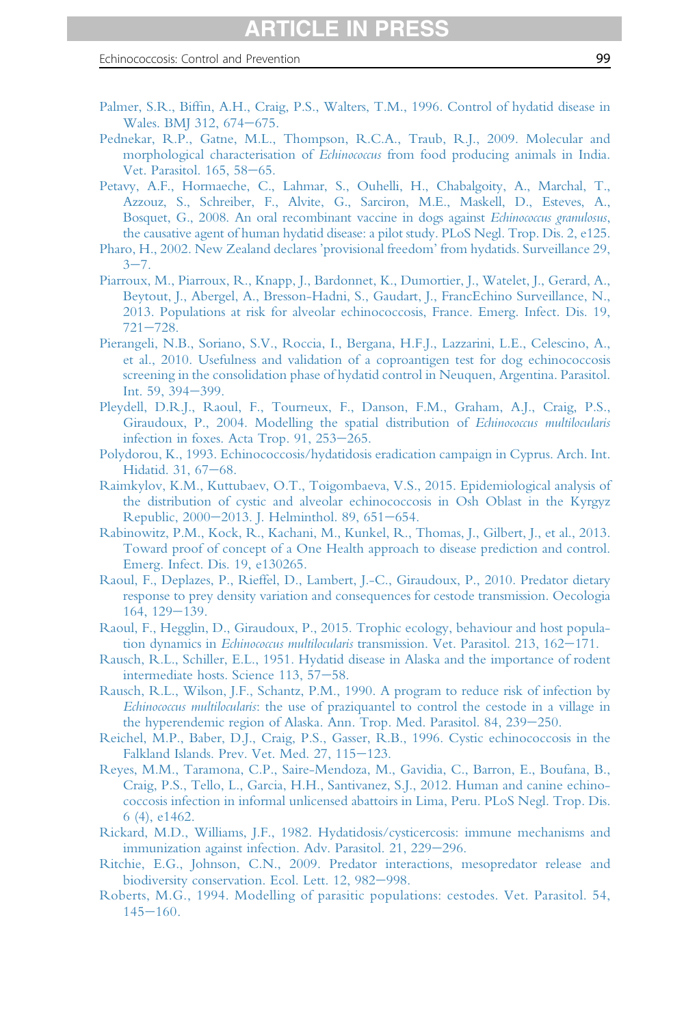- <span id="page-98-0"></span>Palmer, S.R., Biffi[n, A.H., Craig, P.S., Walters, T.M., 1996. Control of hydatid disease in](http://refhub.elsevier.com/S0065-308X(16)30085-9/sref248) [Wales. BMJ 312, 674](http://refhub.elsevier.com/S0065-308X(16)30085-9/sref248)-[675.](http://refhub.elsevier.com/S0065-308X(16)30085-9/sref248)
- [Pednekar, R.P., Gatne, M.L., Thompson, R.C.A., Traub, R.J., 2009. Molecular and](http://refhub.elsevier.com/S0065-308X(16)30085-9/sref249) morphological characterisation of Echinococcus [from food producing animals in India.](http://refhub.elsevier.com/S0065-308X(16)30085-9/sref249) [Vet. Parasitol. 165, 58](http://refhub.elsevier.com/S0065-308X(16)30085-9/sref249)-[65.](http://refhub.elsevier.com/S0065-308X(16)30085-9/sref249)
- [Petavy, A.F., Hormaeche, C., Lahmar, S., Ouhelli, H., Chabalgoity, A., Marchal, T.,](http://refhub.elsevier.com/S0065-308X(16)30085-9/sref250) [Azzouz, S., Schreiber, F., Alvite, G., Sarciron, M.E., Maskell, D., Esteves, A.,](http://refhub.elsevier.com/S0065-308X(16)30085-9/sref250) [Bosquet, G., 2008. An oral recombinant vaccine in dogs against](http://refhub.elsevier.com/S0065-308X(16)30085-9/sref250) Echinococcus granulosus, [the causative agent of human hydatid disease: a pilot study. PLoS Negl. Trop. Dis. 2, e125.](http://refhub.elsevier.com/S0065-308X(16)30085-9/sref250)
- [Pharo, H., 2002. New Zealand declares](http://refhub.elsevier.com/S0065-308X(16)30085-9/sref251) 'provisional freedom' from hydatids. Surveillance 29,  $3 - 7$  $3 - 7$ .
- [Piarroux, M., Piarroux, R., Knapp, J., Bardonnet, K., Dumortier, J., Watelet, J., Gerard, A.,](http://refhub.elsevier.com/S0065-308X(16)30085-9/sref252) [Beytout, J., Abergel, A., Bresson-Hadni, S., Gaudart, J., FrancEchino Surveillance, N.,](http://refhub.elsevier.com/S0065-308X(16)30085-9/sref252) [2013. Populations at risk for alveolar echinococcosis, France. Emerg. Infect. Dis. 19,](http://refhub.elsevier.com/S0065-308X(16)30085-9/sref252)  $721 - 728.$  $721 - 728.$  $721 - 728.$
- [Pierangeli, N.B., Soriano, S.V., Roccia, I., Bergana, H.F.J., Lazzarini, L.E., Celescino, A.,](http://refhub.elsevier.com/S0065-308X(16)30085-9/sref253) [et al., 2010. Usefulness and validation of a coproantigen test for dog echinococcosis](http://refhub.elsevier.com/S0065-308X(16)30085-9/sref253) [screening in the consolidation phase of hydatid control in Neuquen, Argentina. Parasitol.](http://refhub.elsevier.com/S0065-308X(16)30085-9/sref253) [Int. 59, 394](http://refhub.elsevier.com/S0065-308X(16)30085-9/sref253)-[399.](http://refhub.elsevier.com/S0065-308X(16)30085-9/sref253)
- [Pleydell, D.R.J., Raoul, F., Tourneux, F., Danson, F.M., Graham, A.J., Craig, P.S.,](http://refhub.elsevier.com/S0065-308X(16)30085-9/sref254) [Giraudoux, P., 2004. Modelling the spatial distribution of](http://refhub.elsevier.com/S0065-308X(16)30085-9/sref254) Echinococcus multilocularis infection in foxes. Acta Trop.  $91, 253-265$ .
- [Polydorou, K., 1993. Echinococcosis/hydatidosis eradication campaign in Cyprus. Arch. Int.](http://refhub.elsevier.com/S0065-308X(16)30085-9/sref255) [Hidatid. 31, 67](http://refhub.elsevier.com/S0065-308X(16)30085-9/sref255)-[68.](http://refhub.elsevier.com/S0065-308X(16)30085-9/sref255)
- [Raimkylov, K.M., Kuttubaev, O.T., Toigombaeva, V.S., 2015. Epidemiological analysis of](http://refhub.elsevier.com/S0065-308X(16)30085-9/sref256) [the distribution of cystic and alveolar echinococcosis in Osh Oblast in the Kyrgyz](http://refhub.elsevier.com/S0065-308X(16)30085-9/sref256) [Republic, 2000](http://refhub.elsevier.com/S0065-308X(16)30085-9/sref256)-[2013. J. Helminthol. 89, 651](http://refhub.elsevier.com/S0065-308X(16)30085-9/sref256)-[654.](http://refhub.elsevier.com/S0065-308X(16)30085-9/sref256)
- [Rabinowitz, P.M., Kock, R., Kachani, M., Kunkel, R., Thomas, J., Gilbert, J., et al., 2013.](http://refhub.elsevier.com/S0065-308X(16)30085-9/sref257) [Toward proof of concept of a One Health approach to disease prediction and control.](http://refhub.elsevier.com/S0065-308X(16)30085-9/sref257) [Emerg. Infect. Dis. 19, e130265.](http://refhub.elsevier.com/S0065-308X(16)30085-9/sref257)
- [Raoul, F., Deplazes, P., Rieffel, D., Lambert, J.-C., Giraudoux, P., 2010. Predator dietary](http://refhub.elsevier.com/S0065-308X(16)30085-9/sref258) [response to prey density variation and consequences for cestode transmission. Oecologia](http://refhub.elsevier.com/S0065-308X(16)30085-9/sref258)  $164.129 - 139.$  $164.129 - 139.$
- [Raoul, F., Hegglin, D., Giraudoux, P., 2015. Trophic ecology, behaviour and host popula](http://refhub.elsevier.com/S0065-308X(16)30085-9/sref259)tion dynamics in Echinococcus multilocularis [transmission. Vet. Parasitol. 213, 162](http://refhub.elsevier.com/S0065-308X(16)30085-9/sref259)-[171.](http://refhub.elsevier.com/S0065-308X(16)30085-9/sref259)
- [Rausch, R.L., Schiller, E.L., 1951. Hydatid disease in Alaska and the importance of rodent](http://refhub.elsevier.com/S0065-308X(16)30085-9/sref260) [intermediate hosts. Science 113, 57](http://refhub.elsevier.com/S0065-308X(16)30085-9/sref260)-[58.](http://refhub.elsevier.com/S0065-308X(16)30085-9/sref260)
- [Rausch, R.L., Wilson, J.F., Schantz, P.M., 1990. A program to reduce risk of infection by](http://refhub.elsevier.com/S0065-308X(16)30085-9/sref261) Echinococcus multilocularis[: the use of praziquantel to control the cestode in a village in](http://refhub.elsevier.com/S0065-308X(16)30085-9/sref261) [the hyperendemic region of Alaska. Ann. Trop. Med. Parasitol. 84, 239](http://refhub.elsevier.com/S0065-308X(16)30085-9/sref261)–[250.](http://refhub.elsevier.com/S0065-308X(16)30085-9/sref261)
- [Reichel, M.P., Baber, D.J., Craig, P.S., Gasser, R.B., 1996. Cystic echinococcosis in the](http://refhub.elsevier.com/S0065-308X(16)30085-9/sref262) [Falkland Islands. Prev. Vet. Med. 27, 115](http://refhub.elsevier.com/S0065-308X(16)30085-9/sref262)-[123.](http://refhub.elsevier.com/S0065-308X(16)30085-9/sref262)
- [Reyes, M.M., Taramona, C.P., Saire-Mendoza, M., Gavidia, C., Barron, E., Boufana, B.,](http://refhub.elsevier.com/S0065-308X(16)30085-9/sref263) [Craig, P.S., Tello, L., Garcia, H.H., Santivanez, S.J., 2012. Human and canine echino](http://refhub.elsevier.com/S0065-308X(16)30085-9/sref263)[coccosis infection in informal unlicensed abattoirs in Lima, Peru. PLoS Negl. Trop. Dis.](http://refhub.elsevier.com/S0065-308X(16)30085-9/sref263) [6 \(4\), e1462.](http://refhub.elsevier.com/S0065-308X(16)30085-9/sref263)
- [Rickard, M.D., Williams, J.F., 1982. Hydatidosis/cysticercosis: immune mechanisms and](http://refhub.elsevier.com/S0065-308X(16)30085-9/sref264) [immunization against infection. Adv. Parasitol. 21, 229](http://refhub.elsevier.com/S0065-308X(16)30085-9/sref264)-[296.](http://refhub.elsevier.com/S0065-308X(16)30085-9/sref264)
- [Ritchie, E.G., Johnson, C.N., 2009. Predator interactions, mesopredator release and](http://refhub.elsevier.com/S0065-308X(16)30085-9/sref265) [biodiversity conservation. Ecol. Lett. 12, 982](http://refhub.elsevier.com/S0065-308X(16)30085-9/sref265)-[998.](http://refhub.elsevier.com/S0065-308X(16)30085-9/sref265)
- [Roberts, M.G., 1994. Modelling of parasitic](http://refhub.elsevier.com/S0065-308X(16)30085-9/sref266) populations: cestodes. Vet. Parasitol. 54,  $145 - 160.$  $145 - 160.$  $145 - 160.$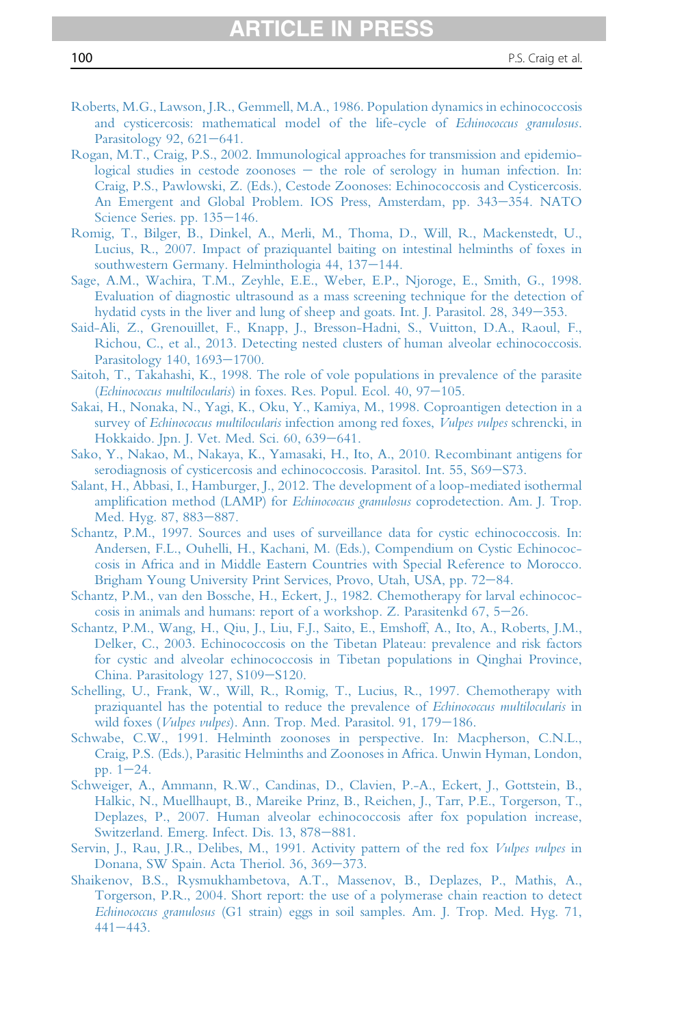- <span id="page-99-0"></span>[Roberts, M.G., Lawson, J.R., Gemmell, M.A., 1986. Population dynamics in echinococcosis](http://refhub.elsevier.com/S0065-308X(16)30085-9/sref267) [and cysticercosis: mathematical model of the life-cycle of](http://refhub.elsevier.com/S0065-308X(16)30085-9/sref267) Echinococcus granulosus. [Parasitology 92, 621](http://refhub.elsevier.com/S0065-308X(16)30085-9/sref267)-[641.](http://refhub.elsevier.com/S0065-308X(16)30085-9/sref267)
- [Rogan, M.T., Craig, P.S., 2002. Immunological approaches for transmission and epidemio](http://refhub.elsevier.com/S0065-308X(16)30085-9/sref268)[logical studies in cestode zoonoses](http://refhub.elsevier.com/S0065-308X(16)30085-9/sref268)  $-$  [the role of serology in human infection. In:](http://refhub.elsevier.com/S0065-308X(16)30085-9/sref268) [Craig, P.S., Pawlowski, Z. \(Eds.\), Cestode Zoonoses: Echinococcosis and Cysticercosis.](http://refhub.elsevier.com/S0065-308X(16)30085-9/sref268) [An Emergent and Global Problem. IOS Press, Amsterdam, pp. 343](http://refhub.elsevier.com/S0065-308X(16)30085-9/sref268)–[354. NATO](http://refhub.elsevier.com/S0065-308X(16)30085-9/sref268) Science Series. pp.  $135-146$ .
- [Romig, T., Bilger, B., Dinkel, A., Merli, M., Thoma, D., Will, R., Mackenstedt, U.,](http://refhub.elsevier.com/S0065-308X(16)30085-9/sref269) [Lucius, R., 2007. Impact of praziquantel baiting on intestinal helminths of foxes in](http://refhub.elsevier.com/S0065-308X(16)30085-9/sref269) [southwestern Germany. Helminthologia 44, 137](http://refhub.elsevier.com/S0065-308X(16)30085-9/sref269)-[144.](http://refhub.elsevier.com/S0065-308X(16)30085-9/sref269)
- [Sage, A.M., Wachira, T.M., Zeyhle, E.E., Weber, E.P., Njoroge, E., Smith, G., 1998.](http://refhub.elsevier.com/S0065-308X(16)30085-9/sref270) [Evaluation of diagnostic ultrasound as a mass screening technique for the detection of](http://refhub.elsevier.com/S0065-308X(16)30085-9/sref270) [hydatid cysts in the liver and lung of sheep and goats. Int. J. Parasitol. 28, 349](http://refhub.elsevier.com/S0065-308X(16)30085-9/sref270)–[353.](http://refhub.elsevier.com/S0065-308X(16)30085-9/sref270)
- [Said-Ali, Z., Grenouillet, F., Knapp, J., Bresson-Hadni, S., Vuitton, D.A., Raoul, F.,](http://refhub.elsevier.com/S0065-308X(16)30085-9/sref271) [Richou, C., et al., 2013. Detecting nested clusters of human alveolar echinococcosis.](http://refhub.elsevier.com/S0065-308X(16)30085-9/sref271) [Parasitology 140, 1693](http://refhub.elsevier.com/S0065-308X(16)30085-9/sref271)-[1700.](http://refhub.elsevier.com/S0065-308X(16)30085-9/sref271)
- [Saitoh, T., Takahashi, K., 1998. The role of vole populations in prevalence of the parasite](http://refhub.elsevier.com/S0065-308X(16)30085-9/sref272) (Echinococcus multilocularis[\) in foxes. Res. Popul. Ecol. 40, 97](http://refhub.elsevier.com/S0065-308X(16)30085-9/sref272)-[105.](http://refhub.elsevier.com/S0065-308X(16)30085-9/sref272)
- [Sakai, H., Nonaka, N., Yagi, K., Oku, Y., Kamiya, M., 1998. Coproantigen detection in a](http://refhub.elsevier.com/S0065-308X(16)30085-9/sref273) survey of Echinococcus multilocularis [infection among red foxes,](http://refhub.elsevier.com/S0065-308X(16)30085-9/sref273) Vulpes vulpes schrencki, in [Hokkaido. Jpn. J. Vet. Med. Sci. 60, 639](http://refhub.elsevier.com/S0065-308X(16)30085-9/sref273)-[641.](http://refhub.elsevier.com/S0065-308X(16)30085-9/sref273)
- [Sako, Y., Nakao, M., Nakaya, K., Yamasaki, H., Ito, A., 2010. Recombinant antigens for](http://refhub.elsevier.com/S0065-308X(16)30085-9/sref274) [serodiagnosis of cysticercosis and echinococcosis. Parasitol. Int. 55, S69](http://refhub.elsevier.com/S0065-308X(16)30085-9/sref274)-[S73.](http://refhub.elsevier.com/S0065-308X(16)30085-9/sref274)
- [Salant, H., Abbasi, I., Hamburger, J., 2012. The development of a loop-mediated isothermal](http://refhub.elsevier.com/S0065-308X(16)30085-9/sref275) amplification method (LAMP) for Echinococcus granulosus [coprodetection. Am. J. Trop.](http://refhub.elsevier.com/S0065-308X(16)30085-9/sref275) [Med. Hyg. 87, 883](http://refhub.elsevier.com/S0065-308X(16)30085-9/sref275)-[887.](http://refhub.elsevier.com/S0065-308X(16)30085-9/sref275)
- [Schantz, P.M., 1997. Sources and uses of surveillance data for cystic echinococcosis. In:](http://refhub.elsevier.com/S0065-308X(16)30085-9/sref276) [Andersen, F.L., Ouhelli, H., Kachani, M. \(Eds.\), Compendium on Cystic Echinococ](http://refhub.elsevier.com/S0065-308X(16)30085-9/sref276)[cosis in Africa and in Middle Eastern Countries with Special Reference to Morocco.](http://refhub.elsevier.com/S0065-308X(16)30085-9/sref276) [Brigham Young University Print Services, Provo, Utah, USA, pp. 72](http://refhub.elsevier.com/S0065-308X(16)30085-9/sref276)–[84.](http://refhub.elsevier.com/S0065-308X(16)30085-9/sref276)
- [Schantz, P.M., van den Bossche, H., Eckert, J., 1982. Chemotherapy for larval echinococ](http://refhub.elsevier.com/S0065-308X(16)30085-9/sref277)cosis in animals and humans: report of a workshop. Z. Parasitenkd  $67$ ,  $5-26$ .
- [Schantz, P.M., Wang, H., Qiu, J., Liu, F.J., Saito, E., Emshoff, A., Ito, A., Roberts, J.M.,](http://refhub.elsevier.com/S0065-308X(16)30085-9/sref278) [Delker, C., 2003. Echinococcosis on the Tibetan Plateau: prevalence and risk factors](http://refhub.elsevier.com/S0065-308X(16)30085-9/sref278) [for cystic and alveolar echinococcosis in Tibetan populations in Qinghai Province,](http://refhub.elsevier.com/S0065-308X(16)30085-9/sref278) [China. Parasitology 127, S109](http://refhub.elsevier.com/S0065-308X(16)30085-9/sref278)-[S120.](http://refhub.elsevier.com/S0065-308X(16)30085-9/sref278)
- [Schelling, U., Frank, W., Will, R., Romig, T., Lucius, R., 1997. Chemotherapy with](http://refhub.elsevier.com/S0065-308X(16)30085-9/sref279) [praziquantel has the potential to reduce the prevalence of](http://refhub.elsevier.com/S0065-308X(16)30085-9/sref279) Echinococcus multilocularis in wild foxes (Vulpes vulpes[\). Ann. Trop. Med. Parasitol. 91, 179](http://refhub.elsevier.com/S0065-308X(16)30085-9/sref279)-[186.](http://refhub.elsevier.com/S0065-308X(16)30085-9/sref279)
- [Schwabe, C.W., 1991. Helminth zoonoses in perspective. In: Macpherson, C.N.L.,](http://refhub.elsevier.com/S0065-308X(16)30085-9/sref280) [Craig, P.S. \(Eds.\), Parasitic Helminths and Zoonoses in Africa. Unwin Hyman, London,](http://refhub.elsevier.com/S0065-308X(16)30085-9/sref280) pp.  $1-24$ .
- [Schweiger, A., Ammann, R.W., Candinas, D., Clavien, P.-A., Eckert, J., Gottstein, B.,](http://refhub.elsevier.com/S0065-308X(16)30085-9/sref281) [Halkic, N., Muellhaupt, B., Mareike Prinz, B., Reichen, J., Tarr, P.E., Torgerson, T.,](http://refhub.elsevier.com/S0065-308X(16)30085-9/sref281) [Deplazes, P., 2007. Human alveolar echinococcosis after fox population increase,](http://refhub.elsevier.com/S0065-308X(16)30085-9/sref281) [Switzerland. Emerg. Infect. Dis. 13, 878](http://refhub.elsevier.com/S0065-308X(16)30085-9/sref281)-[881.](http://refhub.elsevier.com/S0065-308X(16)30085-9/sref281)
- [Servin, J., Rau, J.R., Delibes, M., 1991. Activity pattern of the red fox](http://refhub.elsevier.com/S0065-308X(16)30085-9/sref282) Vulpes vulpes in [Donana, SW Spain. Acta Theriol. 36, 369](http://refhub.elsevier.com/S0065-308X(16)30085-9/sref282)-[373.](http://refhub.elsevier.com/S0065-308X(16)30085-9/sref282)
- [Shaikenov, B.S., Rysmukhambetova, A.T., Massenov, B., Deplazes, P., Mathis, A.,](http://refhub.elsevier.com/S0065-308X(16)30085-9/sref283) [Torgerson, P.R., 2004. Short report: the use of a polymerase chain reaction to detect](http://refhub.elsevier.com/S0065-308X(16)30085-9/sref283) Echinococcus granulosus [\(G1 strain\) eggs in soil samples. Am. J. Trop. Med. Hyg. 71,](http://refhub.elsevier.com/S0065-308X(16)30085-9/sref283)  $441 - 443.$  $441 - 443.$  $441 - 443.$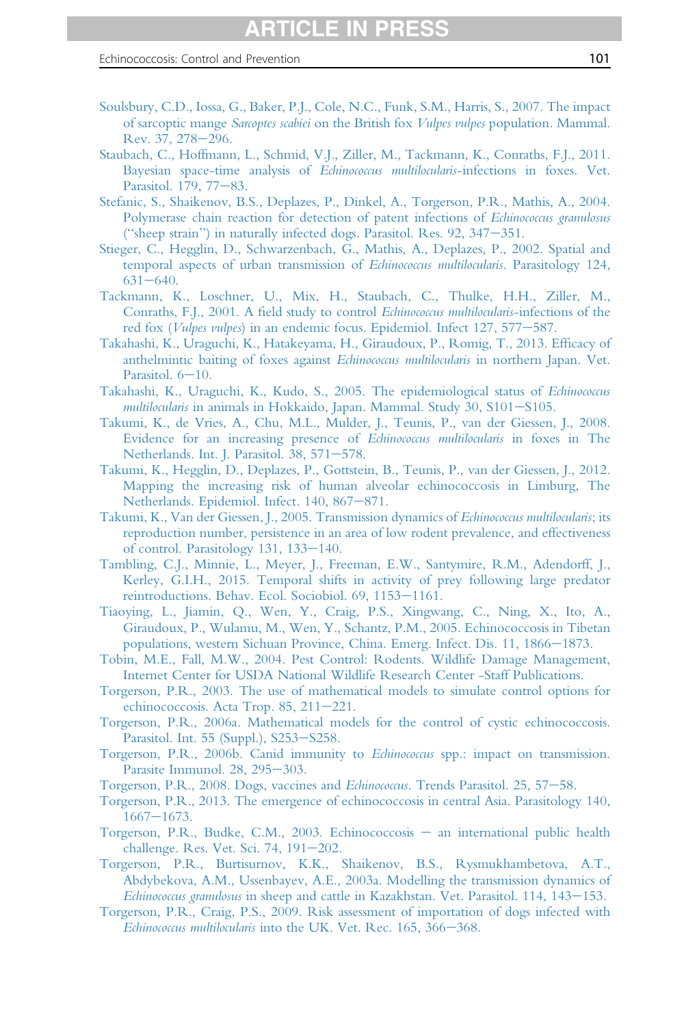- <span id="page-100-0"></span>[Soulsbury, C.D., Iossa, G., Baker, P.J., Cole, N.C., Funk, S.M., Harris, S., 2007. The impact](http://refhub.elsevier.com/S0065-308X(16)30085-9/sref284) of sarcoptic mange Sarcoptes scabiei on the British fox Vulpes vulpes [population. Mammal.](http://refhub.elsevier.com/S0065-308X(16)30085-9/sref284) [Rev. 37, 278](http://refhub.elsevier.com/S0065-308X(16)30085-9/sref284)-[296.](http://refhub.elsevier.com/S0065-308X(16)30085-9/sref284)
- [Staubach, C., Hoffmann, L., Schmid, V.J., Ziller, M., Tackmann, K., Conraths, F.J., 2011.](http://refhub.elsevier.com/S0065-308X(16)30085-9/sref285) [Bayesian space-time analysis of](http://refhub.elsevier.com/S0065-308X(16)30085-9/sref285) Echinococcus multilocularis-infections in foxes. Vet. [Parasitol. 179, 77](http://refhub.elsevier.com/S0065-308X(16)30085-9/sref285)-[83.](http://refhub.elsevier.com/S0065-308X(16)30085-9/sref285)
- [Stefanic, S., Shaikenov, B.S., Deplazes, P., Dinkel, A., Torgerson, P.R., Mathis, A., 2004.](http://refhub.elsevier.com/S0065-308X(16)30085-9/sref286) [Polymerase chain reaction for detection of patent infections of](http://refhub.elsevier.com/S0065-308X(16)30085-9/sref286) *Echinococcus granulosus* ("sheep strain") in naturally infected dogs. Parasitol. Res.  $92$ ,  $347-351$ .
- [Stieger, C., Hegglin, D., Schwarzenbach, G., Mathis, A., Deplazes, P., 2002. Spatial and](http://refhub.elsevier.com/S0065-308X(16)30085-9/sref287) [temporal aspects of urban transmission of](http://refhub.elsevier.com/S0065-308X(16)30085-9/sref287) Echinococcus multilocularis. Parasitology 124,  $631 - 640.$  $631 - 640.$  $631 - 640.$
- [Tackmann, K., Loschner, U., Mix, H., Staubach, C., Thulke, H.H., Ziller, M.,](http://refhub.elsevier.com/S0065-308X(16)30085-9/sref288) Conraths, F.J., 2001. A field study to control [Echinococcus multilocularis](http://refhub.elsevier.com/S0065-308X(16)30085-9/sref288)-infections of the red fox (Vulpes vulpes[\) in an endemic focus. Epidemiol. Infect 127, 577](http://refhub.elsevier.com/S0065-308X(16)30085-9/sref288)-[587.](http://refhub.elsevier.com/S0065-308X(16)30085-9/sref288)
- [Takahashi, K., Uraguchi, K., Hatakeyama, H., Giraudoux, P., Romig, T., 2013. Ef](http://refhub.elsevier.com/S0065-308X(16)30085-9/sref289)ficacy of [anthelmintic baiting of foxes against](http://refhub.elsevier.com/S0065-308X(16)30085-9/sref289) Echinococcus multilocularis in northern Japan. Vet. Parasitol.  $6-10$ .
- [Takahashi, K., Uraguchi, K., Kudo, S., 2005. The epidemiological status of](http://refhub.elsevier.com/S0065-308X(16)30085-9/sref290) Echinococcus multilocularis in animals in Hokkaido, Japan. Mammal. Study  $30$ ,  $$101-S105$ .
- [Takumi, K., de Vries, A., Chu, M.L., Mulder, J., Teunis, P., van der Giessen, J., 2008.](http://refhub.elsevier.com/S0065-308X(16)30085-9/sref291) [Evidence for an increasing presence of](http://refhub.elsevier.com/S0065-308X(16)30085-9/sref291) Echinococcus multilocularis in foxes in The [Netherlands. Int. J. Parasitol. 38, 571](http://refhub.elsevier.com/S0065-308X(16)30085-9/sref291)-[578.](http://refhub.elsevier.com/S0065-308X(16)30085-9/sref291)
- [Takumi, K., Hegglin, D., Deplazes, P., Gottstein, B., Teunis, P., van der Giessen, J., 2012.](http://refhub.elsevier.com/S0065-308X(16)30085-9/sref292) [Mapping the increasing risk of human alveolar echinococcosis in Limburg, The](http://refhub.elsevier.com/S0065-308X(16)30085-9/sref292) [Netherlands. Epidemiol. Infect. 140, 867](http://refhub.elsevier.com/S0065-308X(16)30085-9/sref292)-[871.](http://refhub.elsevier.com/S0065-308X(16)30085-9/sref292)
- [Takumi, K., Van der Giessen, J., 2005. Transmission dynamics of](http://refhub.elsevier.com/S0065-308X(16)30085-9/sref293) Echinococcus multilocularis; its [reproduction number, persistence in an area of low rodent prevalence, and effectiveness](http://refhub.elsevier.com/S0065-308X(16)30085-9/sref293) [of control. Parasitology 131, 133](http://refhub.elsevier.com/S0065-308X(16)30085-9/sref293)-[140.](http://refhub.elsevier.com/S0065-308X(16)30085-9/sref293)
- [Tambling, C.J., Minnie, L., Meyer, J., Freeman, E.W., Santymire, R.M., Adendorff, J.,](http://refhub.elsevier.com/S0065-308X(16)30085-9/sref294) [Kerley, G.I.H., 2015. Temporal shifts in activity of prey following large predator](http://refhub.elsevier.com/S0065-308X(16)30085-9/sref294) [reintroductions. Behav. Ecol. Sociobiol. 69, 1153](http://refhub.elsevier.com/S0065-308X(16)30085-9/sref294)-[1161.](http://refhub.elsevier.com/S0065-308X(16)30085-9/sref294)
- [Tiaoying, L., Jiamin, Q., Wen, Y., Craig, P.S., Xingwang, C., Ning, X., Ito, A.,](http://refhub.elsevier.com/S0065-308X(16)30085-9/sref295) [Giraudoux, P., Wulamu, M., Wen, Y., Schantz, P.M., 2005. Echinococcosis in Tibetan](http://refhub.elsevier.com/S0065-308X(16)30085-9/sref295) [populations, western Sichuan Province, China. Emerg. Infect. Dis. 11, 1866](http://refhub.elsevier.com/S0065-308X(16)30085-9/sref295)–[1873.](http://refhub.elsevier.com/S0065-308X(16)30085-9/sref295)
- [Tobin, M.E., Fall, M.W., 2004. Pest Control: Rodents. Wildlife Damage Management,](http://refhub.elsevier.com/S0065-308X(16)30085-9/sref296) [Internet Center for USDA National Wildlife Research Center -Staff Publications.](http://refhub.elsevier.com/S0065-308X(16)30085-9/sref296)
- [Torgerson, P.R., 2003. The use of mathematical models to simulate control options for](http://refhub.elsevier.com/S0065-308X(16)30085-9/sref297) echinococcosis. Acta Trop.  $85, 211-221$ .
- [Torgerson, P.R., 2006a. Mathematical models for the control of cystic echinococcosis.](http://refhub.elsevier.com/S0065-308X(16)30085-9/sref298) [Parasitol. Int. 55 \(Suppl.\), S253](http://refhub.elsevier.com/S0065-308X(16)30085-9/sref298)-[S258.](http://refhub.elsevier.com/S0065-308X(16)30085-9/sref298)
- [Torgerson, P.R., 2006b. Canid immunity to](http://refhub.elsevier.com/S0065-308X(16)30085-9/sref299) Echinococcus spp.: impact on transmission. [Parasite Immunol. 28, 295](http://refhub.elsevier.com/S0065-308X(16)30085-9/sref299)-[303.](http://refhub.elsevier.com/S0065-308X(16)30085-9/sref299)
- [Torgerson, P.R., 2008. Dogs, vaccines and](http://refhub.elsevier.com/S0065-308X(16)30085-9/sref300) Echinococcus. Trends Parasitol. 25, 57-[58.](http://refhub.elsevier.com/S0065-308X(16)30085-9/sref300)
- [Torgerson, P.R., 2013. The emergence of echinococcosis in central Asia. Parasitology 140,](http://refhub.elsevier.com/S0065-308X(16)30085-9/sref301)  $1667 - 1673.$  $1667 - 1673.$  $1667 - 1673.$
- [Torgerson, P.R., Budke, C.M., 2003. Echinococcosis](http://refhub.elsevier.com/S0065-308X(16)30085-9/sref302) [an international public health](http://refhub.elsevier.com/S0065-308X(16)30085-9/sref302) [challenge. Res. Vet. Sci. 74, 191](http://refhub.elsevier.com/S0065-308X(16)30085-9/sref302)-[202.](http://refhub.elsevier.com/S0065-308X(16)30085-9/sref302)
- [Torgerson, P.R., Burtisurnov, K.K., Shaikenov, B.S., Rysmukhambetova, A.T.,](http://refhub.elsevier.com/S0065-308X(16)30085-9/sref303) [Abdybekova, A.M., Ussenbayev, A.E., 2003a. Modelling the transmission dynamics of](http://refhub.elsevier.com/S0065-308X(16)30085-9/sref303)  $Echnococcus granulosus$  in sheep and cattle in Kazakhstan. Vet. Parasitol.  $114$ ,  $143-153$ .
- [Torgerson, P.R., Craig, P.S., 2009. Risk assessment of importation of dogs infected with](http://refhub.elsevier.com/S0065-308X(16)30085-9/sref304) Echinococcus multilocularis [into the UK. Vet. Rec. 165, 366](http://refhub.elsevier.com/S0065-308X(16)30085-9/sref304)-[368.](http://refhub.elsevier.com/S0065-308X(16)30085-9/sref304)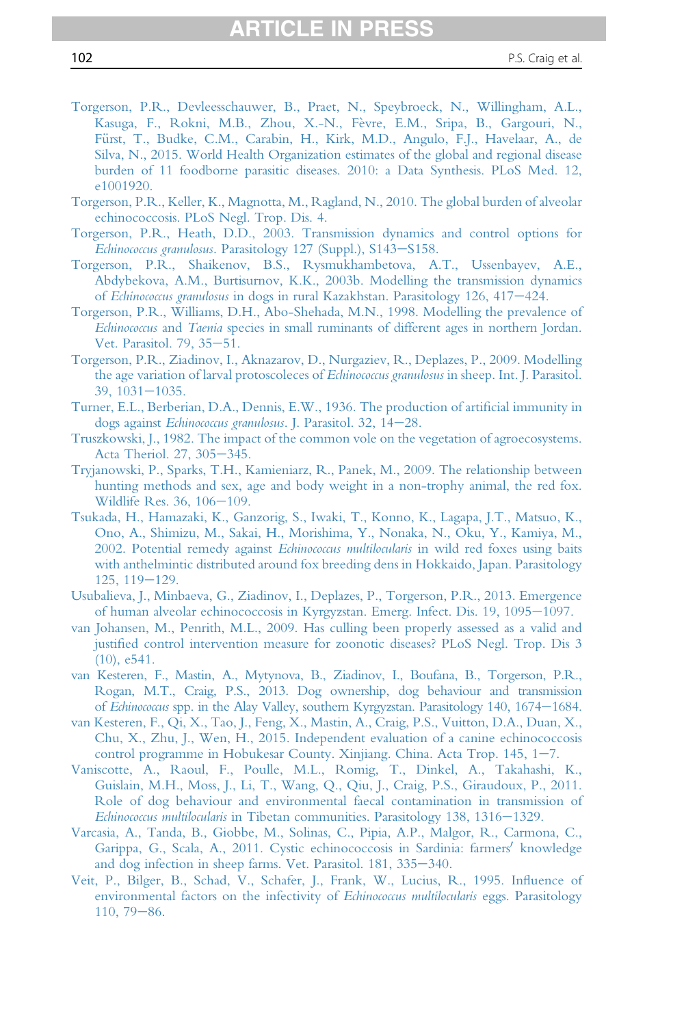- <span id="page-101-0"></span>[Torgerson, P.R., Devleesschauwer, B., Praet, N., Speybroeck, N., Willingham, A.L.,](http://refhub.elsevier.com/S0065-308X(16)30085-9/sref305) [Kasuga, F., Rokni, M.B., Zhou, X.-N., F](http://refhub.elsevier.com/S0065-308X(16)30085-9/sref305)è[vre, E.M., Sripa, B., Gargouri, N.,](http://refhub.elsevier.com/S0065-308X(16)30085-9/sref305) Fürst, T., Budke, C.M., Carabin, H., Kirk, M.D., Angulo, F.J., Havelaar, A., de [Silva, N., 2015. World Health Organization estimates of the global and regional disease](http://refhub.elsevier.com/S0065-308X(16)30085-9/sref305) [burden of 11 foodborne parasitic diseases. 2010: a Data Synthesis. PLoS Med. 12,](http://refhub.elsevier.com/S0065-308X(16)30085-9/sref305) [e1001920.](http://refhub.elsevier.com/S0065-308X(16)30085-9/sref305)
- [Torgerson, P.R., Keller, K., Magnotta, M., Ragland, N., 2010. The global burden of alveolar](http://refhub.elsevier.com/S0065-308X(16)30085-9/sref306) [echinococcosis. PLoS Negl. Trop. Dis. 4.](http://refhub.elsevier.com/S0065-308X(16)30085-9/sref306)
- [Torgerson, P.R., Heath, D.D., 2003. Transmission dynamics and control options for](http://refhub.elsevier.com/S0065-308X(16)30085-9/sref307) Echinococcus granulosus[. Parasitology 127 \(Suppl.\), S143](http://refhub.elsevier.com/S0065-308X(16)30085-9/sref307)-[S158.](http://refhub.elsevier.com/S0065-308X(16)30085-9/sref307)
- [Torgerson, P.R., Shaikenov, B.S., Rysmukhambetova, A.T., Ussenbayev, A.E.,](http://refhub.elsevier.com/S0065-308X(16)30085-9/sref308) [Abdybekova, A.M., Burtisurnov, K.K., 2003b. Modelling the transmission dynamics](http://refhub.elsevier.com/S0065-308X(16)30085-9/sref308) of Echinococcus granulosus [in dogs in rural Kazakhstan. Parasitology 126, 417](http://refhub.elsevier.com/S0065-308X(16)30085-9/sref308)–[424.](http://refhub.elsevier.com/S0065-308X(16)30085-9/sref308)
- [Torgerson, P.R., Williams, D.H., Abo-Shehada, M.N., 1998. Modelling the prevalence of](http://refhub.elsevier.com/S0065-308X(16)30085-9/sref309) Echinococcus and Taenia [species in small ruminants of different ages in northern Jordan.](http://refhub.elsevier.com/S0065-308X(16)30085-9/sref309) [Vet. Parasitol. 79, 35](http://refhub.elsevier.com/S0065-308X(16)30085-9/sref309)-[51.](http://refhub.elsevier.com/S0065-308X(16)30085-9/sref309)
- [Torgerson, P.R., Ziadinov, I., Aknazarov, D., Nurgaziev, R., Deplazes, P., 2009. Modelling](http://refhub.elsevier.com/S0065-308X(16)30085-9/sref310) [the age variation of larval protoscoleces of](http://refhub.elsevier.com/S0065-308X(16)30085-9/sref310) Echinococcus granulosus in sheep. Int. J. Parasitol.  $39, 1031 - 1035.$  $39, 1031 - 1035.$  $39, 1031 - 1035.$
- [Turner, E.L., Berberian, D.A., Dennis, E.W., 1936. The production of arti](http://refhub.elsevier.com/S0065-308X(16)30085-9/sref311)ficial immunity in dogs against [Echinococcus granulosus](http://refhub.elsevier.com/S0065-308X(16)30085-9/sref311). J. Parasitol. 32, 14-[28.](http://refhub.elsevier.com/S0065-308X(16)30085-9/sref311)
- [Truszkowski, J., 1982. The impact of the common vole on the vegetation of agroecosystems.](http://refhub.elsevier.com/S0065-308X(16)30085-9/sref312) [Acta Theriol. 27, 305](http://refhub.elsevier.com/S0065-308X(16)30085-9/sref312)-[345.](http://refhub.elsevier.com/S0065-308X(16)30085-9/sref312)
- [Tryjanowski, P., Sparks, T.H., Kamieniarz, R., Panek, M., 2009. The relationship between](http://refhub.elsevier.com/S0065-308X(16)30085-9/sref313) [hunting methods and sex, age and body weight in a non-trophy animal, the red fox.](http://refhub.elsevier.com/S0065-308X(16)30085-9/sref313) [Wildlife Res. 36, 106](http://refhub.elsevier.com/S0065-308X(16)30085-9/sref313)-[109.](http://refhub.elsevier.com/S0065-308X(16)30085-9/sref313)
- [Tsukada, H., Hamazaki, K., Ganzorig, S., Iwaki, T., Konno, K., Lagapa, J.T., Matsuo, K.,](http://refhub.elsevier.com/S0065-308X(16)30085-9/sref314) [Ono, A., Shimizu, M., Sakai, H., Morishima, Y., Nonaka, N., Oku, Y., Kamiya, M.,](http://refhub.elsevier.com/S0065-308X(16)30085-9/sref314) [2002. Potential remedy against](http://refhub.elsevier.com/S0065-308X(16)30085-9/sref314) Echinococcus multilocularis in wild red foxes using baits [with anthelmintic distributed around fox breeding dens in Hokkaido, Japan. Parasitology](http://refhub.elsevier.com/S0065-308X(16)30085-9/sref314)  $125, 119 - 129.$  $125, 119 - 129.$  $125, 119 - 129.$
- [Usubalieva, J., Minbaeva, G., Ziadinov, I., Deplazes, P., Torgerson, P.R., 2013. Emergence](http://refhub.elsevier.com/S0065-308X(16)30085-9/sref315) [of human alveolar echinococcosis in Kyrgyzstan. Emerg. Infect. Dis. 19, 1095](http://refhub.elsevier.com/S0065-308X(16)30085-9/sref315)-[1097.](http://refhub.elsevier.com/S0065-308X(16)30085-9/sref315)
- [van Johansen, M., Penrith, M.L., 2009. Has culling been properly assessed as a valid and](http://refhub.elsevier.com/S0065-308X(16)30085-9/sref316) justifi[ed control intervention measure for zoonotic diseases? PLoS Negl. Trop. Dis 3](http://refhub.elsevier.com/S0065-308X(16)30085-9/sref316) [\(10\), e541.](http://refhub.elsevier.com/S0065-308X(16)30085-9/sref316)
- [van Kesteren, F., Mastin, A., Mytynova, B., Ziadinov, I., Boufana,](http://refhub.elsevier.com/S0065-308X(16)30085-9/sref317) B., Torgerson, P.R., [Rogan, M.T., Craig, P.S., 2013. Dog ownership, dog behaviour and transmission](http://refhub.elsevier.com/S0065-308X(16)30085-9/sref317) of Echinococcus [spp. in the Alay Valley, southern Kyrgyzstan. Parasitology 140, 1674](http://refhub.elsevier.com/S0065-308X(16)30085-9/sref317)–[1684.](http://refhub.elsevier.com/S0065-308X(16)30085-9/sref317)
- [van Kesteren, F., Qi, X., Tao, J., Feng, X., Mastin, A., Craig, P.S., Vuitton, D.A., Duan, X.,](http://refhub.elsevier.com/S0065-308X(16)30085-9/sref318) [Chu, X., Zhu, J., Wen, H., 2015. Independent evaluation of a canine echinococcosis](http://refhub.elsevier.com/S0065-308X(16)30085-9/sref318) control programme in Hobukesar County. Xinjiang. China. Acta Trop.  $145$ ,  $1-7$ .
- [Vaniscotte, A., Raoul, F., Poulle, M.L., Romig, T., Dinkel, A., Takahashi, K.,](http://refhub.elsevier.com/S0065-308X(16)30085-9/sref319) [Guislain, M.H., Moss, J., Li, T., Wang, Q., Qiu, J., Craig, P.S., Giraudoux, P., 2011.](http://refhub.elsevier.com/S0065-308X(16)30085-9/sref319) [Role of dog behaviour and environmental faecal contamination in transmission of](http://refhub.elsevier.com/S0065-308X(16)30085-9/sref319) Echinococcus multilocularis [in Tibetan communities. Parasitology 138, 1316](http://refhub.elsevier.com/S0065-308X(16)30085-9/sref319)-[1329.](http://refhub.elsevier.com/S0065-308X(16)30085-9/sref319)
- [Varcasia, A., Tanda, B., Giobbe, M., Solinas, C., Pipia, A.P., Malgor, R., Carmona, C.,](http://refhub.elsevier.com/S0065-308X(16)30085-9/sref320) [Garippa, G., Scala, A., 2011. Cystic echinococcosis in Sardinia: farmers](http://refhub.elsevier.com/S0065-308X(16)30085-9/sref320)' [knowledge](http://refhub.elsevier.com/S0065-308X(16)30085-9/sref320) [and dog infection in sheep farms. Vet. Parasitol. 181, 335](http://refhub.elsevier.com/S0065-308X(16)30085-9/sref320)–[340.](http://refhub.elsevier.com/S0065-308X(16)30085-9/sref320)
- [Veit, P., Bilger, B., Schad, V., Schafer, J., Frank, W., Lucius, R., 1995. In](http://refhub.elsevier.com/S0065-308X(16)30085-9/sref321)fluence of [environmental factors on the infectivity of](http://refhub.elsevier.com/S0065-308X(16)30085-9/sref321) *Echinococcus multilocularis* eggs. Parasitology  $110, 79 - 86.$  $110, 79 - 86.$  $110, 79 - 86.$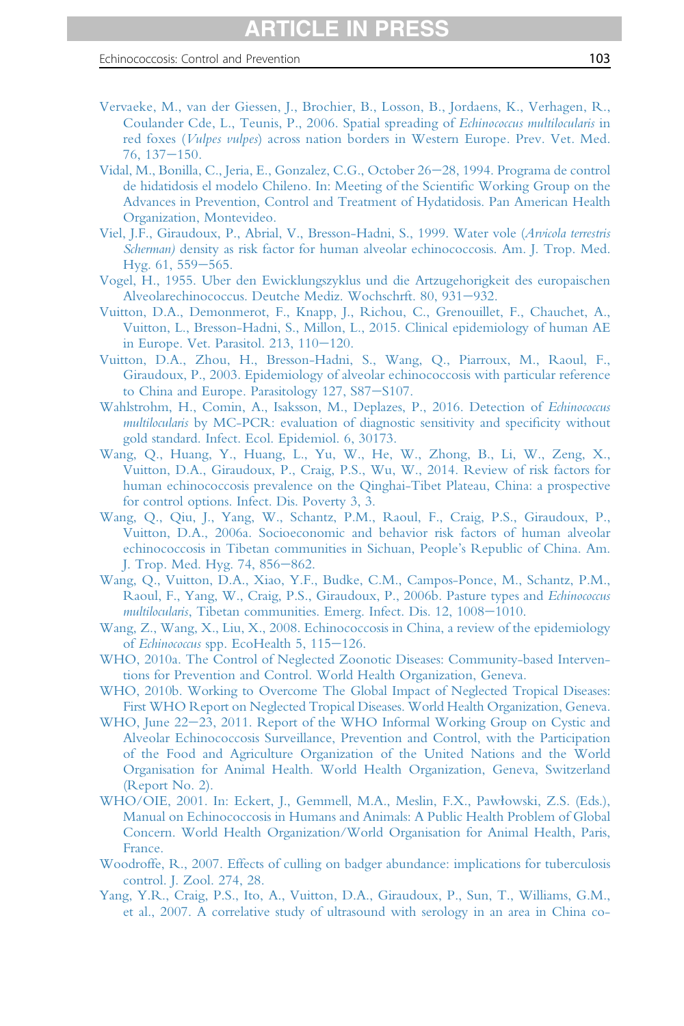- <span id="page-102-0"></span>[Vervaeke, M., van der Giessen, J., Brochier,](http://refhub.elsevier.com/S0065-308X(16)30085-9/sref322) B., Losson, B., Jordaens, K., Verhagen, R., [Coulander Cde, L., Teunis, P., 2006. Spatial spreading of](http://refhub.elsevier.com/S0065-308X(16)30085-9/sref322) Echinococcus multilocularis in red foxes (Vulpes vulpes[\) across nation borders in Western Europe. Prev. Vet. Med.](http://refhub.elsevier.com/S0065-308X(16)30085-9/sref322)  $76, 137 - 150.$  $76, 137 - 150.$  $76, 137 - 150.$
- [Vidal, M., Bonilla, C., Jeria, E., Gonzalez, C.G., October 26](http://refhub.elsevier.com/S0065-308X(16)30085-9/sref323)-[28, 1994. Programa de control](http://refhub.elsevier.com/S0065-308X(16)30085-9/sref323) [de hidatidosis el modelo Chileno. In: Meeting of the Scienti](http://refhub.elsevier.com/S0065-308X(16)30085-9/sref323)fic Working Group on the [Advances in Prevention, Control and Treatment of Hydatidosis. Pan American Health](http://refhub.elsevier.com/S0065-308X(16)30085-9/sref323) [Organization, Montevideo.](http://refhub.elsevier.com/S0065-308X(16)30085-9/sref323)
- [Viel, J.F., Giraudoux, P., Abrial, V., Bresson-Hadni, S., 1999. Water vole \(](http://refhub.elsevier.com/S0065-308X(16)30085-9/sref324)Arvicola terrestris Scherman) [density as risk factor for human alveolar echinococcosis. Am. J. Trop. Med.](http://refhub.elsevier.com/S0065-308X(16)30085-9/sref324) [Hyg. 61, 559](http://refhub.elsevier.com/S0065-308X(16)30085-9/sref324)-[565.](http://refhub.elsevier.com/S0065-308X(16)30085-9/sref324)
- [Vogel, H., 1955. Uber den Ewicklungszyklus und die Artzugehorigkeit des europaischen](http://refhub.elsevier.com/S0065-308X(16)30085-9/sref325) [Alveolarechinococcus. Deutche Mediz. Wochschrft. 80, 931](http://refhub.elsevier.com/S0065-308X(16)30085-9/sref325)-[932.](http://refhub.elsevier.com/S0065-308X(16)30085-9/sref325)
- [Vuitton, D.A., Demonmerot, F., Knapp, J., Richou, C., Grenouillet, F., Chauchet, A.,](http://refhub.elsevier.com/S0065-308X(16)30085-9/sref326) [Vuitton, L., Bresson-Hadni, S., Millon, L., 2015. Clinical epidemiology of human AE](http://refhub.elsevier.com/S0065-308X(16)30085-9/sref326) in Europe. Vet. Parasitol.  $213$ ,  $110-120$ .
- [Vuitton, D.A., Zhou, H., Bresson-Hadni, S., Wang, Q., Piarroux, M., Raoul, F.,](http://refhub.elsevier.com/S0065-308X(16)30085-9/sref327) [Giraudoux, P., 2003. Epidemiology of alveolar echinococcosis with particular reference](http://refhub.elsevier.com/S0065-308X(16)30085-9/sref327) [to China and Europe. Parasitology 127, S87](http://refhub.elsevier.com/S0065-308X(16)30085-9/sref327)-[S107.](http://refhub.elsevier.com/S0065-308X(16)30085-9/sref327)
- [Wahlstrohm, H., Comin, A., Isaksson, M., Deplazes, P., 2016. Detection of](http://refhub.elsevier.com/S0065-308X(16)30085-9/sref328) Echinococcus multilocularis [by MC-PCR: evaluation of diagnostic sensitivity and speci](http://refhub.elsevier.com/S0065-308X(16)30085-9/sref328)ficity without [gold standard. Infect. Ecol. Epidemiol. 6, 30173.](http://refhub.elsevier.com/S0065-308X(16)30085-9/sref328)
- [Wang, Q., Huang, Y., Huang, L., Yu, W., He, W., Zhong, B., Li, W., Zeng, X.,](http://refhub.elsevier.com/S0065-308X(16)30085-9/sref329) [Vuitton, D.A., Giraudoux, P., Craig, P.S., Wu, W., 2014. Review of risk factors for](http://refhub.elsevier.com/S0065-308X(16)30085-9/sref329) [human echinococcosis prevalence on the Qinghai-Tibet Plateau, China: a prospective](http://refhub.elsevier.com/S0065-308X(16)30085-9/sref329) [for control options. Infect. Dis. Poverty 3, 3.](http://refhub.elsevier.com/S0065-308X(16)30085-9/sref329)
- [Wang, Q., Qiu, J., Yang, W., Schantz, P.M., Raoul, F., Craig, P.S., Giraudoux, P.,](http://refhub.elsevier.com/S0065-308X(16)30085-9/sref330) [Vuitton, D.A., 2006a. Socioeconomic and behavior risk factors of human alveolar](http://refhub.elsevier.com/S0065-308X(16)30085-9/sref330) [echinococcosis in Tibetan communities in Sichuan, People](http://refhub.elsevier.com/S0065-308X(16)30085-9/sref330)'s Republic of China. Am. [J. Trop. Med. Hyg. 74, 856](http://refhub.elsevier.com/S0065-308X(16)30085-9/sref330)–[862.](http://refhub.elsevier.com/S0065-308X(16)30085-9/sref330)
- [Wang, Q., Vuitton, D.A., Xiao, Y.F., Budke, C.M., Campos-Ponce, M., Schantz, P.M.,](http://refhub.elsevier.com/S0065-308X(16)30085-9/sref331) [Raoul, F., Yang, W., Craig, P.S., Giraudoux, P., 2006b. Pasture types and](http://refhub.elsevier.com/S0065-308X(16)30085-9/sref331) Echinococcus multilocularis[, Tibetan communities. Emerg. Infect. Dis. 12, 1008](http://refhub.elsevier.com/S0065-308X(16)30085-9/sref331)-[1010.](http://refhub.elsevier.com/S0065-308X(16)30085-9/sref331)
- [Wang, Z., Wang, X., Liu, X., 2008. Echinococcosis in China, a review of the epidemiology](http://refhub.elsevier.com/S0065-308X(16)30085-9/sref332) of Echinococcus [spp. EcoHealth 5, 115](http://refhub.elsevier.com/S0065-308X(16)30085-9/sref332)-[126.](http://refhub.elsevier.com/S0065-308X(16)30085-9/sref332)
- [WHO, 2010a. The Control of Neglected Zoonotic Diseases: Community-based Interven](http://refhub.elsevier.com/S0065-308X(16)30085-9/sref333)[tions for Prevention and Control. World Health Organization, Geneva.](http://refhub.elsevier.com/S0065-308X(16)30085-9/sref333)
- [WHO, 2010b. Working to Overcome The Global Impact of Neglected Tropical Diseases:](http://refhub.elsevier.com/S0065-308X(16)30085-9/sref334) [First WHO Report on Neglected Tropical Diseases. World Health Organization, Geneva.](http://refhub.elsevier.com/S0065-308X(16)30085-9/sref334)
- [WHO, June 22](http://refhub.elsevier.com/S0065-308X(16)30085-9/sref335)–[23, 2011. Report of the WHO Informal Working Group on Cystic and](http://refhub.elsevier.com/S0065-308X(16)30085-9/sref335) [Alveolar Echinococcosis Surveillance, Prevention and Control, with the Participation](http://refhub.elsevier.com/S0065-308X(16)30085-9/sref335) [of the Food and Agriculture Organization of the United Nations and the World](http://refhub.elsevier.com/S0065-308X(16)30085-9/sref335) [Organisation for Animal Health. World Health Organization, Geneva, Switzerland](http://refhub.elsevier.com/S0065-308X(16)30085-9/sref335) [\(Report No. 2\).](http://refhub.elsevier.com/S0065-308X(16)30085-9/sref335)
- [WHO/OIE, 2001. In: Eckert, J., Gemmell, M.A., Meslin, F.X., Paw](http://refhub.elsevier.com/S0065-308X(16)30085-9/sref336)1[owski, Z.S. \(Eds.\),](http://refhub.elsevier.com/S0065-308X(16)30085-9/sref336) [Manual on Echinococcosis in Humans and Animals: A Public Health Problem of Global](http://refhub.elsevier.com/S0065-308X(16)30085-9/sref336) [Concern. World Health Organization/World Organisation for Animal Health, Paris,](http://refhub.elsevier.com/S0065-308X(16)30085-9/sref336) [France.](http://refhub.elsevier.com/S0065-308X(16)30085-9/sref336)
- [Woodroffe, R., 2007. Effects of culling on badger abundance: implications for tuberculosis](http://refhub.elsevier.com/S0065-308X(16)30085-9/sref337) [control. J. Zool. 274, 28.](http://refhub.elsevier.com/S0065-308X(16)30085-9/sref337)
- [Yang, Y.R., Craig, P.S., Ito, A., Vuitton, D.A., Giraudoux, P., Sun, T., Williams, G.M.,](http://refhub.elsevier.com/S0065-308X(16)30085-9/sref338) [et al., 2007. A correlative study of ultrasound with serology in an area in China co-](http://refhub.elsevier.com/S0065-308X(16)30085-9/sref338)